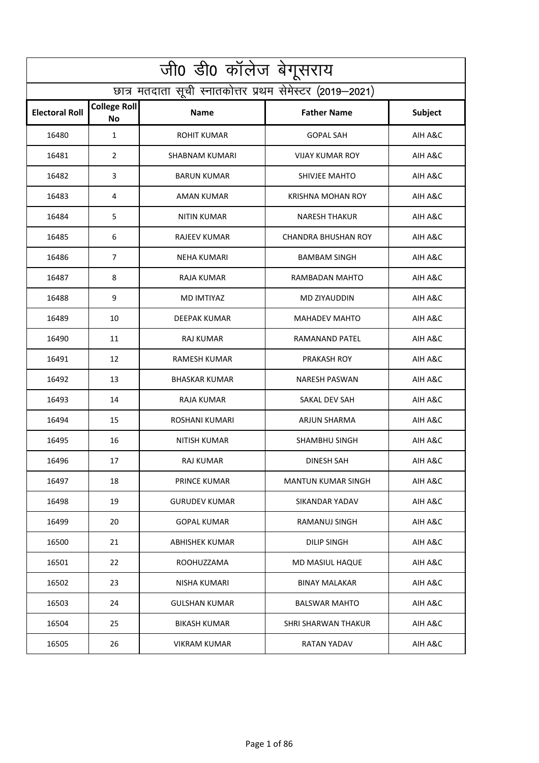|                       | <u>ज</u> ी0 डी0 कॉलेज बेगूसराय |                                                          |                            |                |
|-----------------------|--------------------------------|----------------------------------------------------------|----------------------------|----------------|
|                       |                                | छात्र मतदाता सूची स्नातकोत्तर प्रथम सेमेस्टर (2019–2021) |                            |                |
| <b>Electoral Roll</b> | <b>College Roll</b><br>No      | <b>Name</b>                                              | <b>Father Name</b>         | <b>Subject</b> |
| 16480                 | $\mathbf{1}$                   | ROHIT KUMAR                                              | <b>GOPAL SAH</b>           | AIH A&C        |
| 16481                 | $\overline{2}$                 | SHABNAM KUMARI                                           | <b>VIJAY KUMAR ROY</b>     | AIH A&C        |
| 16482                 | 3                              | <b>BARUN KUMAR</b>                                       | SHIVJEE MAHTO              | AIH A&C        |
| 16483                 | 4                              | <b>AMAN KUMAR</b>                                        | <b>KRISHNA MOHAN ROY</b>   | AIH A&C        |
| 16484                 | 5                              | NITIN KUMAR                                              | <b>NARESH THAKUR</b>       | AIH A&C        |
| 16485                 | 6                              | <b>RAJEEV KUMAR</b>                                      | <b>CHANDRA BHUSHAN ROY</b> | AIH A&C        |
| 16486                 | $\overline{7}$                 | <b>NEHA KUMARI</b>                                       | <b>BAMBAM SINGH</b>        | AIH A&C        |
| 16487                 | 8                              | <b>RAJA KUMAR</b>                                        | RAMBADAN MAHTO             | AIH A&C        |
| 16488                 | 9                              | <b>MD IMTIYAZ</b>                                        | MD ZIYAUDDIN               | AIH A&C        |
| 16489                 | 10                             | DEEPAK KUMAR                                             | <b>MAHADEV MAHTO</b>       | AIH A&C        |
| 16490                 | 11                             | <b>RAJ KUMAR</b>                                         | RAMANAND PATEL             | AIH A&C        |
| 16491                 | 12                             | <b>RAMESH KUMAR</b>                                      | <b>PRAKASH ROY</b>         | AIH A&C        |
| 16492                 | 13                             | <b>BHASKAR KUMAR</b>                                     | <b>NARESH PASWAN</b>       | AIH A&C        |
| 16493                 | 14                             | <b>RAJA KUMAR</b>                                        | SAKAL DEV SAH              | AIH A&C        |
| 16494                 | 15                             | ROSHANI KUMARI                                           | <b>ARJUN SHARMA</b>        | AIH A&C        |
| 16495                 | 16                             | <b>NITISH KUMAR</b>                                      | <b>SHAMBHU SINGH</b>       | AIH A&C        |
| 16496                 | 17                             | RAJ KUMAR                                                | <b>DINESH SAH</b>          | AIH A&C        |
| 16497                 | 18                             | <b>PRINCE KUMAR</b>                                      | <b>MANTUN KUMAR SINGH</b>  | AIH A&C        |
| 16498                 | 19                             | <b>GURUDEV KUMAR</b>                                     | <b>SIKANDAR YADAV</b>      | AIH A&C        |
| 16499                 | 20                             | <b>GOPAL KUMAR</b>                                       | RAMANUJ SINGH              | AIH A&C        |
| 16500                 | 21                             | ABHISHEK KUMAR                                           | <b>DILIP SINGH</b>         | AIH A&C        |
| 16501                 | 22                             | <b>ROOHUZZAMA</b>                                        | MD MASIUL HAQUE            | AIH A&C        |
| 16502                 | 23                             | NISHA KUMARI                                             | <b>BINAY MALAKAR</b>       | AIH A&C        |
| 16503                 | 24                             | <b>GULSHAN KUMAR</b>                                     | <b>BALSWAR MAHTO</b>       | AIH A&C        |
| 16504                 | 25                             | <b>BIKASH KUMAR</b>                                      | SHRI SHARWAN THAKUR        | AIH A&C        |
| 16505                 | 26                             | VIKRAM KUMAR                                             | RATAN YADAV                | AIH A&C        |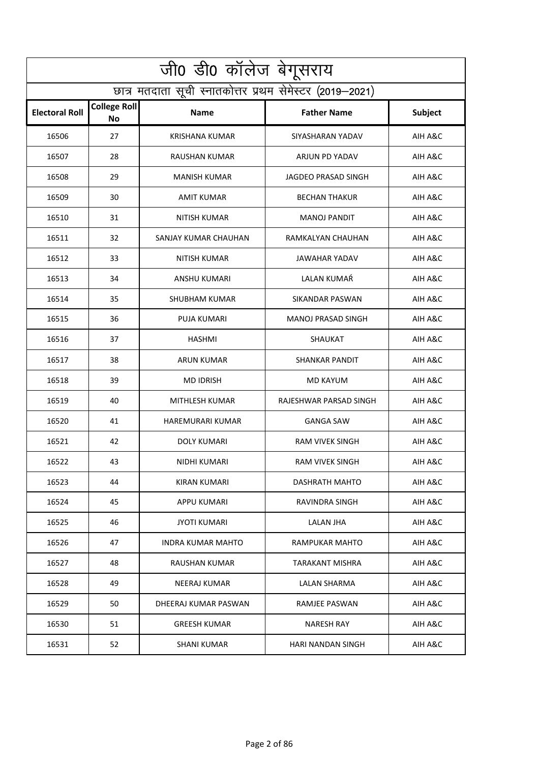|                       | जी0 डी0 कॉलेज बेगूसराय                                   |                       |                           |                |  |
|-----------------------|----------------------------------------------------------|-----------------------|---------------------------|----------------|--|
|                       | छात्र मतदाता सूची स्नातकोत्तर प्रथम सेमेस्टर (2019–2021) |                       |                           |                |  |
| <b>Electoral Roll</b> | <b>College Roll</b><br>No                                | <b>Name</b>           | <b>Father Name</b>        | <b>Subject</b> |  |
| 16506                 | 27                                                       | <b>KRISHANA KUMAR</b> | SIYASHARAN YADAV          | AIH A&C        |  |
| 16507                 | 28                                                       | <b>RAUSHAN KUMAR</b>  | ARJUN PD YADAV            | AIH A&C        |  |
| 16508                 | 29                                                       | <b>MANISH KUMAR</b>   | JAGDEO PRASAD SINGH       | AIH A&C        |  |
| 16509                 | 30                                                       | <b>AMIT KUMAR</b>     | <b>BECHAN THAKUR</b>      | AIH A&C        |  |
| 16510                 | 31                                                       | NITISH KUMAR          | <b>MANOJ PANDIT</b>       | AIH A&C        |  |
| 16511                 | 32                                                       | SANJAY KUMAR CHAUHAN  | RAMKALYAN CHAUHAN         | AIH A&C        |  |
| 16512                 | 33                                                       | NITISH KUMAR          | <b>JAWAHAR YADAV</b>      | AIH A&C        |  |
| 16513                 | 34                                                       | ANSHU KUMARI          | LALAN KUMAŔ               | AIH A&C        |  |
| 16514                 | 35                                                       | <b>SHUBHAM KUMAR</b>  | SIKANDAR PASWAN           | AIH A&C        |  |
| 16515                 | 36                                                       | PUJA KUMARI           | <b>MANOJ PRASAD SINGH</b> | AIH A&C        |  |
| 16516                 | 37                                                       | <b>HASHMI</b>         | SHAUKAT                   | AIH A&C        |  |
| 16517                 | 38                                                       | <b>ARUN KUMAR</b>     | <b>SHANKAR PANDIT</b>     | AIH A&C        |  |
| 16518                 | 39                                                       | <b>MD IDRISH</b>      | <b>MD KAYUM</b>           | AIH A&C        |  |
| 16519                 | 40                                                       | MITHLESH KUMAR        | RAJESHWAR PARSAD SINGH    | AIH A&C        |  |
| 16520                 | 41                                                       | HAREMURARI KUMAR      | <b>GANGA SAW</b>          | AIH A&C        |  |
| 16521                 | 42                                                       | DOLY KUMARI           | <b>RAM VIVEK SINGH</b>    | AIH A&C        |  |
| 16522                 | 43                                                       | NIDHI KUMARI          | RAM VIVEK SINGH           | AIH A&C        |  |
| 16523                 | 44                                                       | KIRAN KUMARI          | <b>DASHRATH MAHTO</b>     | AIH A&C        |  |
| 16524                 | 45                                                       | <b>APPU KUMARI</b>    | RAVINDRA SINGH            | AIH A&C        |  |
| 16525                 | 46                                                       | <b>JYOTI KUMARI</b>   | LALAN JHA                 | AIH A&C        |  |
| 16526                 | 47                                                       | INDRA KUMAR MAHTO     | RAMPUKAR MAHTO            | AIH A&C        |  |
| 16527                 | 48                                                       | <b>RAUSHAN KUMAR</b>  | <b>TARAKANT MISHRA</b>    | AIH A&C        |  |
| 16528                 | 49                                                       | NEERAJ KUMAR          | LALAN SHARMA              | AIH A&C        |  |
| 16529                 | 50                                                       | DHEERAJ KUMAR PASWAN  | RAMJEE PASWAN             | AIH A&C        |  |
| 16530                 | 51                                                       | <b>GREESH KUMAR</b>   | <b>NARESH RAY</b>         | AIH A&C        |  |
| 16531                 | 52                                                       | <b>SHANI KUMAR</b>    | HARI NANDAN SINGH         | AIH A&C        |  |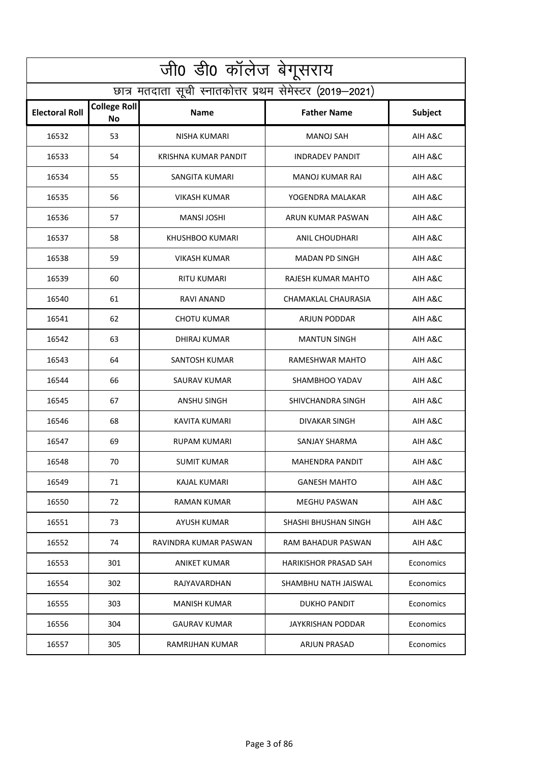| <u>ज</u> ी0 डी0 कॉलेज बेगूसराय |                                                          |                             |                        |                |  |
|--------------------------------|----------------------------------------------------------|-----------------------------|------------------------|----------------|--|
|                                | छात्र मतदाता सूची स्नातकोत्तर प्रथम सेमेस्टर (2019–2021) |                             |                        |                |  |
| <b>Electoral Roll</b>          | <b>College Roll</b><br><b>No</b>                         | <b>Name</b>                 | <b>Father Name</b>     | <b>Subject</b> |  |
| 16532                          | 53                                                       | NISHA KUMARI                | <b>MANOJ SAH</b>       | AIH A&C        |  |
| 16533                          | 54                                                       | <b>KRISHNA KUMAR PANDIT</b> | <b>INDRADEV PANDIT</b> | AIH A&C        |  |
| 16534                          | 55                                                       | SANGITA KUMARI              | <b>MANOJ KUMAR RAI</b> | AIH A&C        |  |
| 16535                          | 56                                                       | <b>VIKASH KUMAR</b>         | YOGENDRA MALAKAR       | AIH A&C        |  |
| 16536                          | 57                                                       | <b>MANSI JOSHI</b>          | ARUN KUMAR PASWAN      | AIH A&C        |  |
| 16537                          | 58                                                       | KHUSHBOO KUMARI             | <b>ANIL CHOUDHARI</b>  | AIH A&C        |  |
| 16538                          | 59                                                       | <b>VIKASH KUMAR</b>         | <b>MADAN PD SINGH</b>  | AIH A&C        |  |
| 16539                          | 60                                                       | RITU KUMARI                 | RAJESH KUMAR MAHTO     | AIH A&C        |  |
| 16540                          | 61                                                       | RAVI ANAND                  | CHAMAKLAL CHAURASIA    | AIH A&C        |  |
| 16541                          | 62                                                       | <b>CHOTU KUMAR</b>          | ARJUN PODDAR           | AIH A&C        |  |
| 16542                          | 63                                                       | DHIRAJ KUMAR                | <b>MANTUN SINGH</b>    | AIH A&C        |  |
| 16543                          | 64                                                       | <b>SANTOSH KUMAR</b>        | RAMESHWAR MAHTO        | AIH A&C        |  |
| 16544                          | 66                                                       | SAURAV KUMAR                | SHAMBHOO YADAV         | AIH A&C        |  |
| 16545                          | 67                                                       | <b>ANSHU SINGH</b>          | SHIVCHANDRA SINGH      | AIH A&C        |  |
| 16546                          | 68                                                       | KAVITA KUMARI               | DIVAKAR SINGH          | AIH A&C        |  |
| 16547                          | 69                                                       | RUPAM KUMARI                | SANJAY SHARMA          | AIH A&C        |  |
| 16548                          | 70                                                       | <b>SUMIT KUMAR</b>          | <b>MAHENDRA PANDIT</b> | AIH A&C        |  |
| 16549                          | 71                                                       | KAJAL KUMARI                | <b>GANESH MAHTO</b>    | AIH A&C        |  |
| 16550                          | 72                                                       | RAMAN KUMAR                 | MEGHU PASWAN           | AIH A&C        |  |
| 16551                          | 73                                                       | <b>AYUSH KUMAR</b>          | SHASHI BHUSHAN SINGH   | AIH A&C        |  |
| 16552                          | 74                                                       | RAVINDRA KUMAR PASWAN       | RAM BAHADUR PASWAN     | AIH A&C        |  |
| 16553                          | 301                                                      | <b>ANIKET KUMAR</b>         | HARIKISHOR PRASAD SAH  | Economics      |  |
| 16554                          | 302                                                      | RAJYAVARDHAN                | SHAMBHU NATH JAISWAL   | Economics      |  |
| 16555                          | 303                                                      | <b>MANISH KUMAR</b>         | <b>DUKHO PANDIT</b>    | Economics      |  |
| 16556                          | 304                                                      | <b>GAURAV KUMAR</b>         | JAYKRISHAN PODDAR      | Economics      |  |
| 16557                          | 305                                                      | RAMRIJHAN KUMAR             | <b>ARJUN PRASAD</b>    | Economics      |  |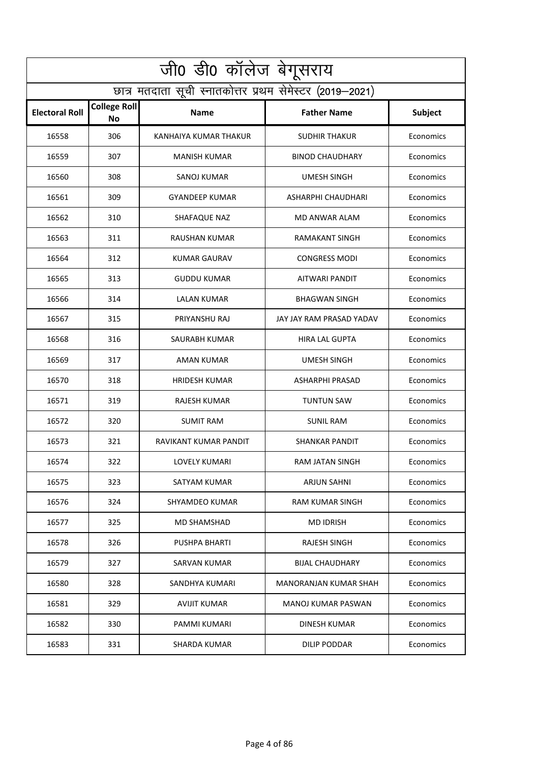| जी0 डी0 कॉलेज बेगूसराय |                                  |                                                          |                          |                |
|------------------------|----------------------------------|----------------------------------------------------------|--------------------------|----------------|
|                        |                                  | छात्र मतदाता सूची स्नातकोत्तर प्रथम सेमेस्टर (2019–2021) |                          |                |
| <b>Electoral Roll</b>  | <b>College Roll</b><br><b>No</b> | <b>Name</b>                                              | <b>Father Name</b>       | <b>Subject</b> |
| 16558                  | 306                              | KANHAIYA KUMAR THAKUR                                    | <b>SUDHIR THAKUR</b>     | Economics      |
| 16559                  | 307                              | <b>MANISH KUMAR</b>                                      | <b>BINOD CHAUDHARY</b>   | Economics      |
| 16560                  | 308                              | SANOJ KUMAR                                              | <b>UMESH SINGH</b>       | Economics      |
| 16561                  | 309                              | <b>GYANDEEP KUMAR</b>                                    | ASHARPHI CHAUDHARI       | Economics      |
| 16562                  | 310                              | SHAFAQUE NAZ                                             | MD ANWAR ALAM            | Economics      |
| 16563                  | 311                              | RAUSHAN KUMAR                                            | RAMAKANT SINGH           | Economics      |
| 16564                  | 312                              | <b>KUMAR GAURAV</b>                                      | <b>CONGRESS MODI</b>     | Economics      |
| 16565                  | 313                              | <b>GUDDU KUMAR</b>                                       | AITWARI PANDIT           | Economics      |
| 16566                  | 314                              | LALAN KUMAR                                              | <b>BHAGWAN SINGH</b>     | Economics      |
| 16567                  | 315                              | PRIYANSHU RAJ                                            | JAY JAY RAM PRASAD YADAV | Economics      |
| 16568                  | 316                              | SAURABH KUMAR                                            | HIRA LAL GUPTA           | Economics      |
| 16569                  | 317                              | <b>AMAN KUMAR</b>                                        | <b>UMESH SINGH</b>       | Economics      |
| 16570                  | 318                              | <b>HRIDESH KUMAR</b>                                     | <b>ASHARPHI PRASAD</b>   | Economics      |
| 16571                  | 319                              | <b>RAJESH KUMAR</b>                                      | <b>TUNTUN SAW</b>        | Economics      |
| 16572                  | 320                              | <b>SUMIT RAM</b>                                         | <b>SUNIL RAM</b>         | Economics      |
| 16573                  | 321                              | RAVIKANT KUMAR PANDIT                                    | <b>SHANKAR PANDIT</b>    | Economics      |
| 16574                  | 322                              | LOVELY KUMARI                                            | RAM JATAN SINGH          | Economics      |
| 16575                  | 323                              | SATYAM KUMAR                                             | ARJUN SAHNI              | Economics      |
| 16576                  | 324                              | SHYAMDEO KUMAR                                           | RAM KUMAR SINGH          | Economics      |
| 16577                  | 325                              | MD SHAMSHAD                                              | <b>MD IDRISH</b>         | Economics      |
| 16578                  | 326                              | PUSHPA BHARTI                                            | RAJESH SINGH             | Economics      |
| 16579                  | 327                              | SARVAN KUMAR                                             | <b>BIJAL CHAUDHARY</b>   | Economics      |
| 16580                  | 328                              | SANDHYA KUMARI                                           | MANORANJAN KUMAR SHAH    | Economics      |
| 16581                  | 329                              | AVIJIT KUMAR                                             | MANOJ KUMAR PASWAN       | Economics      |
| 16582                  | 330                              | PAMMI KUMARI                                             | DINESH KUMAR             | Economics      |
| 16583                  | 331                              | SHARDA KUMAR                                             | DILIP PODDAR             | Economics      |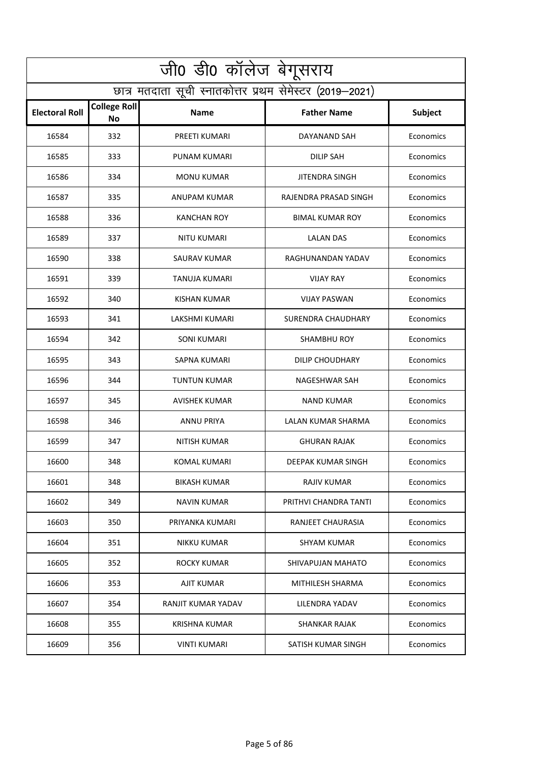| जी0 डी0 कॉलेज बेगूसराय |                                                          |                      |                        |                |  |
|------------------------|----------------------------------------------------------|----------------------|------------------------|----------------|--|
|                        | छात्र मतदाता सूची स्नातकोत्तर प्रथम सेमेस्टर (2019–2021) |                      |                        |                |  |
| <b>Electoral Roll</b>  | <b>College Roll</b><br><b>No</b>                         | <b>Name</b>          | <b>Father Name</b>     | <b>Subject</b> |  |
| 16584                  | 332                                                      | PREETI KUMARI        | DAYANAND SAH           | Economics      |  |
| 16585                  | 333                                                      | PUNAM KUMARI         | <b>DILIP SAH</b>       | Economics      |  |
| 16586                  | 334                                                      | <b>MONU KUMAR</b>    | JITENDRA SINGH         | Economics      |  |
| 16587                  | 335                                                      | ANUPAM KUMAR         | RAJENDRA PRASAD SINGH  | Economics      |  |
| 16588                  | 336                                                      | <b>KANCHAN ROY</b>   | <b>BIMAL KUMAR ROY</b> | Economics      |  |
| 16589                  | 337                                                      | NITU KUMARI          | LALAN DAS              | Economics      |  |
| 16590                  | 338                                                      | SAURAV KUMAR         | RAGHUNANDAN YADAV      | Economics      |  |
| 16591                  | 339                                                      | TANUJA KUMARI        | <b>VIJAY RAY</b>       | Economics      |  |
| 16592                  | 340                                                      | <b>KISHAN KUMAR</b>  | <b>VIJAY PASWAN</b>    | Economics      |  |
| 16593                  | 341                                                      | LAKSHMI KUMARI       | SURENDRA CHAUDHARY     | Economics      |  |
| 16594                  | 342                                                      | SONI KUMARI          | <b>SHAMBHU ROY</b>     | Economics      |  |
| 16595                  | 343                                                      | <b>SAPNA KUMARI</b>  | <b>DILIP CHOUDHARY</b> | Economics      |  |
| 16596                  | 344                                                      | <b>TUNTUN KUMAR</b>  | NAGESHWAR SAH          | Economics      |  |
| 16597                  | 345                                                      | <b>AVISHEK KUMAR</b> | <b>NAND KUMAR</b>      | Economics      |  |
| 16598                  | 346                                                      | <b>ANNU PRIYA</b>    | LALAN KUMAR SHARMA     | Economics      |  |
| 16599                  | 347                                                      | <b>NITISH KUMAR</b>  | <b>GHURAN RAJAK</b>    | Economics      |  |
| 16600                  | 348                                                      | <b>KOMAL KUMARI</b>  | DEEPAK KUMAR SINGH     | Economics      |  |
| 16601                  | 348                                                      | <b>BIKASH KUMAR</b>  | RAJIV KUMAR            | Economics      |  |
| 16602                  | 349                                                      | <b>NAVIN KUMAR</b>   | PRITHVI CHANDRA TANTI  | Economics      |  |
| 16603                  | 350                                                      | PRIYANKA KUMARI      | RANJEET CHAURASIA      | Economics      |  |
| 16604                  | 351                                                      | NIKKU KUMAR          | SHYAM KUMAR            | Economics      |  |
| 16605                  | 352                                                      | ROCKY KUMAR          | SHIVAPUJAN MAHATO      | Economics      |  |
| 16606                  | 353                                                      | AJIT KUMAR           | MITHILESH SHARMA       | Economics      |  |
| 16607                  | 354                                                      | RANJIT KUMAR YADAV   | LILENDRA YADAV         | Economics      |  |
| 16608                  | 355                                                      | <b>KRISHNA KUMAR</b> | SHANKAR RAJAK          | Economics      |  |
| 16609                  | 356                                                      | <b>VINTI KUMARI</b>  | SATISH KUMAR SINGH     | Economics      |  |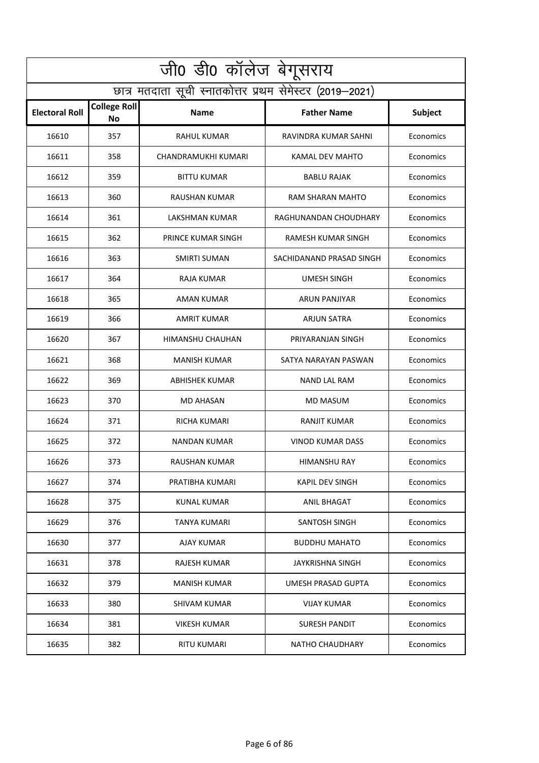|                       | जी0 डी0 कॉलेज बेगूसराय           |                                                          |                           |           |
|-----------------------|----------------------------------|----------------------------------------------------------|---------------------------|-----------|
|                       |                                  | छात्र मतदाता सूची स्नातकोत्तर प्रथम सेमेस्टर (2019–2021) |                           |           |
| <b>Electoral Roll</b> | <b>College Roll</b><br><b>No</b> | <b>Name</b>                                              | <b>Father Name</b>        | Subject   |
| 16610                 | 357                              | RAHUL KUMAR                                              | RAVINDRA KUMAR SAHNI      | Economics |
| 16611                 | 358                              | CHANDRAMUKHI KUMARI                                      | KAMAL DEV MAHTO           | Economics |
| 16612                 | 359                              | <b>BITTU KUMAR</b>                                       | <b>BABLU RAJAK</b>        | Economics |
| 16613                 | 360                              | <b>RAUSHAN KUMAR</b>                                     | RAM SHARAN MAHTO          | Economics |
| 16614                 | 361                              | LAKSHMAN KUMAR                                           | RAGHUNANDAN CHOUDHARY     | Economics |
| 16615                 | 362                              | PRINCE KUMAR SINGH                                       | <b>RAMESH KUMAR SINGH</b> | Economics |
| 16616                 | 363                              | <b>SMIRTI SUMAN</b>                                      | SACHIDANAND PRASAD SINGH  | Economics |
| 16617                 | 364                              | RAJA KUMAR                                               | <b>UMESH SINGH</b>        | Economics |
| 16618                 | 365                              | <b>AMAN KUMAR</b>                                        | <b>ARUN PANJIYAR</b>      | Economics |
| 16619                 | 366                              | AMRIT KUMAR                                              | ARJUN SATRA               | Economics |
| 16620                 | 367                              | HIMANSHU CHAUHAN                                         | PRIYARANJAN SINGH         | Economics |
| 16621                 | 368                              | <b>MANISH KUMAR</b>                                      | SATYA NARAYAN PASWAN      | Economics |
| 16622                 | 369                              | ABHISHEK KUMAR                                           | NAND LAL RAM              | Economics |
| 16623                 | 370                              | MD AHASAN                                                | MD MASUM                  | Economics |
| 16624                 | 371                              | RICHA KUMARI                                             | <b>RANJIT KUMAR</b>       | Economics |
| 16625                 | 372                              | NANDAN KUMAR                                             | VINOD KUMAR DASS          | Economics |
| 16626                 | 373                              | RAUSHAN KUMAR                                            | <b>HIMANSHU RAY</b>       | Economics |
| 16627                 | 374                              | PRATIBHA KUMARI                                          | KAPIL DEV SINGH           | Economics |
| 16628                 | 375                              | KUNAL KUMAR                                              | ANIL BHAGAT               | Economics |
| 16629                 | 376                              | TANYA KUMARI                                             | SANTOSH SINGH             | Economics |
| 16630                 | 377                              | <b>AJAY KUMAR</b>                                        | <b>BUDDHU MAHATO</b>      | Economics |
| 16631                 | 378                              | <b>RAJESH KUMAR</b>                                      | JAYKRISHNA SINGH          | Economics |
| 16632                 | 379                              | <b>MANISH KUMAR</b>                                      | UMESH PRASAD GUPTA        | Economics |
| 16633                 | 380                              | SHIVAM KUMAR                                             | <b>VIJAY KUMAR</b>        | Economics |
| 16634                 | 381                              | <b>VIKESH KUMAR</b>                                      | SURESH PANDIT             | Economics |
| 16635                 | 382                              | <b>RITU KUMARI</b>                                       | NATHO CHAUDHARY           | Economics |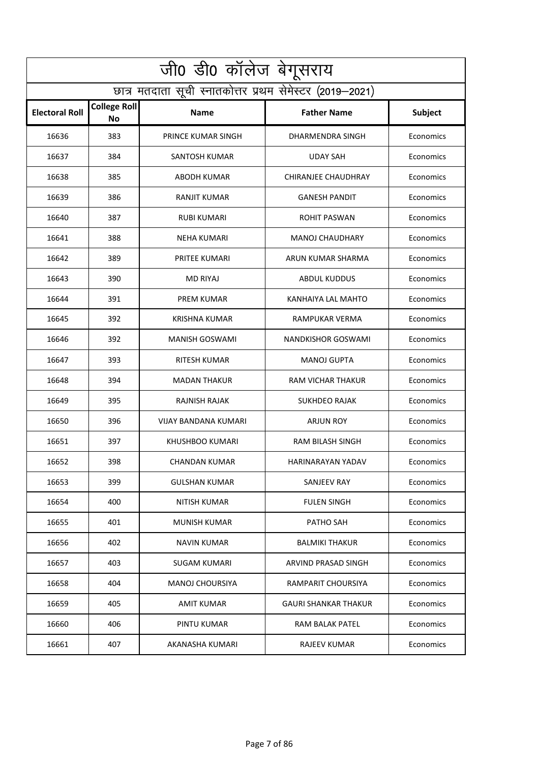|                       | <u>ज</u> ी0 डी0 कॉलेज बेगूसराय                           |                        |                             |                |  |
|-----------------------|----------------------------------------------------------|------------------------|-----------------------------|----------------|--|
|                       | छात्र मतदाता सूची स्नातकोत्तर प्रथम सेमेस्टर (2019–2021) |                        |                             |                |  |
| <b>Electoral Roll</b> | <b>College Roll</b><br><b>No</b>                         | <b>Name</b>            | <b>Father Name</b>          | <b>Subject</b> |  |
| 16636                 | 383                                                      | PRINCE KUMAR SINGH     | DHARMENDRA SINGH            | Economics      |  |
| 16637                 | 384                                                      | <b>SANTOSH KUMAR</b>   | <b>UDAY SAH</b>             | Economics      |  |
| 16638                 | 385                                                      | <b>ABODH KUMAR</b>     | <b>CHIRANJEE CHAUDHRAY</b>  | Economics      |  |
| 16639                 | 386                                                      | <b>RANJIT KUMAR</b>    | <b>GANESH PANDIT</b>        | Economics      |  |
| 16640                 | 387                                                      | <b>RUBI KUMARI</b>     | <b>ROHIT PASWAN</b>         | Economics      |  |
| 16641                 | 388                                                      | <b>NEHA KUMARI</b>     | <b>MANOJ CHAUDHARY</b>      | Economics      |  |
| 16642                 | 389                                                      | <b>PRITEE KUMARI</b>   | ARUN KUMAR SHARMA           | Economics      |  |
| 16643                 | 390                                                      | <b>MD RIYAJ</b>        | <b>ABDUL KUDDUS</b>         | Economics      |  |
| 16644                 | 391                                                      | <b>PREM KUMAR</b>      | KANHAIYA LAL MAHTO          | Economics      |  |
| 16645                 | 392                                                      | <b>KRISHNA KUMAR</b>   | RAMPUKAR VERMA              | Economics      |  |
| 16646                 | 392                                                      | <b>MANISH GOSWAMI</b>  | NANDKISHOR GOSWAMI          | Economics      |  |
| 16647                 | 393                                                      | <b>RITESH KUMAR</b>    | <b>MANOJ GUPTA</b>          | Economics      |  |
| 16648                 | 394                                                      | <b>MADAN THAKUR</b>    | RAM VICHAR THAKUR           | Economics      |  |
| 16649                 | 395                                                      | RAJNISH RAJAK          | <b>SUKHDEO RAJAK</b>        | Economics      |  |
| 16650                 | 396                                                      | VIJAY BANDANA KUMARI   | <b>ARJUN ROY</b>            | Economics      |  |
| 16651                 | 397                                                      | KHUSHBOO KUMARI        | RAM BILASH SINGH            | Economics      |  |
| 16652                 | 398                                                      | <b>CHANDAN KUMAR</b>   | HARINARAYAN YADAV           | Economics      |  |
| 16653                 | 399                                                      | <b>GULSHAN KUMAR</b>   | SANJEEV RAY                 | Economics      |  |
| 16654                 | 400                                                      | <b>NITISH KUMAR</b>    | <b>FULEN SINGH</b>          | Economics      |  |
| 16655                 | 401                                                      | MUNISH KUMAR           | PATHO SAH                   | Economics      |  |
| 16656                 | 402                                                      | NAVIN KUMAR            | <b>BALMIKI THAKUR</b>       | Economics      |  |
| 16657                 | 403                                                      | <b>SUGAM KUMARI</b>    | ARVIND PRASAD SINGH         | Economics      |  |
| 16658                 | 404                                                      | <b>MANOJ CHOURSIYA</b> | RAMPARIT CHOURSIYA          | Economics      |  |
| 16659                 | 405                                                      | <b>AMIT KUMAR</b>      | <b>GAURI SHANKAR THAKUR</b> | Economics      |  |
| 16660                 | 406                                                      | PINTU KUMAR            | RAM BALAK PATEL             | Economics      |  |
| 16661                 | 407                                                      | AKANASHA KUMARI        | <b>RAJEEV KUMAR</b>         | Economics      |  |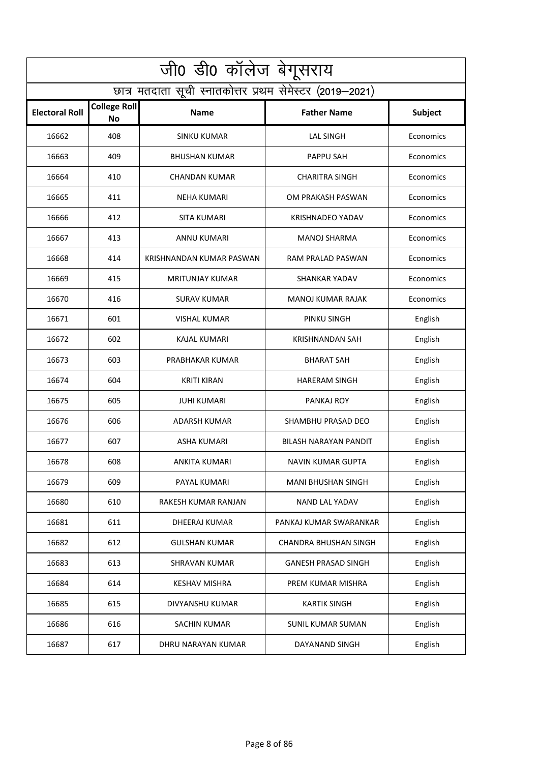|                       | जी0 डी0 कॉलेज बेगूसराय                                   |                            |                              |           |  |
|-----------------------|----------------------------------------------------------|----------------------------|------------------------------|-----------|--|
|                       | छात्र मतदाता सूची स्नातकोत्तर प्रथम सेमेस्टर (2019–2021) |                            |                              |           |  |
| <b>Electoral Roll</b> | <b>College Roll</b><br><b>No</b>                         | <b>Name</b>                | <b>Father Name</b>           | Subject   |  |
| 16662                 | 408                                                      | SINKU KUMAR                | <b>LAL SINGH</b>             | Economics |  |
| 16663                 | 409                                                      | <b>BHUSHAN KUMAR</b>       | <b>PAPPU SAH</b>             | Economics |  |
| 16664                 | 410                                                      | <b>CHANDAN KUMAR</b>       | <b>CHARITRA SINGH</b>        | Economics |  |
| 16665                 | 411                                                      | <b>NEHA KUMARI</b>         | OM PRAKASH PASWAN            | Economics |  |
| 16666                 | 412                                                      | SITA KUMARI                | <b>KRISHNADEO YADAV</b>      | Economics |  |
| 16667                 | 413                                                      | ANNU KUMARI                | <b>MANOJ SHARMA</b>          | Economics |  |
| 16668                 | 414                                                      | KRISHNANDAN KUMAR PASWAN   | RAM PRALAD PASWAN            | Economics |  |
| 16669                 | 415                                                      | <b>MRITUNJAY KUMAR</b>     | <b>SHANKAR YADAV</b>         | Economics |  |
| 16670                 | 416                                                      | <b>SURAV KUMAR</b>         | MANOJ KUMAR RAJAK            | Economics |  |
| 16671                 | 601                                                      | <b>VISHAL KUMAR</b>        | PINKU SINGH                  | English   |  |
| 16672                 | 602                                                      | <b>KAJAL KUMARI</b>        | <b>KRISHNANDAN SAH</b>       | English   |  |
| 16673                 | 603                                                      | PRABHAKAR KUMAR            | <b>BHARAT SAH</b>            | English   |  |
| 16674                 | 604                                                      | <b>KRITI KIRAN</b>         | <b>HARERAM SINGH</b>         | English   |  |
| 16675                 | 605                                                      | <b>JUHI KUMARI</b>         | PANKAJ ROY                   | English   |  |
| 16676                 | 606                                                      | <b>ADARSH KUMAR</b>        | SHAMBHU PRASAD DEO           | English   |  |
| 16677                 | 607                                                      | ASHA KUMARI                | <b>BILASH NARAYAN PANDIT</b> | English   |  |
| 16678                 | 608                                                      | <b>ANKITA KUMARI</b>       | NAVIN KUMAR GUPTA            | English   |  |
| 16679                 | 609                                                      | PAYAL KUMARI               | MANI BHUSHAN SINGH           | English   |  |
| 16680                 | 610                                                      | <b>RAKESH KUMAR RANJAN</b> | NAND LAL YADAV               | English   |  |
| 16681                 | 611                                                      | DHEERAJ KUMAR              | PANKAJ KUMAR SWARANKAR       | English   |  |
| 16682                 | 612                                                      | <b>GULSHAN KUMAR</b>       | CHANDRA BHUSHAN SINGH        | English   |  |
| 16683                 | 613                                                      | SHRAVAN KUMAR              | <b>GANESH PRASAD SINGH</b>   | English   |  |
| 16684                 | 614                                                      | <b>KESHAV MISHRA</b>       | PREM KUMAR MISHRA            | English   |  |
| 16685                 | 615                                                      | DIVYANSHU KUMAR            | <b>KARTIK SINGH</b>          | English   |  |
| 16686                 | 616                                                      | <b>SACHIN KUMAR</b>        | SUNIL KUMAR SUMAN            | English   |  |
| 16687                 | 617                                                      | DHRU NARAYAN KUMAR         | DAYANAND SINGH               | English   |  |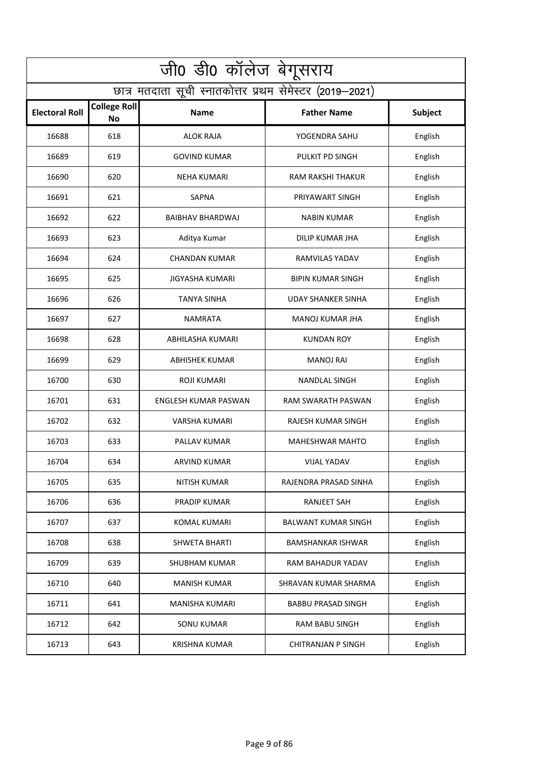| जी0 डी0 कॉलेज बेगूसराय |                                                          |                             |                            |                |  |
|------------------------|----------------------------------------------------------|-----------------------------|----------------------------|----------------|--|
|                        | छात्र मतदाता सूची स्नातकोत्तर प्रथम सेमेस्टर (2019–2021) |                             |                            |                |  |
| <b>Electoral Roll</b>  | <b>College Roll</b><br><b>No</b>                         | <b>Name</b>                 | <b>Father Name</b>         | <b>Subject</b> |  |
| 16688                  | 618                                                      | ALOK RAJA                   | YOGENDRA SAHU              | English        |  |
| 16689                  | 619                                                      | <b>GOVIND KUMAR</b>         | PULKIT PD SINGH            | English        |  |
| 16690                  | 620                                                      | <b>NEHA KUMARI</b>          | <b>RAM RAKSHI THAKUR</b>   | English        |  |
| 16691                  | 621                                                      | <b>SAPNA</b>                | PRIYAWART SINGH            | English        |  |
| 16692                  | 622                                                      | <b>BAIBHAV BHARDWAJ</b>     | <b>NABIN KUMAR</b>         | English        |  |
| 16693                  | 623                                                      | Aditya Kumar                | DILIP KUMAR JHA            | English        |  |
| 16694                  | 624                                                      | <b>CHANDAN KUMAR</b>        | <b>RAMVILAS YADAV</b>      | English        |  |
| 16695                  | 625                                                      | <b>JIGYASHA KUMARI</b>      | <b>BIPIN KUMAR SINGH</b>   | English        |  |
| 16696                  | 626                                                      | <b>TANYA SINHA</b>          | UDAY SHANKER SINHA         | English        |  |
| 16697                  | 627                                                      | <b>NAMRATA</b>              | MANOJ KUMAR JHA            | English        |  |
| 16698                  | 628                                                      | ABHILASHA KUMARI            | <b>KUNDAN ROY</b>          | English        |  |
| 16699                  | 629                                                      | <b>ABHISHEK KUMAR</b>       | <b>MANOJ RAI</b>           | English        |  |
| 16700                  | 630                                                      | <b>ROJI KUMARI</b>          | NANDLAL SINGH              | English        |  |
| 16701                  | 631                                                      | <b>ENGLESH KUMAR PASWAN</b> | RAM SWARATH PASWAN         | English        |  |
| 16702                  | 632                                                      | <b>VARSHA KUMARI</b>        | RAJESH KUMAR SINGH         | English        |  |
| 16703                  | 633                                                      | PALLAV KUMAR                | <b>MAHESHWAR MAHTO</b>     | English        |  |
| 16704                  | 634                                                      | ARVIND KUMAR                | <b>VIJAL YADAV</b>         | English        |  |
| 16705                  | 635                                                      | <b>NITISH KUMAR</b>         | RAJENDRA PRASAD SINHA      | English        |  |
| 16706                  | 636                                                      | PRADIP KUMAR                | RANJEET SAH                | English        |  |
| 16707                  | 637                                                      | KOMAL KUMARI                | <b>BALWANT KUMAR SINGH</b> | English        |  |
| 16708                  | 638                                                      | <b>SHWETA BHARTI</b>        | <b>BAMSHANKAR ISHWAR</b>   | English        |  |
| 16709                  | 639                                                      | <b>SHUBHAM KUMAR</b>        | RAM BAHADUR YADAV          | English        |  |
| 16710                  | 640                                                      | <b>MANISH KUMAR</b>         | SHRAVAN KUMAR SHARMA       | English        |  |
| 16711                  | 641                                                      | <b>MANISHA KUMARI</b>       | <b>BABBU PRASAD SINGH</b>  | English        |  |
| 16712                  | 642                                                      | <b>SONU KUMAR</b>           | RAM BABU SINGH             | English        |  |
| 16713                  | 643                                                      | <b>KRISHNA KUMAR</b>        | <b>CHITRANJAN P SINGH</b>  | English        |  |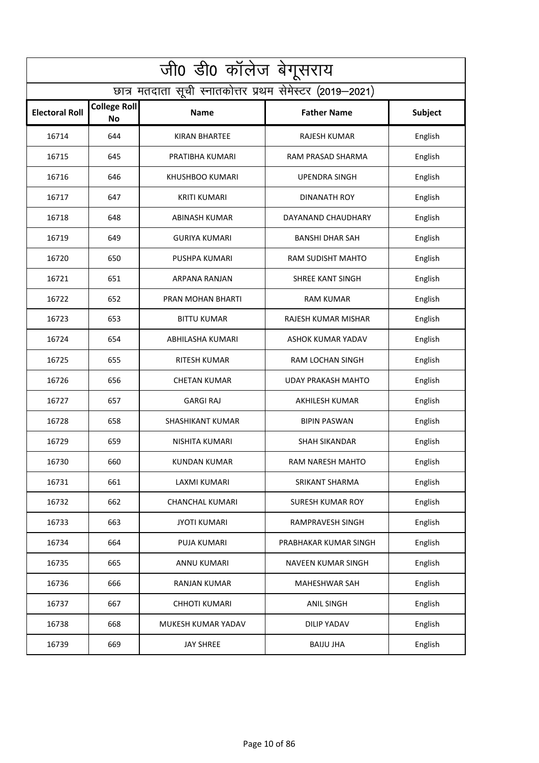|                       | जी0 डी0 कॉलेज बेगूसराय                                   |                        |                           |                |  |
|-----------------------|----------------------------------------------------------|------------------------|---------------------------|----------------|--|
|                       | छात्र मतदाता सूची स्नातकोत्तर प्रथम सेमेस्टर (2019–2021) |                        |                           |                |  |
| <b>Electoral Roll</b> | <b>College Roll</b><br><b>No</b>                         | <b>Name</b>            | <b>Father Name</b>        | <b>Subject</b> |  |
| 16714                 | 644                                                      | <b>KIRAN BHARTEE</b>   | <b>RAJESH KUMAR</b>       | English        |  |
| 16715                 | 645                                                      | PRATIBHA KUMARI        | RAM PRASAD SHARMA         | English        |  |
| 16716                 | 646                                                      | <b>KHUSHBOO KUMARI</b> | <b>UPENDRA SINGH</b>      | English        |  |
| 16717                 | 647                                                      | <b>KRITI KUMARI</b>    | DINANATH ROY              | English        |  |
| 16718                 | 648                                                      | <b>ABINASH KUMAR</b>   | DAYANAND CHAUDHARY        | English        |  |
| 16719                 | 649                                                      | <b>GURIYA KUMARI</b>   | <b>BANSHI DHAR SAH</b>    | English        |  |
| 16720                 | 650                                                      | PUSHPA KUMARI          | RAM SUDISHT MAHTO         | English        |  |
| 16721                 | 651                                                      | ARPANA RANJAN          | <b>SHREE KANT SINGH</b>   | English        |  |
| 16722                 | 652                                                      | PRAN MOHAN BHARTI      | <b>RAM KUMAR</b>          | English        |  |
| 16723                 | 653                                                      | <b>BITTU KUMAR</b>     | RAJESH KUMAR MISHAR       | English        |  |
| 16724                 | 654                                                      | ABHILASHA KUMARI       | ASHOK KUMAR YADAV         | English        |  |
| 16725                 | 655                                                      | <b>RITESH KUMAR</b>    | RAM LOCHAN SINGH          | English        |  |
| 16726                 | 656                                                      | <b>CHETAN KUMAR</b>    | <b>UDAY PRAKASH MAHTO</b> | English        |  |
| 16727                 | 657                                                      | <b>GARGI RAJ</b>       | <b>AKHILESH KUMAR</b>     | English        |  |
| 16728                 | 658                                                      | SHASHIKANT KUMAR       | <b>BIPIN PASWAN</b>       | English        |  |
| 16729                 | 659                                                      | NISHITA KUMARI         | <b>SHAH SIKANDAR</b>      | English        |  |
| 16730                 | 660                                                      | <b>KUNDAN KUMAR</b>    | RAM NARESH MAHTO          | English        |  |
| 16731                 | 661                                                      | LAXMI KUMARI           | <b>SRIKANT SHARMA</b>     | English        |  |
| 16732                 | 662                                                      | <b>CHANCHAL KUMARI</b> | <b>SURESH KUMAR ROY</b>   | English        |  |
| 16733                 | 663                                                      | <b>JYOTI KUMARI</b>    | <b>RAMPRAVESH SINGH</b>   | English        |  |
| 16734                 | 664                                                      | PUJA KUMARI            | PRABHAKAR KUMAR SINGH     | English        |  |
| 16735                 | 665                                                      | <b>ANNU KUMARI</b>     | NAVEEN KUMAR SINGH        | English        |  |
| 16736                 | 666                                                      | RANJAN KUMAR           | MAHESHWAR SAH             | English        |  |
| 16737                 | 667                                                      | <b>CHHOTI KUMARI</b>   | <b>ANIL SINGH</b>         | English        |  |
| 16738                 | 668                                                      | MUKESH KUMAR YADAV     | <b>DILIP YADAV</b>        | English        |  |
| 16739                 | 669                                                      | <b>JAY SHREE</b>       | <b>BAIJU JHA</b>          | English        |  |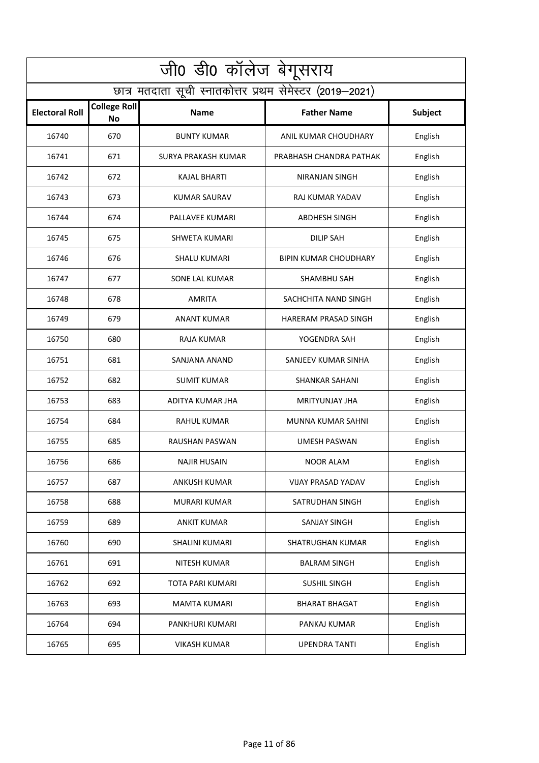|                       | जी0 डी0 कॉलेज बेगूसराय                                   |                            |                              |                |  |
|-----------------------|----------------------------------------------------------|----------------------------|------------------------------|----------------|--|
|                       | छात्र मतदाता सूची स्नातकोत्तर प्रथम सेमेस्टर (2019–2021) |                            |                              |                |  |
| <b>Electoral Roll</b> | <b>College Roll</b><br>No                                | <b>Name</b>                | <b>Father Name</b>           | <b>Subject</b> |  |
| 16740                 | 670                                                      | <b>BUNTY KUMAR</b>         | ANIL KUMAR CHOUDHARY         | English        |  |
| 16741                 | 671                                                      | <b>SURYA PRAKASH KUMAR</b> | PRABHASH CHANDRA PATHAK      | English        |  |
| 16742                 | 672                                                      | <b>KAJAL BHARTI</b>        | NIRANJAN SINGH               | English        |  |
| 16743                 | 673                                                      | <b>KUMAR SAURAV</b>        | RAJ KUMAR YADAV              | English        |  |
| 16744                 | 674                                                      | PALLAVEE KUMARI            | <b>ABDHESH SINGH</b>         | English        |  |
| 16745                 | 675                                                      | <b>SHWETA KUMARI</b>       | <b>DILIP SAH</b>             | English        |  |
| 16746                 | 676                                                      | <b>SHALU KUMARI</b>        | <b>BIPIN KUMAR CHOUDHARY</b> | English        |  |
| 16747                 | 677                                                      | SONE LAL KUMAR             | <b>SHAMBHU SAH</b>           | English        |  |
| 16748                 | 678                                                      | AMRITA                     | SACHCHITA NAND SINGH         | English        |  |
| 16749                 | 679                                                      | <b>ANANT KUMAR</b>         | HARERAM PRASAD SINGH         | English        |  |
| 16750                 | 680                                                      | <b>RAJA KUMAR</b>          | YOGENDRA SAH                 | English        |  |
| 16751                 | 681                                                      | SANJANA ANAND              | SANJEEV KUMAR SINHA          | English        |  |
| 16752                 | 682                                                      | <b>SUMIT KUMAR</b>         | <b>SHANKAR SAHANI</b>        | English        |  |
| 16753                 | 683                                                      | ADITYA KUMAR JHA           | <b>MRITYUNJAY JHA</b>        | English        |  |
| 16754                 | 684                                                      | <b>RAHUL KUMAR</b>         | <b>MUNNA KUMAR SAHNI</b>     | English        |  |
| 16755                 | 685                                                      | RAUSHAN PASWAN             | UMESH PASWAN                 | English        |  |
| 16756                 | 686                                                      | <b>NAJIR HUSAIN</b>        | <b>NOOR ALAM</b>             | English        |  |
| 16757                 | 687                                                      | <b>ANKUSH KUMAR</b>        | VIJAY PRASAD YADAV           | English        |  |
| 16758                 | 688                                                      | MURARI KUMAR               | SATRUDHAN SINGH              | English        |  |
| 16759                 | 689                                                      | <b>ANKIT KUMAR</b>         | <b>SANJAY SINGH</b>          | English        |  |
| 16760                 | 690                                                      | SHALINI KUMARI             | <b>SHATRUGHAN KUMAR</b>      | English        |  |
| 16761                 | 691                                                      | <b>NITESH KUMAR</b>        | <b>BALRAM SINGH</b>          | English        |  |
| 16762                 | 692                                                      | <b>TOTA PARI KUMARI</b>    | <b>SUSHIL SINGH</b>          | English        |  |
| 16763                 | 693                                                      | <b>MAMTA KUMARI</b>        | <b>BHARAT BHAGAT</b>         | English        |  |
| 16764                 | 694                                                      | PANKHURI KUMARI            | PANKAJ KUMAR                 | English        |  |
| 16765                 | 695                                                      | <b>VIKASH KUMAR</b>        | <b>UPENDRA TANTI</b>         | English        |  |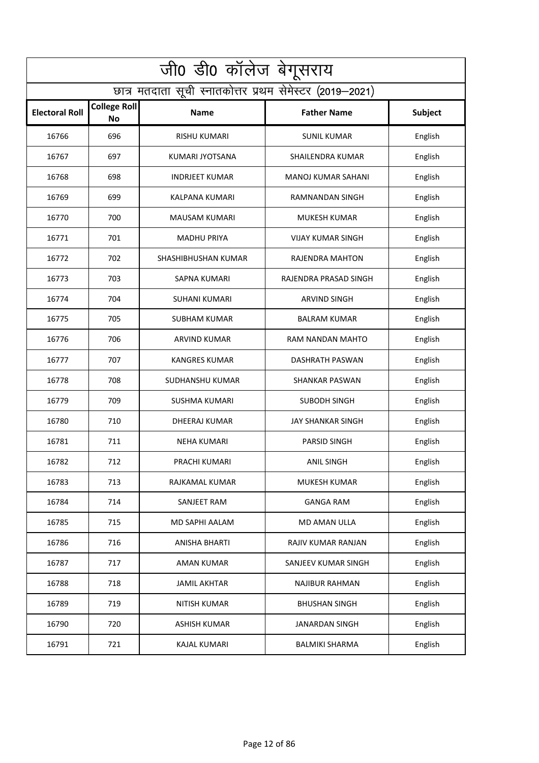| <u>जी0</u> डी0 कॉलेज बेगूसराय |                                  |                                                          |                          |                |
|-------------------------------|----------------------------------|----------------------------------------------------------|--------------------------|----------------|
|                               |                                  | छात्र मतदाता सूची स्नातकोत्तर प्रथम सेमेस्टर (2019–2021) |                          |                |
| <b>Electoral Roll</b>         | <b>College Roll</b><br><b>No</b> | <b>Name</b>                                              | <b>Father Name</b>       | <b>Subject</b> |
| 16766                         | 696                              | <b>RISHU KUMARI</b>                                      | <b>SUNIL KUMAR</b>       | English        |
| 16767                         | 697                              | <b>KUMARI JYOTSANA</b>                                   | SHAILENDRA KUMAR         | English        |
| 16768                         | 698                              | <b>INDRJEET KUMAR</b>                                    | MANOJ KUMAR SAHANI       | English        |
| 16769                         | 699                              | <b>KALPANA KUMARI</b>                                    | RAMNANDAN SINGH          | English        |
| 16770                         | 700                              | <b>MAUSAM KUMARI</b>                                     | <b>MUKESH KUMAR</b>      | English        |
| 16771                         | 701                              | <b>MADHU PRIYA</b>                                       | <b>VIJAY KUMAR SINGH</b> | English        |
| 16772                         | 702                              | SHASHIBHUSHAN KUMAR                                      | RAJENDRA MAHTON          | English        |
| 16773                         | 703                              | <b>SAPNA KUMARI</b>                                      | RAJENDRA PRASAD SINGH    | English        |
| 16774                         | 704                              | <b>SUHANI KUMARI</b>                                     | <b>ARVIND SINGH</b>      | English        |
| 16775                         | 705                              | <b>SUBHAM KUMAR</b>                                      | <b>BALRAM KUMAR</b>      | English        |
| 16776                         | 706                              | <b>ARVIND KUMAR</b>                                      | RAM NANDAN MAHTO         | English        |
| 16777                         | 707                              | <b>KANGRES KUMAR</b>                                     | <b>DASHRATH PASWAN</b>   | English        |
| 16778                         | 708                              | SUDHANSHU KUMAR                                          | <b>SHANKAR PASWAN</b>    | English        |
| 16779                         | 709                              | <b>SUSHMA KUMARI</b>                                     | <b>SUBODH SINGH</b>      | English        |
| 16780                         | 710                              | <b>DHEERAJ KUMAR</b>                                     | <b>JAY SHANKAR SINGH</b> | English        |
| 16781                         | 711                              | <b>NEHA KUMARI</b>                                       | PARSID SINGH             | English        |
| 16782                         | 712                              | PRACHI KUMARI                                            | <b>ANIL SINGH</b>        | English        |
| 16783                         | 713                              | RAJKAMAL KUMAR                                           | <b>MUKESH KUMAR</b>      | English        |
| 16784                         | 714                              | SANJEET RAM                                              | <b>GANGA RAM</b>         | English        |
| 16785                         | 715                              | MD SAPHI AALAM                                           | MD AMAN ULLA             | English        |
| 16786                         | 716                              | <b>ANISHA BHARTI</b>                                     | RAJIV KUMAR RANJAN       | English        |
| 16787                         | 717                              | AMAN KUMAR                                               | SANJEEV KUMAR SINGH      | English        |
| 16788                         | 718                              | <b>JAMIL AKHTAR</b>                                      | <b>NAJIBUR RAHMAN</b>    | English        |
| 16789                         | 719                              | <b>NITISH KUMAR</b>                                      | <b>BHUSHAN SINGH</b>     | English        |
| 16790                         | 720                              | ASHISH KUMAR                                             | JANARDAN SINGH           | English        |
| 16791                         | 721                              | <b>KAJAL KUMARI</b>                                      | <b>BALMIKI SHARMA</b>    | English        |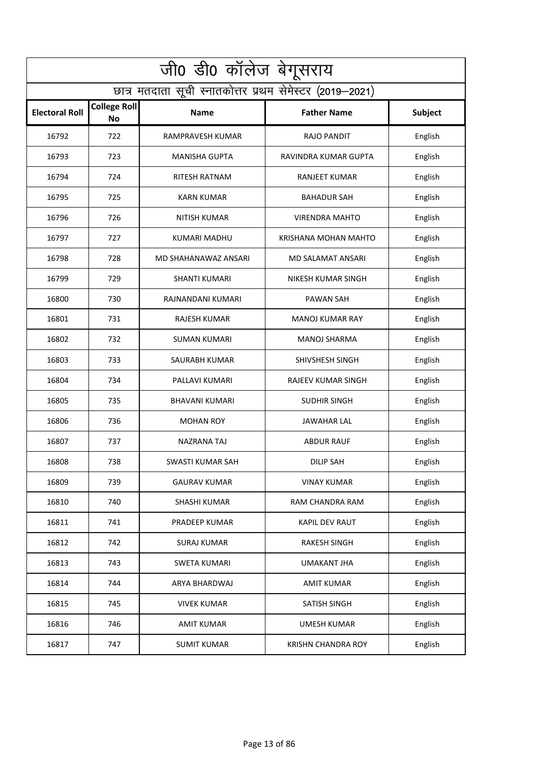| जी0 डी0 कॉलेज बेगूसराय |                                                          |                       |                           |         |  |
|------------------------|----------------------------------------------------------|-----------------------|---------------------------|---------|--|
|                        | छात्र मतदाता सूची स्नातकोत्तर प्रथम सेमेस्टर (2019–2021) |                       |                           |         |  |
| <b>Electoral Roll</b>  | <b>College Roll</b><br>No                                | <b>Name</b>           | <b>Father Name</b>        | Subject |  |
| 16792                  | 722                                                      | RAMPRAVESH KUMAR      | <b>RAJO PANDIT</b>        | English |  |
| 16793                  | 723                                                      | <b>MANISHA GUPTA</b>  | RAVINDRA KUMAR GUPTA      | English |  |
| 16794                  | 724                                                      | RITESH RATNAM         | <b>RANJEET KUMAR</b>      | English |  |
| 16795                  | 725                                                      | <b>KARN KUMAR</b>     | <b>BAHADUR SAH</b>        | English |  |
| 16796                  | 726                                                      | <b>NITISH KUMAR</b>   | <b>VIRENDRA MAHTO</b>     | English |  |
| 16797                  | 727                                                      | KUMARI MADHU          | KRISHANA MOHAN MAHTO      | English |  |
| 16798                  | 728                                                      | MD SHAHANAWAZ ANSARI  | <b>MD SALAMAT ANSARI</b>  | English |  |
| 16799                  | 729                                                      | SHANTI KUMARI         | NIKESH KUMAR SINGH        | English |  |
| 16800                  | 730                                                      | RAJNANDANI KUMARI     | PAWAN SAH                 | English |  |
| 16801                  | 731                                                      | RAJESH KUMAR          | <b>MANOJ KUMAR RAY</b>    | English |  |
| 16802                  | 732                                                      | <b>SUMAN KUMARI</b>   | <b>MANOJ SHARMA</b>       | English |  |
| 16803                  | 733                                                      | <b>SAURABH KUMAR</b>  | SHIVSHESH SINGH           | English |  |
| 16804                  | 734                                                      | PALLAVI KUMARI        | RAJEEV KUMAR SINGH        | English |  |
| 16805                  | 735                                                      | <b>BHAVANI KUMARI</b> | <b>SUDHIR SINGH</b>       | English |  |
| 16806                  | 736                                                      | <b>MOHAN ROY</b>      | JAWAHAR LAL               | English |  |
| 16807                  | 737                                                      | <b>NAZRANA TAJ</b>    | <b>ABDUR RAUF</b>         | English |  |
| 16808                  | 738                                                      | SWASTI KUMAR SAH      | <b>DILIP SAH</b>          | English |  |
| 16809                  | 739                                                      | <b>GAURAV KUMAR</b>   | <b>VINAY KUMAR</b>        | English |  |
| 16810                  | 740                                                      | SHASHI KUMAR          | RAM CHANDRA RAM           | English |  |
| 16811                  | 741                                                      | PRADEEP KUMAR         | KAPIL DEV RAUT            | English |  |
| 16812                  | 742                                                      | <b>SURAJ KUMAR</b>    | <b>RAKESH SINGH</b>       | English |  |
| 16813                  | 743                                                      | <b>SWETA KUMARI</b>   | <b>UMAKANT JHA</b>        | English |  |
| 16814                  | 744                                                      | ARYA BHARDWAJ         | <b>AMIT KUMAR</b>         | English |  |
| 16815                  | 745                                                      | <b>VIVEK KUMAR</b>    | SATISH SINGH              | English |  |
| 16816                  | 746                                                      | <b>AMIT KUMAR</b>     | <b>UMESH KUMAR</b>        | English |  |
| 16817                  | 747                                                      | <b>SUMIT KUMAR</b>    | <b>KRISHN CHANDRA ROY</b> | English |  |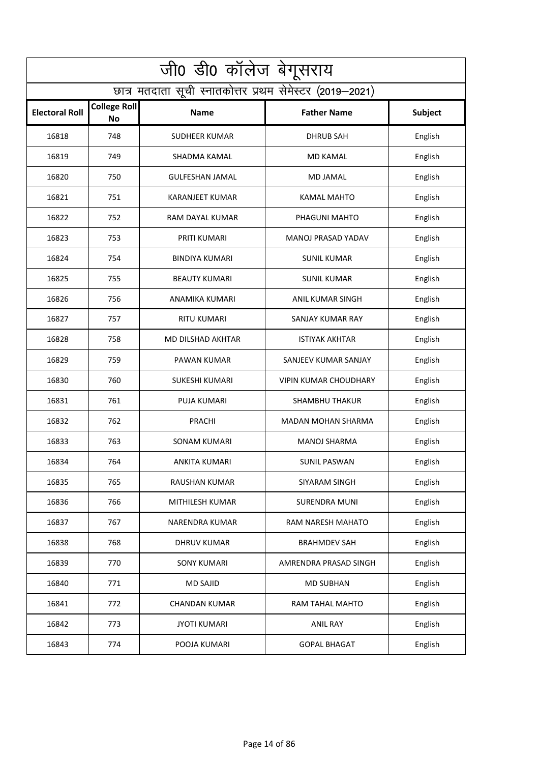| जी0 डी0 कॉलेज बेगूसराय |                                  |                                                          |                              |                |
|------------------------|----------------------------------|----------------------------------------------------------|------------------------------|----------------|
|                        |                                  | छात्र मतदाता सूची स्नातकोत्तर प्रथम सेमेस्टर (2019–2021) |                              |                |
| <b>Electoral Roll</b>  | <b>College Roll</b><br><b>No</b> | <b>Name</b>                                              | <b>Father Name</b>           | <b>Subject</b> |
| 16818                  | 748                              | SUDHEER KUMAR                                            | <b>DHRUB SAH</b>             | English        |
| 16819                  | 749                              | SHADMA KAMAL                                             | MD KAMAL                     | English        |
| 16820                  | 750                              | <b>GULFESHAN JAMAL</b>                                   | <b>MD JAMAL</b>              | English        |
| 16821                  | 751                              | <b>KARANJEET KUMAR</b>                                   | <b>KAMAL MAHTO</b>           | English        |
| 16822                  | 752                              | RAM DAYAL KUMAR                                          | PHAGUNI MAHTO                | English        |
| 16823                  | 753                              | PRITI KUMARI                                             | <b>MANOJ PRASAD YADAV</b>    | English        |
| 16824                  | 754                              | <b>BINDIYA KUMARI</b>                                    | <b>SUNIL KUMAR</b>           | English        |
| 16825                  | 755                              | <b>BEAUTY KUMARI</b>                                     | <b>SUNIL KUMAR</b>           | English        |
| 16826                  | 756                              | ANAMIKA KUMARI                                           | ANIL KUMAR SINGH             | English        |
| 16827                  | 757                              | <b>RITU KUMARI</b>                                       | SANJAY KUMAR RAY             | English        |
| 16828                  | 758                              | MD DILSHAD AKHTAR                                        | <b>ISTIYAK AKHTAR</b>        | English        |
| 16829                  | 759                              | PAWAN KUMAR                                              | SANJEEV KUMAR SANJAY         | English        |
| 16830                  | 760                              | SUKESHI KUMARI                                           | <b>VIPIN KUMAR CHOUDHARY</b> | English        |
| 16831                  | 761                              | <b>PUJA KUMARI</b>                                       | <b>SHAMBHU THAKUR</b>        | English        |
| 16832                  | 762                              | PRACHI                                                   | <b>MADAN MOHAN SHARMA</b>    | English        |
| 16833                  | 763                              | <b>SONAM KUMARI</b>                                      | <b>MANOJ SHARMA</b>          | English        |
| 16834                  | 764                              | <b>ANKITA KUMARI</b>                                     | <b>SUNIL PASWAN</b>          | English        |
| 16835                  | 765                              | <b>RAUSHAN KUMAR</b>                                     | SIYARAM SINGH                | English        |
| 16836                  | 766                              | MITHILESH KUMAR                                          | <b>SURENDRA MUNI</b>         | English        |
| 16837                  | 767                              | <b>NARENDRA KUMAR</b>                                    | RAM NARESH MAHATO            | English        |
| 16838                  | 768                              | <b>DHRUV KUMAR</b>                                       | <b>BRAHMDEV SAH</b>          | English        |
| 16839                  | 770                              | <b>SONY KUMARI</b>                                       | AMRENDRA PRASAD SINGH        | English        |
| 16840                  | 771                              | <b>MD SAJID</b>                                          | <b>MD SUBHAN</b>             | English        |
| 16841                  | 772                              | <b>CHANDAN KUMAR</b>                                     | RAM TAHAL MAHTO              | English        |
| 16842                  | 773                              | <b>JYOTI KUMARI</b>                                      | <b>ANIL RAY</b>              | English        |
| 16843                  | 774                              | POOJA KUMARI                                             | <b>GOPAL BHAGAT</b>          | English        |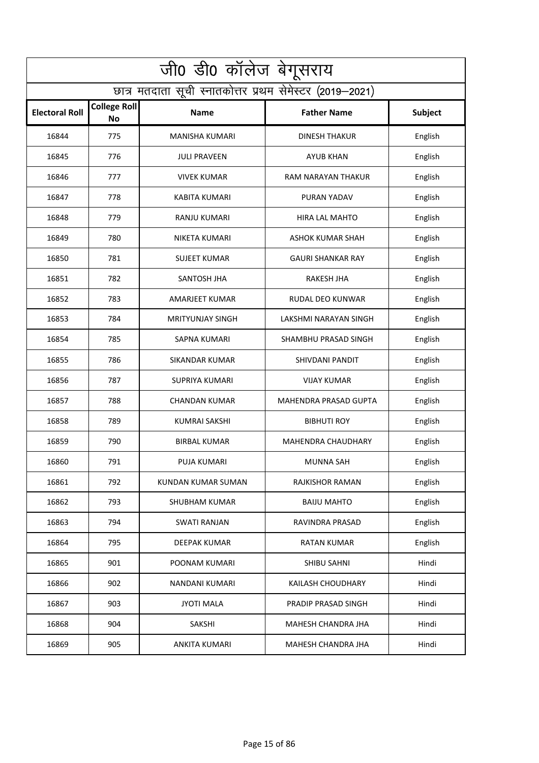| जी0 डी0 कॉलेज बेगूसराय |                                                          |                         |                           |                |  |
|------------------------|----------------------------------------------------------|-------------------------|---------------------------|----------------|--|
|                        | छात्र मतदाता सूची स्नातकोत्तर प्रथम सेमेस्टर (2019–2021) |                         |                           |                |  |
| <b>Electoral Roll</b>  | <b>College Roll</b><br><b>No</b>                         | <b>Name</b>             | <b>Father Name</b>        | <b>Subject</b> |  |
| 16844                  | 775                                                      | <b>MANISHA KUMARI</b>   | <b>DINESH THAKUR</b>      | English        |  |
| 16845                  | 776                                                      | <b>JULI PRAVEEN</b>     | <b>AYUB KHAN</b>          | English        |  |
| 16846                  | 777                                                      | <b>VIVEK KUMAR</b>      | RAM NARAYAN THAKUR        | English        |  |
| 16847                  | 778                                                      | <b>KABITA KUMARI</b>    | PURAN YADAV               | English        |  |
| 16848                  | 779                                                      | RANJU KUMARI            | HIRA LAL MAHTO            | English        |  |
| 16849                  | 780                                                      | NIKETA KUMARI           | ASHOK KUMAR SHAH          | English        |  |
| 16850                  | 781                                                      | <b>SUJEET KUMAR</b>     | <b>GAURI SHANKAR RAY</b>  | English        |  |
| 16851                  | 782                                                      | <b>SANTOSH JHA</b>      | <b>RAKESH JHA</b>         | English        |  |
| 16852                  | 783                                                      | <b>AMARJEET KUMAR</b>   | RUDAL DEO KUNWAR          | English        |  |
| 16853                  | 784                                                      | <b>MRITYUNJAY SINGH</b> | LAKSHMI NARAYAN SINGH     | English        |  |
| 16854                  | 785                                                      | <b>SAPNA KUMARI</b>     | SHAMBHU PRASAD SINGH      | English        |  |
| 16855                  | 786                                                      | <b>SIKANDAR KUMAR</b>   | SHIVDANI PANDIT           | English        |  |
| 16856                  | 787                                                      | SUPRIYA KUMARI          | <b>VIJAY KUMAR</b>        | English        |  |
| 16857                  | 788                                                      | <b>CHANDAN KUMAR</b>    | MAHENDRA PRASAD GUPTA     | English        |  |
| 16858                  | 789                                                      | <b>KUMRAI SAKSHI</b>    | <b>BIBHUTI ROY</b>        | English        |  |
| 16859                  | 790                                                      | <b>BIRBAL KUMAR</b>     | <b>MAHENDRA CHAUDHARY</b> | English        |  |
| 16860                  | 791                                                      | PUJA KUMARI             | <b>MUNNA SAH</b>          | English        |  |
| 16861                  | 792                                                      | KUNDAN KUMAR SUMAN      | RAJKISHOR RAMAN           | English        |  |
| 16862                  | 793                                                      | <b>SHUBHAM KUMAR</b>    | <b>BAIJU MAHTO</b>        | English        |  |
| 16863                  | 794                                                      | <b>SWATI RANJAN</b>     | RAVINDRA PRASAD           | English        |  |
| 16864                  | 795                                                      | DEEPAK KUMAR            | <b>RATAN KUMAR</b>        | English        |  |
| 16865                  | 901                                                      | POONAM KUMARI           | SHIBU SAHNI               | Hindi          |  |
| 16866                  | 902                                                      | NANDANI KUMARI          | KAILASH CHOUDHARY         | Hindi          |  |
| 16867                  | 903                                                      | <b>JYOTI MALA</b>       | PRADIP PRASAD SINGH       | Hindi          |  |
| 16868                  | 904                                                      | SAKSHI                  | MAHESH CHANDRA JHA        | Hindi          |  |
| 16869                  | 905                                                      | <b>ANKITA KUMARI</b>    | MAHESH CHANDRA JHA        | Hindi          |  |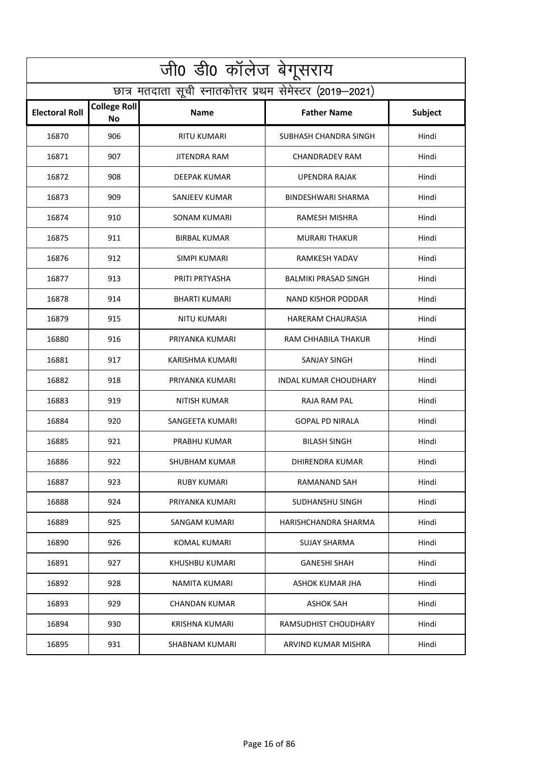|                       | जी0 डी0 कॉलेज बेगूसराय |                                                          |                              |                |
|-----------------------|------------------------|----------------------------------------------------------|------------------------------|----------------|
|                       |                        | छात्र मतदाता सूची स्नातकोत्तर प्रथम सेमेस्टर (2019–2021) |                              |                |
| <b>Electoral Roll</b> | College Roll<br>No     | <b>Name</b>                                              | <b>Father Name</b>           | <b>Subject</b> |
| 16870                 | 906                    | <b>RITU KUMARI</b>                                       | SUBHASH CHANDRA SINGH        | Hindi          |
| 16871                 | 907                    | JITENDRA RAM                                             | <b>CHANDRADEV RAM</b>        | Hindi          |
| 16872                 | 908                    | DEEPAK KUMAR                                             | UPENDRA RAJAK                | Hindi          |
| 16873                 | 909                    | SANJEEV KUMAR                                            | BINDESHWARI SHARMA           | Hindi          |
| 16874                 | 910                    | SONAM KUMARI                                             | <b>RAMESH MISHRA</b>         | Hindi          |
| 16875                 | 911                    | <b>BIRBAL KUMAR</b>                                      | <b>MURARI THAKUR</b>         | Hindi          |
| 16876                 | 912                    | SIMPI KUMARI                                             | RAMKESH YADAV                | Hindi          |
| 16877                 | 913                    | PRITI PRTYASHA                                           | <b>BALMIKI PRASAD SINGH</b>  | Hindi          |
| 16878                 | 914                    | <b>BHARTI KUMARI</b>                                     | NAND KISHOR PODDAR           | Hindi          |
| 16879                 | 915                    | NITU KUMARI                                              | <b>HARERAM CHAURASIA</b>     | Hindi          |
| 16880                 | 916                    | PRIYANKA KUMARI                                          | RAM CHHABILA THAKUR          | Hindi          |
| 16881                 | 917                    | KARISHMA KUMARI                                          | <b>SANJAY SINGH</b>          | Hindi          |
| 16882                 | 918                    | PRIYANKA KUMARI                                          | <b>INDAL KUMAR CHOUDHARY</b> | Hindi          |
| 16883                 | 919                    | NITISH KUMAR                                             | RAJA RAM PAL                 | Hindi          |
| 16884                 | 920                    | SANGEETA KUMARI                                          | <b>GOPAL PD NIRALA</b>       | Hindi          |
| 16885                 | 921                    | PRABHU KUMAR                                             | <b>BILASH SINGH</b>          | Hindi          |
| 16886                 | 922                    | SHUBHAM KUMAR                                            | DHIRENDRA KUMAR              | Hindi          |
| 16887                 | 923                    | RUBY KUMARI                                              | RAMANAND SAH                 | Hindi          |
| 16888                 | 924                    | PRIYANKA KUMARI                                          | SUDHANSHU SINGH              | Hindi          |
| 16889                 | 925                    | SANGAM KUMARI                                            | HARISHCHANDRA SHARMA         | Hindi          |
| 16890                 | 926                    | KOMAL KUMARI                                             | SUJAY SHARMA                 | Hindi          |
| 16891                 | 927                    | KHUSHBU KUMARI                                           | <b>GANESHI SHAH</b>          | Hindi          |
| 16892                 | 928                    | NAMITA KUMARI                                            | ASHOK KUMAR JHA              | Hindi          |
| 16893                 | 929                    | CHANDAN KUMAR                                            | ASHOK SAH                    | Hindi          |
| 16894                 | 930                    | KRISHNA KUMARI                                           | RAMSUDHIST CHOUDHARY         | Hindi          |
| 16895                 | 931                    | SHABNAM KUMARI                                           | ARVIND KUMAR MISHRA          | Hindi          |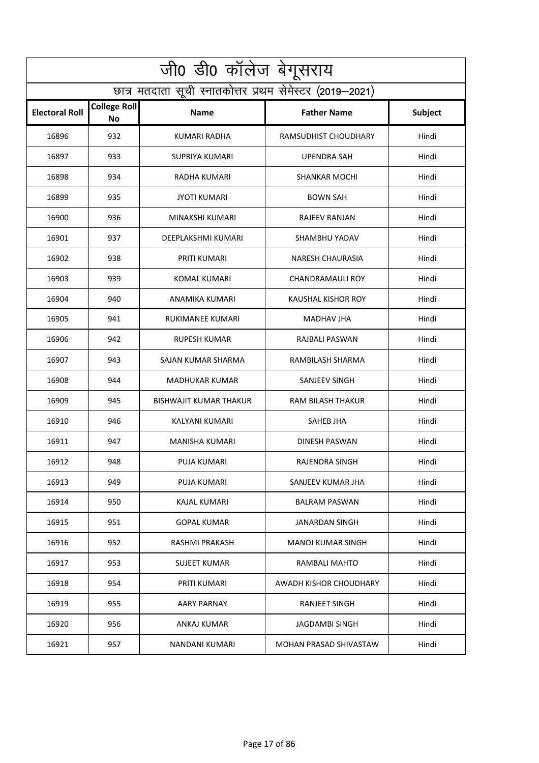| जी0 डी0 कॉलेज बेगूसराय |                                                          |                               |                          |                |  |
|------------------------|----------------------------------------------------------|-------------------------------|--------------------------|----------------|--|
|                        | छात्र मतदाता सूची स्नातकोत्तर प्रथम सेमेस्टर (2019-2021) |                               |                          |                |  |
| <b>Electoral Roll</b>  | <b>College Roll</b><br>No                                | <b>Name</b>                   | <b>Father Name</b>       | <b>Subject</b> |  |
| 16896                  | 932                                                      | KUMARI RADHA                  | RAMSUDHIST CHOUDHARY     | Hindi          |  |
| 16897                  | 933                                                      | SUPRIYA KUMARI                | <b>UPENDRA SAH</b>       | Hindi          |  |
| 16898                  | 934                                                      | RADHA KUMARI                  | <b>SHANKAR MOCHI</b>     | Hindi          |  |
| 16899                  | 935                                                      | <b>JYOTI KUMARI</b>           | <b>BOWN SAH</b>          | Hindi          |  |
| 16900                  | 936                                                      | MINAKSHI KUMARI               | RAJEEV RANJAN            | Hindi          |  |
| 16901                  | 937                                                      | DEEPLAKSHMI KUMARI            | SHAMBHU YADAV            | Hindi          |  |
| 16902                  | 938                                                      | PRITI KUMARI                  | <b>NARESH CHAURASIA</b>  | Hindi          |  |
| 16903                  | 939                                                      | KOMAL KUMARI                  | <b>CHANDRAMAULI ROY</b>  | Hindi          |  |
| 16904                  | 940                                                      | ANAMIKA KUMARI                | KAUSHAL KISHOR ROY       | Hindi          |  |
| 16905                  | 941                                                      | RUKIMANEE KUMARI              | MADHAV JHA               | Hindi          |  |
| 16906                  | 942                                                      | <b>RUPESH KUMAR</b>           | RAJBALI PASWAN           | Hindi          |  |
| 16907                  | 943                                                      | SAJAN KUMAR SHARMA            | RAMBILASH SHARMA         | Hindi          |  |
| 16908                  | 944                                                      | MADHUKAR KUMAR                | SANJEEV SINGH            | Hindi          |  |
| 16909                  | 945                                                      | <b>BISHWAJIT KUMAR THAKUR</b> | <b>RAM BILASH THAKUR</b> | Hindi          |  |
| 16910                  | 946                                                      | KALYANI KUMARI                | SAHEB JHA                | Hindi          |  |
| 16911                  | 947                                                      | MANISHA KUMARI                | DINESH PASWAN            | Hindi          |  |
| 16912                  | 948                                                      | PUJA KUMARI                   | RAJENDRA SINGH           | Hindi          |  |
| 16913                  | 949                                                      | PUJA KUMARI                   | SANJEEV KUMAR JHA        | Hindi          |  |
| 16914                  | 950                                                      | KAJAL KUMARI                  | <b>BALRAM PASWAN</b>     | Hindi          |  |
| 16915                  | 951                                                      | <b>GOPAL KUMAR</b>            | JANARDAN SINGH           | Hindi          |  |
| 16916                  | 952                                                      | RASHMI PRAKASH                | MANOJ KUMAR SINGH        | Hindi          |  |
| 16917                  | 953                                                      | <b>SUJEET KUMAR</b>           | RAMBALI MAHTO            | Hindi          |  |
| 16918                  | 954                                                      | PRITI KUMARI                  | AWADH KISHOR CHOUDHARY   | Hindi          |  |
| 16919                  | 955                                                      | <b>AARY PARNAY</b>            | <b>RANJEET SINGH</b>     | Hindi          |  |
| 16920                  | 956                                                      | ANKAJ KUMAR                   | JAGDAMBI SINGH           | Hindi          |  |
| 16921                  | 957                                                      | NANDANI KUMARI                | MOHAN PRASAD SHIVASTAW   | Hindi          |  |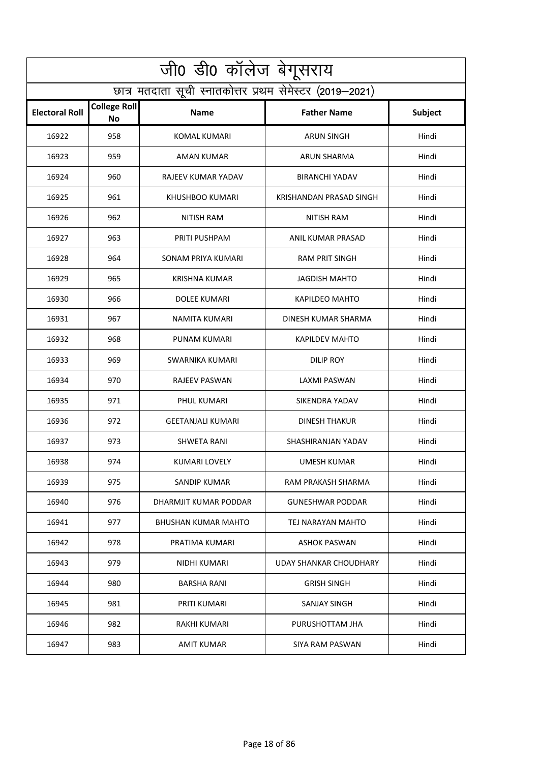| जी0 डी0 कॉलेज बेगूसराय |                                                          |                            |                               |                |  |
|------------------------|----------------------------------------------------------|----------------------------|-------------------------------|----------------|--|
|                        | छात्र मतदाता सूची स्नातकोत्तर प्रथम सेमेस्टर (2019-2021) |                            |                               |                |  |
| <b>Electoral Roll</b>  | <b>College Roll</b><br>No                                | <b>Name</b>                | <b>Father Name</b>            | <b>Subject</b> |  |
| 16922                  | 958                                                      | KOMAL KUMARI               | <b>ARUN SINGH</b>             | Hindi          |  |
| 16923                  | 959                                                      | <b>AMAN KUMAR</b>          | <b>ARUN SHARMA</b>            | Hindi          |  |
| 16924                  | 960                                                      | RAJEEV KUMAR YADAV         | <b>BIRANCHI YADAV</b>         | Hindi          |  |
| 16925                  | 961                                                      | KHUSHBOO KUMARI            | KRISHANDAN PRASAD SINGH       | Hindi          |  |
| 16926                  | 962                                                      | <b>NITISH RAM</b>          | NITISH RAM                    | Hindi          |  |
| 16927                  | 963                                                      | PRITI PUSHPAM              | ANIL KUMAR PRASAD             | Hindi          |  |
| 16928                  | 964                                                      | SONAM PRIYA KUMARI         | <b>RAM PRIT SINGH</b>         | Hindi          |  |
| 16929                  | 965                                                      | <b>KRISHNA KUMAR</b>       | <b>JAGDISH MAHTO</b>          | Hindi          |  |
| 16930                  | 966                                                      | DOLEE KUMARI               | KAPILDEO MAHTO                | Hindi          |  |
| 16931                  | 967                                                      | NAMITA KUMARI              | DINESH KUMAR SHARMA           | Hindi          |  |
| 16932                  | 968                                                      | PUNAM KUMARI               | KAPILDEV MAHTO                | Hindi          |  |
| 16933                  | 969                                                      | SWARNIKA KUMARI            | <b>DILIP ROY</b>              | Hindi          |  |
| 16934                  | 970                                                      | RAJEEV PASWAN              | LAXMI PASWAN                  | Hindi          |  |
| 16935                  | 971                                                      | PHUL KUMARI                | SIKENDRA YADAV                | Hindi          |  |
| 16936                  | 972                                                      | <b>GEETANJALI KUMARI</b>   | DINESH THAKUR                 | Hindi          |  |
| 16937                  | 973                                                      | SHWETA RANI                | SHASHIRANJAN YADAV            | Hindi          |  |
| 16938                  | 974                                                      | <b>KUMARI LOVELY</b>       | <b>UMESH KUMAR</b>            | Hindi          |  |
| 16939                  | 975                                                      | SANDIP KUMAR               | RAM PRAKASH SHARMA            | Hindi          |  |
| 16940                  | 976                                                      | DHARMJIT KUMAR PODDAR      | <b>GUNESHWAR PODDAR</b>       | Hindi          |  |
| 16941                  | 977                                                      | <b>BHUSHAN KUMAR MAHTO</b> | TEJ NARAYAN MAHTO             | Hindi          |  |
| 16942                  | 978                                                      | PRATIMA KUMARI             | ASHOK PASWAN                  | Hindi          |  |
| 16943                  | 979                                                      | NIDHI KUMARI               | <b>UDAY SHANKAR CHOUDHARY</b> | Hindi          |  |
| 16944                  | 980                                                      | BARSHA RANI                | <b>GRISH SINGH</b>            | Hindi          |  |
| 16945                  | 981                                                      | PRITI KUMARI               | <b>SANJAY SINGH</b>           | Hindi          |  |
| 16946                  | 982                                                      | RAKHI KUMARI               | PURUSHOTTAM JHA               | Hindi          |  |
| 16947                  | 983                                                      | <b>AMIT KUMAR</b>          | <b>SIYA RAM PASWAN</b>        | Hindi          |  |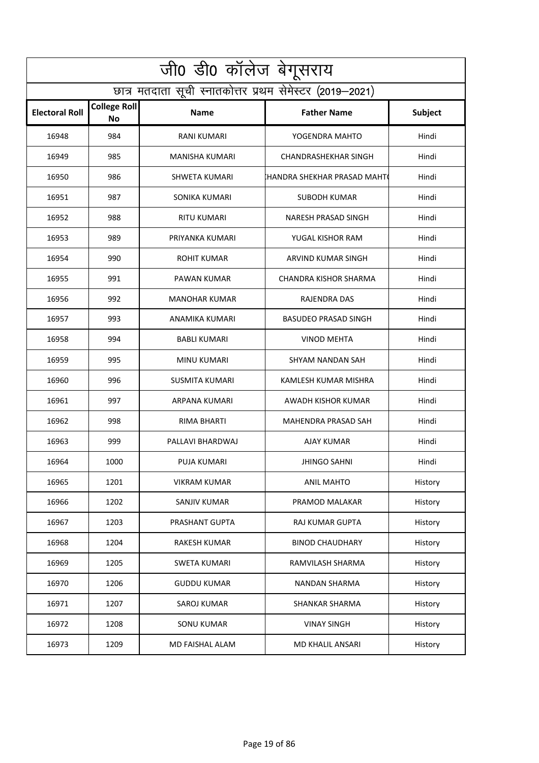| जी0 डी0 कॉलेज बेगूसराय |                                                          |                       |                              |         |  |
|------------------------|----------------------------------------------------------|-----------------------|------------------------------|---------|--|
|                        | छात्र मतदाता सूची स्नातकोत्तर प्रथम सेमेस्टर (2019–2021) |                       |                              |         |  |
| <b>Electoral Roll</b>  | <b>College Roll</b><br><b>No</b>                         | <b>Name</b>           | <b>Father Name</b>           | Subject |  |
| 16948                  | 984                                                      | RANI KUMARI           | YOGENDRA MAHTO               | Hindi   |  |
| 16949                  | 985                                                      | <b>MANISHA KUMARI</b> | <b>CHANDRASHEKHAR SINGH</b>  | Hindi   |  |
| 16950                  | 986                                                      | SHWETA KUMARI         | IHANDRA SHEKHAR PRASAD MAHTI | Hindi   |  |
| 16951                  | 987                                                      | SONIKA KUMARI         | <b>SUBODH KUMAR</b>          | Hindi   |  |
| 16952                  | 988                                                      | RITU KUMARI           | NARESH PRASAD SINGH          | Hindi   |  |
| 16953                  | 989                                                      | PRIYANKA KUMARI       | YUGAL KISHOR RAM             | Hindi   |  |
| 16954                  | 990                                                      | ROHIT KUMAR           | ARVIND KUMAR SINGH           | Hindi   |  |
| 16955                  | 991                                                      | PAWAN KUMAR           | CHANDRA KISHOR SHARMA        | Hindi   |  |
| 16956                  | 992                                                      | MANOHAR KUMAR         | RAJENDRA DAS                 | Hindi   |  |
| 16957                  | 993                                                      | ANAMIKA KUMARI        | <b>BASUDEO PRASAD SINGH</b>  | Hindi   |  |
| 16958                  | 994                                                      | <b>BABLI KUMARI</b>   | <b>VINOD MEHTA</b>           | Hindi   |  |
| 16959                  | 995                                                      | MINU KUMARI           | SHYAM NANDAN SAH             | Hindi   |  |
| 16960                  | 996                                                      | SUSMITA KUMARI        | KAMLESH KUMAR MISHRA         | Hindi   |  |
| 16961                  | 997                                                      | ARPANA KUMARI         | AWADH KISHOR KUMAR           | Hindi   |  |
| 16962                  | 998                                                      | RIMA BHARTI           | MAHENDRA PRASAD SAH          | Hindi   |  |
| 16963                  | 999                                                      | PALLAVI BHARDWAJ      | AJAY KUMAR                   | Hindi   |  |
| 16964                  | 1000                                                     | PUJA KUMARI           | <b>JHINGO SAHNI</b>          | Hindi   |  |
| 16965                  | 1201                                                     | <b>VIKRAM KUMAR</b>   | <b>ANIL MAHTO</b>            | History |  |
| 16966                  | 1202                                                     | SANJIV KUMAR          | PRAMOD MALAKAR               | History |  |
| 16967                  | 1203                                                     | PRASHANT GUPTA        | RAJ KUMAR GUPTA              | History |  |
| 16968                  | 1204                                                     | <b>RAKESH KUMAR</b>   | <b>BINOD CHAUDHARY</b>       | History |  |
| 16969                  | 1205                                                     | <b>SWETA KUMARI</b>   | RAMVILASH SHARMA             | History |  |
| 16970                  | 1206                                                     | <b>GUDDU KUMAR</b>    | NANDAN SHARMA                | History |  |
| 16971                  | 1207                                                     | SAROJ KUMAR           | <b>SHANKAR SHARMA</b>        | History |  |
| 16972                  | 1208                                                     | <b>SONU KUMAR</b>     | <b>VINAY SINGH</b>           | History |  |
| 16973                  | 1209                                                     | MD FAISHAL ALAM       | MD KHALIL ANSARI             | History |  |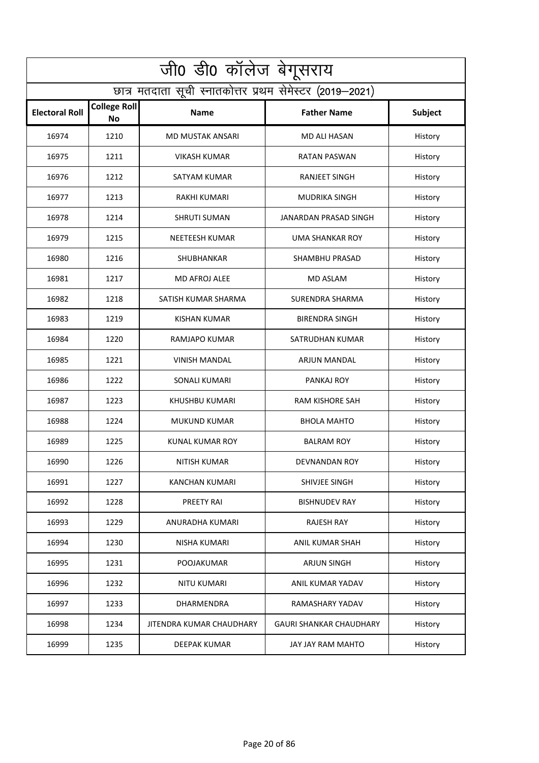|                       | जी0 डी0 कॉलेज बेगूसराय           |                                                          |                                |                |
|-----------------------|----------------------------------|----------------------------------------------------------|--------------------------------|----------------|
|                       |                                  | छात्र मतदाता सूची स्नातकोत्तर प्रथम सेमेस्टर (2019–2021) |                                |                |
| <b>Electoral Roll</b> | <b>College Roll</b><br><b>No</b> | <b>Name</b>                                              | <b>Father Name</b>             | <b>Subject</b> |
| 16974                 | 1210                             | MD MUSTAK ANSARI                                         | <b>MD ALI HASAN</b>            | History        |
| 16975                 | 1211                             | <b>VIKASH KUMAR</b>                                      | <b>RATAN PASWAN</b>            | History        |
| 16976                 | 1212                             | SATYAM KUMAR                                             | <b>RANJEET SINGH</b>           | History        |
| 16977                 | 1213                             | <b>RAKHI KUMARI</b>                                      | <b>MUDRIKA SINGH</b>           | History        |
| 16978                 | 1214                             | <b>SHRUTI SUMAN</b>                                      | JANARDAN PRASAD SINGH          | History        |
| 16979                 | 1215                             | NEETEESH KUMAR                                           | <b>UMA SHANKAR ROY</b>         | History        |
| 16980                 | 1216                             | SHUBHANKAR                                               | SHAMBHU PRASAD                 | History        |
| 16981                 | 1217                             | <b>MD AFROJ ALEE</b>                                     | MD ASLAM                       | History        |
| 16982                 | 1218                             | SATISH KUMAR SHARMA                                      | SURENDRA SHARMA                | History        |
| 16983                 | 1219                             | KISHAN KUMAR                                             | <b>BIRENDRA SINGH</b>          | History        |
| 16984                 | 1220                             | RAMJAPO KUMAR                                            | SATRUDHAN KUMAR                | History        |
| 16985                 | 1221                             | <b>VINISH MANDAL</b>                                     | <b>ARJUN MANDAL</b>            | History        |
| 16986                 | 1222                             | SONALI KUMARI                                            | PANKAJ ROY                     | History        |
| 16987                 | 1223                             | KHUSHBU KUMARI                                           | RAM KISHORE SAH                | History        |
| 16988                 | 1224                             | <b>MUKUND KUMAR</b>                                      | <b>BHOLA MAHTO</b>             | History        |
| 16989                 | 1225                             | KUNAL KUMAR ROY                                          | BALRAM ROY                     | History        |
| 16990                 | 1226                             | NITISH KUMAR                                             | DEVNANDAN ROY                  | History        |
| 16991                 | 1227                             | KANCHAN KUMARI                                           | SHIVJEE SINGH                  | History        |
| 16992                 | 1228                             | PREETY RAI                                               | <b>BISHNUDEV RAY</b>           | History        |
| 16993                 | 1229                             | ANURADHA KUMARI                                          | <b>RAJESH RAY</b>              | History        |
| 16994                 | 1230                             | NISHA KUMARI                                             | <b>ANIL KUMAR SHAH</b>         | History        |
| 16995                 | 1231                             | POOJAKUMAR                                               | <b>ARJUN SINGH</b>             | History        |
| 16996                 | 1232                             | <b>NITU KUMARI</b>                                       | ANIL KUMAR YADAV               | History        |
| 16997                 | 1233                             | <b>DHARMENDRA</b>                                        | RAMASHARY YADAV                | History        |
| 16998                 | 1234                             | JITENDRA KUMAR CHAUDHARY                                 | <b>GAURI SHANKAR CHAUDHARY</b> | History        |
| 16999                 | 1235                             | <b>DEEPAK KUMAR</b>                                      | JAY JAY RAM MAHTO              | History        |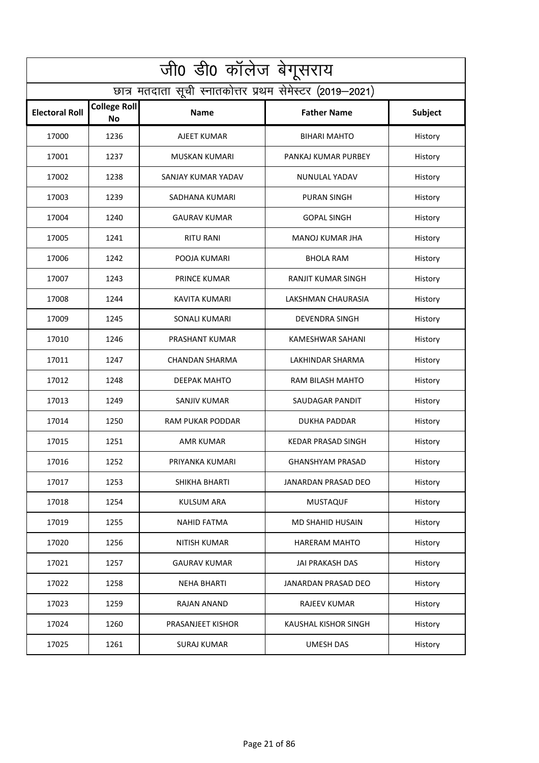|                       | जी0 डी0 कॉलेज बेगूसराय           |                                                          |                           |                |
|-----------------------|----------------------------------|----------------------------------------------------------|---------------------------|----------------|
|                       |                                  | छात्र मतदाता सूची स्नातकोत्तर प्रथम सेमेस्टर (2019–2021) |                           |                |
| <b>Electoral Roll</b> | <b>College Roll</b><br><b>No</b> | <b>Name</b>                                              | <b>Father Name</b>        | <b>Subject</b> |
| 17000                 | 1236                             | AJEET KUMAR                                              | <b>BIHARI MAHTO</b>       | History        |
| 17001                 | 1237                             | <b>MUSKAN KUMARI</b>                                     | PANKAJ KUMAR PURBEY       | History        |
| 17002                 | 1238                             | SANJAY KUMAR YADAV                                       | NUNULAL YADAV             | History        |
| 17003                 | 1239                             | SADHANA KUMARI                                           | <b>PURAN SINGH</b>        | History        |
| 17004                 | 1240                             | <b>GAURAV KUMAR</b>                                      | <b>GOPAL SINGH</b>        | History        |
| 17005                 | 1241                             | <b>RITU RANI</b>                                         | MANOJ KUMAR JHA           | History        |
| 17006                 | 1242                             | POOJA KUMARI                                             | <b>BHOLA RAM</b>          | History        |
| 17007                 | 1243                             | <b>PRINCE KUMAR</b>                                      | <b>RANJIT KUMAR SINGH</b> | History        |
| 17008                 | 1244                             | KAVITA KUMARI                                            | LAKSHMAN CHAURASIA        | History        |
| 17009                 | 1245                             | SONALI KUMARI                                            | DEVENDRA SINGH            | History        |
| 17010                 | 1246                             | PRASHANT KUMAR                                           | KAMESHWAR SAHANI          | History        |
| 17011                 | 1247                             | <b>CHANDAN SHARMA</b>                                    | LAKHINDAR SHARMA          | History        |
| 17012                 | 1248                             | DEEPAK MAHTO                                             | RAM BILASH MAHTO          | History        |
| 17013                 | 1249                             | SANJIV KUMAR                                             | SAUDAGAR PANDIT           | History        |
| 17014                 | 1250                             | <b>RAM PUKAR PODDAR</b>                                  | DUKHA PADDAR              | History        |
| 17015                 | 1251                             | AMR KUMAR                                                | <b>KEDAR PRASAD SINGH</b> | History        |
| 17016                 | 1252                             | PRIYANKA KUMARI                                          | GHANSHYAM PRASAD          | History        |
| 17017                 | 1253                             | SHIKHA BHARTI                                            | JANARDAN PRASAD DEO       | History        |
| 17018                 | 1254                             | <b>KULSUM ARA</b>                                        | <b>MUSTAQUF</b>           | History        |
| 17019                 | 1255                             | <b>NAHID FATMA</b>                                       | <b>MD SHAHID HUSAIN</b>   | History        |
| 17020                 | 1256                             | NITISH KUMAR                                             | HARERAM MAHTO             | History        |
| 17021                 | 1257                             | <b>GAURAV KUMAR</b>                                      | <b>JAI PRAKASH DAS</b>    | History        |
| 17022                 | 1258                             | <b>NEHA BHARTI</b>                                       | JANARDAN PRASAD DEO       | History        |
| 17023                 | 1259                             | RAJAN ANAND                                              | <b>RAJEEV KUMAR</b>       | History        |
| 17024                 | 1260                             | PRASANJEET KISHOR                                        | KAUSHAL KISHOR SINGH      | History        |
| 17025                 | 1261                             | <b>SURAJ KUMAR</b>                                       | <b>UMESH DAS</b>          | History        |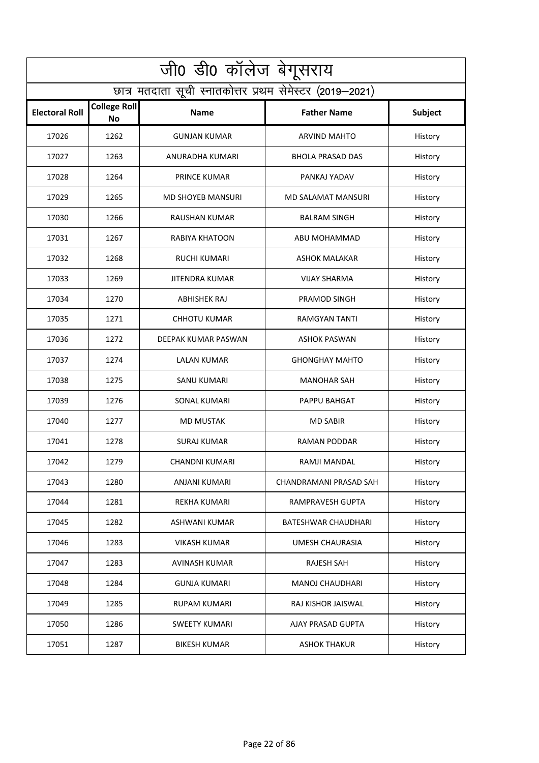| जी0 डी0 कॉलेज बेगूसराय |                                                          |                          |                           |                |  |
|------------------------|----------------------------------------------------------|--------------------------|---------------------------|----------------|--|
|                        | छात्र मतदाता सूची स्नातकोत्तर प्रथम सेमेस्टर (2019–2021) |                          |                           |                |  |
| <b>Electoral Roll</b>  | <b>College Roll</b><br><b>No</b>                         | <b>Name</b>              | <b>Father Name</b>        | <b>Subject</b> |  |
| 17026                  | 1262                                                     | <b>GUNJAN KUMAR</b>      | <b>ARVIND MAHTO</b>       | History        |  |
| 17027                  | 1263                                                     | ANURADHA KUMARI          | <b>BHOLA PRASAD DAS</b>   | History        |  |
| 17028                  | 1264                                                     | <b>PRINCE KUMAR</b>      | PANKAJ YADAV              | History        |  |
| 17029                  | 1265                                                     | <b>MD SHOYEB MANSURI</b> | <b>MD SALAMAT MANSURI</b> | History        |  |
| 17030                  | 1266                                                     | <b>RAUSHAN KUMAR</b>     | <b>BALRAM SINGH</b>       | History        |  |
| 17031                  | 1267                                                     | RABIYA KHATOON           | ABU MOHAMMAD              | History        |  |
| 17032                  | 1268                                                     | RUCHI KUMARI             | <b>ASHOK MALAKAR</b>      | History        |  |
| 17033                  | 1269                                                     | <b>JITENDRA KUMAR</b>    | <b>VIJAY SHARMA</b>       | History        |  |
| 17034                  | 1270                                                     | <b>ABHISHEK RAJ</b>      | PRAMOD SINGH              | History        |  |
| 17035                  | 1271                                                     | CHHOTU KUMAR             | RAMGYAN TANTI             | History        |  |
| 17036                  | 1272                                                     | DEEPAK KUMAR PASWAN      | ASHOK PASWAN              | History        |  |
| 17037                  | 1274                                                     | <b>LALAN KUMAR</b>       | <b>GHONGHAY MAHTO</b>     | History        |  |
| 17038                  | 1275                                                     | SANU KUMARI              | <b>MANOHAR SAH</b>        | History        |  |
| 17039                  | 1276                                                     | <b>SONAL KUMARI</b>      | PAPPU BAHGAT              | History        |  |
| 17040                  | 1277                                                     | <b>MD MUSTAK</b>         | <b>MD SABIR</b>           | History        |  |
| 17041                  | 1278                                                     | SURAJ KUMAR              | RAMAN PODDAR              | History        |  |
| 17042                  | 1279                                                     | CHANDNI KUMARI           | RAMJI MANDAL              | History        |  |
| 17043                  | 1280                                                     | ANJANI KUMARI            | CHANDRAMANI PRASAD SAH    | History        |  |
| 17044                  | 1281                                                     | <b>REKHA KUMARI</b>      | RAMPRAVESH GUPTA          | History        |  |
| 17045                  | 1282                                                     | ASHWANI KUMAR            | BATESHWAR CHAUDHARI       | History        |  |
| 17046                  | 1283                                                     | <b>VIKASH KUMAR</b>      | UMESH CHAURASIA           | History        |  |
| 17047                  | 1283                                                     | <b>AVINASH KUMAR</b>     | <b>RAJESH SAH</b>         | History        |  |
| 17048                  | 1284                                                     | <b>GUNJA KUMARI</b>      | <b>MANOJ CHAUDHARI</b>    | History        |  |
| 17049                  | 1285                                                     | <b>RUPAM KUMARI</b>      | RAJ KISHOR JAISWAL        | History        |  |
| 17050                  | 1286                                                     | <b>SWEETY KUMARI</b>     | AJAY PRASAD GUPTA         | History        |  |
| 17051                  | 1287                                                     | <b>BIKESH KUMAR</b>      | <b>ASHOK THAKUR</b>       | History        |  |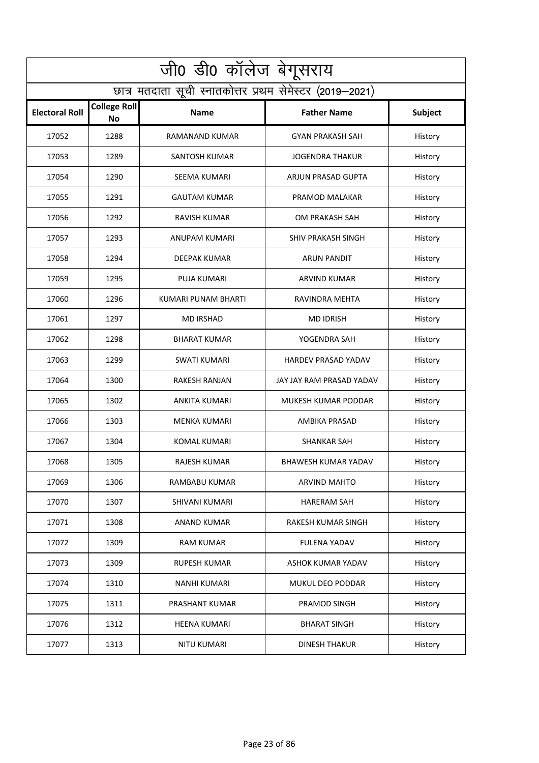| जी0 डी0 कॉलेज बेगूसराय                                   |                                  |                      |                            |         |
|----------------------------------------------------------|----------------------------------|----------------------|----------------------------|---------|
| छात्र मतदाता सूची स्नातकोत्तर प्रथम सेमेस्टर (2019–2021) |                                  |                      |                            |         |
| <b>Electoral Roll</b>                                    | <b>College Roll</b><br><b>No</b> | <b>Name</b>          | <b>Father Name</b>         | Subject |
| 17052                                                    | 1288                             | RAMANAND KUMAR       | <b>GYAN PRAKASH SAH</b>    | History |
| 17053                                                    | 1289                             | <b>SANTOSH KUMAR</b> | <b>JOGENDRA THAKUR</b>     | History |
| 17054                                                    | 1290                             | <b>SEEMA KUMARI</b>  | ARJUN PRASAD GUPTA         | History |
| 17055                                                    | 1291                             | <b>GAUTAM KUMAR</b>  | PRAMOD MALAKAR             | History |
| 17056                                                    | 1292                             | <b>RAVISH KUMAR</b>  | OM PRAKASH SAH             | History |
| 17057                                                    | 1293                             | ANUPAM KUMARI        | SHIV PRAKASH SINGH         | History |
| 17058                                                    | 1294                             | <b>DEEPAK KUMAR</b>  | <b>ARUN PANDIT</b>         | History |
| 17059                                                    | 1295                             | PUJA KUMARI          | ARVIND KUMAR               | History |
| 17060                                                    | 1296                             | KUMARI PUNAM BHARTI  | RAVINDRA MEHTA             | History |
| 17061                                                    | 1297                             | <b>MD IRSHAD</b>     | <b>MD IDRISH</b>           | History |
| 17062                                                    | 1298                             | <b>BHARAT KUMAR</b>  | YOGENDRA SAH               | History |
| 17063                                                    | 1299                             | <b>SWATI KUMARI</b>  | <b>HARDEV PRASAD YADAV</b> | History |
| 17064                                                    | 1300                             | RAKESH RANJAN        | JAY JAY RAM PRASAD YADAV   | History |
| 17065                                                    | 1302                             | <b>ANKITA KUMARI</b> | MUKESH KUMAR PODDAR        | History |
| 17066                                                    | 1303                             | MENKA KUMARI         | AMBIKA PRASAD              | History |
| 17067                                                    | 1304                             | KOMAL KUMARI         | <b>SHANKAR SAH</b>         | History |
| 17068                                                    | 1305                             | RAJESH KUMAR         | BHAWESH KUMAR YADAV        | History |
| 17069                                                    | 1306                             | <b>RAMBABU KUMAR</b> | <b>ARVIND MAHTO</b>        | History |
| 17070                                                    | 1307                             | SHIVANI KUMARI       | HARERAM SAH                | History |
| 17071                                                    | 1308                             | ANAND KUMAR          | RAKESH KUMAR SINGH         | History |
| 17072                                                    | 1309                             | <b>RAM KUMAR</b>     | <b>FULENA YADAV</b>        | History |
| 17073                                                    | 1309                             | <b>RUPESH KUMAR</b>  | ASHOK KUMAR YADAV          | History |
| 17074                                                    | 1310                             | <b>NANHI KUMARI</b>  | MUKUL DEO PODDAR           | History |
| 17075                                                    | 1311                             | PRASHANT KUMAR       | PRAMOD SINGH               | History |
| 17076                                                    | 1312                             | <b>HEENA KUMARI</b>  | <b>BHARAT SINGH</b>        | History |
| 17077                                                    | 1313                             | <b>NITU KUMARI</b>   | <b>DINESH THAKUR</b>       | History |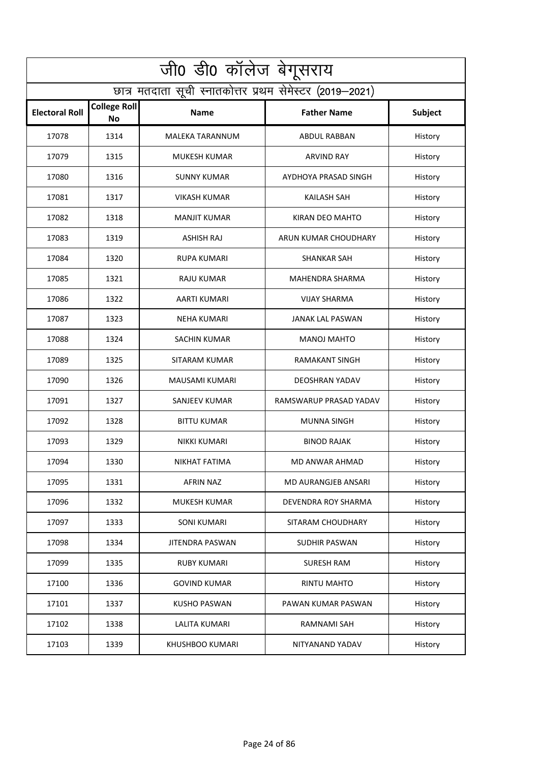|                       | जी0 डी0 कॉलेज बेगूसराय           |                                                          |                        |                |
|-----------------------|----------------------------------|----------------------------------------------------------|------------------------|----------------|
|                       |                                  | छात्र मतदाता सूची स्नातकोत्तर प्रथम सेमेस्टर (2019–2021) |                        |                |
| <b>Electoral Roll</b> | <b>College Roll</b><br><b>No</b> | <b>Name</b>                                              | <b>Father Name</b>     | <b>Subject</b> |
| 17078                 | 1314                             | MALEKA TARANNUM                                          | ABDUL RABBAN           | History        |
| 17079                 | 1315                             | <b>MUKESH KUMAR</b>                                      | <b>ARVIND RAY</b>      | History        |
| 17080                 | 1316                             | <b>SUNNY KUMAR</b>                                       | AYDHOYA PRASAD SINGH   | History        |
| 17081                 | 1317                             | <b>VIKASH KUMAR</b>                                      | <b>KAILASH SAH</b>     | History        |
| 17082                 | 1318                             | <b>MANJIT KUMAR</b>                                      | <b>KIRAN DEO MAHTO</b> | History        |
| 17083                 | 1319                             | <b>ASHISH RAJ</b>                                        | ARUN KUMAR CHOUDHARY   | History        |
| 17084                 | 1320                             | <b>RUPA KUMARI</b>                                       | <b>SHANKAR SAH</b>     | History        |
| 17085                 | 1321                             | RAJU KUMAR                                               | <b>MAHENDRA SHARMA</b> | History        |
| 17086                 | 1322                             | AARTI KUMARI                                             | <b>VIJAY SHARMA</b>    | History        |
| 17087                 | 1323                             | <b>NEHA KUMARI</b>                                       | JANAK LAL PASWAN       | History        |
| 17088                 | 1324                             | SACHIN KUMAR                                             | <b>MANOJ MAHTO</b>     | History        |
| 17089                 | 1325                             | <b>SITARAM KUMAR</b>                                     | <b>RAMAKANT SINGH</b>  | History        |
| 17090                 | 1326                             | MAUSAMI KUMARI                                           | DEOSHRAN YADAV         | History        |
| 17091                 | 1327                             | SANJEEV KUMAR                                            | RAMSWARUP PRASAD YADAV | History        |
| 17092                 | 1328                             | <b>BITTU KUMAR</b>                                       | <b>MUNNA SINGH</b>     | History        |
| 17093                 | 1329                             | <b>NIKKI KUMARI</b>                                      | <b>BINOD RAJAK</b>     | History        |
| 17094                 | 1330                             | NIKHAT FATIMA                                            | MD ANWAR AHMAD         | History        |
| 17095                 | 1331                             | <b>AFRIN NAZ</b>                                         | MD AURANGJEB ANSARI    | History        |
| 17096                 | 1332                             | <b>MUKESH KUMAR</b>                                      | DEVENDRA ROY SHARMA    | History        |
| 17097                 | 1333                             | <b>SONI KUMARI</b>                                       | SITARAM CHOUDHARY      | History        |
| 17098                 | 1334                             | <b>JITENDRA PASWAN</b>                                   | SUDHIR PASWAN          | History        |
| 17099                 | 1335                             | <b>RUBY KUMARI</b>                                       | <b>SURESH RAM</b>      | History        |
| 17100                 | 1336                             | <b>GOVIND KUMAR</b>                                      | <b>RINTU MAHTO</b>     | History        |
| 17101                 | 1337                             | <b>KUSHO PASWAN</b>                                      | PAWAN KUMAR PASWAN     | History        |
| 17102                 | 1338                             | LALITA KUMARI                                            | RAMNAMI SAH            | History        |
| 17103                 | 1339                             | KHUSHBOO KUMARI                                          | NITYANAND YADAV        | History        |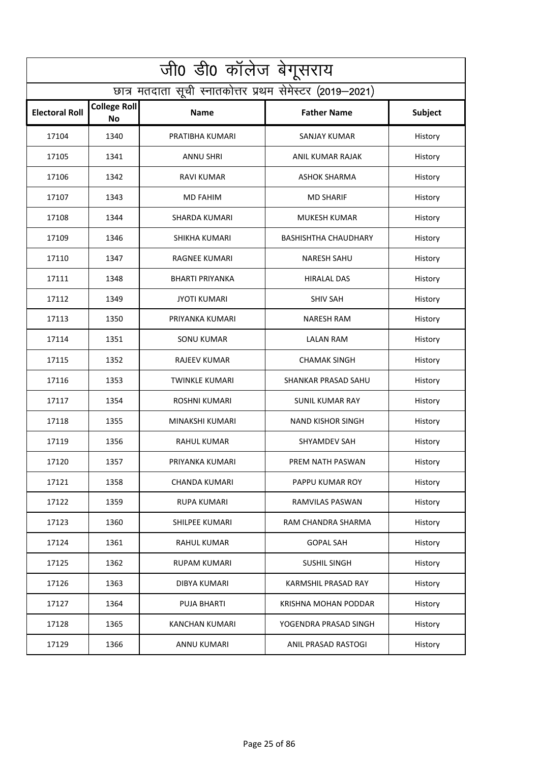|                       | जी0 डी0 कॉलेज बेगूसराय           |                                                          |                             |                |
|-----------------------|----------------------------------|----------------------------------------------------------|-----------------------------|----------------|
|                       |                                  | छात्र मतदाता सूची स्नातकोत्तर प्रथम सेमेस्टर (2019–2021) |                             |                |
| <b>Electoral Roll</b> | <b>College Roll</b><br><b>No</b> | <b>Name</b>                                              | <b>Father Name</b>          | <b>Subject</b> |
| 17104                 | 1340                             | PRATIBHA KUMARI                                          | SANJAY KUMAR                | History        |
| 17105                 | 1341                             | <b>ANNU SHRI</b>                                         | ANIL KUMAR RAJAK            | History        |
| 17106                 | 1342                             | <b>RAVI KUMAR</b>                                        | <b>ASHOK SHARMA</b>         | History        |
| 17107                 | 1343                             | <b>MD FAHIM</b>                                          | <b>MD SHARIF</b>            | History        |
| 17108                 | 1344                             | <b>SHARDA KUMARI</b>                                     | <b>MUKESH KUMAR</b>         | History        |
| 17109                 | 1346                             | SHIKHA KUMARI                                            | <b>BASHISHTHA CHAUDHARY</b> | History        |
| 17110                 | 1347                             | <b>RAGNEE KUMARI</b>                                     | <b>NARESH SAHU</b>          | History        |
| 17111                 | 1348                             | <b>BHARTI PRIYANKA</b>                                   | <b>HIRALAL DAS</b>          | History        |
| 17112                 | 1349                             | <b>JYOTI KUMARI</b>                                      | <b>SHIV SAH</b>             | History        |
| 17113                 | 1350                             | PRIYANKA KUMARI                                          | <b>NARESH RAM</b>           | History        |
| 17114                 | 1351                             | <b>SONU KUMAR</b>                                        | LALAN RAM                   | History        |
| 17115                 | 1352                             | <b>RAJEEV KUMAR</b>                                      | <b>CHAMAK SINGH</b>         | History        |
| 17116                 | 1353                             | <b>TWINKLE KUMARI</b>                                    | SHANKAR PRASAD SAHU         | History        |
| 17117                 | 1354                             | <b>ROSHNI KUMARI</b>                                     | <b>SUNIL KUMAR RAY</b>      | History        |
| 17118                 | 1355                             | MINAKSHI KUMARI                                          | <b>NAND KISHOR SINGH</b>    | History        |
| 17119                 | 1356                             | RAHUL KUMAR                                              | SHYAMDEV SAH                | History        |
| 17120                 | 1357                             | PRIYANKA KUMARI                                          | PREM NATH PASWAN            | History        |
| 17121                 | 1358                             | CHANDA KUMARI                                            | PAPPU KUMAR ROY             | History        |
| 17122                 | 1359                             | <b>RUPA KUMARI</b>                                       | RAMVILAS PASWAN             | History        |
| 17123                 | 1360                             | <b>SHILPEE KUMARI</b>                                    | RAM CHANDRA SHARMA          | History        |
| 17124                 | 1361                             | <b>RAHUL KUMAR</b>                                       | <b>GOPAL SAH</b>            | History        |
| 17125                 | 1362                             | <b>RUPAM KUMARI</b>                                      | <b>SUSHIL SINGH</b>         | History        |
| 17126                 | 1363                             | DIBYA KUMARI                                             | KARMSHIL PRASAD RAY         | History        |
| 17127                 | 1364                             | <b>PUJA BHARTI</b>                                       | KRISHNA MOHAN PODDAR        | History        |
| 17128                 | 1365                             | KANCHAN KUMARI                                           | YOGENDRA PRASAD SINGH       | History        |
| 17129                 | 1366                             | <b>ANNU KUMARI</b>                                       | ANIL PRASAD RASTOGI         | History        |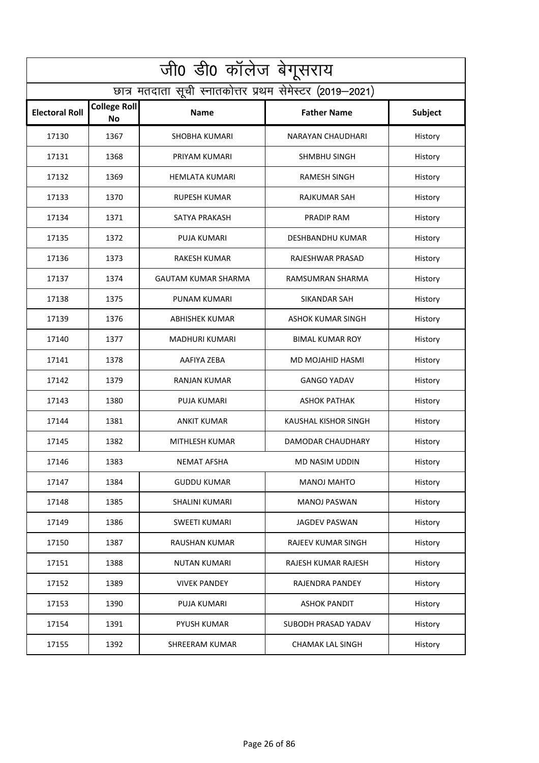|                       | जी0 डी0 कॉलेज बेगूसराय           |                                                          |                             |         |
|-----------------------|----------------------------------|----------------------------------------------------------|-----------------------------|---------|
|                       |                                  | छात्र मतदाता सूची स्नातकोत्तर प्रथम सेमेस्टर (2019–2021) |                             |         |
| <b>Electoral Roll</b> | <b>College Roll</b><br><b>No</b> | <b>Name</b>                                              | <b>Father Name</b>          | Subject |
| 17130                 | 1367                             | SHOBHA KUMARI                                            | NARAYAN CHAUDHARI           | History |
| 17131                 | 1368                             | PRIYAM KUMARI                                            | <b>SHMBHU SINGH</b>         | History |
| 17132                 | 1369                             | <b>HEMLATA KUMARI</b>                                    | <b>RAMESH SINGH</b>         | History |
| 17133                 | 1370                             | <b>RUPESH KUMAR</b>                                      | RAJKUMAR SAH                | History |
| 17134                 | 1371                             | SATYA PRAKASH                                            | <b>PRADIP RAM</b>           | History |
| 17135                 | 1372                             | <b>PUJA KUMARI</b>                                       | DESHBANDHU KUMAR            | History |
| 17136                 | 1373                             | RAKESH KUMAR                                             | RAJESHWAR PRASAD            | History |
| 17137                 | 1374                             | GAUTAM KUMAR SHARMA                                      | RAMSUMRAN SHARMA            | History |
| 17138                 | 1375                             | PUNAM KUMARI                                             | SIKANDAR SAH                | History |
| 17139                 | 1376                             | <b>ABHISHEK KUMAR</b>                                    | ASHOK KUMAR SINGH           | History |
| 17140                 | 1377                             | <b>MADHURI KUMARI</b>                                    | <b>BIMAL KUMAR ROY</b>      | History |
| 17141                 | 1378                             | AAFIYA ZEBA                                              | MD MOJAHID HASMI            | History |
| 17142                 | 1379                             | RANJAN KUMAR                                             | <b>GANGO YADAV</b>          | History |
| 17143                 | 1380                             | <b>PUJA KUMARI</b>                                       | <b>ASHOK PATHAK</b>         | History |
| 17144                 | 1381                             | <b>ANKIT KUMAR</b>                                       | <b>KAUSHAL KISHOR SINGH</b> | History |
| 17145                 | 1382                             | MITHLESH KUMAR                                           | DAMODAR CHAUDHARY           | History |
| 17146                 | 1383                             | <b>NEMAT AFSHA</b>                                       | MD NASIM UDDIN              | History |
| 17147                 | 1384                             | <b>GUDDU KUMAR</b>                                       | <b>MANOJ MAHTO</b>          | History |
| 17148                 | 1385                             | <b>SHALINI KUMARI</b>                                    | <b>MANOJ PASWAN</b>         | History |
| 17149                 | 1386                             | SWEETI KUMARI                                            | JAGDEV PASWAN               | History |
| 17150                 | 1387                             | <b>RAUSHAN KUMAR</b>                                     | RAJEEV KUMAR SINGH          | History |
| 17151                 | 1388                             | <b>NUTAN KUMARI</b>                                      | RAJESH KUMAR RAJESH         | History |
| 17152                 | 1389                             | <b>VIVEK PANDEY</b>                                      | RAJENDRA PANDEY             | History |
| 17153                 | 1390                             | <b>PUJA KUMARI</b>                                       | <b>ASHOK PANDIT</b>         | History |
| 17154                 | 1391                             | <b>PYUSH KUMAR</b>                                       | SUBODH PRASAD YADAV         | History |
| 17155                 | 1392                             | <b>SHREERAM KUMAR</b>                                    | <b>CHAMAK LAL SINGH</b>     | History |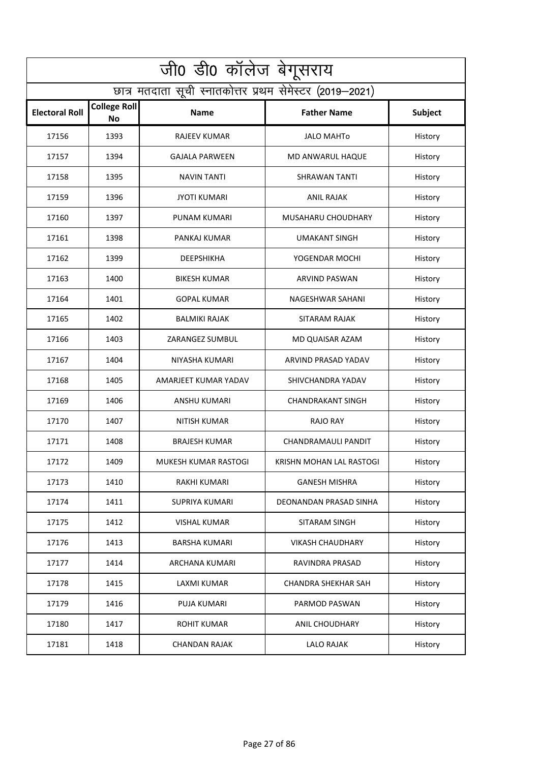|                       | $\overline{\mathrm{u}}$ 0 डी0 कॉलेज बेगूसराय |                                                          |                          |                |
|-----------------------|----------------------------------------------|----------------------------------------------------------|--------------------------|----------------|
|                       |                                              | छात्र मतदाता सूची स्नातकोत्तर प्रथम सेमेस्टर (2019–2021) |                          |                |
| <b>Electoral Roll</b> | <b>College Roll</b><br><b>No</b>             | <b>Name</b>                                              | <b>Father Name</b>       | <b>Subject</b> |
| 17156                 | 1393                                         | RAJEEV KUMAR                                             | <b>JALO MAHTO</b>        | History        |
| 17157                 | 1394                                         | <b>GAJALA PARWEEN</b>                                    | MD ANWARUL HAQUE         | History        |
| 17158                 | 1395                                         | <b>NAVIN TANTI</b>                                       | SHRAWAN TANTI            | History        |
| 17159                 | 1396                                         | <b>JYOTI KUMARI</b>                                      | ANIL RAJAK               | History        |
| 17160                 | 1397                                         | <b>PUNAM KUMARI</b>                                      | MUSAHARU CHOUDHARY       | History        |
| 17161                 | 1398                                         | PANKAJ KUMAR                                             | UMAKANT SINGH            | History        |
| 17162                 | 1399                                         | <b>DEEPSHIKHA</b>                                        | YOGENDAR MOCHI           | History        |
| 17163                 | 1400                                         | <b>BIKESH KUMAR</b>                                      | <b>ARVIND PASWAN</b>     | History        |
| 17164                 | 1401                                         | <b>GOPAL KUMAR</b>                                       | NAGESHWAR SAHANI         | History        |
| 17165                 | 1402                                         | <b>BALMIKI RAJAK</b>                                     | SITARAM RAJAK            | History        |
| 17166                 | 1403                                         | ZARANGEZ SUMBUL                                          | MD QUAISAR AZAM          | History        |
| 17167                 | 1404                                         | NIYASHA KUMARI                                           | ARVIND PRASAD YADAV      | History        |
| 17168                 | 1405                                         | AMARJEET KUMAR YADAV                                     | SHIVCHANDRA YADAV        | History        |
| 17169                 | 1406                                         | <b>ANSHU KUMARI</b>                                      | <b>CHANDRAKANT SINGH</b> | History        |
| 17170                 | 1407                                         | <b>NITISH KUMAR</b>                                      | <b>RAJO RAY</b>          | History        |
| 17171                 | 1408                                         | <b>BRAJESH KUMAR</b>                                     | CHANDRAMAULI PANDIT      | History        |
| 17172                 | 1409                                         | MUKESH KUMAR RASTOGI                                     | KRISHN MOHAN LAL RASTOGI | History        |
| 17173                 | 1410                                         | <b>RAKHI KUMARI</b>                                      | <b>GANESH MISHRA</b>     | History        |
| 17174                 | 1411                                         | SUPRIYA KUMARI                                           | DEONANDAN PRASAD SINHA   | History        |
| 17175                 | 1412                                         | <b>VISHAL KUMAR</b>                                      | SITARAM SINGH            | History        |
| 17176                 | 1413                                         | BARSHA KUMARI                                            | <b>VIKASH CHAUDHARY</b>  | History        |
| 17177                 | 1414                                         | ARCHANA KUMARI                                           | RAVINDRA PRASAD          | History        |
| 17178                 | 1415                                         | LAXMI KUMAR                                              | CHANDRA SHEKHAR SAH      | History        |
| 17179                 | 1416                                         | <b>PUJA KUMARI</b>                                       | PARMOD PASWAN            | History        |
| 17180                 | 1417                                         | <b>ROHIT KUMAR</b>                                       | <b>ANIL CHOUDHARY</b>    | History        |
| 17181                 | 1418                                         | <b>CHANDAN RAJAK</b>                                     | <b>LALO RAJAK</b>        | History        |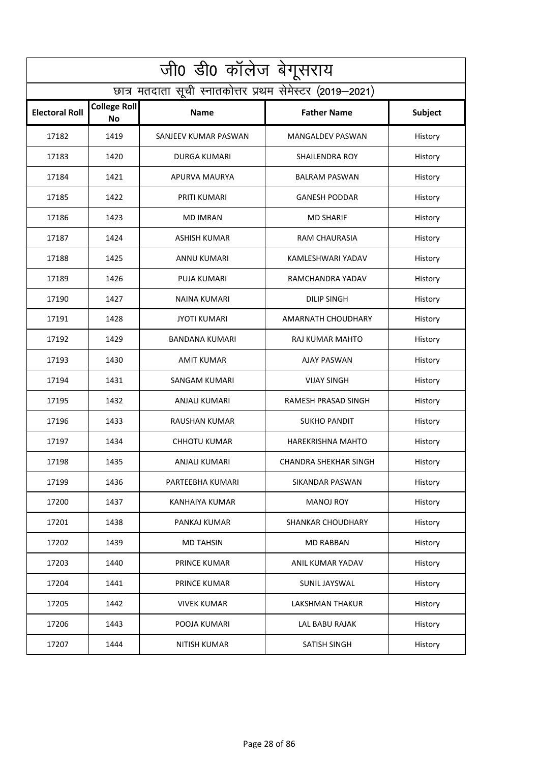| जी0 डी0 कॉलेज बेगूसराय |                                                          |                       |                              |         |  |
|------------------------|----------------------------------------------------------|-----------------------|------------------------------|---------|--|
|                        | छात्र मतदाता सूची स्नातकोत्तर प्रथम सेमेस्टर (2019–2021) |                       |                              |         |  |
| <b>Electoral Roll</b>  | <b>College Roll</b><br><b>No</b>                         | <b>Name</b>           | <b>Father Name</b>           | Subject |  |
| 17182                  | 1419                                                     | SANJEEV KUMAR PASWAN  | <b>MANGALDEV PASWAN</b>      | History |  |
| 17183                  | 1420                                                     | <b>DURGA KUMARI</b>   | <b>SHAILENDRA ROY</b>        | History |  |
| 17184                  | 1421                                                     | APURVA MAURYA         | <b>BALRAM PASWAN</b>         | History |  |
| 17185                  | 1422                                                     | PRITI KUMARI          | <b>GANESH PODDAR</b>         | History |  |
| 17186                  | 1423                                                     | <b>MD IMRAN</b>       | <b>MD SHARIF</b>             | History |  |
| 17187                  | 1424                                                     | ASHISH KUMAR          | RAM CHAURASIA                | History |  |
| 17188                  | 1425                                                     | <b>ANNU KUMARI</b>    | KAMLESHWARI YADAV            | History |  |
| 17189                  | 1426                                                     | <b>PUJA KUMARI</b>    | RAMCHANDRA YADAV             | History |  |
| 17190                  | 1427                                                     | NAINA KUMARI          | <b>DILIP SINGH</b>           | History |  |
| 17191                  | 1428                                                     | <b>JYOTI KUMARI</b>   | AMARNATH CHOUDHARY           | History |  |
| 17192                  | 1429                                                     | BANDANA KUMARI        | RAJ KUMAR MAHTO              | History |  |
| 17193                  | 1430                                                     | <b>AMIT KUMAR</b>     | <b>AJAY PASWAN</b>           | History |  |
| 17194                  | 1431                                                     | <b>SANGAM KUMARI</b>  | <b>VIJAY SINGH</b>           | History |  |
| 17195                  | 1432                                                     | <b>ANJALI KUMARI</b>  | RAMESH PRASAD SINGH          | History |  |
| 17196                  | 1433                                                     | <b>RAUSHAN KUMAR</b>  | <b>SUKHO PANDIT</b>          | History |  |
| 17197                  | 1434                                                     | <b>CHHOTU KUMAR</b>   | <b>HAREKRISHNA MAHTO</b>     | History |  |
| 17198                  | 1435                                                     | ANJALI KUMARI         | <b>CHANDRA SHEKHAR SINGH</b> | History |  |
| 17199                  | 1436                                                     | PARTEEBHA KUMARI      | SIKANDAR PASWAN              | History |  |
| 17200                  | 1437                                                     | <b>KANHAIYA KUMAR</b> | <b>MANOJ ROY</b>             | History |  |
| 17201                  | 1438                                                     | PANKAJ KUMAR          | <b>SHANKAR CHOUDHARY</b>     | History |  |
| 17202                  | 1439                                                     | <b>MD TAHSIN</b>      | <b>MD RABBAN</b>             | History |  |
| 17203                  | 1440                                                     | <b>PRINCE KUMAR</b>   | ANIL KUMAR YADAV             | History |  |
| 17204                  | 1441                                                     | <b>PRINCE KUMAR</b>   | SUNIL JAYSWAL                | History |  |
| 17205                  | 1442                                                     | <b>VIVEK KUMAR</b>    | <b>LAKSHMAN THAKUR</b>       | History |  |
| 17206                  | 1443                                                     | POOJA KUMARI          | LAL BABU RAJAK               | History |  |
| 17207                  | 1444                                                     | NITISH KUMAR          | SATISH SINGH                 | History |  |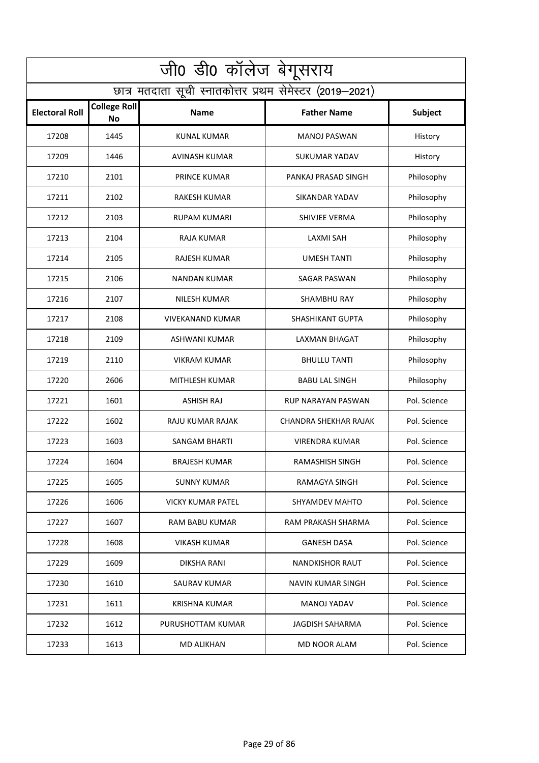| जी0 डी0 कॉलेज बेगूसराय |                                                          |                          |                        |              |  |
|------------------------|----------------------------------------------------------|--------------------------|------------------------|--------------|--|
|                        | छात्र मतदाता सूची स्नातकोत्तर प्रथम सेमेस्टर (2019–2021) |                          |                        |              |  |
| <b>Electoral Roll</b>  | <b>College Roll</b><br><b>No</b>                         | <b>Name</b>              | <b>Father Name</b>     | Subject      |  |
| 17208                  | 1445                                                     | KUNAL KUMAR              | <b>MANOJ PASWAN</b>    | History      |  |
| 17209                  | 1446                                                     | <b>AVINASH KUMAR</b>     | <b>SUKUMAR YADAV</b>   | History      |  |
| 17210                  | 2101                                                     | <b>PRINCE KUMAR</b>      | PANKAJ PRASAD SINGH    | Philosophy   |  |
| 17211                  | 2102                                                     | <b>RAKESH KUMAR</b>      | <b>SIKANDAR YADAV</b>  | Philosophy   |  |
| 17212                  | 2103                                                     | RUPAM KUMARI             | SHIVJEE VERMA          | Philosophy   |  |
| 17213                  | 2104                                                     | RAJA KUMAR               | <b>LAXMI SAH</b>       | Philosophy   |  |
| 17214                  | 2105                                                     | RAJESH KUMAR             | <b>UMESH TANTI</b>     | Philosophy   |  |
| 17215                  | 2106                                                     | <b>NANDAN KUMAR</b>      | SAGAR PASWAN           | Philosophy   |  |
| 17216                  | 2107                                                     | NILESH KUMAR             | <b>SHAMBHU RAY</b>     | Philosophy   |  |
| 17217                  | 2108                                                     | VIVEKANAND KUMAR         | SHASHIKANT GUPTA       | Philosophy   |  |
| 17218                  | 2109                                                     | ASHWANI KUMAR            | LAXMAN BHAGAT          | Philosophy   |  |
| 17219                  | 2110                                                     | <b>VIKRAM KUMAR</b>      | <b>BHULLU TANTI</b>    | Philosophy   |  |
| 17220                  | 2606                                                     | MITHLESH KUMAR           | <b>BABU LAL SINGH</b>  | Philosophy   |  |
| 17221                  | 1601                                                     | <b>ASHISH RAJ</b>        | RUP NARAYAN PASWAN     | Pol. Science |  |
| 17222                  | 1602                                                     | <b>RAJU KUMAR RAJAK</b>  | CHANDRA SHEKHAR RAJAK  | Pol. Science |  |
| 17223                  | 1603                                                     | SANGAM BHARTI            | VIRENDRA KUMAR         | Pol. Science |  |
| 17224                  | 1604                                                     | <b>BRAJESH KUMAR</b>     | RAMASHISH SINGH        | Pol. Science |  |
| 17225                  | 1605                                                     | <b>SUNNY KUMAR</b>       | RAMAGYA SINGH          | Pol. Science |  |
| 17226                  | 1606                                                     | <b>VICKY KUMAR PATEL</b> | SHYAMDEV MAHTO         | Pol. Science |  |
| 17227                  | 1607                                                     | <b>RAM BABU KUMAR</b>    | RAM PRAKASH SHARMA     | Pol. Science |  |
| 17228                  | 1608                                                     | VIKASH KUMAR             | <b>GANESH DASA</b>     | Pol. Science |  |
| 17229                  | 1609                                                     | <b>DIKSHA RANI</b>       | <b>NANDKISHOR RAUT</b> | Pol. Science |  |
| 17230                  | 1610                                                     | SAURAV KUMAR             | NAVIN KUMAR SINGH      | Pol. Science |  |
| 17231                  | 1611                                                     | <b>KRISHNA KUMAR</b>     | <b>MANOJ YADAV</b>     | Pol. Science |  |
| 17232                  | 1612                                                     | PURUSHOTTAM KUMAR        | JAGDISH SAHARMA        | Pol. Science |  |
| 17233                  | 1613                                                     | <b>MD ALIKHAN</b>        | MD NOOR ALAM           | Pol. Science |  |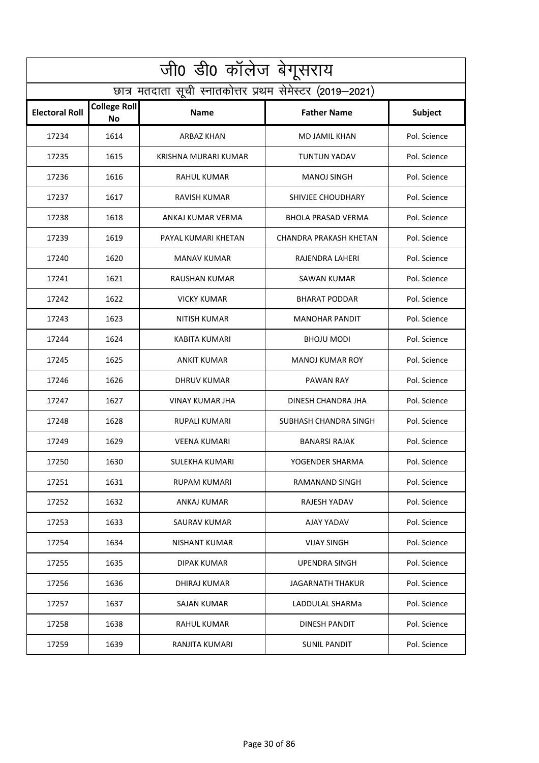|                       | जी0 डी0 कॉलेज बेगूसराय           |                                                          |                           |              |
|-----------------------|----------------------------------|----------------------------------------------------------|---------------------------|--------------|
|                       |                                  | छात्र मतदाता सूची स्नातकोत्तर प्रथम सेमेस्टर (2019–2021) |                           |              |
| <b>Electoral Roll</b> | <b>College Roll</b><br><b>No</b> | <b>Name</b>                                              | <b>Father Name</b>        | Subject      |
| 17234                 | 1614                             | ARBAZ KHAN                                               | MD JAMIL KHAN             | Pol. Science |
| 17235                 | 1615                             | KRISHNA MURARI KUMAR                                     | <b>TUNTUN YADAV</b>       | Pol. Science |
| 17236                 | 1616                             | RAHUL KUMAR                                              | <b>MANOJ SINGH</b>        | Pol. Science |
| 17237                 | 1617                             | <b>RAVISH KUMAR</b>                                      | SHIVJEE CHOUDHARY         | Pol. Science |
| 17238                 | 1618                             | ANKAJ KUMAR VERMA                                        | <b>BHOLA PRASAD VERMA</b> | Pol. Science |
| 17239                 | 1619                             | PAYAL KUMARI KHETAN                                      | CHANDRA PRAKASH KHETAN    | Pol. Science |
| 17240                 | 1620                             | <b>MANAV KUMAR</b>                                       | RAJENDRA LAHERI           | Pol. Science |
| 17241                 | 1621                             | RAUSHAN KUMAR                                            | SAWAN KUMAR               | Pol. Science |
| 17242                 | 1622                             | <b>VICKY KUMAR</b>                                       | <b>BHARAT PODDAR</b>      | Pol. Science |
| 17243                 | 1623                             | NITISH KUMAR                                             | <b>MANOHAR PANDIT</b>     | Pol. Science |
| 17244                 | 1624                             | KABITA KUMARI                                            | BHOJU MODI                | Pol. Science |
| 17245                 | 1625                             | <b>ANKIT KUMAR</b>                                       | <b>MANOJ KUMAR ROY</b>    | Pol. Science |
| 17246                 | 1626                             | DHRUV KUMAR                                              | PAWAN RAY                 | Pol. Science |
| 17247                 | 1627                             | VINAY KUMAR JHA                                          | DINESH CHANDRA JHA        | Pol. Science |
| 17248                 | 1628                             | <b>RUPALI KUMARI</b>                                     | SUBHASH CHANDRA SINGH     | Pol. Science |
| 17249                 | 1629                             | <b>VEENA KUMARI</b>                                      | <b>BANARSI RAJAK</b>      | Pol. Science |
| 17250                 | 1630                             | SULEKHA KUMARI                                           | YOGENDER SHARMA           | Pol. Science |
| 17251                 | 1631                             | <b>RUPAM KUMARI</b>                                      | RAMANAND SINGH            | Pol. Science |
| 17252                 | 1632                             | ANKAJ KUMAR                                              | RAJESH YADAV              | Pol. Science |
| 17253                 | 1633                             | SAURAV KUMAR                                             | AJAY YADAV                | Pol. Science |
| 17254                 | 1634                             | <b>NISHANT KUMAR</b>                                     | <b>VIJAY SINGH</b>        | Pol. Science |
| 17255                 | 1635                             | <b>DIPAK KUMAR</b>                                       | <b>UPENDRA SINGH</b>      | Pol. Science |
| 17256                 | 1636                             | DHIRAJ KUMAR                                             | <b>JAGARNATH THAKUR</b>   | Pol. Science |
| 17257                 | 1637                             | <b>SAJAN KUMAR</b>                                       | LADDULAL SHARMa           | Pol. Science |
| 17258                 | 1638                             | RAHUL KUMAR                                              | <b>DINESH PANDIT</b>      | Pol. Science |
| 17259                 | 1639                             | RANJITA KUMARI                                           | <b>SUNIL PANDIT</b>       | Pol. Science |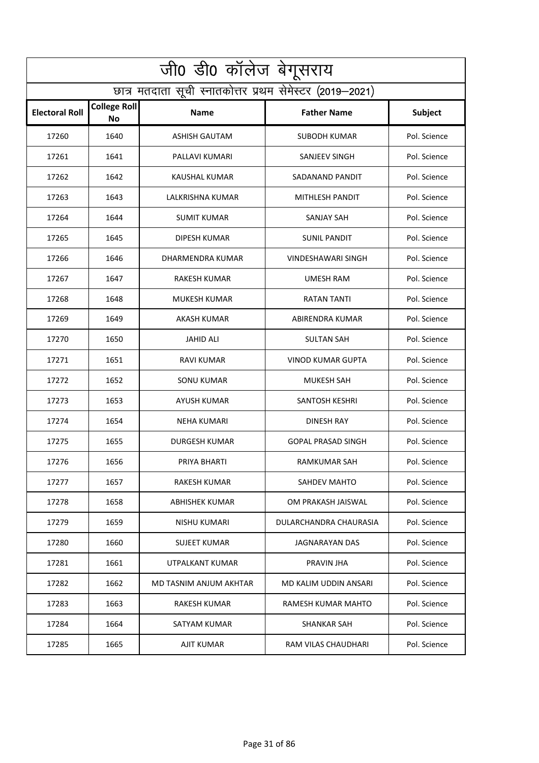|                       | <u>जी0</u> डी0 कॉलेज बेगूसराय    |                                                          |                           |              |
|-----------------------|----------------------------------|----------------------------------------------------------|---------------------------|--------------|
|                       |                                  | छात्र मतदाता सूची स्नातकोत्तर प्रथम सेमेस्टर (2019–2021) |                           |              |
| <b>Electoral Roll</b> | <b>College Roll</b><br><b>No</b> | <b>Name</b>                                              | <b>Father Name</b>        | Subject      |
| 17260                 | 1640                             | <b>ASHISH GAUTAM</b>                                     | SUBODH KUMAR              | Pol. Science |
| 17261                 | 1641                             | PALLAVI KUMARI                                           | SANJEEV SINGH             | Pol. Science |
| 17262                 | 1642                             | KAUSHAL KUMAR                                            | SADANAND PANDIT           | Pol. Science |
| 17263                 | 1643                             | LALKRISHNA KUMAR                                         | MITHLESH PANDIT           | Pol. Science |
| 17264                 | 1644                             | <b>SUMIT KUMAR</b>                                       | SANJAY SAH                | Pol. Science |
| 17265                 | 1645                             | DIPESH KUMAR                                             | <b>SUNIL PANDIT</b>       | Pol. Science |
| 17266                 | 1646                             | DHARMENDRA KUMAR                                         | <b>VINDESHAWARI SINGH</b> | Pol. Science |
| 17267                 | 1647                             | RAKESH KUMAR                                             | UMESH RAM                 | Pol. Science |
| 17268                 | 1648                             | <b>MUKESH KUMAR</b>                                      | <b>RATAN TANTI</b>        | Pol. Science |
| 17269                 | 1649                             | AKASH KUMAR                                              | ABIRENDRA KUMAR           | Pol. Science |
| 17270                 | 1650                             | JAHID ALI                                                | <b>SULTAN SAH</b>         | Pol. Science |
| 17271                 | 1651                             | RAVI KUMAR                                               | VINOD KUMAR GUPTA         | Pol. Science |
| 17272                 | 1652                             | SONU KUMAR                                               | <b>MUKESH SAH</b>         | Pol. Science |
| 17273                 | 1653                             | AYUSH KUMAR                                              | <b>SANTOSH KESHRI</b>     | Pol. Science |
| 17274                 | 1654                             | <b>NEHA KUMARI</b>                                       | <b>DINESH RAY</b>         | Pol. Science |
| 17275                 | 1655                             | <b>DURGESH KUMAR</b>                                     | <b>GOPAL PRASAD SINGH</b> | Pol. Science |
| 17276                 | 1656                             | PRIYA BHARTI                                             | RAMKUMAR SAH              | Pol. Science |
| 17277                 | 1657                             | RAKESH KUMAR                                             | <b>SAHDEV MAHTO</b>       | Pol. Science |
| 17278                 | 1658                             | ABHISHEK KUMAR                                           | OM PRAKASH JAISWAL        | Pol. Science |
| 17279                 | 1659                             | NISHU KUMARI                                             | DULARCHANDRA CHAURASIA    | Pol. Science |
| 17280                 | 1660                             | SUJEET KUMAR                                             | JAGNARAYAN DAS            | Pol. Science |
| 17281                 | 1661                             | UTPALKANT KUMAR                                          | PRAVIN JHA                | Pol. Science |
| 17282                 | 1662                             | MD TASNIM ANJUM AKHTAR                                   | MD KALIM UDDIN ANSARI     | Pol. Science |
| 17283                 | 1663                             | RAKESH KUMAR                                             | RAMESH KUMAR MAHTO        | Pol. Science |
| 17284                 | 1664                             | SATYAM KUMAR                                             | SHANKAR SAH               | Pol. Science |
| 17285                 | 1665                             | <b>AJIT KUMAR</b>                                        | RAM VILAS CHAUDHARI       | Pol. Science |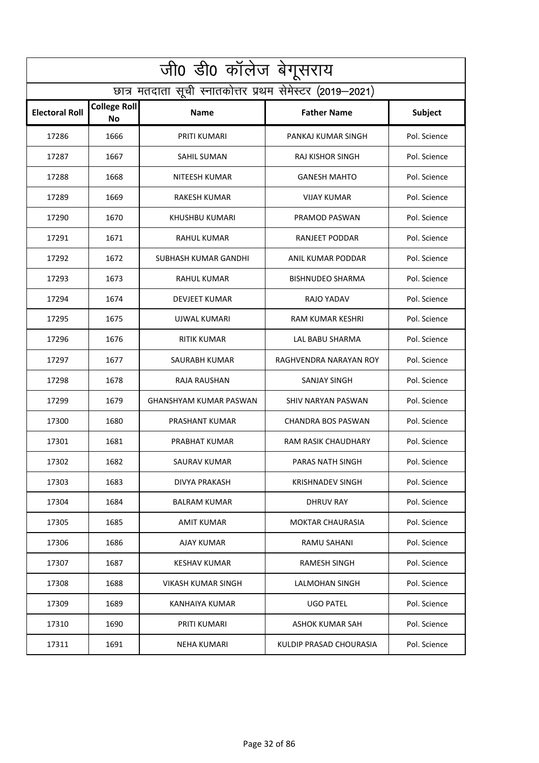|                       | जी0 डी0 कॉलेज बेगूसराय    |                                                          |                           |              |
|-----------------------|---------------------------|----------------------------------------------------------|---------------------------|--------------|
|                       |                           | छात्र मतदाता सूची स्नातकोत्तर प्रथम सेमेस्टर (2019–2021) |                           |              |
| <b>Electoral Roll</b> | <b>College Roll</b><br>No | <b>Name</b>                                              | <b>Father Name</b>        | Subject      |
| 17286                 | 1666                      | PRITI KUMARI                                             | PANKAJ KUMAR SINGH        | Pol. Science |
| 17287                 | 1667                      | SAHIL SUMAN                                              | RAJ KISHOR SINGH          | Pol. Science |
| 17288                 | 1668                      | NITEESH KUMAR                                            | <b>GANESH MAHTO</b>       | Pol. Science |
| 17289                 | 1669                      | <b>RAKESH KUMAR</b>                                      | <b>VIJAY KUMAR</b>        | Pol. Science |
| 17290                 | 1670                      | KHUSHBU KUMARI                                           | PRAMOD PASWAN             | Pol. Science |
| 17291                 | 1671                      | RAHUL KUMAR                                              | <b>RANJEET PODDAR</b>     | Pol. Science |
| 17292                 | 1672                      | SUBHASH KUMAR GANDHI                                     | ANIL KUMAR PODDAR         | Pol. Science |
| 17293                 | 1673                      | RAHUL KUMAR                                              | <b>BISHNUDEO SHARMA</b>   | Pol. Science |
| 17294                 | 1674                      | DEVJEET KUMAR                                            | RAJO YADAV                | Pol. Science |
| 17295                 | 1675                      | UJWAL KUMARI                                             | RAM KUMAR KESHRI          | Pol. Science |
| 17296                 | 1676                      | RITIK KUMAR                                              | LAL BABU SHARMA           | Pol. Science |
| 17297                 | 1677                      | SAURABH KUMAR                                            | RAGHVENDRA NARAYAN ROY    | Pol. Science |
| 17298                 | 1678                      | RAJA RAUSHAN                                             | SANJAY SINGH              | Pol. Science |
| 17299                 | 1679                      | GHANSHYAM KUMAR PASWAN                                   | SHIV NARYAN PASWAN        | Pol. Science |
| 17300                 | 1680                      | PRASHANT KUMAR                                           | <b>CHANDRA BOS PASWAN</b> | Pol. Science |
| 17301                 | 1681                      | PRABHAT KUMAR                                            | RAM RASIK CHAUDHARY       | Pol. Science |
| 17302                 | 1682                      | SAURAV KUMAR                                             | PARAS NATH SINGH          | Pol. Science |
| 17303                 | 1683                      | DIVYA PRAKASH                                            | <b>KRISHNADEV SINGH</b>   | Pol. Science |
| 17304                 | 1684                      | <b>BALRAM KUMAR</b>                                      | DHRUV RAY                 | Pol. Science |
| 17305                 | 1685                      | <b>AMIT KUMAR</b>                                        | <b>MOKTAR CHAURASIA</b>   | Pol. Science |
| 17306                 | 1686                      | <b>AJAY KUMAR</b>                                        | <b>RAMU SAHANI</b>        | Pol. Science |
| 17307                 | 1687                      | KESHAV KUMAR                                             | <b>RAMESH SINGH</b>       | Pol. Science |
| 17308                 | 1688                      | VIKASH KUMAR SINGH                                       | LALMOHAN SINGH            | Pol. Science |
| 17309                 | 1689                      | KANHAIYA KUMAR                                           | <b>UGO PATEL</b>          | Pol. Science |
| 17310                 | 1690                      | PRITI KUMARI                                             | ASHOK KUMAR SAH           | Pol. Science |
| 17311                 | 1691                      | <b>NEHA KUMARI</b>                                       | KULDIP PRASAD CHOURASIA   | Pol. Science |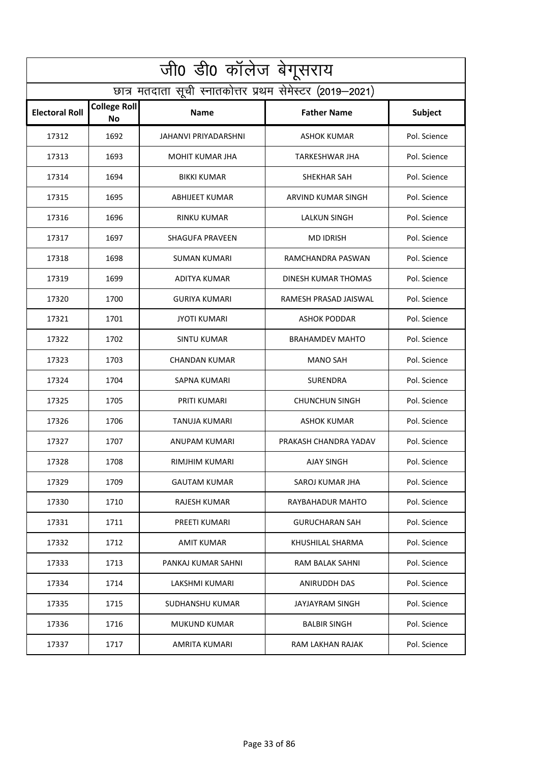|                       | जी0 डी0 कॉलेज बेगूसराय           |                                                          |                        |              |
|-----------------------|----------------------------------|----------------------------------------------------------|------------------------|--------------|
|                       |                                  | छात्र मतदाता सूची स्नातकोत्तर प्रथम सेमेस्टर (2019–2021) |                        |              |
| <b>Electoral Roll</b> | <b>College Roll</b><br><b>No</b> | <b>Name</b>                                              | <b>Father Name</b>     | Subject      |
| 17312                 | 1692                             | JAHANVI PRIYADARSHNI                                     | <b>ASHOK KUMAR</b>     | Pol. Science |
| 17313                 | 1693                             | MOHIT KUMAR JHA                                          | TARKESHWAR JHA         | Pol. Science |
| 17314                 | 1694                             | <b>BIKKI KUMAR</b>                                       | SHEKHAR SAH            | Pol. Science |
| 17315                 | 1695                             | <b>ABHIJEET KUMAR</b>                                    | ARVIND KUMAR SINGH     | Pol. Science |
| 17316                 | 1696                             | RINKU KUMAR                                              | <b>LALKUN SINGH</b>    | Pol. Science |
| 17317                 | 1697                             | <b>SHAGUFA PRAVEEN</b>                                   | <b>MD IDRISH</b>       | Pol. Science |
| 17318                 | 1698                             | <b>SUMAN KUMARI</b>                                      | RAMCHANDRA PASWAN      | Pol. Science |
| 17319                 | 1699                             | ADITYA KUMAR                                             | DINESH KUMAR THOMAS    | Pol. Science |
| 17320                 | 1700                             | <b>GURIYA KUMARI</b>                                     | RAMESH PRASAD JAISWAL  | Pol. Science |
| 17321                 | 1701                             | JYOTI KUMARI                                             | <b>ASHOK PODDAR</b>    | Pol. Science |
| 17322                 | 1702                             | SINTU KUMAR                                              | <b>BRAHAMDEV MAHTO</b> | Pol. Science |
| 17323                 | 1703                             | <b>CHANDAN KUMAR</b>                                     | <b>MANO SAH</b>        | Pol. Science |
| 17324                 | 1704                             | SAPNA KUMARI                                             | SURENDRA               | Pol. Science |
| 17325                 | 1705                             | PRITI KUMARI                                             | <b>CHUNCHUN SINGH</b>  | Pol. Science |
| 17326                 | 1706                             | TANUJA KUMARI                                            | <b>ASHOK KUMAR</b>     | Pol. Science |
| 17327                 | 1707                             | ANUPAM KUMARI                                            | PRAKASH CHANDRA YADAV  | Pol. Science |
| 17328                 | 1708                             | RIMJHIM KUMARI                                           | <b>AJAY SINGH</b>      | Pol. Science |
| 17329                 | 1709                             | <b>GAUTAM KUMAR</b>                                      | SAROJ KUMAR JHA        | Pol. Science |
| 17330                 | 1710                             | RAJESH KUMAR                                             | RAYBAHADUR MAHTO       | Pol. Science |
| 17331                 | 1711                             | PREETI KUMARI                                            | <b>GURUCHARAN SAH</b>  | Pol. Science |
| 17332                 | 1712                             | <b>AMIT KUMAR</b>                                        | KHUSHILAL SHARMA       | Pol. Science |
| 17333                 | 1713                             | PANKAJ KUMAR SAHNI                                       | RAM BALAK SAHNI        | Pol. Science |
| 17334                 | 1714                             | LAKSHMI KUMARI                                           | <b>ANIRUDDH DAS</b>    | Pol. Science |
| 17335                 | 1715                             | SUDHANSHU KUMAR                                          | JAYJAYRAM SINGH        | Pol. Science |
| 17336                 | 1716                             | <b>MUKUND KUMAR</b>                                      | <b>BALBIR SINGH</b>    | Pol. Science |
| 17337                 | 1717                             | AMRITA KUMARI                                            | RAM LAKHAN RAJAK       | Pol. Science |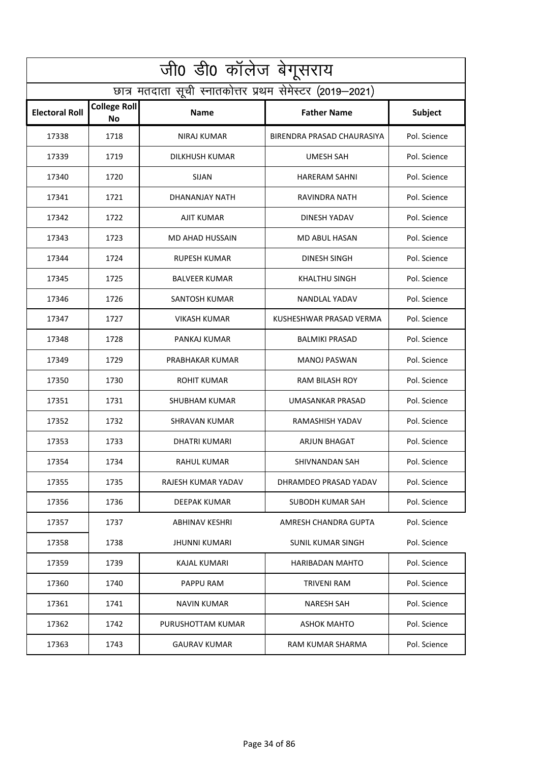| जी0 डी0 कॉलेज बेगूसराय                                   |                                  |                        |                            |                |
|----------------------------------------------------------|----------------------------------|------------------------|----------------------------|----------------|
| छात्र मतदाता सूची स्नातकोत्तर प्रथम सेमेस्टर (2019–2021) |                                  |                        |                            |                |
| <b>Electoral Roll</b>                                    | <b>College Roll</b><br><b>No</b> | <b>Name</b>            | <b>Father Name</b>         | <b>Subject</b> |
| 17338                                                    | 1718                             | NIRAJ KUMAR            | BIRENDRA PRASAD CHAURASIYA | Pol. Science   |
| 17339                                                    | 1719                             | <b>DILKHUSH KUMAR</b>  | <b>UMESH SAH</b>           | Pol. Science   |
| 17340                                                    | 1720                             | <b>SIJAN</b>           | <b>HARERAM SAHNI</b>       | Pol. Science   |
| 17341                                                    | 1721                             | DHANANJAY NATH         | RAVINDRA NATH              | Pol. Science   |
| 17342                                                    | 1722                             | <b>AJIT KUMAR</b>      | <b>DINESH YADAV</b>        | Pol. Science   |
| 17343                                                    | 1723                             | <b>MD AHAD HUSSAIN</b> | <b>MD ABUL HASAN</b>       | Pol. Science   |
| 17344                                                    | 1724                             | <b>RUPESH KUMAR</b>    | <b>DINESH SINGH</b>        | Pol. Science   |
| 17345                                                    | 1725                             | <b>BALVEER KUMAR</b>   | KHALTHU SINGH              | Pol. Science   |
| 17346                                                    | 1726                             | <b>SANTOSH KUMAR</b>   | NANDLAL YADAV              | Pol. Science   |
| 17347                                                    | 1727                             | <b>VIKASH KUMAR</b>    | KUSHESHWAR PRASAD VERMA    | Pol. Science   |
| 17348                                                    | 1728                             | PANKAJ KUMAR           | <b>BALMIKI PRASAD</b>      | Pol. Science   |
| 17349                                                    | 1729                             | PRABHAKAR KUMAR        | <b>MANOJ PASWAN</b>        | Pol. Science   |
| 17350                                                    | 1730                             | ROHIT KUMAR            | RAM BILASH ROY             | Pol. Science   |
| 17351                                                    | 1731                             | SHUBHAM KUMAR          | <b>UMASANKAR PRASAD</b>    | Pol. Science   |
| 17352                                                    | 1732                             | <b>SHRAVAN KUMAR</b>   | RAMASHISH YADAV            | Pol. Science   |
| 17353                                                    | 1733                             | <b>DHATRI KUMARI</b>   | <b>ARJUN BHAGAT</b>        | Pol. Science   |
| 17354                                                    | 1734                             | <b>RAHUL KUMAR</b>     | SHIVNANDAN SAH             | Pol. Science   |
| 17355                                                    | 1735                             | RAJESH KUMAR YADAV     | DHRAMDEO PRASAD YADAV      | Pol. Science   |
| 17356                                                    | 1736                             | DEEPAK KUMAR           | SUBODH KUMAR SAH           | Pol. Science   |
| 17357                                                    | 1737                             | ABHINAV KESHRI         | AMRESH CHANDRA GUPTA       | Pol. Science   |
| 17358                                                    | 1738                             | <b>JHUNNI KUMARI</b>   | SUNIL KUMAR SINGH          | Pol. Science   |
| 17359                                                    | 1739                             | <b>KAJAL KUMARI</b>    | <b>HARIBADAN MAHTO</b>     | Pol. Science   |
| 17360                                                    | 1740                             | PAPPU RAM              | <b>TRIVENI RAM</b>         | Pol. Science   |
| 17361                                                    | 1741                             | NAVIN KUMAR            | <b>NARESH SAH</b>          | Pol. Science   |
| 17362                                                    | 1742                             | PURUSHOTTAM KUMAR      | <b>ASHOK MAHTO</b>         | Pol. Science   |
| 17363                                                    | 1743                             | <b>GAURAV KUMAR</b>    | RAM KUMAR SHARMA           | Pol. Science   |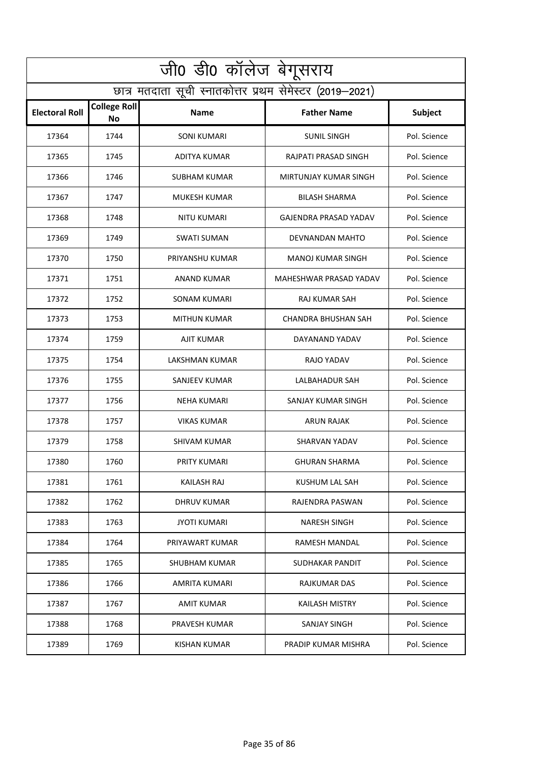|                       | जी0 डी0 कॉलेज बेगूसराय           |                                                          |                              |                |
|-----------------------|----------------------------------|----------------------------------------------------------|------------------------------|----------------|
|                       |                                  | छात्र मतदाता सूची स्नातकोत्तर प्रथम सेमेस्टर (2019–2021) |                              |                |
| <b>Electoral Roll</b> | <b>College Roll</b><br><b>No</b> | <b>Name</b>                                              | <b>Father Name</b>           | <b>Subject</b> |
| 17364                 | 1744                             | <b>SONI KUMARI</b>                                       | <b>SUNIL SINGH</b>           | Pol. Science   |
| 17365                 | 1745                             | ADITYA KUMAR                                             | RAJPATI PRASAD SINGH         | Pol. Science   |
| 17366                 | 1746                             | SUBHAM KUMAR                                             | <b>MIRTUNJAY KUMAR SINGH</b> | Pol. Science   |
| 17367                 | 1747                             | <b>MUKESH KUMAR</b>                                      | <b>BILASH SHARMA</b>         | Pol. Science   |
| 17368                 | 1748                             | NITU KUMARI                                              | GAJENDRA PRASAD YADAV        | Pol. Science   |
| 17369                 | 1749                             | <b>SWATI SUMAN</b>                                       | DEVNANDAN MAHTO              | Pol. Science   |
| 17370                 | 1750                             | PRIYANSHU KUMAR                                          | <b>MANOJ KUMAR SINGH</b>     | Pol. Science   |
| 17371                 | 1751                             | ANAND KUMAR                                              | MAHESHWAR PRASAD YADAV       | Pol. Science   |
| 17372                 | 1752                             | <b>SONAM KUMARI</b>                                      | RAJ KUMAR SAH                | Pol. Science   |
| 17373                 | 1753                             | <b>MITHUN KUMAR</b>                                      | CHANDRA BHUSHAN SAH          | Pol. Science   |
| 17374                 | 1759                             | AJIT KUMAR                                               | DAYANAND YADAV               | Pol. Science   |
| 17375                 | 1754                             | LAKSHMAN KUMAR                                           | RAJO YADAV                   | Pol. Science   |
| 17376                 | 1755                             | SANJEEV KUMAR                                            | LALBAHADUR SAH               | Pol. Science   |
| 17377                 | 1756                             | <b>NEHA KUMARI</b>                                       | SANJAY KUMAR SINGH           | Pol. Science   |
| 17378                 | 1757                             | <b>VIKAS KUMAR</b>                                       | ARUN RAJAK                   | Pol. Science   |
| 17379                 | 1758                             | <b>SHIVAM KUMAR</b>                                      | <b>SHARVAN YADAV</b>         | Pol. Science   |
| 17380                 | 1760                             | PRITY KUMARI                                             | <b>GHURAN SHARMA</b>         | Pol. Science   |
| 17381                 | 1761                             | KAILASH RAJ                                              | KUSHUM LAL SAH               | Pol. Science   |
| 17382                 | 1762                             | DHRUV KUMAR                                              | RAJENDRA PASWAN              | Pol. Science   |
| 17383                 | 1763                             | <b>JYOTI KUMARI</b>                                      | <b>NARESH SINGH</b>          | Pol. Science   |
| 17384                 | 1764                             | PRIYAWART KUMAR                                          | RAMESH MANDAL                | Pol. Science   |
| 17385                 | 1765                             | SHUBHAM KUMAR                                            | SUDHAKAR PANDIT              | Pol. Science   |
| 17386                 | 1766                             | AMRITA KUMARI                                            | RAJKUMAR DAS                 | Pol. Science   |
| 17387                 | 1767                             | AMIT KUMAR                                               | KAILASH MISTRY               | Pol. Science   |
| 17388                 | 1768                             | PRAVESH KUMAR                                            | SANJAY SINGH                 | Pol. Science   |
| 17389                 | 1769                             | KISHAN KUMAR                                             | PRADIP KUMAR MISHRA          | Pol. Science   |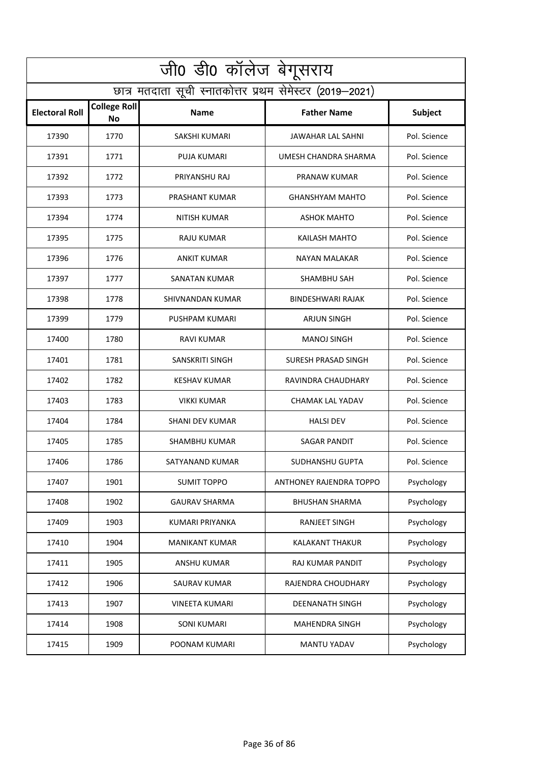|                       | जी0 डी0 कॉलेज बेगूसराय           |                                                          |                                |              |
|-----------------------|----------------------------------|----------------------------------------------------------|--------------------------------|--------------|
|                       |                                  | छात्र मतदाता सूची स्नातकोत्तर प्रथम सेमेस्टर (2019–2021) |                                |              |
| <b>Electoral Roll</b> | <b>College Roll</b><br><b>No</b> | <b>Name</b>                                              | <b>Father Name</b>             | Subject      |
| 17390                 | 1770                             | SAKSHI KUMARI                                            | JAWAHAR LAL SAHNI              | Pol. Science |
| 17391                 | 1771                             | <b>PUJA KUMARI</b>                                       | UMESH CHANDRA SHARMA           | Pol. Science |
| 17392                 | 1772                             | PRIYANSHU RAJ                                            | PRANAW KUMAR                   | Pol. Science |
| 17393                 | 1773                             | PRASHANT KUMAR                                           | <b>GHANSHYAM MAHTO</b>         | Pol. Science |
| 17394                 | 1774                             | NITISH KUMAR                                             | <b>ASHOK MAHTO</b>             | Pol. Science |
| 17395                 | 1775                             | RAJU KUMAR                                               | <b>KAILASH MAHTO</b>           | Pol. Science |
| 17396                 | 1776                             | ANKIT KUMAR                                              | NAYAN MALAKAR                  | Pol. Science |
| 17397                 | 1777                             | SANATAN KUMAR                                            | <b>SHAMBHU SAH</b>             | Pol. Science |
| 17398                 | 1778                             | SHIVNANDAN KUMAR                                         | BINDESHWARI RAJAK              | Pol. Science |
| 17399                 | 1779                             | PUSHPAM KUMARI                                           | <b>ARJUN SINGH</b>             | Pol. Science |
| 17400                 | 1780                             | RAVI KUMAR                                               | MANOJ SINGH                    | Pol. Science |
| 17401                 | 1781                             | SANSKRITI SINGH                                          | SURESH PRASAD SINGH            | Pol. Science |
| 17402                 | 1782                             | <b>KESHAV KUMAR</b>                                      | RAVINDRA CHAUDHARY             | Pol. Science |
| 17403                 | 1783                             | VIKKI KUMAR                                              | CHAMAK LAL YADAV               | Pol. Science |
| 17404                 | 1784                             | SHANI DEV KUMAR                                          | <b>HALSI DEV</b>               | Pol. Science |
| 17405                 | 1785                             | SHAMBHU KUMAR                                            | SAGAR PANDIT                   | Pol. Science |
| 17406                 | 1786                             | SATYANAND KUMAR                                          | SUDHANSHU GUPTA                | Pol. Science |
| 17407                 | 1901                             | <b>SUMIT TOPPO</b>                                       | <b>ANTHONEY RAJENDRA TOPPO</b> | Psychology   |
| 17408                 | 1902                             | <b>GAURAV SHARMA</b>                                     | <b>BHUSHAN SHARMA</b>          | Psychology   |
| 17409                 | 1903                             | KUMARI PRIYANKA                                          | <b>RANJEET SINGH</b>           | Psychology   |
| 17410                 | 1904                             | <b>MANIKANT KUMAR</b>                                    | <b>KALAKANT THAKUR</b>         | Psychology   |
| 17411                 | 1905                             | <b>ANSHU KUMAR</b>                                       | RAJ KUMAR PANDIT               | Psychology   |
| 17412                 | 1906                             | <b>SAURAV KUMAR</b>                                      | RAJENDRA CHOUDHARY             | Psychology   |
| 17413                 | 1907                             | <b>VINEETA KUMARI</b>                                    | <b>DEENANATH SINGH</b>         | Psychology   |
| 17414                 | 1908                             | <b>SONI KUMARI</b>                                       | <b>MAHENDRA SINGH</b>          | Psychology   |
| 17415                 | 1909                             | POONAM KUMARI                                            | <b>MANTU YADAV</b>             | Psychology   |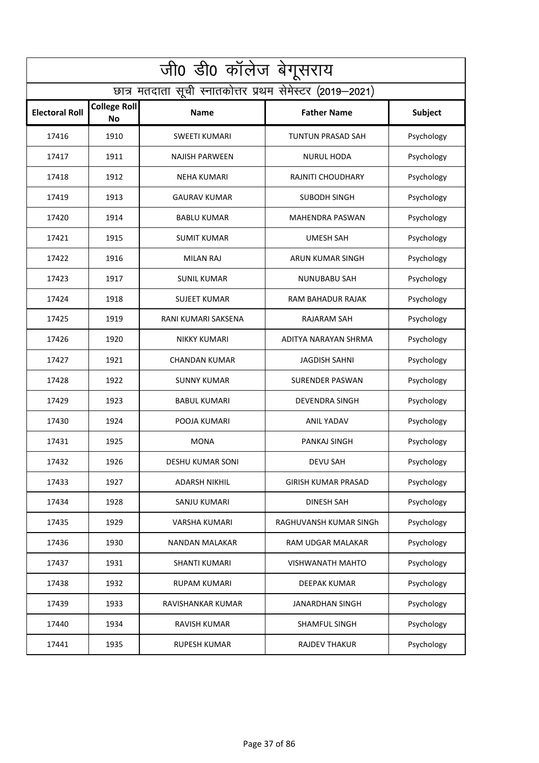| <u>जी0 डी0</u> कॉलेज बेगूसराय |                                                          |                         |                            |            |  |
|-------------------------------|----------------------------------------------------------|-------------------------|----------------------------|------------|--|
|                               | छात्र मतदाता सूची स्नातकोत्तर प्रथम सेमेस्टर (2019–2021) |                         |                            |            |  |
| <b>Electoral Roll</b>         | <b>College Roll</b><br>No                                | <b>Name</b>             | <b>Father Name</b>         | Subject    |  |
| 17416                         | 1910                                                     | <b>SWEETI KUMARI</b>    | <b>TUNTUN PRASAD SAH</b>   | Psychology |  |
| 17417                         | 1911                                                     | <b>NAJISH PARWEEN</b>   | <b>NURUL HODA</b>          | Psychology |  |
| 17418                         | 1912                                                     | <b>NEHA KUMARI</b>      | <b>RAJNITI CHOUDHARY</b>   | Psychology |  |
| 17419                         | 1913                                                     | <b>GAURAV KUMAR</b>     | <b>SUBODH SINGH</b>        | Psychology |  |
| 17420                         | 1914                                                     | <b>BABLU KUMAR</b>      | MAHENDRA PASWAN            | Psychology |  |
| 17421                         | 1915                                                     | <b>SUMIT KUMAR</b>      | <b>UMESH SAH</b>           | Psychology |  |
| 17422                         | 1916                                                     | <b>MILAN RAJ</b>        | ARUN KUMAR SINGH           | Psychology |  |
| 17423                         | 1917                                                     | SUNIL KUMAR             | <b>NUNUBABU SAH</b>        | Psychology |  |
| 17424                         | 1918                                                     | <b>SUJEET KUMAR</b>     | <b>RAM BAHADUR RAJAK</b>   | Psychology |  |
| 17425                         | 1919                                                     | RANI KUMARI SAKSENA     | RAJARAM SAH                | Psychology |  |
| 17426                         | 1920                                                     | <b>NIKKY KUMARI</b>     | ADITYA NARAYAN SHRMA       | Psychology |  |
| 17427                         | 1921                                                     | <b>CHANDAN KUMAR</b>    | <b>JAGDISH SAHNI</b>       | Psychology |  |
| 17428                         | 1922                                                     | <b>SUNNY KUMAR</b>      | SURENDER PASWAN            | Psychology |  |
| 17429                         | 1923                                                     | <b>BABUL KUMARI</b>     | <b>DEVENDRA SINGH</b>      | Psychology |  |
| 17430                         | 1924                                                     | POOJA KUMARI            | <b>ANIL YADAV</b>          | Psychology |  |
| 17431                         | 1925                                                     | MONA                    | PANKAJ SINGH               | Psychology |  |
| 17432                         | 1926                                                     | <b>DESHU KUMAR SONI</b> | DEVU SAH                   | Psychology |  |
| 17433                         | 1927                                                     | <b>ADARSH NIKHIL</b>    | <b>GIRISH KUMAR PRASAD</b> | Psychology |  |
| 17434                         | 1928                                                     | SANJU KUMARI            | <b>DINESH SAH</b>          | Psychology |  |
| 17435                         | 1929                                                     | <b>VARSHA KUMARI</b>    | RAGHUVANSH KUMAR SINGh     | Psychology |  |
| 17436                         | 1930                                                     | <b>NANDAN MALAKAR</b>   | RAM UDGAR MALAKAR          | Psychology |  |
| 17437                         | 1931                                                     | <b>SHANTI KUMARI</b>    | <b>VISHWANATH MAHTO</b>    | Psychology |  |
| 17438                         | 1932                                                     | <b>RUPAM KUMARI</b>     | <b>DEEPAK KUMAR</b>        | Psychology |  |
| 17439                         | 1933                                                     | RAVISHANKAR KUMAR       | <b>JANARDHAN SINGH</b>     | Psychology |  |
| 17440                         | 1934                                                     | RAVISH KUMAR            | <b>SHAMFUL SINGH</b>       | Psychology |  |
| 17441                         | 1935                                                     | <b>RUPESH KUMAR</b>     | <b>RAJDEV THAKUR</b>       | Psychology |  |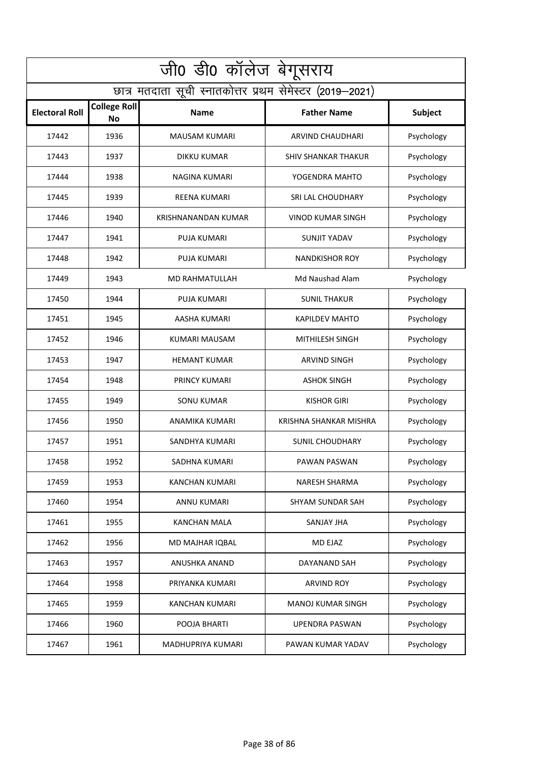| <u>जी0 डी0</u> कॉलेज बेगूसराय |                                                          |                       |                            |                |  |
|-------------------------------|----------------------------------------------------------|-----------------------|----------------------------|----------------|--|
|                               | छात्र मतदाता सूची स्नातकोत्तर प्रथम सेमेस्टर (2019–2021) |                       |                            |                |  |
| <b>Electoral Roll</b>         | <b>College Roll</b><br>No                                | <b>Name</b>           | <b>Father Name</b>         | <b>Subject</b> |  |
| 17442                         | 1936                                                     | MAUSAM KUMARI         | ARVIND CHAUDHARI           | Psychology     |  |
| 17443                         | 1937                                                     | <b>DIKKU KUMAR</b>    | <b>SHIV SHANKAR THAKUR</b> | Psychology     |  |
| 17444                         | 1938                                                     | <b>NAGINA KUMARI</b>  | YOGENDRA MAHTO             | Psychology     |  |
| 17445                         | 1939                                                     | <b>REENA KUMARI</b>   | SRI LAL CHOUDHARY          | Psychology     |  |
| 17446                         | 1940                                                     | KRISHNANANDAN KUMAR   | VINOD KUMAR SINGH          | Psychology     |  |
| 17447                         | 1941                                                     | PUJA KUMARI           | SUNJIT YADAV               | Psychology     |  |
| 17448                         | 1942                                                     | PUJA KUMARI           | <b>NANDKISHOR ROY</b>      | Psychology     |  |
| 17449                         | 1943                                                     | MD RAHMATULLAH        | Md Naushad Alam            | Psychology     |  |
| 17450                         | 1944                                                     | PUJA KUMARI           | <b>SUNIL THAKUR</b>        | Psychology     |  |
| 17451                         | 1945                                                     | AASHA KUMARI          | <b>KAPILDEV MAHTO</b>      | Psychology     |  |
| 17452                         | 1946                                                     | KUMARI MAUSAM         | <b>MITHILESH SINGH</b>     | Psychology     |  |
| 17453                         | 1947                                                     | <b>HEMANT KUMAR</b>   | <b>ARVIND SINGH</b>        | Psychology     |  |
| 17454                         | 1948                                                     | PRINCY KUMARI         | <b>ASHOK SINGH</b>         | Psychology     |  |
| 17455                         | 1949                                                     | <b>SONU KUMAR</b>     | <b>KISHOR GIRI</b>         | Psychology     |  |
| 17456                         | 1950                                                     | ANAMIKA KUMARI        | KRISHNA SHANKAR MISHRA     | Psychology     |  |
| 17457                         | 1951                                                     | SANDHYA KUMARI        | <b>SUNIL CHOUDHARY</b>     | Psychology     |  |
| 17458                         | 1952                                                     | SADHNA KUMARI         | PAWAN PASWAN               | Psychology     |  |
| 17459                         | 1953                                                     | KANCHAN KUMARI        | <b>NARESH SHARMA</b>       | Psychology     |  |
| 17460                         | 1954                                                     | <b>ANNU KUMARI</b>    | SHYAM SUNDAR SAH           | Psychology     |  |
| 17461                         | 1955                                                     | <b>KANCHAN MALA</b>   | <b>SANJAY JHA</b>          | Psychology     |  |
| 17462                         | 1956                                                     | MD MAJHAR IQBAL       | MD EJAZ                    | Psychology     |  |
| 17463                         | 1957                                                     | ANUSHKA ANAND         | DAYANAND SAH               | Psychology     |  |
| 17464                         | 1958                                                     | PRIYANKA KUMARI       | <b>ARVIND ROY</b>          | Psychology     |  |
| 17465                         | 1959                                                     | <b>KANCHAN KUMARI</b> | <b>MANOJ KUMAR SINGH</b>   | Psychology     |  |
| 17466                         | 1960                                                     | POOJA BHARTI          | <b>UPENDRA PASWAN</b>      | Psychology     |  |
| 17467                         | 1961                                                     | MADHUPRIYA KUMARI     | PAWAN KUMAR YADAV          | Psychology     |  |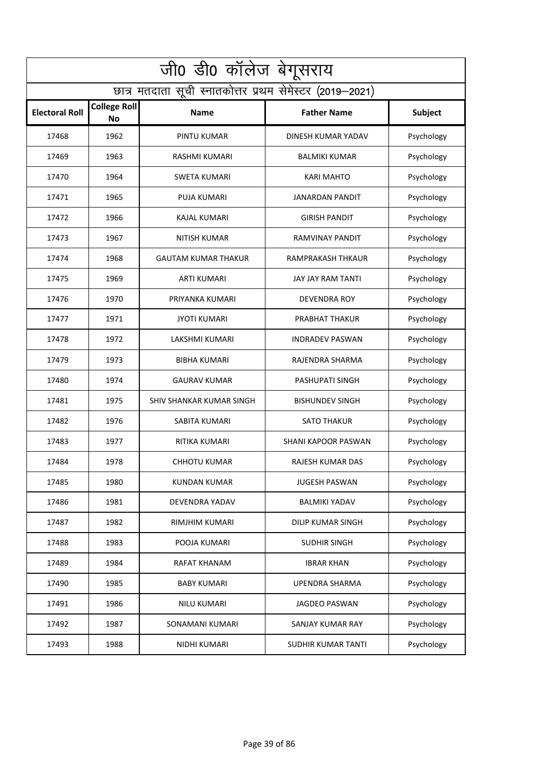| जी0 डी0 कॉलेज बेगूसराय |                                                          |                            |                          |                |  |
|------------------------|----------------------------------------------------------|----------------------------|--------------------------|----------------|--|
|                        | छात्र मतदाता सूची स्नातकोत्तर प्रथम सेमेस्टर (2019–2021) |                            |                          |                |  |
| <b>Electoral Roll</b>  | <b>College Roll</b><br>No                                | <b>Name</b>                | <b>Father Name</b>       | <b>Subject</b> |  |
| 17468                  | 1962                                                     | PINTU KUMAR                | DINESH KUMAR YADAV       | Psychology     |  |
| 17469                  | 1963                                                     | <b>RASHMI KUMARI</b>       | <b>BALMIKI KUMAR</b>     | Psychology     |  |
| 17470                  | 1964                                                     | <b>SWETA KUMARI</b>        | <b>KARI MAHTO</b>        | Psychology     |  |
| 17471                  | 1965                                                     | <b>PUJA KUMARI</b>         | <b>JANARDAN PANDIT</b>   | Psychology     |  |
| 17472                  | 1966                                                     | <b>KAJAL KUMARI</b>        | <b>GIRISH PANDIT</b>     | Psychology     |  |
| 17473                  | 1967                                                     | <b>NITISH KUMAR</b>        | RAMVINAY PANDIT          | Psychology     |  |
| 17474                  | 1968                                                     | <b>GAUTAM KUMAR THAKUR</b> | RAMPRAKASH THKAUR        | Psychology     |  |
| 17475                  | 1969                                                     | ARTI KUMARI                | JAY JAY RAM TANTI        | Psychology     |  |
| 17476                  | 1970                                                     | PRIYANKA KUMARI            | <b>DEVENDRA ROY</b>      | Psychology     |  |
| 17477                  | 1971                                                     | <b>JYOTI KUMARI</b>        | PRABHAT THAKUR           | Psychology     |  |
| 17478                  | 1972                                                     | LAKSHMI KUMARI             | <b>INDRADEV PASWAN</b>   | Psychology     |  |
| 17479                  | 1973                                                     | <b>BIBHA KUMARI</b>        | RAJENDRA SHARMA          | Psychology     |  |
| 17480                  | 1974                                                     | <b>GAURAV KUMAR</b>        | PASHUPATI SINGH          | Psychology     |  |
| 17481                  | 1975                                                     | SHIV SHANKAR KUMAR SINGH   | <b>BISHUNDEV SINGH</b>   | Psychology     |  |
| 17482                  | 1976                                                     | SABITA KUMARI              | <b>SATO THAKUR</b>       | Psychology     |  |
| 17483                  | 1977                                                     | RITIKA KUMARI              | SHANI KAPOOR PASWAN      | Psychology     |  |
| 17484                  | 1978                                                     | <b>CHHOTU KUMAR</b>        | RAJESH KUMAR DAS         | Psychology     |  |
| 17485                  | 1980                                                     | <b>KUNDAN KUMAR</b>        | <b>JUGESH PASWAN</b>     | Psychology     |  |
| 17486                  | 1981                                                     | DEVENDRA YADAV             | <b>BALMIKI YADAV</b>     | Psychology     |  |
| 17487                  | 1982                                                     | RIMJHIM KUMARI             | <b>DILIP KUMAR SINGH</b> | Psychology     |  |
| 17488                  | 1983                                                     | POOJA KUMARI               | <b>SUDHIR SINGH</b>      | Psychology     |  |
| 17489                  | 1984                                                     | <b>RAFAT KHANAM</b>        | <b>IBRAR KHAN</b>        | Psychology     |  |
| 17490                  | 1985                                                     | <b>BABY KUMARI</b>         | UPENDRA SHARMA           | Psychology     |  |
| 17491                  | 1986                                                     | <b>NILU KUMARI</b>         | <b>JAGDEO PASWAN</b>     | Psychology     |  |
| 17492                  | 1987                                                     | SONAMANI KUMARI            | SANJAY KUMAR RAY         | Psychology     |  |
| 17493                  | 1988                                                     | NIDHI KUMARI               | SUDHIR KUMAR TANTI       | Psychology     |  |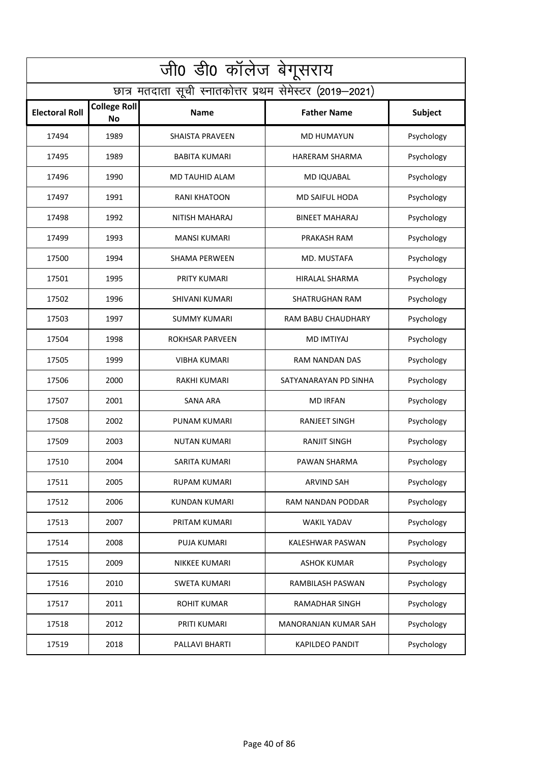| जी0 डी0 कॉलेज बेगूसराय |                                                          |                       |                        |            |  |
|------------------------|----------------------------------------------------------|-----------------------|------------------------|------------|--|
|                        | छात्र मतदाता सूची स्नातकोत्तर प्रथम सेमेस्टर (2019–2021) |                       |                        |            |  |
| <b>Electoral Roll</b>  | <b>College Roll</b><br>No                                | <b>Name</b>           | <b>Father Name</b>     | Subject    |  |
| 17494                  | 1989                                                     | SHAISTA PRAVEEN       | <b>MD HUMAYUN</b>      | Psychology |  |
| 17495                  | 1989                                                     | <b>BABITA KUMARI</b>  | <b>HARERAM SHARMA</b>  | Psychology |  |
| 17496                  | 1990                                                     | MD TAUHID ALAM        | MD IQUABAL             | Psychology |  |
| 17497                  | 1991                                                     | <b>RANI KHATOON</b>   | MD SAIFUL HODA         | Psychology |  |
| 17498                  | 1992                                                     | <b>NITISH MAHARAJ</b> | <b>BINEET MAHARAJ</b>  | Psychology |  |
| 17499                  | 1993                                                     | <b>MANSI KUMARI</b>   | PRAKASH RAM            | Psychology |  |
| 17500                  | 1994                                                     | <b>SHAMA PERWEEN</b>  | MD. MUSTAFA            | Psychology |  |
| 17501                  | 1995                                                     | PRITY KUMARI          | HIRALAL SHARMA         | Psychology |  |
| 17502                  | 1996                                                     | SHIVANI KUMARI        | <b>SHATRUGHAN RAM</b>  | Psychology |  |
| 17503                  | 1997                                                     | <b>SUMMY KUMARI</b>   | RAM BABU CHAUDHARY     | Psychology |  |
| 17504                  | 1998                                                     | ROKHSAR PARVEEN       | MD IMTIYAJ             | Psychology |  |
| 17505                  | 1999                                                     | <b>VIBHA KUMARI</b>   | <b>RAM NANDAN DAS</b>  | Psychology |  |
| 17506                  | 2000                                                     | <b>RAKHI KUMARI</b>   | SATYANARAYAN PD SINHA  | Psychology |  |
| 17507                  | 2001                                                     | <b>SANA ARA</b>       | <b>MD IRFAN</b>        | Psychology |  |
| 17508                  | 2002                                                     | PUNAM KUMARI          | <b>RANJEET SINGH</b>   | Psychology |  |
| 17509                  | 2003                                                     | <b>NUTAN KUMARI</b>   | RANJIT SINGH           | Psychology |  |
| 17510                  | 2004                                                     | SARITA KUMARI         | PAWAN SHARMA           | Psychology |  |
| 17511                  | 2005                                                     | RUPAM KUMARI          | <b>ARVIND SAH</b>      | Psychology |  |
| 17512                  | 2006                                                     | KUNDAN KUMARI         | RAM NANDAN PODDAR      | Psychology |  |
| 17513                  | 2007                                                     | PRITAM KUMARI         | <b>WAKIL YADAV</b>     | Psychology |  |
| 17514                  | 2008                                                     | <b>PUJA KUMARI</b>    | KALESHWAR PASWAN       | Psychology |  |
| 17515                  | 2009                                                     | NIKKEE KUMARI         | <b>ASHOK KUMAR</b>     | Psychology |  |
| 17516                  | 2010                                                     | SWETA KUMARI          | RAMBILASH PASWAN       | Psychology |  |
| 17517                  | 2011                                                     | <b>ROHIT KUMAR</b>    | <b>RAMADHAR SINGH</b>  | Psychology |  |
| 17518                  | 2012                                                     | PRITI KUMARI          | MANORANJAN KUMAR SAH   | Psychology |  |
| 17519                  | 2018                                                     | PALLAVI BHARTI        | <b>KAPILDEO PANDIT</b> | Psychology |  |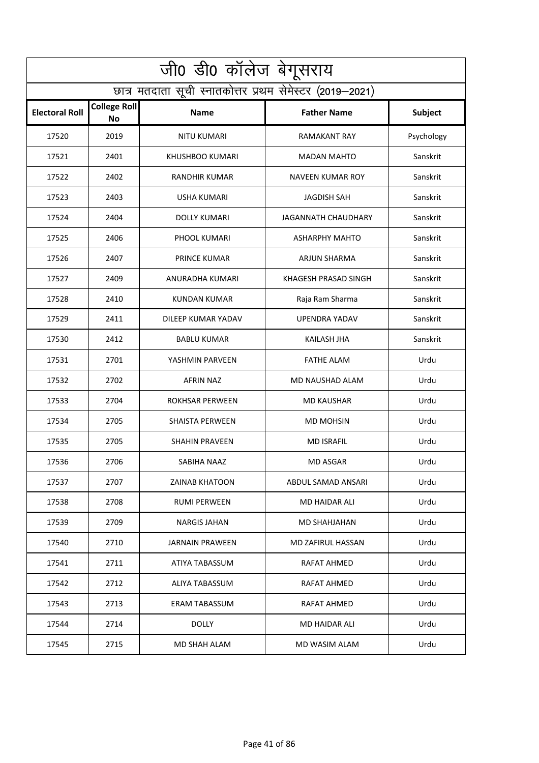| $\overline{\mathrm{u}}$ 0 डी0 कॉलेज बेगूसराय             |                           |                        |                       |                |
|----------------------------------------------------------|---------------------------|------------------------|-----------------------|----------------|
| छात्र मतदाता सूची स्नातकोत्तर प्रथम सेमेस्टर (2019–2021) |                           |                        |                       |                |
| <b>Electoral Roll</b>                                    | <b>College Roll</b><br>No | <b>Name</b>            | <b>Father Name</b>    | <b>Subject</b> |
| 17520                                                    | 2019                      | NITU KUMARI            | <b>RAMAKANT RAY</b>   | Psychology     |
| 17521                                                    | 2401                      | KHUSHBOO KUMARI        | <b>MADAN MAHTO</b>    | Sanskrit       |
| 17522                                                    | 2402                      | RANDHIR KUMAR          | NAVEEN KUMAR ROY      | Sanskrit       |
| 17523                                                    | 2403                      | <b>USHA KUMARI</b>     | <b>JAGDISH SAH</b>    | Sanskrit       |
| 17524                                                    | 2404                      | <b>DOLLY KUMARI</b>    | JAGANNATH CHAUDHARY   | Sanskrit       |
| 17525                                                    | 2406                      | PHOOL KUMARI           | <b>ASHARPHY MAHTO</b> | Sanskrit       |
| 17526                                                    | 2407                      | <b>PRINCE KUMAR</b>    | ARJUN SHARMA          | Sanskrit       |
| 17527                                                    | 2409                      | ANURADHA KUMARI        | KHAGESH PRASAD SINGH  | Sanskrit       |
| 17528                                                    | 2410                      | KUNDAN KUMAR           | Raja Ram Sharma       | Sanskrit       |
| 17529                                                    | 2411                      | DILEEP KUMAR YADAV     | UPENDRA YADAV         | Sanskrit       |
| 17530                                                    | 2412                      | <b>BABLU KUMAR</b>     | KAILASH JHA           | Sanskrit       |
| 17531                                                    | 2701                      | YASHMIN PARVEEN        | <b>FATHE ALAM</b>     | Urdu           |
| 17532                                                    | 2702                      | AFRIN NAZ              | MD NAUSHAD ALAM       | Urdu           |
| 17533                                                    | 2704                      | <b>ROKHSAR PERWEEN</b> | <b>MD KAUSHAR</b>     | Urdu           |
| 17534                                                    | 2705                      | SHAISTA PERWEEN        | <b>MD MOHSIN</b>      | Urdu           |
| 17535                                                    | 2705                      | <b>SHAHIN PRAVEEN</b>  | <b>MD ISRAFIL</b>     | Urdu           |
| 17536                                                    | 2706                      | SABIHA NAAZ            | MD ASGAR              | Urdu           |
| 17537                                                    | 2707                      | <b>ZAINAB KHATOON</b>  | ABDUL SAMAD ANSARI    | Urdu           |
| 17538                                                    | 2708                      | <b>RUMI PERWEEN</b>    | MD HAIDAR ALI         | Urdu           |
| 17539                                                    | 2709                      | NARGIS JAHAN           | MD SHAHJAHAN          | Urdu           |
| 17540                                                    | 2710                      | <b>JARNAIN PRAWEEN</b> | MD ZAFIRUL HASSAN     | Urdu           |
| 17541                                                    | 2711                      | ATIYA TABASSUM         | <b>RAFAT AHMED</b>    | Urdu           |
| 17542                                                    | 2712                      | ALIYA TABASSUM         | RAFAT AHMED           | Urdu           |
| 17543                                                    | 2713                      | <b>ERAM TABASSUM</b>   | <b>RAFAT AHMED</b>    | Urdu           |
| 17544                                                    | 2714                      | <b>DOLLY</b>           | MD HAIDAR ALI         | Urdu           |
| 17545                                                    | 2715                      | MD SHAH ALAM           | MD WASIM ALAM         | Urdu           |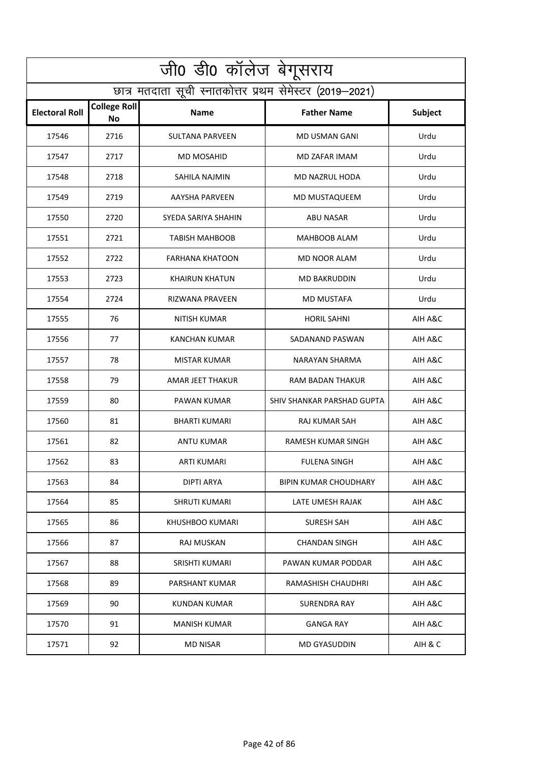| जी0 डी0 कॉलेज बेगूसराय |                                                          |                        |                              |                |  |
|------------------------|----------------------------------------------------------|------------------------|------------------------------|----------------|--|
|                        | छात्र मतदाता सूची स्नातकोत्तर प्रथम सेमेस्टर (2019–2021) |                        |                              |                |  |
| <b>Electoral Roll</b>  | <b>College Roll</b><br>No                                | <b>Name</b>            | <b>Father Name</b>           | <b>Subject</b> |  |
| 17546                  | 2716                                                     | SULTANA PARVEEN        | <b>MD USMAN GANI</b>         | Urdu           |  |
| 17547                  | 2717                                                     | <b>MD MOSAHID</b>      | MD ZAFAR IMAM                | Urdu           |  |
| 17548                  | 2718                                                     | SAHILA NAJMIN          | MD NAZRUL HODA               | Urdu           |  |
| 17549                  | 2719                                                     | <b>AAYSHA PARVEEN</b>  | MD MUSTAQUEEM                | Urdu           |  |
| 17550                  | 2720                                                     | SYEDA SARIYA SHAHIN    | <b>ABU NASAR</b>             | Urdu           |  |
| 17551                  | 2721                                                     | <b>TABISH MAHBOOB</b>  | MAHBOOB ALAM                 | Urdu           |  |
| 17552                  | 2722                                                     | FARHANA KHATOON        | <b>MD NOOR ALAM</b>          | Urdu           |  |
| 17553                  | 2723                                                     | <b>KHAIRUN KHATUN</b>  | <b>MD BAKRUDDIN</b>          | Urdu           |  |
| 17554                  | 2724                                                     | <b>RIZWANA PRAVEEN</b> | MD MUSTAFA                   | Urdu           |  |
| 17555                  | 76                                                       | NITISH KUMAR           | <b>HORIL SAHNI</b>           | AIH A&C        |  |
| 17556                  | 77                                                       | <b>KANCHAN KUMAR</b>   | SADANAND PASWAN              | AIH A&C        |  |
| 17557                  | 78                                                       | <b>MISTAR KUMAR</b>    | <b>NARAYAN SHARMA</b>        | AIH A&C        |  |
| 17558                  | 79                                                       | AMAR JEET THAKUR       | RAM BADAN THAKUR             | AIH A&C        |  |
| 17559                  | 80                                                       | PAWAN KUMAR            | SHIV SHANKAR PARSHAD GUPTA   | AIH A&C        |  |
| 17560                  | 81                                                       | <b>BHARTI KUMARI</b>   | RAJ KUMAR SAH                | AIH A&C        |  |
| 17561                  | 82                                                       | ANTU KUMAR             | <b>RAMESH KUMAR SINGH</b>    | AIH A&C        |  |
| 17562                  | 83                                                       | <b>ARTI KUMARI</b>     | <b>FULENA SINGH</b>          | AIH A&C        |  |
| 17563                  | 84                                                       | DIPTI ARYA             | <b>BIPIN KUMAR CHOUDHARY</b> | AIH A&C        |  |
| 17564                  | 85                                                       | <b>SHRUTI KUMARI</b>   | LATE UMESH RAJAK             | AIH A&C        |  |
| 17565                  | 86                                                       | KHUSHBOO KUMARI        | SURESH SAH                   | AIH A&C        |  |
| 17566                  | 87                                                       | RAJ MUSKAN             | <b>CHANDAN SINGH</b>         | AIH A&C        |  |
| 17567                  | 88                                                       | SRISHTI KUMARI         | PAWAN KUMAR PODDAR           | AIH A&C        |  |
| 17568                  | 89                                                       | PARSHANT KUMAR         | RAMASHISH CHAUDHRI           | AIH A&C        |  |
| 17569                  | 90                                                       | KUNDAN KUMAR           | <b>SURENDRA RAY</b>          | AIH A&C        |  |
| 17570                  | 91                                                       | <b>MANISH KUMAR</b>    | <b>GANGA RAY</b>             | AIH A&C        |  |
| 17571                  | 92                                                       | <b>MD NISAR</b>        | <b>MD GYASUDDIN</b>          | AIH & C        |  |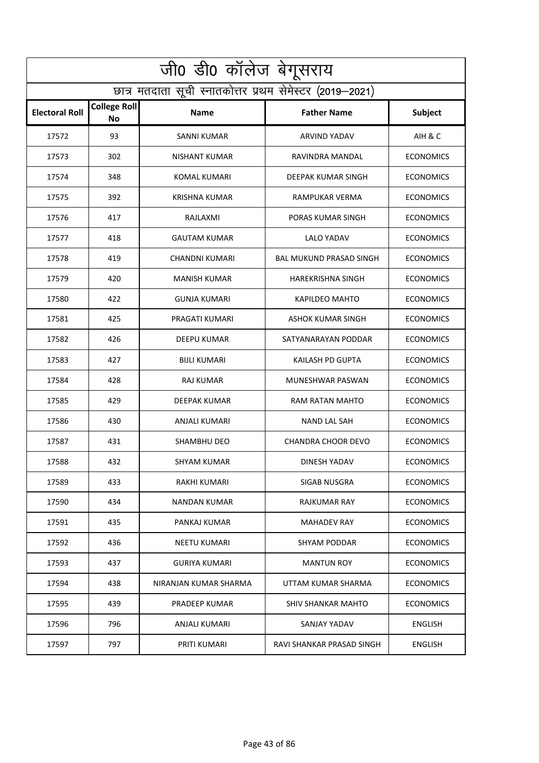|                       | <u>ज</u> ी0 डी0 कॉलेज बेगूसराय                           |                       |                                |                  |  |
|-----------------------|----------------------------------------------------------|-----------------------|--------------------------------|------------------|--|
|                       | छात्र मतदाता सूची स्नातकोत्तर प्रथम सेमेस्टर (2019–2021) |                       |                                |                  |  |
| <b>Electoral Roll</b> | <b>College Roll</b><br><b>No</b>                         | <b>Name</b>           | <b>Father Name</b>             | Subject          |  |
| 17572                 | 93                                                       | SANNI KUMAR           | <b>ARVIND YADAV</b>            | AIH & C          |  |
| 17573                 | 302                                                      | NISHANT KUMAR         | RAVINDRA MANDAL                | <b>ECONOMICS</b> |  |
| 17574                 | 348                                                      | KOMAL KUMARI          | DEEPAK KUMAR SINGH             | <b>ECONOMICS</b> |  |
| 17575                 | 392                                                      | <b>KRISHNA KUMAR</b>  | <b>RAMPUKAR VERMA</b>          | <b>ECONOMICS</b> |  |
| 17576                 | 417                                                      | RAJLAXMI              | PORAS KUMAR SINGH              | <b>ECONOMICS</b> |  |
| 17577                 | 418                                                      | <b>GAUTAM KUMAR</b>   | <b>LALO YADAV</b>              | <b>ECONOMICS</b> |  |
| 17578                 | 419                                                      | <b>CHANDNI KUMARI</b> | <b>BAL MUKUND PRASAD SINGH</b> | <b>ECONOMICS</b> |  |
| 17579                 | 420                                                      | <b>MANISH KUMAR</b>   | <b>HAREKRISHNA SINGH</b>       | <b>ECONOMICS</b> |  |
| 17580                 | 422                                                      | <b>GUNJA KUMARI</b>   | KAPILDEO MAHTO                 | <b>ECONOMICS</b> |  |
| 17581                 | 425                                                      | PRAGATI KUMARI        | ASHOK KUMAR SINGH              | <b>ECONOMICS</b> |  |
| 17582                 | 426                                                      | DEEPU KUMAR           | SATYANARAYAN PODDAR            | <b>ECONOMICS</b> |  |
| 17583                 | 427                                                      | <b>BIJLI KUMARI</b>   | KAILASH PD GUPTA               | <b>ECONOMICS</b> |  |
| 17584                 | 428                                                      | RAJ KUMAR             | MUNESHWAR PASWAN               | <b>ECONOMICS</b> |  |
| 17585                 | 429                                                      | DEEPAK KUMAR          | RAM RATAN MAHTO                | <b>ECONOMICS</b> |  |
| 17586                 | 430                                                      | ANJALI KUMARI         | NAND LAL SAH                   | <b>ECONOMICS</b> |  |
| 17587                 | 431                                                      | <b>SHAMBHU DEO</b>    | <b>CHANDRA CHOOR DEVO</b>      | <b>ECONOMICS</b> |  |
| 17588                 | 432                                                      | <b>SHYAM KUMAR</b>    | DINESH YADAV                   | <b>ECONOMICS</b> |  |
| 17589                 | 433                                                      | RAKHI KUMARI          | SIGAB NUSGRA                   | <b>ECONOMICS</b> |  |
| 17590                 | 434                                                      | NANDAN KUMAR          | RAJKUMAR RAY                   | <b>ECONOMICS</b> |  |
| 17591                 | 435                                                      | PANKAJ KUMAR          | <b>MAHADEV RAY</b>             | <b>ECONOMICS</b> |  |
| 17592                 | 436                                                      | <b>NEETU KUMARI</b>   | SHYAM PODDAR                   | <b>ECONOMICS</b> |  |
| 17593                 | 437                                                      | <b>GURIYA KUMARI</b>  | <b>MANTUN ROY</b>              | <b>ECONOMICS</b> |  |
| 17594                 | 438                                                      | NIRANJAN KUMAR SHARMA | UTTAM KUMAR SHARMA             | <b>ECONOMICS</b> |  |
| 17595                 | 439                                                      | PRADEEP KUMAR         | <b>SHIV SHANKAR MAHTO</b>      | <b>ECONOMICS</b> |  |
| 17596                 | 796                                                      | ANJALI KUMARI         | SANJAY YADAV                   | <b>ENGLISH</b>   |  |
| 17597                 | 797                                                      | PRITI KUMARI          | RAVI SHANKAR PRASAD SINGH      | <b>ENGLISH</b>   |  |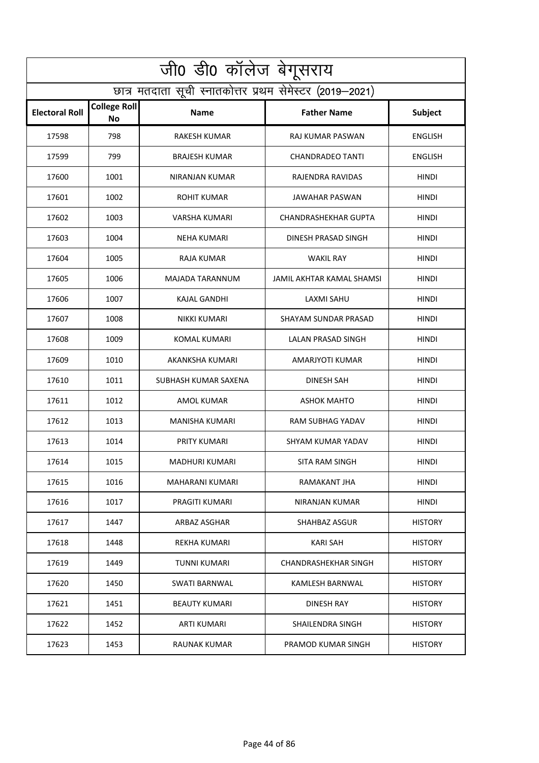| जी0 डी0 कॉलेज बेगूसराय |                           |                                                          |                             |                |
|------------------------|---------------------------|----------------------------------------------------------|-----------------------------|----------------|
|                        |                           | छात्र मतदाता सूची स्नातकोत्तर प्रथम सेमेस्टर (2019–2021) |                             |                |
| <b>Electoral Roll</b>  | <b>College Roll</b><br>No | <b>Name</b>                                              | <b>Father Name</b>          | <b>Subject</b> |
| 17598                  | 798                       | RAKESH KUMAR                                             | RAJ KUMAR PASWAN            | ENGLISH        |
| 17599                  | 799                       | <b>BRAJESH KUMAR</b>                                     | <b>CHANDRADEO TANTI</b>     | <b>ENGLISH</b> |
| 17600                  | 1001                      | NIRANJAN KUMAR                                           | RAJENDRA RAVIDAS            | HINDI          |
| 17601                  | 1002                      | ROHIT KUMAR                                              | JAWAHAR PASWAN              | HINDI          |
| 17602                  | 1003                      | <b>VARSHA KUMARI</b>                                     | <b>CHANDRASHEKHAR GUPTA</b> | <b>HINDI</b>   |
| 17603                  | 1004                      | <b>NEHA KUMARI</b>                                       | DINESH PRASAD SINGH         | HINDI          |
| 17604                  | 1005                      | <b>RAJA KUMAR</b>                                        | <b>WAKIL RAY</b>            | <b>HINDI</b>   |
| 17605                  | 1006                      | MAJADA TARANNUM                                          | JAMIL AKHTAR KAMAL SHAMSI   | HINDI          |
| 17606                  | 1007                      | KAJAL GANDHI                                             | LAXMI SAHU                  | HINDI          |
| 17607                  | 1008                      | NIKKI KUMARI                                             | SHAYAM SUNDAR PRASAD        | HINDI          |
| 17608                  | 1009                      | KOMAL KUMARI                                             | LALAN PRASAD SINGH          | HINDI          |
| 17609                  | 1010                      | AKANKSHA KUMARI                                          | AMARJYOTI KUMAR             | <b>HINDI</b>   |
| 17610                  | 1011                      | SUBHASH KUMAR SAXENA                                     | <b>DINESH SAH</b>           | <b>HINDI</b>   |
| 17611                  | 1012                      | AMOL KUMAR                                               | <b>ASHOK MAHTO</b>          | HINDI          |
| 17612                  | 1013                      | MANISHA KUMARI                                           | RAM SUBHAG YADAV            | HINDI          |
| 17613                  | 1014                      | PRITY KUMARI                                             | SHYAM KUMAR YADAV           | HINDI          |
| 17614                  | 1015                      | MADHURI KUMARI                                           | SITA RAM SINGH              | <b>HINDI</b>   |
| 17615                  | 1016                      | MAHARANI KUMARI                                          | RAMAKANT JHA                | <b>HINDI</b>   |
| 17616                  | 1017                      | PRAGITI KUMARI                                           | NIRANJAN KUMAR              | HINDI          |
| 17617                  | 1447                      | ARBAZ ASGHAR                                             | SHAHBAZ ASGUR               | <b>HISTORY</b> |
| 17618                  | 1448                      | <b>REKHA KUMARI</b>                                      | KARI SAH                    | <b>HISTORY</b> |
| 17619                  | 1449                      | TUNNI KUMARI                                             | <b>CHANDRASHEKHAR SINGH</b> | <b>HISTORY</b> |
| 17620                  | 1450                      | SWATI BARNWAL                                            | KAMLESH BARNWAL             | <b>HISTORY</b> |
| 17621                  | 1451                      | <b>BEAUTY KUMARI</b>                                     | DINESH RAY                  | <b>HISTORY</b> |
| 17622                  | 1452                      | ARTI KUMARI                                              | SHAILENDRA SINGH            | <b>HISTORY</b> |
| 17623                  | 1453                      | RAUNAK KUMAR                                             | PRAMOD KUMAR SINGH          | <b>HISTORY</b> |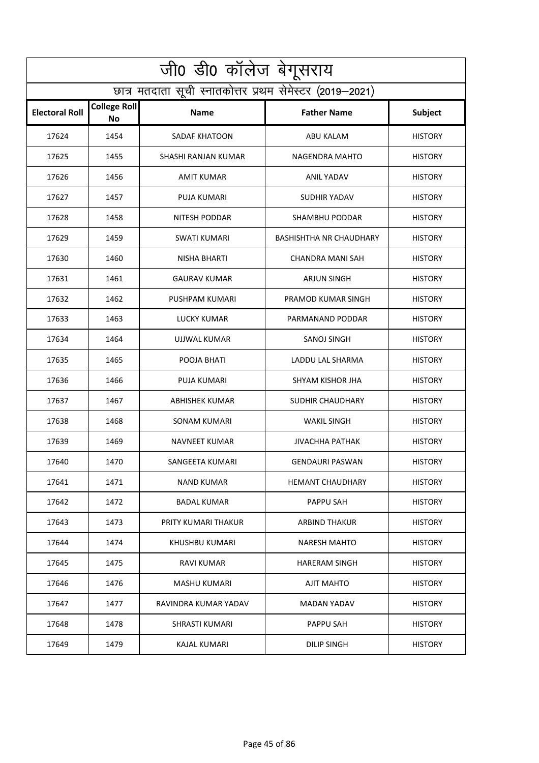| जी0 डी0 कॉलेज बेगूसराय |                                  |                                                          |                                |                |
|------------------------|----------------------------------|----------------------------------------------------------|--------------------------------|----------------|
|                        |                                  | छात्र मतदाता सूची स्नातकोत्तर प्रथम सेमेस्टर (2019–2021) |                                |                |
| <b>Electoral Roll</b>  | <b>College Roll</b><br><b>No</b> | <b>Name</b>                                              | <b>Father Name</b>             | <b>Subject</b> |
| 17624                  | 1454                             | SADAF KHATOON                                            | ABU KALAM                      | <b>HISTORY</b> |
| 17625                  | 1455                             | SHASHI RANJAN KUMAR                                      | NAGENDRA MAHTO                 | <b>HISTORY</b> |
| 17626                  | 1456                             | <b>AMIT KUMAR</b>                                        | ANIL YADAV                     | <b>HISTORY</b> |
| 17627                  | 1457                             | PUJA KUMARI                                              | SUDHIR YADAV                   | <b>HISTORY</b> |
| 17628                  | 1458                             | <b>NITESH PODDAR</b>                                     | <b>SHAMBHU PODDAR</b>          | <b>HISTORY</b> |
| 17629                  | 1459                             | SWATI KUMARI                                             | <b>BASHISHTHA NR CHAUDHARY</b> | <b>HISTORY</b> |
| 17630                  | 1460                             | <b>NISHA BHARTI</b>                                      | <b>CHANDRA MANI SAH</b>        | <b>HISTORY</b> |
| 17631                  | 1461                             | <b>GAURAV KUMAR</b>                                      | <b>ARJUN SINGH</b>             | <b>HISTORY</b> |
| 17632                  | 1462                             | PUSHPAM KUMARI                                           | PRAMOD KUMAR SINGH             | <b>HISTORY</b> |
| 17633                  | 1463                             | LUCKY KUMAR                                              | PARMANAND PODDAR               | <b>HISTORY</b> |
| 17634                  | 1464                             | UJJWAL KUMAR                                             | SANOJ SINGH                    | <b>HISTORY</b> |
| 17635                  | 1465                             | POOJA BHATI                                              | LADDU LAL SHARMA               | <b>HISTORY</b> |
| 17636                  | 1466                             | PUJA KUMARI                                              | <b>SHYAM KISHOR JHA</b>        | <b>HISTORY</b> |
| 17637                  | 1467                             | <b>ABHISHEK KUMAR</b>                                    | <b>SUDHIR CHAUDHARY</b>        | <b>HISTORY</b> |
| 17638                  | 1468                             | <b>SONAM KUMARI</b>                                      | <b>WAKIL SINGH</b>             | <b>HISTORY</b> |
| 17639                  | 1469                             | <b>NAVNEET KUMAR</b>                                     | <b>JIVACHHA PATHAK</b>         | <b>HISTORY</b> |
| 17640                  | 1470                             | SANGEETA KUMARI                                          | <b>GENDAURI PASWAN</b>         | <b>HISTORY</b> |
| 17641                  | 1471                             | <b>NAND KUMAR</b>                                        | <b>HEMANT CHAUDHARY</b>        | <b>HISTORY</b> |
| 17642                  | 1472                             | <b>BADAL KUMAR</b>                                       | PAPPU SAH                      | <b>HISTORY</b> |
| 17643                  | 1473                             | PRITY KUMARI THAKUR                                      | <b>ARBIND THAKUR</b>           | <b>HISTORY</b> |
| 17644                  | 1474                             | KHUSHBU KUMARI                                           | <b>NARESH MAHTO</b>            | <b>HISTORY</b> |
| 17645                  | 1475                             | RAVI KUMAR                                               | <b>HARERAM SINGH</b>           | <b>HISTORY</b> |
| 17646                  | 1476                             | <b>MASHU KUMARI</b>                                      | AJIT MAHTO                     | <b>HISTORY</b> |
| 17647                  | 1477                             | RAVINDRA KUMAR YADAV                                     | <b>MADAN YADAV</b>             | <b>HISTORY</b> |
| 17648                  | 1478                             | SHRASTI KUMARI                                           | PAPPU SAH                      | <b>HISTORY</b> |
| 17649                  | 1479                             | KAJAL KUMARI                                             | DILIP SINGH                    | <b>HISTORY</b> |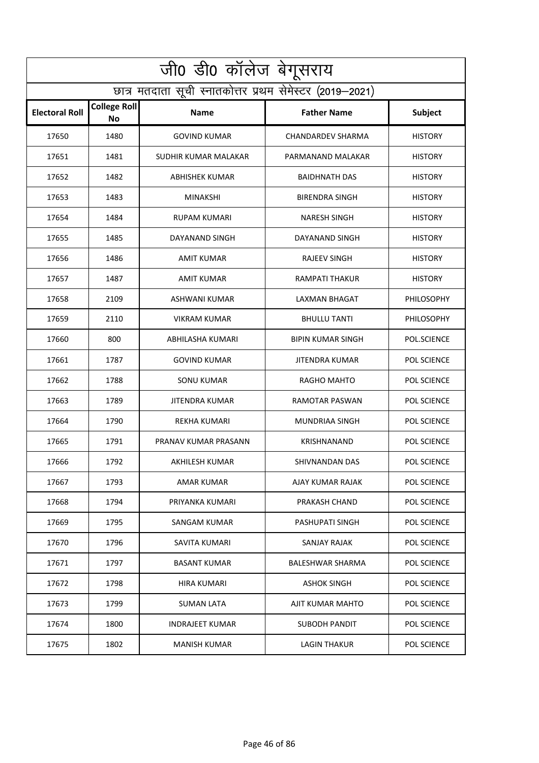|                       | जी0 डी0 कॉलेज बेगूसराय                                   |                        |                          |                    |  |
|-----------------------|----------------------------------------------------------|------------------------|--------------------------|--------------------|--|
|                       | छात्र मतदाता सूची स्नातकोत्तर प्रथम सेमेस्टर (2019–2021) |                        |                          |                    |  |
| <b>Electoral Roll</b> | <b>College Roll</b><br><b>No</b>                         | <b>Name</b>            | <b>Father Name</b>       | Subject            |  |
| 17650                 | 1480                                                     | <b>GOVIND KUMAR</b>    | <b>CHANDARDEV SHARMA</b> | <b>HISTORY</b>     |  |
| 17651                 | 1481                                                     | SUDHIR KUMAR MALAKAR   | PARMANAND MALAKAR        | <b>HISTORY</b>     |  |
| 17652                 | 1482                                                     | <b>ABHISHEK KUMAR</b>  | <b>BAIDHNATH DAS</b>     | <b>HISTORY</b>     |  |
| 17653                 | 1483                                                     | MINAKSHI               | <b>BIRENDRA SINGH</b>    | <b>HISTORY</b>     |  |
| 17654                 | 1484                                                     | RUPAM KUMARI           | <b>NARESH SINGH</b>      | <b>HISTORY</b>     |  |
| 17655                 | 1485                                                     | DAYANAND SINGH         | DAYANAND SINGH           | <b>HISTORY</b>     |  |
| 17656                 | 1486                                                     | AMIT KUMAR             | <b>RAJEEV SINGH</b>      | <b>HISTORY</b>     |  |
| 17657                 | 1487                                                     | AMIT KUMAR             | RAMPATI THAKUR           | <b>HISTORY</b>     |  |
| 17658                 | 2109                                                     | ASHWANI KUMAR          | LAXMAN BHAGAT            | PHILOSOPHY         |  |
| 17659                 | 2110                                                     | <b>VIKRAM KUMAR</b>    | <b>BHULLU TANTI</b>      | <b>PHILOSOPHY</b>  |  |
| 17660                 | 800                                                      | ABHILASHA KUMARI       | <b>BIPIN KUMAR SINGH</b> | POL.SCIENCE        |  |
| 17661                 | 1787                                                     | <b>GOVIND KUMAR</b>    | JITENDRA KUMAR           | POL SCIENCE        |  |
| 17662                 | 1788                                                     | <b>SONU KUMAR</b>      | RAGHO MAHTO              | <b>POL SCIENCE</b> |  |
| 17663                 | 1789                                                     | JITENDRA KUMAR         | RAMOTAR PASWAN           | POL SCIENCE        |  |
| 17664                 | 1790                                                     | <b>REKHA KUMARI</b>    | <b>MUNDRIAA SINGH</b>    | POL SCIENCE        |  |
| 17665                 | 1791                                                     | PRANAV KUMAR PRASANN   | KRISHNANAND              | POL SCIENCE        |  |
| 17666                 | 1792                                                     | AKHILESH KUMAR         | SHIVNANDAN DAS           | POL SCIENCE        |  |
| 17667                 | 1793                                                     | <b>AMAR KUMAR</b>      | AJAY KUMAR RAJAK         | POL SCIENCE        |  |
| 17668                 | 1794                                                     | PRIYANKA KUMARI        | PRAKASH CHAND            | POL SCIENCE        |  |
| 17669                 | 1795                                                     | SANGAM KUMAR           | PASHUPATI SINGH          | POL SCIENCE        |  |
| 17670                 | 1796                                                     | SAVITA KUMARI          | SANJAY RAJAK             | <b>POL SCIENCE</b> |  |
| 17671                 | 1797                                                     | <b>BASANT KUMAR</b>    | <b>BALESHWAR SHARMA</b>  | POL SCIENCE        |  |
| 17672                 | 1798                                                     | HIRA KUMARI            | <b>ASHOK SINGH</b>       | POL SCIENCE        |  |
| 17673                 | 1799                                                     | SUMAN LATA             | AJIT KUMAR MAHTO         | POL SCIENCE        |  |
| 17674                 | 1800                                                     | <b>INDRAJEET KUMAR</b> | SUBODH PANDIT            | POL SCIENCE        |  |
| 17675                 | 1802                                                     | <b>MANISH KUMAR</b>    | <b>LAGIN THAKUR</b>      | POL SCIENCE        |  |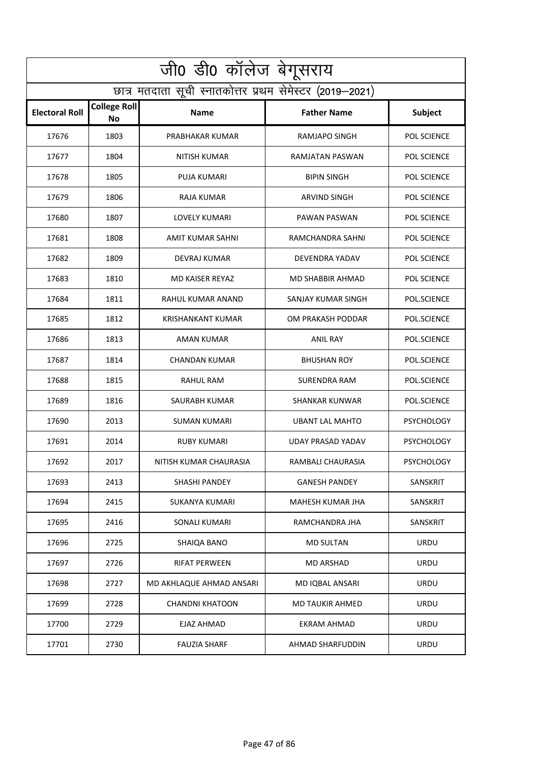|                       | जी0 डी0 कॉलेज बेगूसराय                                   |                          |                         |                    |  |
|-----------------------|----------------------------------------------------------|--------------------------|-------------------------|--------------------|--|
|                       | छात्र मतदाता सूची स्नातकोत्तर प्रथम सेमेस्टर (2019–2021) |                          |                         |                    |  |
| <b>Electoral Roll</b> | <b>College Roll</b><br><b>No</b>                         | <b>Name</b>              | <b>Father Name</b>      | Subject            |  |
| 17676                 | 1803                                                     | PRABHAKAR KUMAR          | RAMJAPO SINGH           | POL SCIENCE        |  |
| 17677                 | 1804                                                     | NITISH KUMAR             | RAMJATAN PASWAN         | POL SCIENCE        |  |
| 17678                 | 1805                                                     | PUJA KUMARI              | <b>BIPIN SINGH</b>      | <b>POL SCIENCE</b> |  |
| 17679                 | 1806                                                     | <b>RAJA KUMAR</b>        | <b>ARVIND SINGH</b>     | POL SCIENCE        |  |
| 17680                 | 1807                                                     | LOVELY KUMARI            | PAWAN PASWAN            | POL SCIENCE        |  |
| 17681                 | 1808                                                     | AMIT KUMAR SAHNI         | RAMCHANDRA SAHNI        | POL SCIENCE        |  |
| 17682                 | 1809                                                     | DEVRAJ KUMAR             | DEVENDRA YADAV          | <b>POL SCIENCE</b> |  |
| 17683                 | 1810                                                     | MD KAISER REYAZ          | <b>MD SHABBIR AHMAD</b> | POL SCIENCE        |  |
| 17684                 | 1811                                                     | RAHUL KUMAR ANAND        | SANJAY KUMAR SINGH      | POL.SCIENCE        |  |
| 17685                 | 1812                                                     | <b>KRISHANKANT KUMAR</b> | OM PRAKASH PODDAR       | POL.SCIENCE        |  |
| 17686                 | 1813                                                     | AMAN KUMAR               | <b>ANIL RAY</b>         | POL.SCIENCE        |  |
| 17687                 | 1814                                                     | <b>CHANDAN KUMAR</b>     | <b>BHUSHAN ROY</b>      | POL.SCIENCE        |  |
| 17688                 | 1815                                                     | RAHUL RAM                | SURENDRA RAM            | POL.SCIENCE        |  |
| 17689                 | 1816                                                     | SAURABH KUMAR            | SHANKAR KUNWAR          | POL.SCIENCE        |  |
| 17690                 | 2013                                                     | <b>SUMAN KUMARI</b>      | <b>UBANT LAL MAHTO</b>  | <b>PSYCHOLOGY</b>  |  |
| 17691                 | 2014                                                     | <b>RUBY KUMARI</b>       | UDAY PRASAD YADAV       | <b>PSYCHOLOGY</b>  |  |
| 17692                 | 2017                                                     | NITISH KUMAR CHAURASIA   | RAMBALI CHAURASIA       | PSYCHOLOGY         |  |
| 17693                 | 2413                                                     | SHASHI PANDEY            | <b>GANESH PANDEY</b>    | SANSKRIT           |  |
| 17694                 | 2415                                                     | SUKANYA KUMARI           | MAHESH KUMAR JHA        | SANSKRIT           |  |
| 17695                 | 2416                                                     | SONALI KUMARI            | RAMCHANDRA JHA          | SANSKRIT           |  |
| 17696                 | 2725                                                     | SHAIQA BANO              | <b>MD SULTAN</b>        | <b>URDU</b>        |  |
| 17697                 | 2726                                                     | <b>RIFAT PERWEEN</b>     | <b>MD ARSHAD</b>        | <b>URDU</b>        |  |
| 17698                 | 2727                                                     | MD AKHLAQUE AHMAD ANSARI | MD IQBAL ANSARI         | <b>URDU</b>        |  |
| 17699                 | 2728                                                     | <b>CHANDNI KHATOON</b>   | <b>MD TAUKIR AHMED</b>  | <b>URDU</b>        |  |
| 17700                 | 2729                                                     | EJAZ AHMAD               | <b>EKRAM AHMAD</b>      | <b>URDU</b>        |  |
| 17701                 | 2730                                                     | <b>FAUZIA SHARF</b>      | AHMAD SHARFUDDIN        | URDU               |  |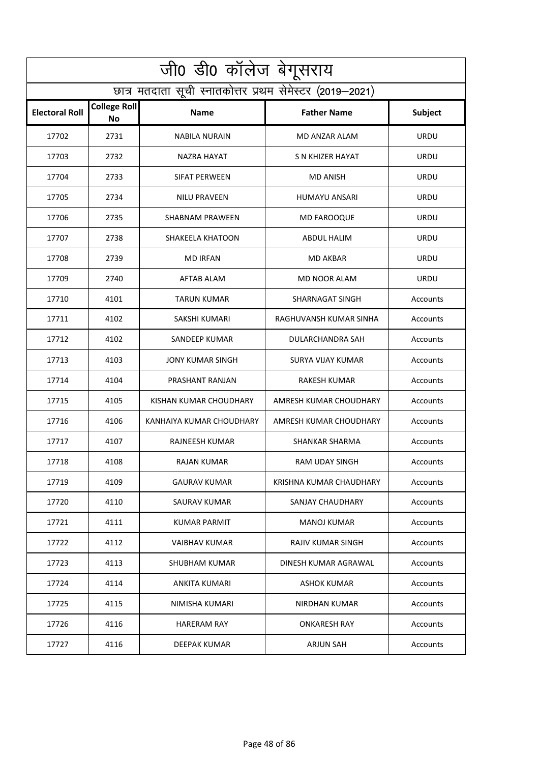|                       | जी0 डी0 कॉलेज बेगूसराय    |                                                          |                          |                 |
|-----------------------|---------------------------|----------------------------------------------------------|--------------------------|-----------------|
|                       |                           | छात्र मतदाता सूची स्नातकोत्तर प्रथम सेमेस्टर (2019-2021) |                          |                 |
| <b>Electoral Roll</b> | <b>College Roll</b><br>No | <b>Name</b>                                              | <b>Father Name</b>       | <b>Subject</b>  |
| 17702                 | 2731                      | <b>NABILA NURAIN</b>                                     | MD ANZAR ALAM            | <b>URDU</b>     |
| 17703                 | 2732                      | NAZRA HAYAT                                              | S N KHIZER HAYAT         | <b>URDU</b>     |
| 17704                 | 2733                      | <b>SIFAT PERWEEN</b>                                     | <b>MD ANISH</b>          | <b>URDU</b>     |
| 17705                 | 2734                      | <b>NILU PRAVEEN</b>                                      | HUMAYU ANSARI            | <b>URDU</b>     |
| 17706                 | 2735                      | SHABNAM PRAWEEN                                          | <b>MD FAROOQUE</b>       | <b>URDU</b>     |
| 17707                 | 2738                      | SHAKEELA KHATOON                                         | ABDUL HALIM              | <b>URDU</b>     |
| 17708                 | 2739                      | <b>MD IRFAN</b>                                          | <b>MD AKBAR</b>          | <b>URDU</b>     |
| 17709                 | 2740                      | AFTAB ALAM                                               | MD NOOR ALAM             | URDU            |
| 17710                 | 4101                      | <b>TARUN KUMAR</b>                                       | SHARNAGAT SINGH          | Accounts        |
| 17711                 | 4102                      | SAKSHI KUMARI                                            | RAGHUVANSH KUMAR SINHA   | Accounts        |
| 17712                 | 4102                      | SANDEEP KUMAR                                            | DULARCHANDRA SAH         | Accounts        |
| 17713                 | 4103                      | JONY KUMAR SINGH                                         | <b>SURYA VIJAY KUMAR</b> | Accounts        |
| 17714                 | 4104                      | PRASHANT RANJAN                                          | RAKESH KUMAR             | Accounts        |
| 17715                 | 4105                      | KISHAN KUMAR CHOUDHARY                                   | AMRESH KUMAR CHOUDHARY   | Accounts        |
| 17716                 | 4106                      | KANHAIYA KUMAR CHOUDHARY                                 | AMRESH KUMAR CHOUDHARY   | Accounts        |
| 17717                 | 4107                      | RAJNEESH KUMAR                                           | SHANKAR SHARMA           | Accounts        |
| 17718                 | 4108                      | <b>RAJAN KUMAR</b>                                       | RAM UDAY SINGH           | Accounts        |
| 17719                 | 4109                      | <b>GAURAV KUMAR</b>                                      | KRISHNA KUMAR CHAUDHARY  | Accounts        |
| 17720                 | 4110                      | SAURAV KUMAR                                             | SANJAY CHAUDHARY         | Accounts        |
| 17721                 | 4111                      | <b>KUMAR PARMIT</b>                                      | <b>MANOJ KUMAR</b>       | Accounts        |
| 17722                 | 4112                      | <b>VAIBHAV KUMAR</b>                                     | RAJIV KUMAR SINGH        | Accounts        |
| 17723                 | 4113                      | <b>SHUBHAM KUMAR</b>                                     | DINESH KUMAR AGRAWAL     | <b>Accounts</b> |
| 17724                 | 4114                      | ANKITA KUMARI                                            | <b>ASHOK KUMAR</b>       | Accounts        |
| 17725                 | 4115                      | NIMISHA KUMARI                                           | NIRDHAN KUMAR            | Accounts        |
| 17726                 | 4116                      | <b>HARERAM RAY</b>                                       | <b>ONKARESH RAY</b>      | Accounts        |
| 17727                 | 4116                      | DEEPAK KUMAR                                             | <b>ARJUN SAH</b>         | Accounts        |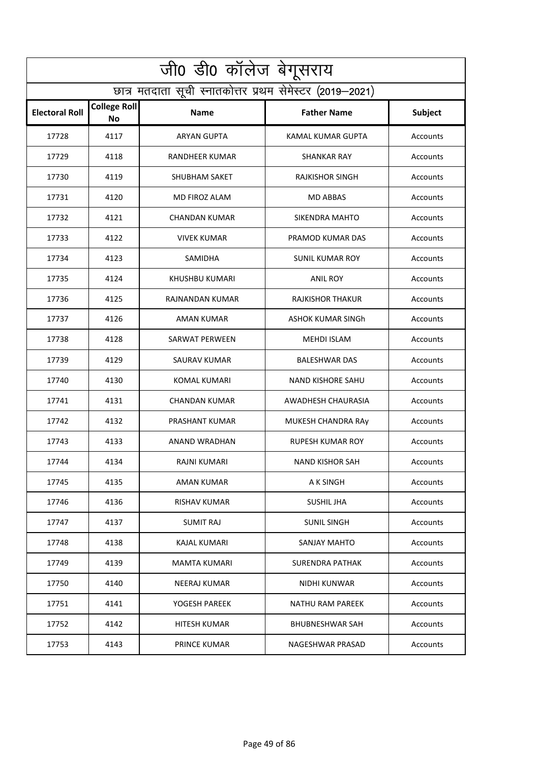| जी0 डी0 कॉलेज बेगूसराय |                                                          |                      |                         |          |  |
|------------------------|----------------------------------------------------------|----------------------|-------------------------|----------|--|
|                        | छात्र मतदाता सूची स्नातकोत्तर प्रथम सेमेस्टर (2019–2021) |                      |                         |          |  |
| <b>Electoral Roll</b>  | <b>College Roll</b><br>No                                | <b>Name</b>          | <b>Father Name</b>      | Subject  |  |
| 17728                  | 4117                                                     | ARYAN GUPTA          | KAMAL KUMAR GUPTA       | Accounts |  |
| 17729                  | 4118                                                     | RANDHEER KUMAR       | <b>SHANKAR RAY</b>      | Accounts |  |
| 17730                  | 4119                                                     | <b>SHUBHAM SAKET</b> | <b>RAJKISHOR SINGH</b>  | Accounts |  |
| 17731                  | 4120                                                     | MD FIROZ ALAM        | <b>MD ABBAS</b>         | Accounts |  |
| 17732                  | 4121                                                     | <b>CHANDAN KUMAR</b> | SIKENDRA MAHTO          | Accounts |  |
| 17733                  | 4122                                                     | <b>VIVEK KUMAR</b>   | PRAMOD KUMAR DAS        | Accounts |  |
| 17734                  | 4123                                                     | SAMIDHA              | <b>SUNIL KUMAR ROY</b>  | Accounts |  |
| 17735                  | 4124                                                     | KHUSHBU KUMARI       | <b>ANIL ROY</b>         | Accounts |  |
| 17736                  | 4125                                                     | RAJNANDAN KUMAR      | <b>RAJKISHOR THAKUR</b> | Accounts |  |
| 17737                  | 4126                                                     | AMAN KUMAR           | ASHOK KUMAR SINGh       | Accounts |  |
| 17738                  | 4128                                                     | SARWAT PERWEEN       | <b>MEHDI ISLAM</b>      | Accounts |  |
| 17739                  | 4129                                                     | <b>SAURAV KUMAR</b>  | <b>BALESHWAR DAS</b>    | Accounts |  |
| 17740                  | 4130                                                     | <b>KOMAL KUMARI</b>  | NAND KISHORE SAHU       | Accounts |  |
| 17741                  | 4131                                                     | <b>CHANDAN KUMAR</b> | AWADHESH CHAURASIA      | Accounts |  |
| 17742                  | 4132                                                     | PRASHANT KUMAR       | MUKESH CHANDRA RAY      | Accounts |  |
| 17743                  | 4133                                                     | ANAND WRADHAN        | <b>RUPESH KUMAR ROY</b> | Accounts |  |
| 17744                  | 4134                                                     | RAJNI KUMARI         | <b>NAND KISHOR SAH</b>  | Accounts |  |
| 17745                  | 4135                                                     | <b>AMAN KUMAR</b>    | A K SINGH               | Accounts |  |
| 17746                  | 4136                                                     | <b>RISHAV KUMAR</b>  | SUSHIL JHA              | Accounts |  |
| 17747                  | 4137                                                     | <b>SUMIT RAJ</b>     | <b>SUNIL SINGH</b>      | Accounts |  |
| 17748                  | 4138                                                     | <b>KAJAL KUMARI</b>  | SANJAY MAHTO            | Accounts |  |
| 17749                  | 4139                                                     | MAMTA KUMARI         | SURENDRA PATHAK         | Accounts |  |
| 17750                  | 4140                                                     | NEERAJ KUMAR         | NIDHI KUNWAR            | Accounts |  |
| 17751                  | 4141                                                     | YOGESH PAREEK        | NATHU RAM PAREEK        | Accounts |  |
| 17752                  | 4142                                                     | HITESH KUMAR         | BHUBNESHWAR SAH         | Accounts |  |
| 17753                  | 4143                                                     | <b>PRINCE KUMAR</b>  | NAGESHWAR PRASAD        | Accounts |  |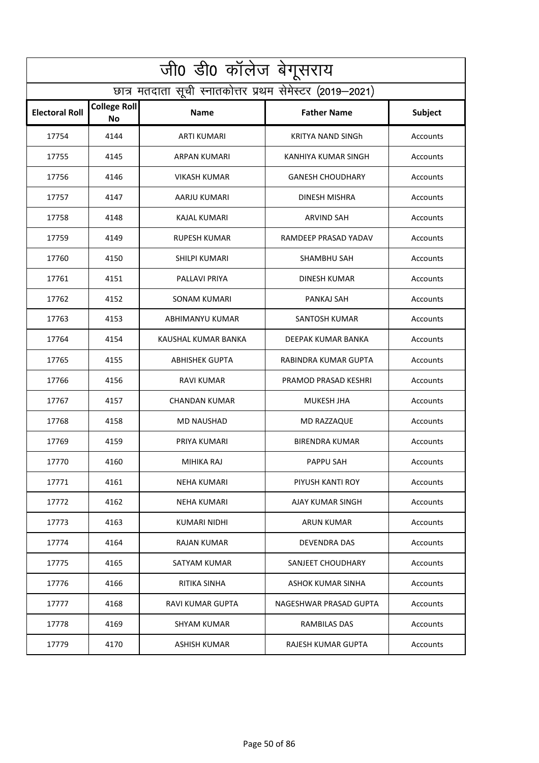|                       | जी0 डी0 कॉलेज बेगूसराय    |                                                          |                         |                |
|-----------------------|---------------------------|----------------------------------------------------------|-------------------------|----------------|
|                       |                           | छात्र मतदाता सूची स्नातकोत्तर प्रथम सेमेस्टर (2019-2021) |                         |                |
| <b>Electoral Roll</b> | <b>College Roll</b><br>No | <b>Name</b>                                              | <b>Father Name</b>      | <b>Subject</b> |
| 17754                 | 4144                      | ARTI KUMARI                                              | KRITYA NAND SINGh       | Accounts       |
| 17755                 | 4145                      | ARPAN KUMARI                                             | KANHIYA KUMAR SINGH     | Accounts       |
| 17756                 | 4146                      | <b>VIKASH KUMAR</b>                                      | <b>GANESH CHOUDHARY</b> | Accounts       |
| 17757                 | 4147                      | AARJU KUMARI                                             | <b>DINESH MISHRA</b>    | Accounts       |
| 17758                 | 4148                      | KAJAL KUMARI                                             | <b>ARVIND SAH</b>       | Accounts       |
| 17759                 | 4149                      | <b>RUPESH KUMAR</b>                                      | RAMDEEP PRASAD YADAV    | Accounts       |
| 17760                 | 4150                      | SHILPI KUMARI                                            | SHAMBHU SAH             | Accounts       |
| 17761                 | 4151                      | PALLAVI PRIYA                                            | DINESH KUMAR            | Accounts       |
| 17762                 | 4152                      | <b>SONAM KUMARI</b>                                      | PANKAJ SAH              | Accounts       |
| 17763                 | 4153                      | ABHIMANYU KUMAR                                          | SANTOSH KUMAR           | Accounts       |
| 17764                 | 4154                      | KAUSHAL KUMAR BANKA                                      | DEEPAK KUMAR BANKA      | Accounts       |
| 17765                 | 4155                      | <b>ABHISHEK GUPTA</b>                                    | RABINDRA KUMAR GUPTA    | Accounts       |
| 17766                 | 4156                      | RAVI KUMAR                                               | PRAMOD PRASAD KESHRI    | Accounts       |
| 17767                 | 4157                      | CHANDAN KUMAR                                            | <b>MUKESH JHA</b>       | Accounts       |
| 17768                 | 4158                      | <b>MD NAUSHAD</b>                                        | MD RAZZAQUE             | Accounts       |
| 17769                 | 4159                      | PRIYA KUMARI                                             | <b>BIRENDRA KUMAR</b>   | Accounts       |
| 17770                 | 4160                      | MIHIKA RAJ                                               | PAPPU SAH               | Accounts       |
| 17771                 | 4161                      | NEHA KUMARI                                              | PIYUSH KANTI ROY        | Accounts       |
| 17772                 | 4162                      | <b>NEHA KUMARI</b>                                       | AJAY KUMAR SINGH        | Accounts       |
| 17773                 | 4163                      | <b>KUMARI NIDHI</b>                                      | ARUN KUMAR              | Accounts       |
| 17774                 | 4164                      | <b>RAJAN KUMAR</b>                                       | DEVENDRA DAS            | Accounts       |
| 17775                 | 4165                      | SATYAM KUMAR                                             | SANJEET CHOUDHARY       | Accounts       |
| 17776                 | 4166                      | RITIKA SINHA                                             | ASHOK KUMAR SINHA       | Accounts       |
| 17777                 | 4168                      | RAVI KUMAR GUPTA                                         | NAGESHWAR PRASAD GUPTA  | Accounts       |
| 17778                 | 4169                      | <b>SHYAM KUMAR</b>                                       | RAMBILAS DAS            | Accounts       |
| 17779                 | 4170                      | <b>ASHISH KUMAR</b>                                      | RAJESH KUMAR GUPTA      | Accounts       |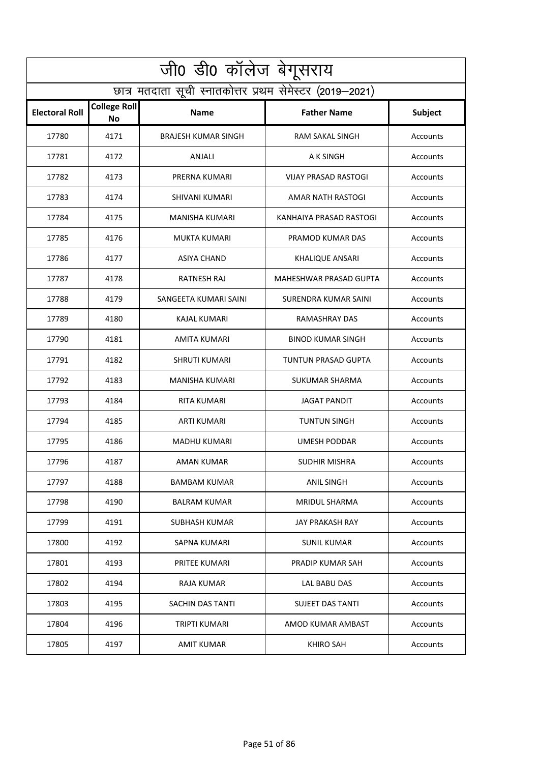| जी0 डी0 कॉलेज बेगूसराय |                                  |                                                          |                             |          |
|------------------------|----------------------------------|----------------------------------------------------------|-----------------------------|----------|
|                        |                                  | छात्र मतदाता सूची स्नातकोत्तर प्रथम सेमेस्टर (2019–2021) |                             |          |
| <b>Electoral Roll</b>  | <b>College Roll</b><br><b>No</b> | <b>Name</b>                                              | <b>Father Name</b>          | Subject  |
| 17780                  | 4171                             | <b>BRAJESH KUMAR SINGH</b>                               | RAM SAKAL SINGH             | Accounts |
| 17781                  | 4172                             | ANJALI                                                   | A K SINGH                   | Accounts |
| 17782                  | 4173                             | <b>PRERNA KUMARI</b>                                     | <b>VIJAY PRASAD RASTOGI</b> | Accounts |
| 17783                  | 4174                             | SHIVANI KUMARI                                           | <b>AMAR NATH RASTOGI</b>    | Accounts |
| 17784                  | 4175                             | MANISHA KUMARI                                           | KANHAIYA PRASAD RASTOGI     | Accounts |
| 17785                  | 4176                             | <b>MUKTA KUMARI</b>                                      | PRAMOD KUMAR DAS            | Accounts |
| 17786                  | 4177                             | <b>ASIYA CHAND</b>                                       | KHALIQUE ANSARI             | Accounts |
| 17787                  | 4178                             | <b>RATNESH RAJ</b>                                       | MAHESHWAR PRASAD GUPTA      | Accounts |
| 17788                  | 4179                             | SANGEETA KUMARI SAINI                                    | SURENDRA KUMAR SAINI        | Accounts |
| 17789                  | 4180                             | KAJAL KUMARI                                             | RAMASHRAY DAS               | Accounts |
| 17790                  | 4181                             | AMITA KUMARI                                             | <b>BINOD KUMAR SINGH</b>    | Accounts |
| 17791                  | 4182                             | <b>SHRUTI KUMARI</b>                                     | <b>TUNTUN PRASAD GUPTA</b>  | Accounts |
| 17792                  | 4183                             | MANISHA KUMARI                                           | SUKUMAR SHARMA              | Accounts |
| 17793                  | 4184                             | <b>RITA KUMARI</b>                                       | <b>JAGAT PANDIT</b>         | Accounts |
| 17794                  | 4185                             | ARTI KUMARI                                              | <b>TUNTUN SINGH</b>         | Accounts |
| 17795                  | 4186                             | <b>MADHU KUMARI</b>                                      | <b>UMESH PODDAR</b>         | Accounts |
| 17796                  | 4187                             | <b>AMAN KUMAR</b>                                        | <b>SUDHIR MISHRA</b>        | Accounts |
| 17797                  | 4188                             | <b>BAMBAM KUMAR</b>                                      | <b>ANIL SINGH</b>           | Accounts |
| 17798                  | 4190                             | <b>BALRAM KUMAR</b>                                      | MRIDUL SHARMA               | Accounts |
| 17799                  | 4191                             | SUBHASH KUMAR                                            | JAY PRAKASH RAY             | Accounts |
| 17800                  | 4192                             | SAPNA KUMARI                                             | <b>SUNIL KUMAR</b>          | Accounts |
| 17801                  | 4193                             | PRITEE KUMARI                                            | PRADIP KUMAR SAH            | Accounts |
| 17802                  | 4194                             | RAJA KUMAR                                               | LAL BABU DAS                | Accounts |
| 17803                  | 4195                             | SACHIN DAS TANTI                                         | SUJEET DAS TANTI            | Accounts |
| 17804                  | 4196                             | TRIPTI KUMARI                                            | AMOD KUMAR AMBAST           | Accounts |
| 17805                  | 4197                             | AMIT KUMAR                                               | KHIRO SAH                   | Accounts |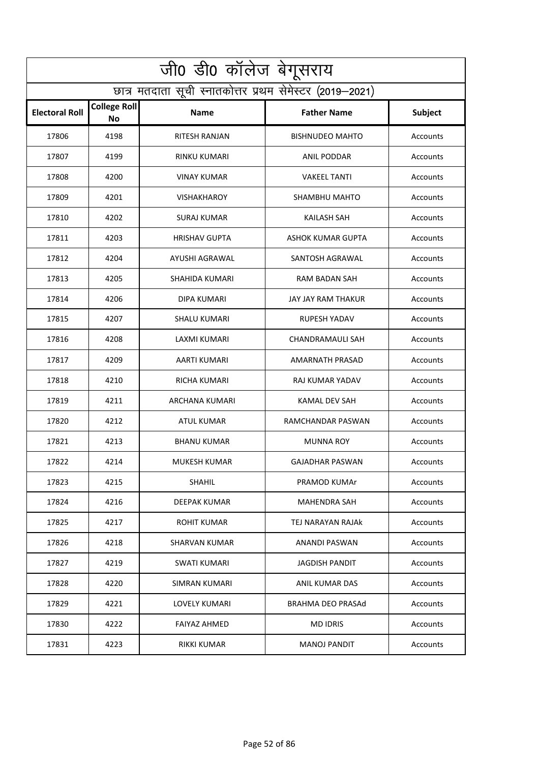| जी0 डी0 कॉलेज बेगूसराय |                                                          |                       |                          |                |  |
|------------------------|----------------------------------------------------------|-----------------------|--------------------------|----------------|--|
|                        | छात्र मतदाता सूची स्नातकोत्तर प्रथम सेमेस्टर (2019-2021) |                       |                          |                |  |
| <b>Electoral Roll</b>  | <b>College Roll</b><br>No                                | <b>Name</b>           | <b>Father Name</b>       | <b>Subject</b> |  |
| 17806                  | 4198                                                     | RITESH RANJAN         | <b>BISHNUDEO MAHTO</b>   | Accounts       |  |
| 17807                  | 4199                                                     | RINKU KUMARI          | <b>ANIL PODDAR</b>       | Accounts       |  |
| 17808                  | 4200                                                     | <b>VINAY KUMAR</b>    | <b>VAKEEL TANTI</b>      | Accounts       |  |
| 17809                  | 4201                                                     | <b>VISHAKHAROY</b>    | <b>SHAMBHU MAHTO</b>     | Accounts       |  |
| 17810                  | 4202                                                     | <b>SURAJ KUMAR</b>    | <b>KAILASH SAH</b>       | Accounts       |  |
| 17811                  | 4203                                                     | <b>HRISHAV GUPTA</b>  | ASHOK KUMAR GUPTA        | Accounts       |  |
| 17812                  | 4204                                                     | AYUSHI AGRAWAL        | SANTOSH AGRAWAL          | Accounts       |  |
| 17813                  | 4205                                                     | <b>SHAHIDA KUMARI</b> | RAM BADAN SAH            | Accounts       |  |
| 17814                  | 4206                                                     | DIPA KUMARI           | JAY JAY RAM THAKUR       | Accounts       |  |
| 17815                  | 4207                                                     | <b>SHALU KUMARI</b>   | <b>RUPESH YADAV</b>      | Accounts       |  |
| 17816                  | 4208                                                     | LAXMI KUMARI          | CHANDRAMAULI SAH         | Accounts       |  |
| 17817                  | 4209                                                     | <b>AARTI KUMARI</b>   | <b>AMARNATH PRASAD</b>   | Accounts       |  |
| 17818                  | 4210                                                     | RICHA KUMARI          | RAJ KUMAR YADAV          | Accounts       |  |
| 17819                  | 4211                                                     | ARCHANA KUMARI        | <b>KAMAL DEV SAH</b>     | Accounts       |  |
| 17820                  | 4212                                                     | <b>ATUL KUMAR</b>     | RAMCHANDAR PASWAN        | Accounts       |  |
| 17821                  | 4213                                                     | <b>BHANU KUMAR</b>    | <b>MUNNA ROY</b>         | Accounts       |  |
| 17822                  | 4214                                                     | MUKESH KUMAR          | <b>GAJADHAR PASWAN</b>   | Accounts       |  |
| 17823                  | 4215                                                     | <b>SHAHIL</b>         | PRAMOD KUMAr             | Accounts       |  |
| 17824                  | 4216                                                     | DEEPAK KUMAR          | MAHENDRA SAH             | Accounts       |  |
| 17825                  | 4217                                                     | ROHIT KUMAR           | TEJ NARAYAN RAJAk        | Accounts       |  |
| 17826                  | 4218                                                     | <b>SHARVAN KUMAR</b>  | ANANDI PASWAN            | Accounts       |  |
| 17827                  | 4219                                                     | <b>SWATI KUMARI</b>   | <b>JAGDISH PANDIT</b>    | Accounts       |  |
| 17828                  | 4220                                                     | SIMRAN KUMARI         | ANIL KUMAR DAS           | Accounts       |  |
| 17829                  | 4221                                                     | <b>LOVELY KUMARI</b>  | <b>BRAHMA DEO PRASAd</b> | Accounts       |  |
| 17830                  | 4222                                                     | <b>FAIYAZ AHMED</b>   | <b>MD IDRIS</b>          | Accounts       |  |
| 17831                  | 4223                                                     | <b>RIKKI KUMAR</b>    | <b>MANOJ PANDIT</b>      | Accounts       |  |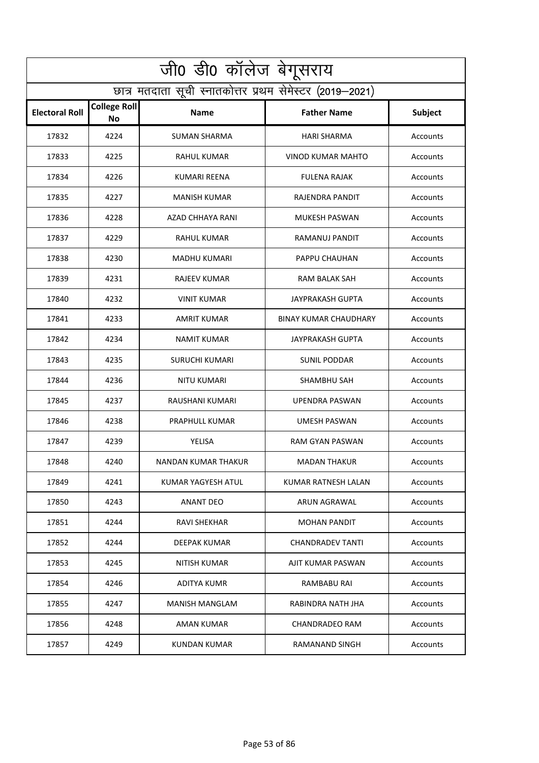| जी0 डी0 कॉलेज बेगूसराय |                                                          |                       |                              |                |  |
|------------------------|----------------------------------------------------------|-----------------------|------------------------------|----------------|--|
|                        | छात्र मतदाता सूची स्नातकोत्तर प्रथम सेमेस्टर (2019–2021) |                       |                              |                |  |
| <b>Electoral Roll</b>  | <b>College Roll</b><br>No                                | <b>Name</b>           | <b>Father Name</b>           | <b>Subject</b> |  |
| 17832                  | 4224                                                     | SUMAN SHARMA          | <b>HARI SHARMA</b>           | Accounts       |  |
| 17833                  | 4225                                                     | RAHUL KUMAR           | <b>VINOD KUMAR MAHTO</b>     | Accounts       |  |
| 17834                  | 4226                                                     | <b>KUMARI REENA</b>   | <b>FULENA RAJAK</b>          | Accounts       |  |
| 17835                  | 4227                                                     | <b>MANISH KUMAR</b>   | RAJENDRA PANDIT              | Accounts       |  |
| 17836                  | 4228                                                     | AZAD CHHAYA RANI      | <b>MUKESH PASWAN</b>         | Accounts       |  |
| 17837                  | 4229                                                     | RAHUL KUMAR           | RAMANUJ PANDIT               | Accounts       |  |
| 17838                  | 4230                                                     | <b>MADHU KUMARI</b>   | PAPPU CHAUHAN                | Accounts       |  |
| 17839                  | 4231                                                     | RAJEEV KUMAR          | <b>RAM BALAK SAH</b>         | Accounts       |  |
| 17840                  | 4232                                                     | <b>VINIT KUMAR</b>    | JAYPRAKASH GUPTA             | Accounts       |  |
| 17841                  | 4233                                                     | AMRIT KUMAR           | <b>BINAY KUMAR CHAUDHARY</b> | Accounts       |  |
| 17842                  | 4234                                                     | <b>NAMIT KUMAR</b>    | JAYPRAKASH GUPTA             | Accounts       |  |
| 17843                  | 4235                                                     | <b>SURUCHI KUMARI</b> | <b>SUNIL PODDAR</b>          | Accounts       |  |
| 17844                  | 4236                                                     | <b>NITU KUMARI</b>    | SHAMBHU SAH                  | Accounts       |  |
| 17845                  | 4237                                                     | RAUSHANI KUMARI       | <b>UPENDRA PASWAN</b>        | Accounts       |  |
| 17846                  | 4238                                                     | PRAPHULL KUMAR        | <b>UMESH PASWAN</b>          | Accounts       |  |
| 17847                  | 4239                                                     | YELISA                | <b>RAM GYAN PASWAN</b>       | Accounts       |  |
| 17848                  | 4240                                                     | NANDAN KUMAR THAKUR   | <b>MADAN THAKUR</b>          | Accounts       |  |
| 17849                  | 4241                                                     | KUMAR YAGYESH ATUL    | KUMAR RATNESH LALAN          | Accounts       |  |
| 17850                  | 4243                                                     | ANANT DEO             | ARUN AGRAWAL                 | Accounts       |  |
| 17851                  | 4244                                                     | RAVI SHEKHAR          | <b>MOHAN PANDIT</b>          | Accounts       |  |
| 17852                  | 4244                                                     | DEEPAK KUMAR          | <b>CHANDRADEV TANTI</b>      | Accounts       |  |
| 17853                  | 4245                                                     | NITISH KUMAR          | AJIT KUMAR PASWAN            | Accounts       |  |
| 17854                  | 4246                                                     | ADITYA KUMR           | RAMBABU RAI                  | Accounts       |  |
| 17855                  | 4247                                                     | <b>MANISH MANGLAM</b> | RABINDRA NATH JHA            | Accounts       |  |
| 17856                  | 4248                                                     | AMAN KUMAR            | <b>CHANDRADEO RAM</b>        | Accounts       |  |
| 17857                  | 4249                                                     | KUNDAN KUMAR          | RAMANAND SINGH               | Accounts       |  |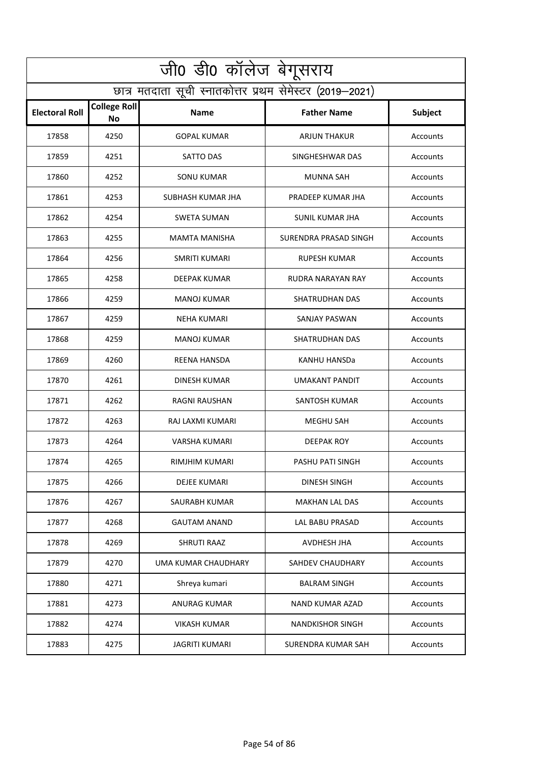| जी0 डी0 कॉलेज बेगूसराय |                                                          |                       |                         |          |  |
|------------------------|----------------------------------------------------------|-----------------------|-------------------------|----------|--|
|                        | छात्र मतदाता सूची स्नातकोत्तर प्रथम सेमेस्टर (2019–2021) |                       |                         |          |  |
| <b>Electoral Roll</b>  | <b>College Roll</b><br>No                                | <b>Name</b>           | <b>Father Name</b>      | Subject  |  |
| 17858                  | 4250                                                     | <b>GOPAL KUMAR</b>    | <b>ARJUN THAKUR</b>     | Accounts |  |
| 17859                  | 4251                                                     | SATTO DAS             | SINGHESHWAR DAS         | Accounts |  |
| 17860                  | 4252                                                     | SONU KUMAR            | <b>MUNNA SAH</b>        | Accounts |  |
| 17861                  | 4253                                                     | SUBHASH KUMAR JHA     | PRADEEP KUMAR JHA       | Accounts |  |
| 17862                  | 4254                                                     | <b>SWETA SUMAN</b>    | <b>SUNIL KUMAR JHA</b>  | Accounts |  |
| 17863                  | 4255                                                     | <b>MAMTA MANISHA</b>  | SURENDRA PRASAD SINGH   | Accounts |  |
| 17864                  | 4256                                                     | <b>SMRITI KUMARI</b>  | <b>RUPESH KUMAR</b>     | Accounts |  |
| 17865                  | 4258                                                     | DEEPAK KUMAR          | RUDRA NARAYAN RAY       | Accounts |  |
| 17866                  | 4259                                                     | <b>MANOJ KUMAR</b>    | SHATRUDHAN DAS          | Accounts |  |
| 17867                  | 4259                                                     | <b>NEHA KUMARI</b>    | SANJAY PASWAN           | Accounts |  |
| 17868                  | 4259                                                     | <b>MANOJ KUMAR</b>    | SHATRUDHAN DAS          | Accounts |  |
| 17869                  | 4260                                                     | <b>REENA HANSDA</b>   | <b>KANHU HANSDa</b>     | Accounts |  |
| 17870                  | 4261                                                     | <b>DINESH KUMAR</b>   | <b>UMAKANT PANDIT</b>   | Accounts |  |
| 17871                  | 4262                                                     | RAGNI RAUSHAN         | SANTOSH KUMAR           | Accounts |  |
| 17872                  | 4263                                                     | RAJ LAXMI KUMARI      | MEGHU SAH               | Accounts |  |
| 17873                  | 4264                                                     | VARSHA KUMARI         | DEEPAK ROY              | Accounts |  |
| 17874                  | 4265                                                     | <b>RIMJHIM KUMARI</b> | PASHU PATI SINGH        | Accounts |  |
| 17875                  | 4266                                                     | DEJEE KUMARI          | DINESH SINGH            | Accounts |  |
| 17876                  | 4267                                                     | SAURABH KUMAR         | <b>MAKHAN LAL DAS</b>   | Accounts |  |
| 17877                  | 4268                                                     | <b>GAUTAM ANAND</b>   | <b>LAL BABU PRASAD</b>  | Accounts |  |
| 17878                  | 4269                                                     | <b>SHRUTI RAAZ</b>    | AVDHESH JHA             | Accounts |  |
| 17879                  | 4270                                                     | UMA KUMAR CHAUDHARY   | SAHDEV CHAUDHARY        | Accounts |  |
| 17880                  | 4271                                                     | Shreya kumari         | <b>BALRAM SINGH</b>     | Accounts |  |
| 17881                  | 4273                                                     | ANURAG KUMAR          | <b>NAND KUMAR AZAD</b>  | Accounts |  |
| 17882                  | 4274                                                     | <b>VIKASH KUMAR</b>   | <b>NANDKISHOR SINGH</b> | Accounts |  |
| 17883                  | 4275                                                     | <b>JAGRITI KUMARI</b> | SURENDRA KUMAR SAH      | Accounts |  |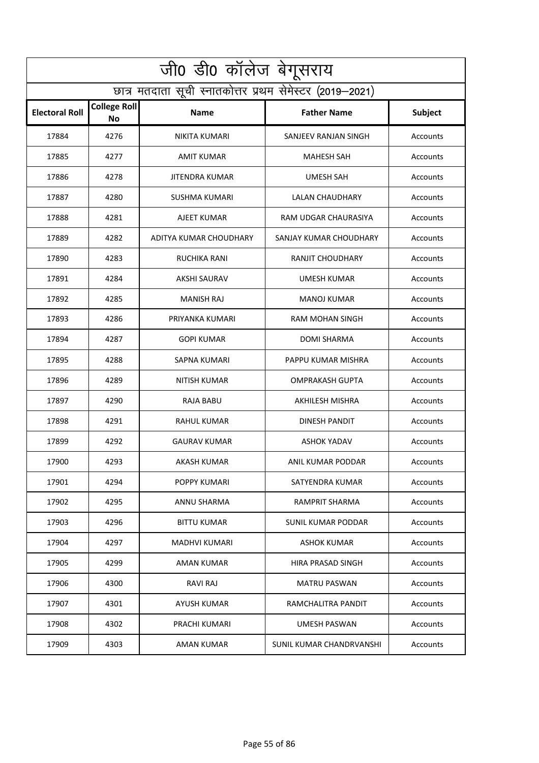| जी0 डी0 कॉलेज बेगूसराय |                                                          |                        |                           |                |  |
|------------------------|----------------------------------------------------------|------------------------|---------------------------|----------------|--|
|                        | छात्र मतदाता सूची स्नातकोत्तर प्रथम सेमेस्टर (2019-2021) |                        |                           |                |  |
| <b>Electoral Roll</b>  | <b>College Roll</b><br>No                                | <b>Name</b>            | <b>Father Name</b>        | <b>Subject</b> |  |
| 17884                  | 4276                                                     | NIKITA KUMARI          | SANJEEV RANJAN SINGH      | Accounts       |  |
| 17885                  | 4277                                                     | <b>AMIT KUMAR</b>      | <b>MAHESH SAH</b>         | Accounts       |  |
| 17886                  | 4278                                                     | JITENDRA KUMAR         | <b>UMESH SAH</b>          | Accounts       |  |
| 17887                  | 4280                                                     | <b>SUSHMA KUMARI</b>   | <b>LALAN CHAUDHARY</b>    | Accounts       |  |
| 17888                  | 4281                                                     | AJEET KUMAR            | RAM UDGAR CHAURASIYA      | Accounts       |  |
| 17889                  | 4282                                                     | ADITYA KUMAR CHOUDHARY | SANJAY KUMAR CHOUDHARY    | Accounts       |  |
| 17890                  | 4283                                                     | RUCHIKA RANI           | <b>RANJIT CHOUDHARY</b>   | Accounts       |  |
| 17891                  | 4284                                                     | <b>AKSHI SAURAV</b>    | UMESH KUMAR               | Accounts       |  |
| 17892                  | 4285                                                     | <b>MANISH RAJ</b>      | <b>MANOJ KUMAR</b>        | Accounts       |  |
| 17893                  | 4286                                                     | PRIYANKA KUMARI        | RAM MOHAN SINGH           | Accounts       |  |
| 17894                  | 4287                                                     | <b>GOPI KUMAR</b>      | DOMI SHARMA               | Accounts       |  |
| 17895                  | 4288                                                     | SAPNA KUMARI           | PAPPU KUMAR MISHRA        | Accounts       |  |
| 17896                  | 4289                                                     | NITISH KUMAR           | OMPRAKASH GUPTA           | Accounts       |  |
| 17897                  | 4290                                                     | RAJA BABU              | AKHILESH MISHRA           | Accounts       |  |
| 17898                  | 4291                                                     | <b>RAHUL KUMAR</b>     | <b>DINESH PANDIT</b>      | Accounts       |  |
| 17899                  | 4292                                                     | <b>GAURAV KUMAR</b>    | <b>ASHOK YADAV</b>        | Accounts       |  |
| 17900                  | 4293                                                     | <b>AKASH KUMAR</b>     | ANIL KUMAR PODDAR         | Accounts       |  |
| 17901                  | 4294                                                     | <b>POPPY KUMARI</b>    | SATYENDRA KUMAR           | Accounts       |  |
| 17902                  | 4295                                                     | ANNU SHARMA            | <b>RAMPRIT SHARMA</b>     | Accounts       |  |
| 17903                  | 4296                                                     | <b>BITTU KUMAR</b>     | <b>SUNIL KUMAR PODDAR</b> | Accounts       |  |
| 17904                  | 4297                                                     | MADHVI KUMARI          | <b>ASHOK KUMAR</b>        | Accounts       |  |
| 17905                  | 4299                                                     | AMAN KUMAR             | HIRA PRASAD SINGH         | Accounts       |  |
| 17906                  | 4300                                                     | <b>RAVI RAJ</b>        | <b>MATRU PASWAN</b>       | Accounts       |  |
| 17907                  | 4301                                                     | <b>AYUSH KUMAR</b>     | RAMCHALITRA PANDIT        | Accounts       |  |
| 17908                  | 4302                                                     | PRACHI KUMARI          | UMESH PASWAN              | Accounts       |  |
| 17909                  | 4303                                                     | <b>AMAN KUMAR</b>      | SUNIL KUMAR CHANDRVANSHI  | Accounts       |  |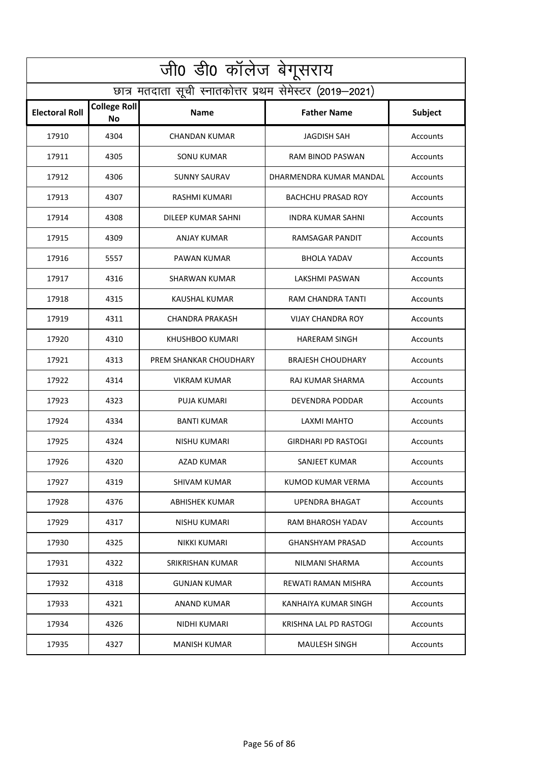| जी0 डी0 कॉलेज बेगूसराय |                                                          |                        |                           |                 |  |
|------------------------|----------------------------------------------------------|------------------------|---------------------------|-----------------|--|
|                        | छात्र मतदाता सूची स्नातकोत्तर प्रथम सेमेस्टर (2019–2021) |                        |                           |                 |  |
| <b>Electoral Roll</b>  | <b>College Roll</b><br><b>No</b>                         | <b>Name</b>            | <b>Father Name</b>        | Subject         |  |
| 17910                  | 4304                                                     | CHANDAN KUMAR          | JAGDISH SAH               | Accounts        |  |
| 17911                  | 4305                                                     | <b>SONU KUMAR</b>      | RAM BINOD PASWAN          | Accounts        |  |
| 17912                  | 4306                                                     | <b>SUNNY SAURAV</b>    | DHARMENDRA KUMAR MANDAL   | Accounts        |  |
| 17913                  | 4307                                                     | <b>RASHMI KUMARI</b>   | <b>BACHCHU PRASAD ROY</b> | Accounts        |  |
| 17914                  | 4308                                                     | DILEEP KUMAR SAHNI     | INDRA KUMAR SAHNI         | Accounts        |  |
| 17915                  | 4309                                                     | <b>ANJAY KUMAR</b>     | <b>RAMSAGAR PANDIT</b>    | Accounts        |  |
| 17916                  | 5557                                                     | PAWAN KUMAR            | <b>BHOLA YADAV</b>        | Accounts        |  |
| 17917                  | 4316                                                     | <b>SHARWAN KUMAR</b>   | LAKSHMI PASWAN            | Accounts        |  |
| 17918                  | 4315                                                     | KAUSHAL KUMAR          | RAM CHANDRA TANTI         | Accounts        |  |
| 17919                  | 4311                                                     | <b>CHANDRA PRAKASH</b> | <b>VIJAY CHANDRA ROY</b>  | Accounts        |  |
| 17920                  | 4310                                                     | KHUSHBOO KUMARI        | <b>HARERAM SINGH</b>      | Accounts        |  |
| 17921                  | 4313                                                     | PREM SHANKAR CHOUDHARY | <b>BRAJESH CHOUDHARY</b>  | Accounts        |  |
| 17922                  | 4314                                                     | <b>VIKRAM KUMAR</b>    | RAJ KUMAR SHARMA          | Accounts        |  |
| 17923                  | 4323                                                     | PUJA KUMARI            | DEVENDRA PODDAR           | Accounts        |  |
| 17924                  | 4334                                                     | BANTI KUMAR            | LAXMI MAHTO               | Accounts        |  |
| 17925                  | 4324                                                     | NISHU KUMARI           | GIRDHARI PD RASTOGI       | Accounts        |  |
| 17926                  | 4320                                                     | <b>AZAD KUMAR</b>      | SANJEET KUMAR             | Accounts        |  |
| 17927                  | 4319                                                     | SHIVAM KUMAR           | KUMOD KUMAR VERMA         | Accounts        |  |
| 17928                  | 4376                                                     | ABHISHEK KUMAR         | <b>UPENDRA BHAGAT</b>     | <b>Accounts</b> |  |
| 17929                  | 4317                                                     | NISHU KUMARI           | RAM BHAROSH YADAV         | Accounts        |  |
| 17930                  | 4325                                                     | NIKKI KUMARI           | <b>GHANSHYAM PRASAD</b>   | Accounts        |  |
| 17931                  | 4322                                                     | SRIKRISHAN KUMAR       | NILMANI SHARMA            | Accounts        |  |
| 17932                  | 4318                                                     | <b>GUNJAN KUMAR</b>    | REWATI RAMAN MISHRA       | Accounts        |  |
| 17933                  | 4321                                                     | ANAND KUMAR            | KANHAIYA KUMAR SINGH      | Accounts        |  |
| 17934                  | 4326                                                     | NIDHI KUMARI           | KRISHNA LAL PD RASTOGI    | Accounts        |  |
| 17935                  | 4327                                                     | <b>MANISH KUMAR</b>    | <b>MAULESH SINGH</b>      | Accounts        |  |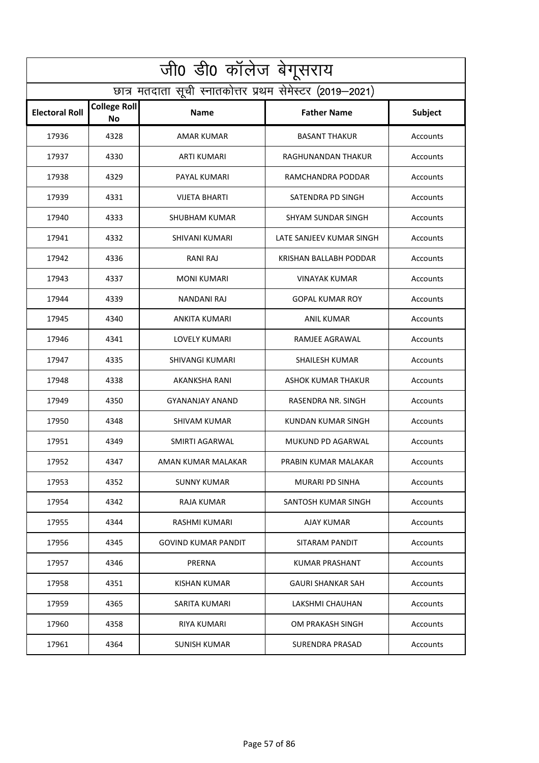|                       | <u>ज</u> ी0 डी0 कॉलेज बेगूसराय                           |                            |                          |          |  |
|-----------------------|----------------------------------------------------------|----------------------------|--------------------------|----------|--|
|                       | छात्र मतदाता सूची स्नातकोत्तर प्रथम सेमेस्टर (2019–2021) |                            |                          |          |  |
| <b>Electoral Roll</b> | <b>College Roll</b><br>No                                | <b>Name</b>                | <b>Father Name</b>       | Subject  |  |
| 17936                 | 4328                                                     | AMAR KUMAR                 | <b>BASANT THAKUR</b>     | Accounts |  |
| 17937                 | 4330                                                     | <b>ARTI KUMARI</b>         | RAGHUNANDAN THAKUR       | Accounts |  |
| 17938                 | 4329                                                     | PAYAL KUMARI               | RAMCHANDRA PODDAR        | Accounts |  |
| 17939                 | 4331                                                     | <b>VIJETA BHARTI</b>       | SATENDRA PD SINGH        | Accounts |  |
| 17940                 | 4333                                                     | SHUBHAM KUMAR              | SHYAM SUNDAR SINGH       | Accounts |  |
| 17941                 | 4332                                                     | SHIVANI KUMARI             | LATE SANJEEV KUMAR SINGH | Accounts |  |
| 17942                 | 4336                                                     | RANI RAJ                   | KRISHAN BALLABH PODDAR   | Accounts |  |
| 17943                 | 4337                                                     | <b>MONI KUMARI</b>         | <b>VINAYAK KUMAR</b>     | Accounts |  |
| 17944                 | 4339                                                     | NANDANI RAJ                | <b>GOPAL KUMAR ROY</b>   | Accounts |  |
| 17945                 | 4340                                                     | ANKITA KUMARI              | ANIL KUMAR               | Accounts |  |
| 17946                 | 4341                                                     | LOVELY KUMARI              | RAMJEE AGRAWAL           | Accounts |  |
| 17947                 | 4335                                                     | SHIVANGI KUMARI            | <b>SHAILESH KUMAR</b>    | Accounts |  |
| 17948                 | 4338                                                     | AKANKSHA RANI              | ASHOK KUMAR THAKUR       | Accounts |  |
| 17949                 | 4350                                                     | <b>GYANANJAY ANAND</b>     | RASENDRA NR. SINGH       | Accounts |  |
| 17950                 | 4348                                                     | SHIVAM KUMAR               | KUNDAN KUMAR SINGH       | Accounts |  |
| 17951                 | 4349                                                     | SMIRTI AGARWAL             | MUKUND PD AGARWAL        | Accounts |  |
| 17952                 | 4347                                                     | AMAN KUMAR MALAKAR         | PRABIN KUMAR MALAKAR     | Accounts |  |
| 17953                 | 4352                                                     | <b>SUNNY KUMAR</b>         | MURARI PD SINHA          | Accounts |  |
| 17954                 | 4342                                                     | <b>RAJA KUMAR</b>          | SANTOSH KUMAR SINGH      | Accounts |  |
| 17955                 | 4344                                                     | RASHMI KUMARI              | AJAY KUMAR               | Accounts |  |
| 17956                 | 4345                                                     | <b>GOVIND KUMAR PANDIT</b> | SITARAM PANDIT           | Accounts |  |
| 17957                 | 4346                                                     | PRERNA                     | KUMAR PRASHANT           | Accounts |  |
| 17958                 | 4351                                                     | <b>KISHAN KUMAR</b>        | <b>GAURI SHANKAR SAH</b> | Accounts |  |
| 17959                 | 4365                                                     | SARITA KUMARI              | LAKSHMI CHAUHAN          | Accounts |  |
| 17960                 | 4358                                                     | <b>RIYA KUMARI</b>         | OM PRAKASH SINGH         | Accounts |  |
| 17961                 | 4364                                                     | <b>SUNISH KUMAR</b>        | <b>SURENDRA PRASAD</b>   | Accounts |  |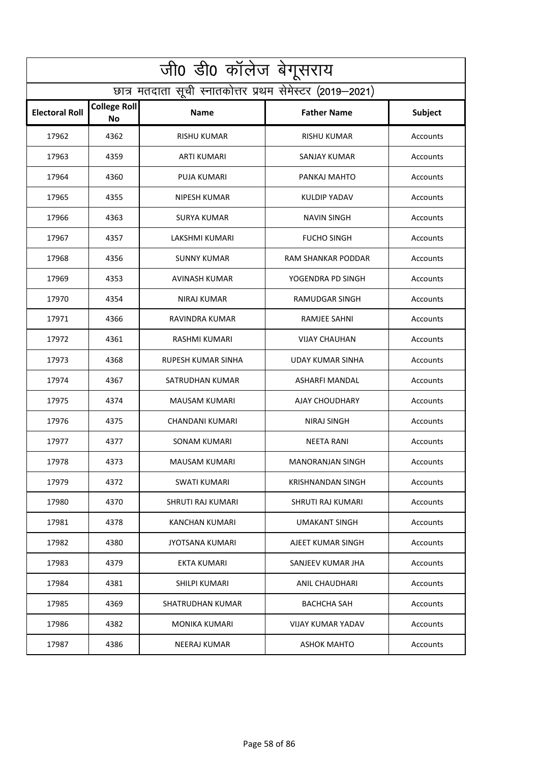|                                                          | जी0 डी0 कॉलेज बेगूसराय    |                           |                          |                 |
|----------------------------------------------------------|---------------------------|---------------------------|--------------------------|-----------------|
| छात्र मतदाता सूची स्नातकोत्तर प्रथम सेमेस्टर (2019–2021) |                           |                           |                          |                 |
| <b>Electoral Roll</b>                                    | <b>College Roll</b><br>No | <b>Name</b>               | <b>Father Name</b>       | Subject         |
| 17962                                                    | 4362                      | <b>RISHU KUMAR</b>        | <b>RISHU KUMAR</b>       | Accounts        |
| 17963                                                    | 4359                      | ARTI KUMARI               | SANJAY KUMAR             | Accounts        |
| 17964                                                    | 4360                      | PUJA KUMARI               | PANKAJ MAHTO             | Accounts        |
| 17965                                                    | 4355                      | <b>NIPESH KUMAR</b>       | KULDIP YADAV             | Accounts        |
| 17966                                                    | 4363                      | SURYA KUMAR               | <b>NAVIN SINGH</b>       | Accounts        |
| 17967                                                    | 4357                      | LAKSHMI KUMARI            | <b>FUCHO SINGH</b>       | Accounts        |
| 17968                                                    | 4356                      | <b>SUNNY KUMAR</b>        | RAM SHANKAR PODDAR       | Accounts        |
| 17969                                                    | 4353                      | AVINASH KUMAR             | YOGENDRA PD SINGH        | Accounts        |
| 17970                                                    | 4354                      | <b>NIRAJ KUMAR</b>        | <b>RAMUDGAR SINGH</b>    | Accounts        |
| 17971                                                    | 4366                      | RAVINDRA KUMAR            | RAMJEE SAHNI             | Accounts        |
| 17972                                                    | 4361                      | RASHMI KUMARI             | <b>VIJAY CHAUHAN</b>     | Accounts        |
| 17973                                                    | 4368                      | <b>RUPESH KUMAR SINHA</b> | <b>UDAY KUMAR SINHA</b>  | Accounts        |
| 17974                                                    | 4367                      | SATRUDHAN KUMAR           | ASHARFI MANDAL           | Accounts        |
| 17975                                                    | 4374                      | <b>MAUSAM KUMARI</b>      | AJAY CHOUDHARY           | Accounts        |
| 17976                                                    | 4375                      | <b>CHANDANI KUMARI</b>    | <b>NIRAJ SINGH</b>       | Accounts        |
| 17977                                                    | 4377                      | <b>SONAM KUMARI</b>       | <b>NEETA RANI</b>        | Accounts        |
| 17978                                                    | 4373                      | <b>MAUSAM KUMARI</b>      | <b>MANORANJAN SINGH</b>  | Accounts        |
| 17979                                                    | 4372                      | SWATI KUMARI              | <b>KRISHNANDAN SINGH</b> | Accounts        |
| 17980                                                    | 4370                      | <b>SHRUTI RAJ KUMARI</b>  | SHRUTI RAJ KUMARI        | <b>Accounts</b> |
| 17981                                                    | 4378                      | KANCHAN KUMARI            | <b>UMAKANT SINGH</b>     | Accounts        |
| 17982                                                    | 4380                      | <b>JYOTSANA KUMARI</b>    | AJEET KUMAR SINGH        | Accounts        |
| 17983                                                    | 4379                      | EKTA KUMARI               | SANJEEV KUMAR JHA        | Accounts        |
| 17984                                                    | 4381                      | SHILPI KUMARI             | ANIL CHAUDHARI           | Accounts        |
| 17985                                                    | 4369                      | SHATRUDHAN KUMAR          | <b>BACHCHA SAH</b>       | Accounts        |
| 17986                                                    | 4382                      | <b>MONIKA KUMARI</b>      | VIJAY KUMAR YADAV        | Accounts        |
| 17987                                                    | 4386                      | NEERAJ KUMAR              | <b>ASHOK MAHTO</b>       | Accounts        |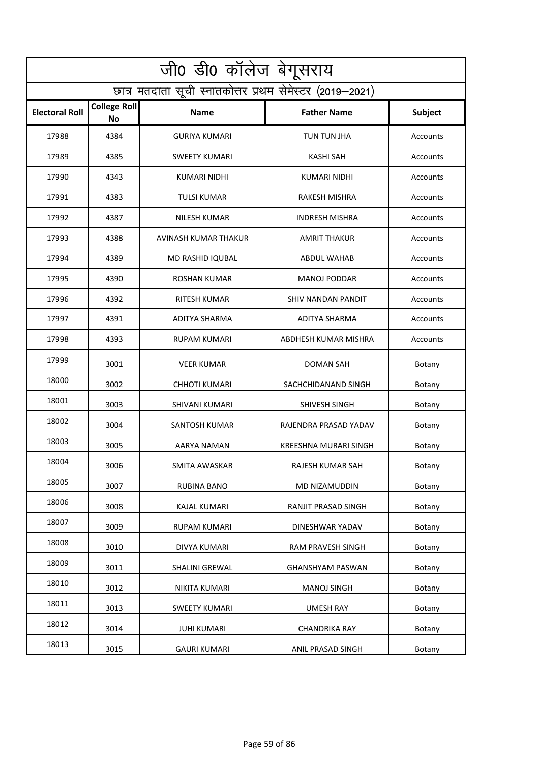|                       | जी0 डी0 कॉलेज बेगूसराय                                   |                      |                              |          |  |
|-----------------------|----------------------------------------------------------|----------------------|------------------------------|----------|--|
|                       | छात्र मतदाता सूची स्नातकोत्तर प्रथम सेमेस्टर (2019–2021) |                      |                              |          |  |
| <b>Electoral Roll</b> | <b>College Roll</b><br><b>No</b>                         | <b>Name</b>          | <b>Father Name</b>           | Subject  |  |
| 17988                 | 4384                                                     | <b>GURIYA KUMARI</b> | TUN TUN JHA                  | Accounts |  |
| 17989                 | 4385                                                     | <b>SWEETY KUMARI</b> | <b>KASHI SAH</b>             | Accounts |  |
| 17990                 | 4343                                                     | <b>KUMARI NIDHI</b>  | <b>KUMARI NIDHI</b>          | Accounts |  |
| 17991                 | 4383                                                     | <b>TULSI KUMAR</b>   | <b>RAKESH MISHRA</b>         | Accounts |  |
| 17992                 | 4387                                                     | <b>NILESH KUMAR</b>  | <b>INDRESH MISHRA</b>        | Accounts |  |
| 17993                 | 4388                                                     | AVINASH KUMAR THAKUR | <b>AMRIT THAKUR</b>          | Accounts |  |
| 17994                 | 4389                                                     | MD RASHID IQUBAL     | <b>ABDUL WAHAB</b>           | Accounts |  |
| 17995                 | 4390                                                     | ROSHAN KUMAR         | <b>MANOJ PODDAR</b>          | Accounts |  |
| 17996                 | 4392                                                     | <b>RITESH KUMAR</b>  | SHIV NANDAN PANDIT           | Accounts |  |
| 17997                 | 4391                                                     | <b>ADITYA SHARMA</b> | <b>ADITYA SHARMA</b>         | Accounts |  |
| 17998                 | 4393                                                     | <b>RUPAM KUMARI</b>  | ABDHESH KUMAR MISHRA         | Accounts |  |
| 17999                 | 3001                                                     | <b>VEER KUMAR</b>    | <b>DOMAN SAH</b>             | Botany   |  |
| 18000                 | 3002                                                     | <b>CHHOTI KUMARI</b> | SACHCHIDANAND SINGH          | Botany   |  |
| 18001                 | 3003                                                     | SHIVANI KUMARI       | SHIVESH SINGH                | Botany   |  |
| 18002                 | 3004                                                     | SANTOSH KUMAR        | RAJENDRA PRASAD YADAV        | Botany   |  |
| 18003                 | 3005                                                     | <b>AARYA NAMAN</b>   | <b>KREESHNA MURARI SINGH</b> | Botany   |  |
| 18004                 | 3006                                                     | SMITA AWASKAR        | RAJESH KUMAR SAH             | Botany   |  |
| 18005                 | 3007                                                     | RUBINA BANO          | MD NIZAMUDDIN                | Botany   |  |
| 18006                 | 3008                                                     | KAJAL KUMARI         | RANJIT PRASAD SINGH          | Botany   |  |
| 18007                 | 3009                                                     | <b>RUPAM KUMARI</b>  | DINESHWAR YADAV              | Botany   |  |
| 18008                 | 3010                                                     | DIVYA KUMARI         | RAM PRAVESH SINGH            | Botany   |  |
| 18009                 | 3011                                                     | SHALINI GREWAL       | <b>GHANSHYAM PASWAN</b>      | Botany   |  |
| 18010                 | 3012                                                     | NIKITA KUMARI        | <b>MANOJ SINGH</b>           | Botany   |  |
| 18011                 | 3013                                                     | <b>SWEETY KUMARI</b> | <b>UMESH RAY</b>             | Botany   |  |
| 18012                 | 3014                                                     | <b>JUHI KUMARI</b>   | <b>CHANDRIKA RAY</b>         | Botany   |  |
| 18013                 | 3015                                                     | <b>GAURI KUMARI</b>  | ANIL PRASAD SINGH            | Botany   |  |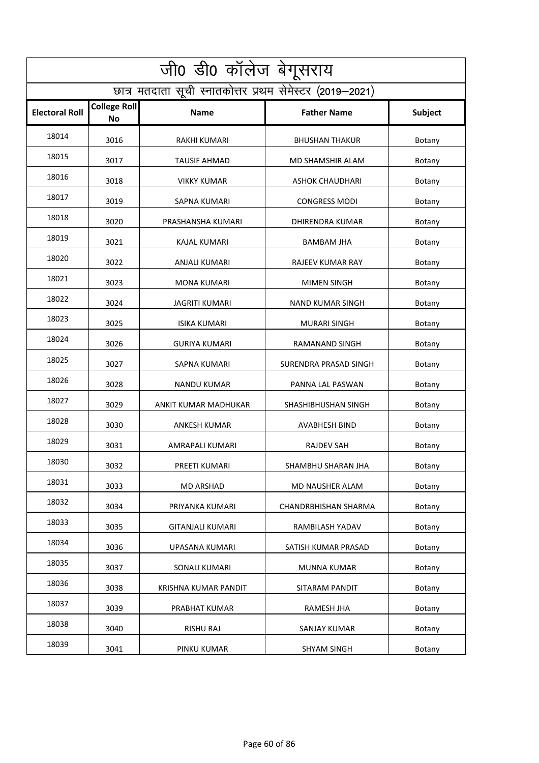| जी0 डी0 कॉलेज बेगूसराय                                   |                                  |                         |                             |         |  |
|----------------------------------------------------------|----------------------------------|-------------------------|-----------------------------|---------|--|
| छात्र मतदाता सूची स्नातकोत्तर प्रथम सेमेस्टर (2019–2021) |                                  |                         |                             |         |  |
| <b>Electoral Roll</b>                                    | <b>College Roll</b><br><b>No</b> | <b>Name</b>             | <b>Father Name</b>          | Subject |  |
| 18014                                                    | 3016                             | <b>RAKHI KUMARI</b>     | <b>BHUSHAN THAKUR</b>       | Botany  |  |
| 18015                                                    | 3017                             | <b>TAUSIF AHMAD</b>     | MD SHAMSHIR ALAM            | Botany  |  |
| 18016                                                    | 3018                             | <b>VIKKY KUMAR</b>      | <b>ASHOK CHAUDHARI</b>      | Botany  |  |
| 18017                                                    | 3019                             | SAPNA KUMARI            | <b>CONGRESS MODI</b>        | Botany  |  |
| 18018                                                    | 3020                             | PRASHANSHA KUMARI       | DHIRENDRA KUMAR             | Botany  |  |
| 18019                                                    | 3021                             | KAJAL KUMARI            | <b>BAMBAM JHA</b>           | Botany  |  |
| 18020                                                    | 3022                             | ANJALI KUMARI           | RAJEEV KUMAR RAY            | Botany  |  |
| 18021                                                    | 3023                             | <b>MONA KUMARI</b>      | <b>MIMEN SINGH</b>          | Botany  |  |
| 18022                                                    | 3024                             | <b>JAGRITI KUMARI</b>   | NAND KUMAR SINGH            | Botany  |  |
| 18023                                                    | 3025                             | <b>ISIKA KUMARI</b>     | <b>MURARI SINGH</b>         | Botany  |  |
| 18024                                                    | 3026                             | <b>GURIYA KUMARI</b>    | RAMANAND SINGH              | Botany  |  |
| 18025                                                    | 3027                             | SAPNA KUMARI            | SURENDRA PRASAD SINGH       | Botany  |  |
| 18026                                                    | 3028                             | <b>NANDU KUMAR</b>      | PANNA LAL PASWAN            | Botany  |  |
| 18027                                                    | 3029                             | ANKIT KUMAR MADHUKAR    | SHASHIBHUSHAN SINGH         | Botany  |  |
| 18028                                                    | 3030                             | <b>ANKESH KUMAR</b>     | <b>AVABHESH BIND</b>        | Botany  |  |
| 18029                                                    | 3031                             | AMRAPALI KUMARI         | <b>RAJDEV SAH</b>           | Botany  |  |
| 18030                                                    | 3032                             | PREETI KUMARI           | SHAMBHU SHARAN JHA          | Botany  |  |
| 18031                                                    | 3033                             | MD ARSHAD               | MD NAUSHER ALAM             | Botany  |  |
| 18032                                                    | 3034                             | PRIYANKA KUMARI         | <b>CHANDRBHISHAN SHARMA</b> | Botany  |  |
| 18033                                                    | 3035                             | <b>GITANJALI KUMARI</b> | RAMBILASH YADAV             | Botany  |  |
| 18034                                                    | 3036                             | UPASANA KUMARI          | SATISH KUMAR PRASAD         | Botany  |  |
| 18035                                                    | 3037                             | SONALI KUMARI           | MUNNA KUMAR                 | Botany  |  |
| 18036                                                    | 3038                             | KRISHNA KUMAR PANDIT    | SITARAM PANDIT              | Botany  |  |
| 18037                                                    | 3039                             | PRABHAT KUMAR           | RAMESH JHA                  | Botany  |  |
| 18038                                                    | 3040                             | RISHU RAJ               | SANJAY KUMAR                | Botany  |  |
| 18039                                                    | 3041                             | PINKU KUMAR             | <b>SHYAM SINGH</b>          | Botany  |  |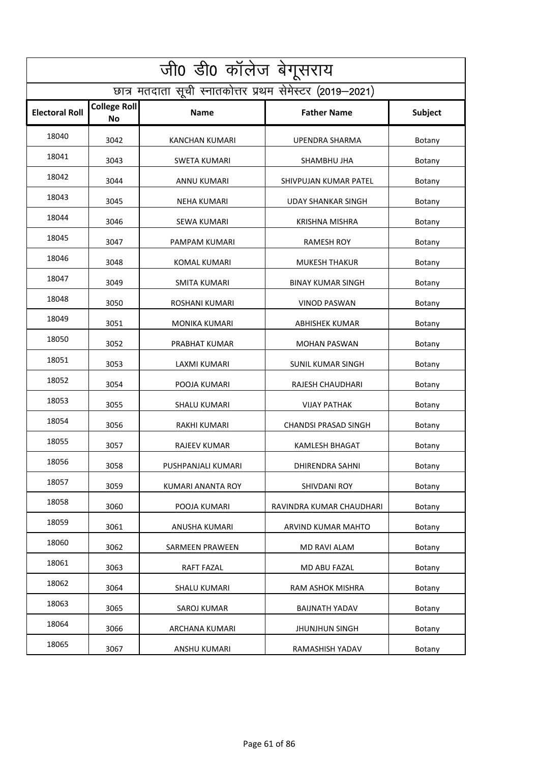|                       | जी0 डी0 कॉलेज बेगूसराय                                   |                      |                             |         |  |
|-----------------------|----------------------------------------------------------|----------------------|-----------------------------|---------|--|
|                       | छात्र मतदाता सूची स्नातकोत्तर प्रथम सेमेस्टर (2019–2021) |                      |                             |         |  |
| <b>Electoral Roll</b> | <b>College Roll</b><br><b>No</b>                         | <b>Name</b>          | <b>Father Name</b>          | Subject |  |
| 18040                 | 3042                                                     | KANCHAN KUMARI       | UPENDRA SHARMA              | Botany  |  |
| 18041                 | 3043                                                     | <b>SWETA KUMARI</b>  | SHAMBHU JHA                 | Botany  |  |
| 18042                 | 3044                                                     | ANNU KUMARI          | SHIVPUJAN KUMAR PATEL       | Botany  |  |
| 18043                 | 3045                                                     | <b>NEHA KUMARI</b>   | <b>UDAY SHANKAR SINGH</b>   | Botany  |  |
| 18044                 | 3046                                                     | SEWA KUMARI          | <b>KRISHNA MISHRA</b>       | Botany  |  |
| 18045                 | 3047                                                     | PAMPAM KUMARI        | <b>RAMESH ROY</b>           | Botany  |  |
| 18046                 | 3048                                                     | <b>KOMAL KUMARI</b>  | <b>MUKESH THAKUR</b>        | Botany  |  |
| 18047                 | 3049                                                     | <b>SMITA KUMARI</b>  | <b>BINAY KUMAR SINGH</b>    | Botany  |  |
| 18048                 | 3050                                                     | ROSHANI KUMARI       | <b>VINOD PASWAN</b>         | Botany  |  |
| 18049                 | 3051                                                     | <b>MONIKA KUMARI</b> | <b>ABHISHEK KUMAR</b>       | Botany  |  |
| 18050                 | 3052                                                     | PRABHAT KUMAR        | <b>MOHAN PASWAN</b>         | Botany  |  |
| 18051                 | 3053                                                     | LAXMI KUMARI         | SUNIL KUMAR SINGH           | Botany  |  |
| 18052                 | 3054                                                     | POOJA KUMARI         | RAJESH CHAUDHARI            | Botany  |  |
| 18053                 | 3055                                                     | <b>SHALU KUMARI</b>  | <b>VIJAY PATHAK</b>         | Botany  |  |
| 18054                 | 3056                                                     | <b>RAKHI KUMARI</b>  | <b>CHANDSI PRASAD SINGH</b> | Botany  |  |
| 18055                 | 3057                                                     | <b>RAJEEV KUMAR</b>  | KAMLESH BHAGAT              | Botany  |  |
| 18056                 | 3058                                                     | PUSHPANJALI KUMARI   | DHIRENDRA SAHNI             | Botany  |  |
| 18057                 | 3059                                                     | KUMARI ANANTA ROY    | SHIVDANI ROY                | Botany  |  |
| 18058                 | 3060                                                     | POOJA KUMARI         | RAVINDRA KUMAR CHAUDHARI    | Botany  |  |
| 18059                 | 3061                                                     | ANUSHA KUMARI        | ARVIND KUMAR MAHTO          | Botany  |  |
| 18060                 | 3062                                                     | SARMEEN PRAWEEN      | <b>MD RAVI ALAM</b>         | Botany  |  |
| 18061                 | 3063                                                     | RAFT FAZAL           | MD ABU FAZAL                | Botany  |  |
| 18062                 | 3064                                                     | <b>SHALU KUMARI</b>  | RAM ASHOK MISHRA            | Botany  |  |
| 18063                 | 3065                                                     | SAROJ KUMAR          | <b>BAIJNATH YADAV</b>       | Botany  |  |
| 18064                 | 3066                                                     | ARCHANA KUMARI       | <b>JHUNJHUN SINGH</b>       | Botany  |  |
| 18065                 | 3067                                                     | ANSHU KUMARI         | RAMASHISH YADAV             | Botany  |  |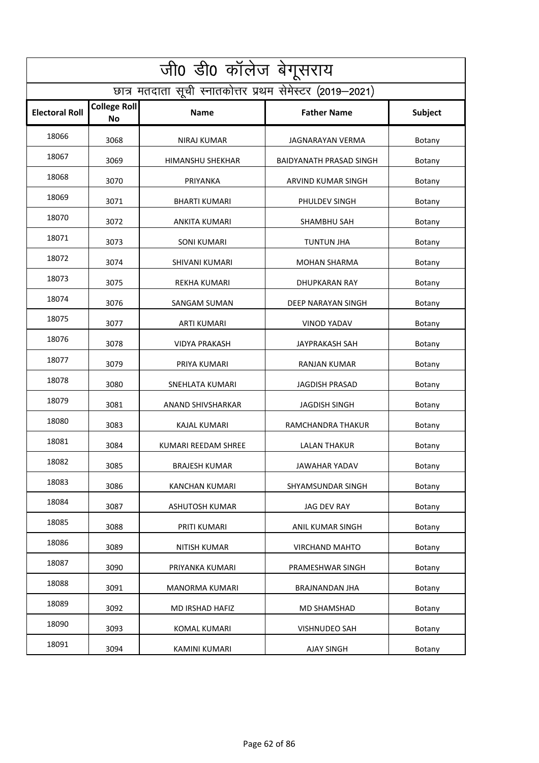| जी0 डी0 कॉलेज बेगूसराय                                   |                                  |                       |                         |         |  |
|----------------------------------------------------------|----------------------------------|-----------------------|-------------------------|---------|--|
| छात्र मतदाता सूची स्नातकोत्तर प्रथम सेमेस्टर (2019–2021) |                                  |                       |                         |         |  |
| <b>Electoral Roll</b>                                    | <b>College Roll</b><br><b>No</b> | <b>Name</b>           | <b>Father Name</b>      | Subject |  |
| 18066                                                    | 3068                             | NIRAJ KUMAR           | JAGNARAYAN VERMA        | Botany  |  |
| 18067                                                    | 3069                             | HIMANSHU SHEKHAR      | BAIDYANATH PRASAD SINGH | Botany  |  |
| 18068                                                    | 3070                             | PRIYANKA              | ARVIND KUMAR SINGH      | Botany  |  |
| 18069                                                    | 3071                             | <b>BHARTI KUMARI</b>  | PHULDEV SINGH           | Botany  |  |
| 18070                                                    | 3072                             | <b>ANKITA KUMARI</b>  | <b>SHAMBHU SAH</b>      | Botany  |  |
| 18071                                                    | 3073                             | <b>SONI KUMARI</b>    | <b>TUNTUN JHA</b>       | Botany  |  |
| 18072                                                    | 3074                             | SHIVANI KUMARI        | <b>MOHAN SHARMA</b>     | Botany  |  |
| 18073                                                    | 3075                             | <b>REKHA KUMARI</b>   | DHUPKARAN RAY           | Botany  |  |
| 18074                                                    | 3076                             | SANGAM SUMAN          | DEEP NARAYAN SINGH      | Botany  |  |
| 18075                                                    | 3077                             | <b>ARTI KUMARI</b>    | <b>VINOD YADAV</b>      | Botany  |  |
| 18076                                                    | 3078                             | <b>VIDYA PRAKASH</b>  | JAYPRAKASH SAH          | Botany  |  |
| 18077                                                    | 3079                             | PRIYA KUMARI          | <b>RANJAN KUMAR</b>     | Botany  |  |
| 18078                                                    | 3080                             | SNEHLATA KUMARI       | <b>JAGDISH PRASAD</b>   | Botany  |  |
| 18079                                                    | 3081                             | ANAND SHIVSHARKAR     | <b>JAGDISH SINGH</b>    | Botany  |  |
| 18080                                                    | 3083                             | KAJAL KUMARI          | RAMCHANDRA THAKUR       | Botany  |  |
| 18081                                                    | 3084                             | KUMARI REEDAM SHREE   | <b>LALAN THAKUR</b>     | Botany  |  |
| 18082                                                    | 3085                             | <b>BRAJESH KUMAR</b>  | <b>JAWAHAR YADAV</b>    | Botany  |  |
| 18083                                                    | 3086                             | <b>KANCHAN KUMARI</b> | SHYAMSUNDAR SINGH       | Botany  |  |
| 18084                                                    | 3087                             | ASHUTOSH KUMAR        | JAG DEV RAY             | Botany  |  |
| 18085                                                    | 3088                             | PRITI KUMARI          | ANIL KUMAR SINGH        | Botany  |  |
| 18086                                                    | 3089                             | <b>NITISH KUMAR</b>   | <b>VIRCHAND MAHTO</b>   | Botany  |  |
| 18087                                                    | 3090                             | PRIYANKA KUMARI       | PRAMESHWAR SINGH        | Botany  |  |
| 18088                                                    | 3091                             | MANORMA KUMARI        | BRAJNANDAN JHA          | Botany  |  |
| 18089                                                    | 3092                             | MD IRSHAD HAFIZ       | MD SHAMSHAD             | Botany  |  |
| 18090                                                    | 3093                             | KOMAL KUMARI          | <b>VISHNUDEO SAH</b>    | Botany  |  |
| 18091                                                    | 3094                             | KAMINI KUMARI         | <b>AJAY SINGH</b>       | Botany  |  |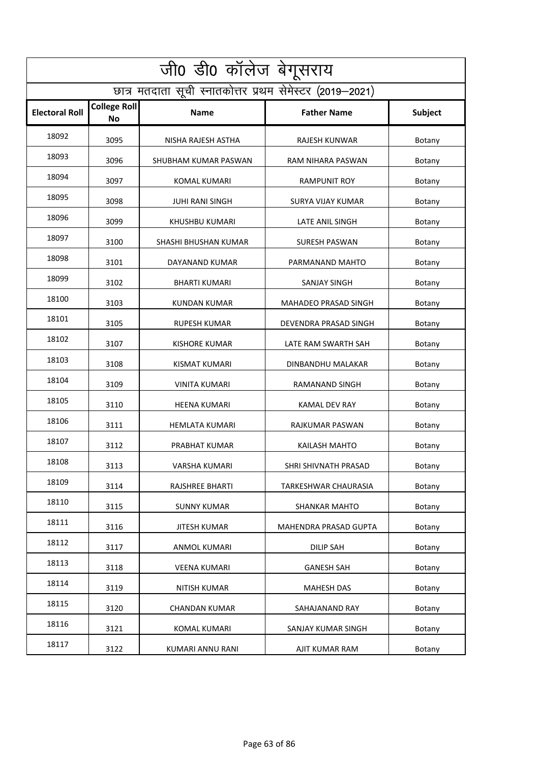|                       | जी0 डी0 कॉलेज बेगूसराय                                   |                        |                       |               |  |  |
|-----------------------|----------------------------------------------------------|------------------------|-----------------------|---------------|--|--|
|                       | छात्र मतदाता सूची स्नातकोत्तर प्रथम सेमेस्टर (2019–2021) |                        |                       |               |  |  |
| <b>Electoral Roll</b> | <b>College Roll</b><br><b>No</b>                         | <b>Name</b>            | <b>Father Name</b>    | Subject       |  |  |
| 18092                 | 3095                                                     | NISHA RAJESH ASTHA     | RAJESH KUNWAR         | Botany        |  |  |
| 18093                 | 3096                                                     | SHUBHAM KUMAR PASWAN   | RAM NIHARA PASWAN     | Botany        |  |  |
| 18094                 | 3097                                                     | KOMAL KUMARI           | <b>RAMPUNIT ROY</b>   | Botany        |  |  |
| 18095                 | 3098                                                     | <b>JUHI RANI SINGH</b> | SURYA VIJAY KUMAR     | Botany        |  |  |
| 18096                 | 3099                                                     | KHUSHBU KUMARI         | LATE ANIL SINGH       | Botany        |  |  |
| 18097                 | 3100                                                     | SHASHI BHUSHAN KUMAR   | <b>SURESH PASWAN</b>  | Botany        |  |  |
| 18098                 | 3101                                                     | DAYANAND KUMAR         | PARMANAND MAHTO       | Botany        |  |  |
| 18099                 | 3102                                                     | <b>BHARTI KUMARI</b>   | <b>SANJAY SINGH</b>   | <b>Botany</b> |  |  |
| 18100                 | 3103                                                     | <b>KUNDAN KUMAR</b>    | MAHADEO PRASAD SINGH  | Botany        |  |  |
| 18101                 | 3105                                                     | <b>RUPESH KUMAR</b>    | DEVENDRA PRASAD SINGH | Botany        |  |  |
| 18102                 | 3107                                                     | KISHORE KUMAR          | LATE RAM SWARTH SAH   | Botany        |  |  |
| 18103                 | 3108                                                     | <b>KISMAT KUMARI</b>   | DINBANDHU MALAKAR     | Botany        |  |  |
| 18104                 | 3109                                                     | <b>VINITA KUMARI</b>   | RAMANAND SINGH        | Botany        |  |  |
| 18105                 | 3110                                                     | <b>HEENA KUMARI</b>    | KAMAL DEV RAY         | Botany        |  |  |
| 18106                 | 3111                                                     | <b>HEMLATA KUMARI</b>  | RAJKUMAR PASWAN       | Botany        |  |  |
| 18107                 | 3112                                                     | PRABHAT KUMAR          | <b>KAILASH MAHTO</b>  | Botany        |  |  |
| 18108                 | 3113                                                     | VARSHA KUMARI          | SHRI SHIVNATH PRASAD  | Botany        |  |  |
| 18109                 | 3114                                                     | RAJSHREE BHARTI        | TARKESHWAR CHAURASIA  | Botany        |  |  |
| 18110                 | 3115                                                     | <b>SUNNY KUMAR</b>     | <b>SHANKAR MAHTO</b>  | Botany        |  |  |
| 18111                 | 3116                                                     | <b>JITESH KUMAR</b>    | MAHENDRA PRASAD GUPTA | Botany        |  |  |
| 18112                 | 3117                                                     | <b>ANMOL KUMARI</b>    | DILIP SAH             | Botany        |  |  |
| 18113                 | 3118                                                     | <b>VEENA KUMARI</b>    | <b>GANESH SAH</b>     | Botany        |  |  |
| 18114                 | 3119                                                     | NITISH KUMAR           | <b>MAHESH DAS</b>     | Botany        |  |  |
| 18115                 | 3120                                                     | <b>CHANDAN KUMAR</b>   | SAHAJANAND RAY        | Botany        |  |  |
| 18116                 | 3121                                                     | KOMAL KUMARI           | SANJAY KUMAR SINGH    | Botany        |  |  |
| 18117                 | 3122                                                     | KUMARI ANNU RANI       | AJIT KUMAR RAM        | Botany        |  |  |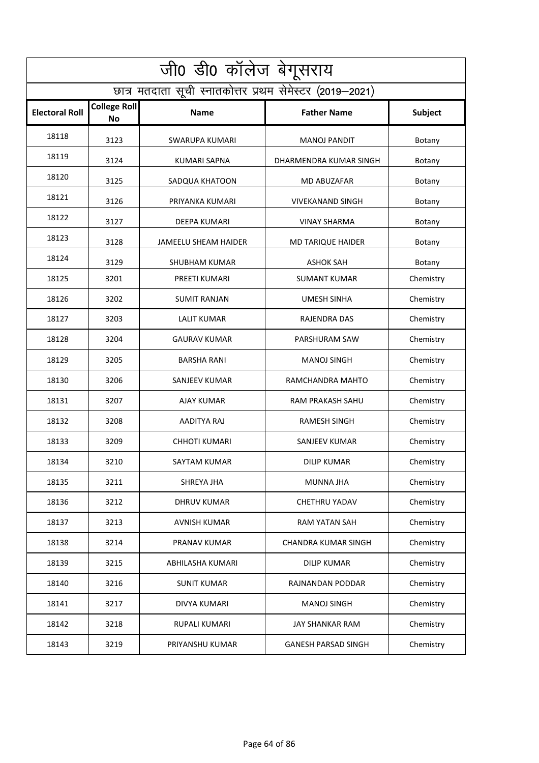| जी0 डी0 कॉलेज बेगूसराय                                   |                                  |                      |                            |           |
|----------------------------------------------------------|----------------------------------|----------------------|----------------------------|-----------|
| छात्र मतदाता सूची स्नातकोत्तर प्रथम सेमेस्टर (2019–2021) |                                  |                      |                            |           |
| <b>Electoral Roll</b>                                    | <b>College Roll</b><br><b>No</b> | <b>Name</b>          | <b>Father Name</b>         | Subject   |
| 18118                                                    | 3123                             | SWARUPA KUMARI       | <b>MANOJ PANDIT</b>        | Botany    |
| 18119                                                    | 3124                             | <b>KUMARI SAPNA</b>  | DHARMENDRA KUMAR SINGH     | Botany    |
| 18120                                                    | 3125                             | SADQUA KHATOON       | <b>MD ABUZAFAR</b>         | Botany    |
| 18121                                                    | 3126                             | PRIYANKA KUMARI      | <b>VIVEKANAND SINGH</b>    | Botany    |
| 18122                                                    | 3127                             | DEEPA KUMARI         | <b>VINAY SHARMA</b>        | Botany    |
| 18123                                                    | 3128                             | JAMEELU SHEAM HAIDER | <b>MD TARIQUE HAIDER</b>   | Botany    |
| 18124                                                    | 3129                             | <b>SHUBHAM KUMAR</b> | <b>ASHOK SAH</b>           | Botany    |
| 18125                                                    | 3201                             | PREETI KUMARI        | <b>SUMANT KUMAR</b>        | Chemistry |
| 18126                                                    | 3202                             | <b>SUMIT RANJAN</b>  | <b>UMESH SINHA</b>         | Chemistry |
| 18127                                                    | 3203                             | LALIT KUMAR          | RAJENDRA DAS               | Chemistry |
| 18128                                                    | 3204                             | <b>GAURAV KUMAR</b>  | PARSHURAM SAW              | Chemistry |
| 18129                                                    | 3205                             | <b>BARSHA RANI</b>   | <b>MANOJ SINGH</b>         | Chemistry |
| 18130                                                    | 3206                             | SANJEEV KUMAR        | RAMCHANDRA MAHTO           | Chemistry |
| 18131                                                    | 3207                             | AJAY KUMAR           | RAM PRAKASH SAHU           | Chemistry |
| 18132                                                    | 3208                             | AADITYA RAJ          | RAMESH SINGH               | Chemistry |
| 18133                                                    | 3209                             | CHHOTI KUMARI        | SANJEEV KUMAR              | Chemistry |
| 18134                                                    | 3210                             | SAYTAM KUMAR         | <b>DILIP KUMAR</b>         | Chemistry |
| 18135                                                    | 3211                             | SHREYA JHA           | <b>MUNNA JHA</b>           | Chemistry |
| 18136                                                    | 3212                             | DHRUV KUMAR          | CHETHRU YADAV              | Chemistry |
| 18137                                                    | 3213                             | <b>AVNISH KUMAR</b>  | <b>RAM YATAN SAH</b>       | Chemistry |
| 18138                                                    | 3214                             | PRANAV KUMAR         | CHANDRA KUMAR SINGH        | Chemistry |
| 18139                                                    | 3215                             | ABHILASHA KUMARI     | <b>DILIP KUMAR</b>         | Chemistry |
| 18140                                                    | 3216                             | <b>SUNIT KUMAR</b>   | RAJNANDAN PODDAR           | Chemistry |
| 18141                                                    | 3217                             | <b>DIVYA KUMARI</b>  | <b>MANOJ SINGH</b>         | Chemistry |
| 18142                                                    | 3218                             | RUPALI KUMARI        | JAY SHANKAR RAM            | Chemistry |
| 18143                                                    | 3219                             | PRIYANSHU KUMAR      | <b>GANESH PARSAD SINGH</b> | Chemistry |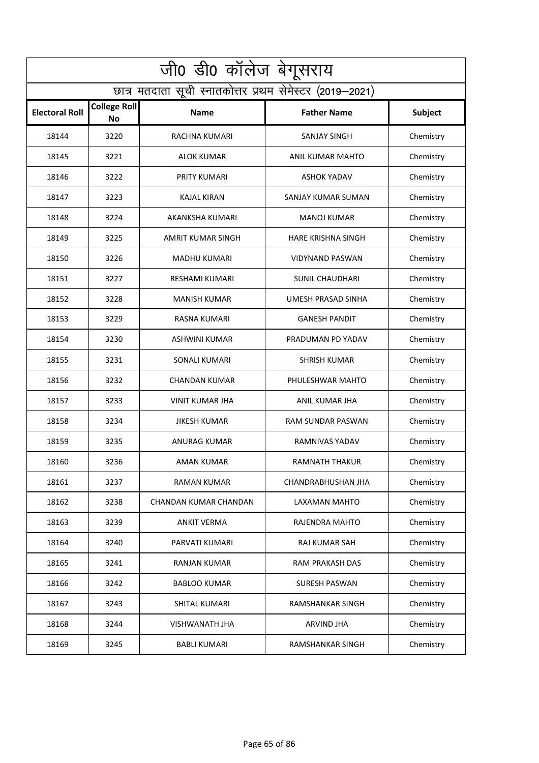|                       | जी0 डी0 कॉलेज बेगूसराय                                   |                        |                          |           |  |
|-----------------------|----------------------------------------------------------|------------------------|--------------------------|-----------|--|
|                       | छात्र मतदाता सूची स्नातकोत्तर प्रथम सेमेस्टर (2019–2021) |                        |                          |           |  |
| <b>Electoral Roll</b> | <b>College Roll</b><br><b>No</b>                         | <b>Name</b>            | <b>Father Name</b>       | Subject   |  |
| 18144                 | 3220                                                     | RACHNA KUMARI          | SANJAY SINGH             | Chemistry |  |
| 18145                 | 3221                                                     | <b>ALOK KUMAR</b>      | ANIL KUMAR MAHTO         | Chemistry |  |
| 18146                 | 3222                                                     | PRITY KUMARI           | <b>ASHOK YADAV</b>       | Chemistry |  |
| 18147                 | 3223                                                     | <b>KAJAL KIRAN</b>     | SANJAY KUMAR SUMAN       | Chemistry |  |
| 18148                 | 3224                                                     | AKANKSHA KUMARI        | <b>MANOJ KUMAR</b>       | Chemistry |  |
| 18149                 | 3225                                                     | AMRIT KUMAR SINGH      | HARE KRISHNA SINGH       | Chemistry |  |
| 18150                 | 3226                                                     | <b>MADHU KUMARI</b>    | <b>VIDYNAND PASWAN</b>   | Chemistry |  |
| 18151                 | 3227                                                     | <b>RESHAMI KUMARI</b>  | <b>SUNIL CHAUDHARI</b>   | Chemistry |  |
| 18152                 | 3228                                                     | <b>MANISH KUMAR</b>    | UMESH PRASAD SINHA       | Chemistry |  |
| 18153                 | 3229                                                     | RASNA KUMARI           | <b>GANESH PANDIT</b>     | Chemistry |  |
| 18154                 | 3230                                                     | ASHWINI KUMAR          | PRADUMAN PD YADAV        | Chemistry |  |
| 18155                 | 3231                                                     | SONALI KUMARI          | <b>SHRISH KUMAR</b>      | Chemistry |  |
| 18156                 | 3232                                                     | <b>CHANDAN KUMAR</b>   | PHULESHWAR MAHTO         | Chemistry |  |
| 18157                 | 3233                                                     | <b>VINIT KUMAR JHA</b> | ANIL KUMAR JHA           | Chemistry |  |
| 18158                 | 3234                                                     | <b>JIKESH KUMAR</b>    | <b>RAM SUNDAR PASWAN</b> | Chemistry |  |
| 18159                 | 3235                                                     | ANURAG KUMAR           | RAMNIVAS YADAV           | Chemistry |  |
| 18160                 | 3236                                                     | <b>AMAN KUMAR</b>      | RAMNATH THAKUR           | Chemistry |  |
| 18161                 | 3237                                                     | RAMAN KUMAR            | CHANDRABHUSHAN JHA       | Chemistry |  |
| 18162                 | 3238                                                     | CHANDAN KUMAR CHANDAN  | LAXAMAN MAHTO            | Chemistry |  |
| 18163                 | 3239                                                     | <b>ANKIT VERMA</b>     | RAJENDRA MAHTO           | Chemistry |  |
| 18164                 | 3240                                                     | PARVATI KUMARI         | RAJ KUMAR SAH            | Chemistry |  |
| 18165                 | 3241                                                     | <b>RANJAN KUMAR</b>    | RAM PRAKASH DAS          | Chemistry |  |
| 18166                 | 3242                                                     | <b>BABLOO KUMAR</b>    | <b>SURESH PASWAN</b>     | Chemistry |  |
| 18167                 | 3243                                                     | SHITAL KUMARI          | <b>RAMSHANKAR SINGH</b>  | Chemistry |  |
| 18168                 | 3244                                                     | VISHWANATH JHA         | <b>ARVIND JHA</b>        | Chemistry |  |
| 18169                 | 3245                                                     | <b>BABLI KUMARI</b>    | <b>RAMSHANKAR SINGH</b>  | Chemistry |  |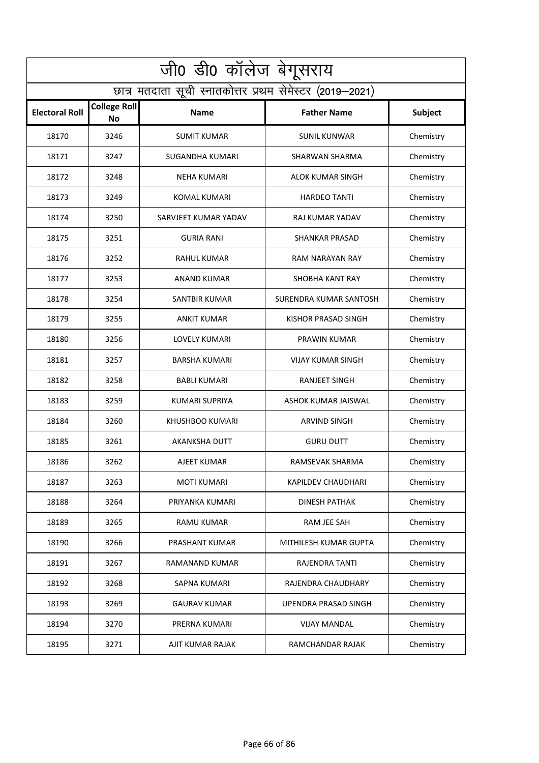|                                                          | जी0 डी0 कॉलेज बेगूसराय           |                       |                          |           |
|----------------------------------------------------------|----------------------------------|-----------------------|--------------------------|-----------|
| छात्र मतदाता सूची स्नातकोत्तर प्रथम सेमेस्टर (2019–2021) |                                  |                       |                          |           |
| <b>Electoral Roll</b>                                    | <b>College Roll</b><br><b>No</b> | <b>Name</b>           | <b>Father Name</b>       | Subject   |
| 18170                                                    | 3246                             | <b>SUMIT KUMAR</b>    | <b>SUNIL KUNWAR</b>      | Chemistry |
| 18171                                                    | 3247                             | SUGANDHA KUMARI       | <b>SHARWAN SHARMA</b>    | Chemistry |
| 18172                                                    | 3248                             | <b>NEHA KUMARI</b>    | ALOK KUMAR SINGH         | Chemistry |
| 18173                                                    | 3249                             | <b>KOMAL KUMARI</b>   | <b>HARDEO TANTI</b>      | Chemistry |
| 18174                                                    | 3250                             | SARVJEET KUMAR YADAV  | RAJ KUMAR YADAV          | Chemistry |
| 18175                                                    | 3251                             | <b>GURIA RANI</b>     | <b>SHANKAR PRASAD</b>    | Chemistry |
| 18176                                                    | 3252                             | RAHUL KUMAR           | RAM NARAYAN RAY          | Chemistry |
| 18177                                                    | 3253                             | ANAND KUMAR           | <b>SHOBHA KANT RAY</b>   | Chemistry |
| 18178                                                    | 3254                             | SANTBIR KUMAR         | SURENDRA KUMAR SANTOSH   | Chemistry |
| 18179                                                    | 3255                             | ANKIT KUMAR           | KISHOR PRASAD SINGH      | Chemistry |
| 18180                                                    | 3256                             | LOVELY KUMARI         | PRAWIN KUMAR             | Chemistry |
| 18181                                                    | 3257                             | <b>BARSHA KUMARI</b>  | <b>VIJAY KUMAR SINGH</b> | Chemistry |
| 18182                                                    | 3258                             | <b>BABLI KUMARI</b>   | RANJEET SINGH            | Chemistry |
| 18183                                                    | 3259                             | <b>KUMARI SUPRIYA</b> | ASHOK KUMAR JAISWAL      | Chemistry |
| 18184                                                    | 3260                             | KHUSHBOO KUMARI       | <b>ARVIND SINGH</b>      | Chemistry |
| 18185                                                    | 3261                             | <b>AKANKSHA DUTT</b>  | <b>GURU DUTT</b>         | Chemistry |
| 18186                                                    | 3262                             | AJEET KUMAR           | RAMSEVAK SHARMA          | Chemistry |
| 18187                                                    | 3263                             | <b>MOTI KUMARI</b>    | KAPILDEV CHAUDHARI       | Chemistry |
| 18188                                                    | 3264                             | PRIYANKA KUMARI       | <b>DINESH PATHAK</b>     | Chemistry |
| 18189                                                    | 3265                             | <b>RAMU KUMAR</b>     | RAM JEE SAH              | Chemistry |
| 18190                                                    | 3266                             | PRASHANT KUMAR        | MITHILESH KUMAR GUPTA    | Chemistry |
| 18191                                                    | 3267                             | RAMANAND KUMAR        | RAJENDRA TANTI           | Chemistry |
| 18192                                                    | 3268                             | SAPNA KUMARI          | RAJENDRA CHAUDHARY       | Chemistry |
| 18193                                                    | 3269                             | <b>GAURAV KUMAR</b>   | UPENDRA PRASAD SINGH     | Chemistry |
| 18194                                                    | 3270                             | PRERNA KUMARI         | <b>VIJAY MANDAL</b>      | Chemistry |
| 18195                                                    | 3271                             | AJIT KUMAR RAJAK      | RAMCHANDAR RAJAK         | Chemistry |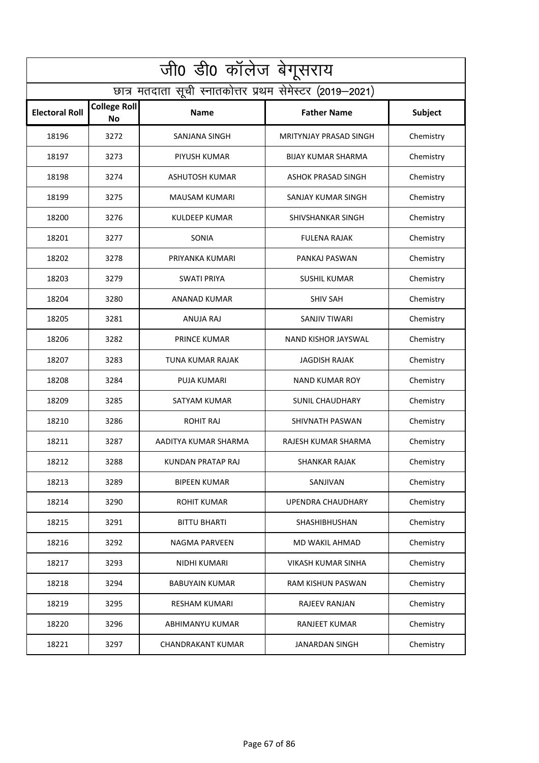|                       | जी0 डी0 कॉलेज बेगूसराय                                   |                          |                               |           |  |
|-----------------------|----------------------------------------------------------|--------------------------|-------------------------------|-----------|--|
|                       | छात्र मतदाता सूची स्नातकोत्तर प्रथम सेमेस्टर (2019–2021) |                          |                               |           |  |
| <b>Electoral Roll</b> | <b>College Roll</b><br><b>No</b>                         | <b>Name</b>              | <b>Father Name</b>            | Subject   |  |
| 18196                 | 3272                                                     | SANJANA SINGH            | <b>MRITYNJAY PRASAD SINGH</b> | Chemistry |  |
| 18197                 | 3273                                                     | PIYUSH KUMAR             | <b>BIJAY KUMAR SHARMA</b>     | Chemistry |  |
| 18198                 | 3274                                                     | <b>ASHUTOSH KUMAR</b>    | <b>ASHOK PRASAD SINGH</b>     | Chemistry |  |
| 18199                 | 3275                                                     | <b>MAUSAM KUMARI</b>     | SANJAY KUMAR SINGH            | Chemistry |  |
| 18200                 | 3276                                                     | <b>KULDEEP KUMAR</b>     | SHIVSHANKAR SINGH             | Chemistry |  |
| 18201                 | 3277                                                     | SONIA                    | <b>FULENA RAJAK</b>           | Chemistry |  |
| 18202                 | 3278                                                     | PRIYANKA KUMARI          | PANKAJ PASWAN                 | Chemistry |  |
| 18203                 | 3279                                                     | <b>SWATI PRIYA</b>       | <b>SUSHIL KUMAR</b>           | Chemistry |  |
| 18204                 | 3280                                                     | ANANAD KUMAR             | <b>SHIV SAH</b>               | Chemistry |  |
| 18205                 | 3281                                                     | ANUJA RAJ                | SANJIV TIWARI                 | Chemistry |  |
| 18206                 | 3282                                                     | <b>PRINCE KUMAR</b>      | NAND KISHOR JAYSWAL           | Chemistry |  |
| 18207                 | 3283                                                     | TUNA KUMAR RAJAK         | <b>JAGDISH RAJAK</b>          | Chemistry |  |
| 18208                 | 3284                                                     | PUJA KUMARI              | <b>NAND KUMAR ROY</b>         | Chemistry |  |
| 18209                 | 3285                                                     | SATYAM KUMAR             | <b>SUNIL CHAUDHARY</b>        | Chemistry |  |
| 18210                 | 3286                                                     | <b>ROHIT RAJ</b>         | SHIVNATH PASWAN               | Chemistry |  |
| 18211                 | 3287                                                     | AADITYA KUMAR SHARMA     | RAJESH KUMAR SHARMA           | Chemistry |  |
| 18212                 | 3288                                                     | KUNDAN PRATAP RAJ        | <b>SHANKAR RAJAK</b>          | Chemistry |  |
| 18213                 | 3289                                                     | <b>BIPEEN KUMAR</b>      | SANJIVAN                      | Chemistry |  |
| 18214                 | 3290                                                     | <b>ROHIT KUMAR</b>       | UPENDRA CHAUDHARY             | Chemistry |  |
| 18215                 | 3291                                                     | <b>BITTU BHARTI</b>      | <b>SHASHIBHUSHAN</b>          | Chemistry |  |
| 18216                 | 3292                                                     | <b>NAGMA PARVEEN</b>     | MD WAKIL AHMAD                | Chemistry |  |
| 18217                 | 3293                                                     | NIDHI KUMARI             | <b>VIKASH KUMAR SINHA</b>     | Chemistry |  |
| 18218                 | 3294                                                     | <b>BABUYAIN KUMAR</b>    | RAM KISHUN PASWAN             | Chemistry |  |
| 18219                 | 3295                                                     | <b>RESHAM KUMARI</b>     | <b>RAJEEV RANJAN</b>          | Chemistry |  |
| 18220                 | 3296                                                     | ABHIMANYU KUMAR          | <b>RANJEET KUMAR</b>          | Chemistry |  |
| 18221                 | 3297                                                     | <b>CHANDRAKANT KUMAR</b> | <b>JANARDAN SINGH</b>         | Chemistry |  |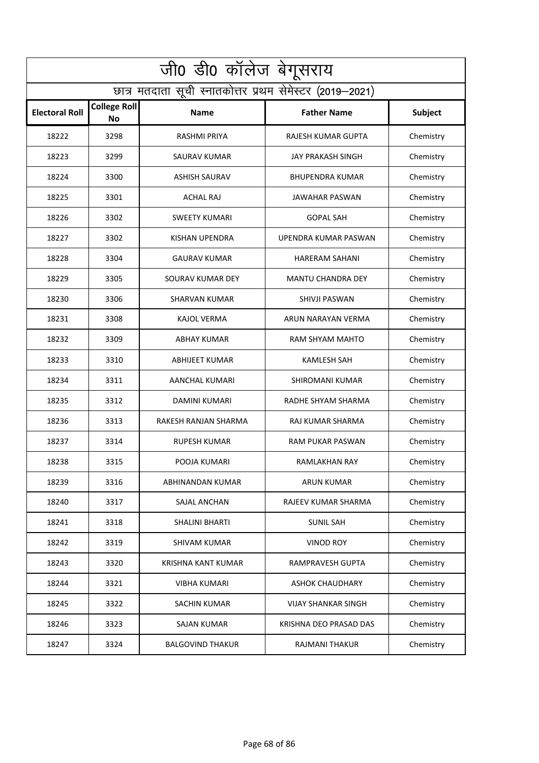|                       | जी0 डी0 कॉलेज बेगूसराय                                   |                           |                            |           |  |
|-----------------------|----------------------------------------------------------|---------------------------|----------------------------|-----------|--|
|                       | छात्र मतदाता सूची स्नातकोत्तर प्रथम सेमेस्टर (2019–2021) |                           |                            |           |  |
| <b>Electoral Roll</b> | <b>College Roll</b><br><b>No</b>                         | <b>Name</b>               | <b>Father Name</b>         | Subject   |  |
| 18222                 | 3298                                                     | RASHMI PRIYA              | RAJESH KUMAR GUPTA         | Chemistry |  |
| 18223                 | 3299                                                     | <b>SAURAV KUMAR</b>       | <b>JAY PRAKASH SINGH</b>   | Chemistry |  |
| 18224                 | 3300                                                     | <b>ASHISH SAURAV</b>      | <b>BHUPENDRA KUMAR</b>     | Chemistry |  |
| 18225                 | 3301                                                     | <b>ACHAL RAJ</b>          | JAWAHAR PASWAN             | Chemistry |  |
| 18226                 | 3302                                                     | <b>SWEETY KUMARI</b>      | <b>GOPAL SAH</b>           | Chemistry |  |
| 18227                 | 3302                                                     | KISHAN UPENDRA            | UPENDRA KUMAR PASWAN       | Chemistry |  |
| 18228                 | 3304                                                     | <b>GAURAV KUMAR</b>       | <b>HARERAM SAHANI</b>      | Chemistry |  |
| 18229                 | 3305                                                     | SOURAV KUMAR DEY          | <b>MANTU CHANDRA DEY</b>   | Chemistry |  |
| 18230                 | 3306                                                     | <b>SHARVAN KUMAR</b>      | SHIVJI PASWAN              | Chemistry |  |
| 18231                 | 3308                                                     | KAJOL VERMA               | ARUN NARAYAN VERMA         | Chemistry |  |
| 18232                 | 3309                                                     | <b>ABHAY KUMAR</b>        | RAM SHYAM MAHTO            | Chemistry |  |
| 18233                 | 3310                                                     | <b>ABHIJEET KUMAR</b>     | <b>KAMLESH SAH</b>         | Chemistry |  |
| 18234                 | 3311                                                     | AANCHAL KUMARI            | SHIROMANI KUMAR            | Chemistry |  |
| 18235                 | 3312                                                     | DAMINI KUMARI             | RADHE SHYAM SHARMA         | Chemistry |  |
| 18236                 | 3313                                                     | RAKESH RANJAN SHARMA      | RAJ KUMAR SHARMA           | Chemistry |  |
| 18237                 | 3314                                                     | <b>RUPESH KUMAR</b>       | RAM PUKAR PASWAN           | Chemistry |  |
| 18238                 | 3315                                                     | POOJA KUMARI              | RAMLAKHAN RAY              | Chemistry |  |
| 18239                 | 3316                                                     | ABHINANDAN KUMAR          | <b>ARUN KUMAR</b>          | Chemistry |  |
| 18240                 | 3317                                                     | SAJAL ANCHAN              | RAJEEV KUMAR SHARMA        | Chemistry |  |
| 18241                 | 3318                                                     | <b>SHALINI BHARTI</b>     | <b>SUNIL SAH</b>           | Chemistry |  |
| 18242                 | 3319                                                     | SHIVAM KUMAR              | <b>VINOD ROY</b>           | Chemistry |  |
| 18243                 | 3320                                                     | <b>KRISHNA KANT KUMAR</b> | <b>RAMPRAVESH GUPTA</b>    | Chemistry |  |
| 18244                 | 3321                                                     | <b>VIBHA KUMARI</b>       | <b>ASHOK CHAUDHARY</b>     | Chemistry |  |
| 18245                 | 3322                                                     | <b>SACHIN KUMAR</b>       | <b>VIJAY SHANKAR SINGH</b> | Chemistry |  |
| 18246                 | 3323                                                     | SAJAN KUMAR               | KRISHNA DEO PRASAD DAS     | Chemistry |  |
| 18247                 | 3324                                                     | <b>BALGOVIND THAKUR</b>   | <b>RAJMANI THAKUR</b>      | Chemistry |  |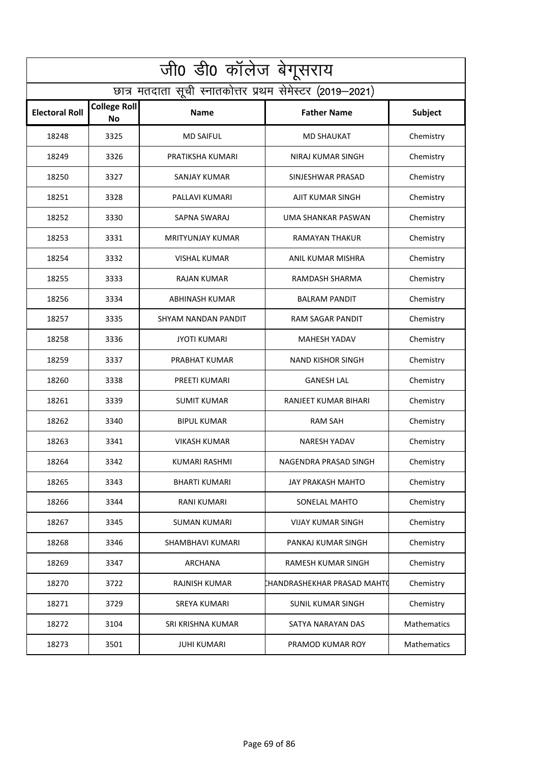| जी0 डी0 कॉलेज बेगूसराय                                   |                                  |                         |                             |             |
|----------------------------------------------------------|----------------------------------|-------------------------|-----------------------------|-------------|
| छात्र मतदाता सूची स्नातकोत्तर प्रथम सेमेस्टर (2019–2021) |                                  |                         |                             |             |
| <b>Electoral Roll</b>                                    | <b>College Roll</b><br><b>No</b> | <b>Name</b>             | <b>Father Name</b>          | Subject     |
| 18248                                                    | 3325                             | <b>MD SAIFUL</b>        | <b>MD SHAUKAT</b>           | Chemistry   |
| 18249                                                    | 3326                             | PRATIKSHA KUMARI        | NIRAJ KUMAR SINGH           | Chemistry   |
| 18250                                                    | 3327                             | SANJAY KUMAR            | SINJESHWAR PRASAD           | Chemistry   |
| 18251                                                    | 3328                             | PALLAVI KUMARI          | AJIT KUMAR SINGH            | Chemistry   |
| 18252                                                    | 3330                             | SAPNA SWARAJ            | UMA SHANKAR PASWAN          | Chemistry   |
| 18253                                                    | 3331                             | <b>MRITYUNJAY KUMAR</b> | RAMAYAN THAKUR              | Chemistry   |
| 18254                                                    | 3332                             | <b>VISHAL KUMAR</b>     | ANIL KUMAR MISHRA           | Chemistry   |
| 18255                                                    | 3333                             | RAJAN KUMAR             | RAMDASH SHARMA              | Chemistry   |
| 18256                                                    | 3334                             | ABHINASH KUMAR          | <b>BALRAM PANDIT</b>        | Chemistry   |
| 18257                                                    | 3335                             | SHYAM NANDAN PANDIT     | RAM SAGAR PANDIT            | Chemistry   |
| 18258                                                    | 3336                             | <b>JYOTI KUMARI</b>     | <b>MAHESH YADAV</b>         | Chemistry   |
| 18259                                                    | 3337                             | PRABHAT KUMAR           | <b>NAND KISHOR SINGH</b>    | Chemistry   |
| 18260                                                    | 3338                             | PREETI KUMARI           | <b>GANESH LAL</b>           | Chemistry   |
| 18261                                                    | 3339                             | <b>SUMIT KUMAR</b>      | RANJEET KUMAR BIHARI        | Chemistry   |
| 18262                                                    | 3340                             | <b>BIPUL KUMAR</b>      | <b>RAM SAH</b>              | Chemistry   |
| 18263                                                    | 3341                             | <b>VIKASH KUMAR</b>     | <b>NARESH YADAV</b>         | Chemistry   |
| 18264                                                    | 3342                             | <b>KUMARI RASHMI</b>    | NAGENDRA PRASAD SINGH       | Chemistry   |
| 18265                                                    | 3343                             | <b>BHARTI KUMARI</b>    | <b>JAY PRAKASH MAHTO</b>    | Chemistry   |
| 18266                                                    | 3344                             | <b>RANI KUMARI</b>      | SONELAL MAHTO               | Chemistry   |
| 18267                                                    | 3345                             | <b>SUMAN KUMARI</b>     | <b>VIJAY KUMAR SINGH</b>    | Chemistry   |
| 18268                                                    | 3346                             | SHAMBHAVI KUMARI        | PANKAJ KUMAR SINGH          | Chemistry   |
| 18269                                                    | 3347                             | <b>ARCHANA</b>          | <b>RAMESH KUMAR SINGH</b>   | Chemistry   |
| 18270                                                    | 3722                             | <b>RAJNISH KUMAR</b>    | CHANDRASHEKHAR PRASAD MAHTO | Chemistry   |
| 18271                                                    | 3729                             | <b>SREYA KUMARI</b>     | <b>SUNIL KUMAR SINGH</b>    | Chemistry   |
| 18272                                                    | 3104                             | SRI KRISHNA KUMAR       | SATYA NARAYAN DAS           | Mathematics |
| 18273                                                    | 3501                             | <b>JUHI KUMARI</b>      | PRAMOD KUMAR ROY            | Mathematics |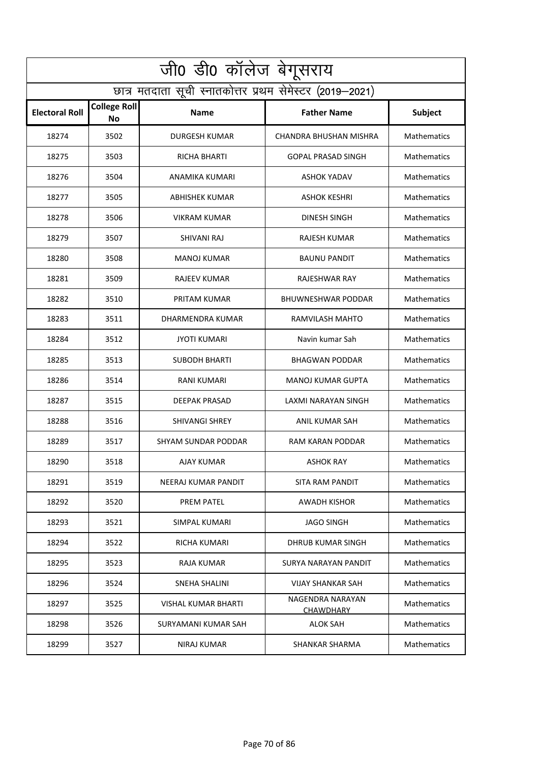|                                                          | <u>ज</u> ी0 डी0 कॉलेज बेगूसराय |                       |                                      |                    |
|----------------------------------------------------------|--------------------------------|-----------------------|--------------------------------------|--------------------|
| छात्र मतदाता सूची स्नातकोत्तर प्रथम सेमेस्टर (2019–2021) |                                |                       |                                      |                    |
| <b>Electoral Roll</b>                                    | <b>College Roll</b><br>No      | <b>Name</b>           | <b>Father Name</b>                   | Subject            |
| 18274                                                    | 3502                           | DURGESH KUMAR         | CHANDRA BHUSHAN MISHRA               | Mathematics        |
| 18275                                                    | 3503                           | RICHA BHARTI          | <b>GOPAL PRASAD SINGH</b>            | <b>Mathematics</b> |
| 18276                                                    | 3504                           | ANAMIKA KUMARI        | <b>ASHOK YADAV</b>                   | Mathematics        |
| 18277                                                    | 3505                           | ABHISHEK KUMAR        | <b>ASHOK KESHRI</b>                  | Mathematics        |
| 18278                                                    | 3506                           | <b>VIKRAM KUMAR</b>   | DINESH SINGH                         | Mathematics        |
| 18279                                                    | 3507                           | SHIVANI RAJ           | RAJESH KUMAR                         | Mathematics        |
| 18280                                                    | 3508                           | <b>MANOJ KUMAR</b>    | <b>BAUNU PANDIT</b>                  | Mathematics        |
| 18281                                                    | 3509                           | RAJEEV KUMAR          | <b>RAJESHWAR RAY</b>                 | Mathematics        |
| 18282                                                    | 3510                           | PRITAM KUMAR          | <b>BHUWNESHWAR PODDAR</b>            | <b>Mathematics</b> |
| 18283                                                    | 3511                           | DHARMENDRA KUMAR      | RAMVILASH MAHTO                      | <b>Mathematics</b> |
| 18284                                                    | 3512                           | <b>JYOTI KUMARI</b>   | Navin kumar Sah                      | <b>Mathematics</b> |
| 18285                                                    | 3513                           | <b>SUBODH BHARTI</b>  | <b>BHAGWAN PODDAR</b>                | Mathematics        |
| 18286                                                    | 3514                           | RANI KUMARI           | <b>MANOJ KUMAR GUPTA</b>             | <b>Mathematics</b> |
| 18287                                                    | 3515                           | DEEPAK PRASAD         | LAXMI NARAYAN SINGH                  | Mathematics        |
| 18288                                                    | 3516                           | <b>SHIVANGI SHREY</b> | ANIL KUMAR SAH                       | Mathematics        |
| 18289                                                    | 3517                           | SHYAM SUNDAR PODDAR   | RAM KARAN PODDAR                     | <b>Mathematics</b> |
| 18290                                                    | 3518                           | <b>AJAY KUMAR</b>     | <b>ASHOK RAY</b>                     | Mathematics        |
| 18291                                                    | 3519                           | NEERAJ KUMAR PANDIT   | SITA RAM PANDIT                      | Mathematics        |
| 18292                                                    | 3520                           | PREM PATEL            | AWADH KISHOR                         | Mathematics        |
| 18293                                                    | 3521                           | SIMPAL KUMARI         | <b>JAGO SINGH</b>                    | Mathematics        |
| 18294                                                    | 3522                           | RICHA KUMARI          | DHRUB KUMAR SINGH                    | Mathematics        |
| 18295                                                    | 3523                           | <b>RAJA KUMAR</b>     | SURYA NARAYAN PANDIT                 | <b>Mathematics</b> |
| 18296                                                    | 3524                           | <b>SNEHA SHALINI</b>  | <b>VIJAY SHANKAR SAH</b>             | Mathematics        |
| 18297                                                    | 3525                           | VISHAL KUMAR BHARTI   | NAGENDRA NARAYAN<br><b>CHAWDHARY</b> | Mathematics        |
| 18298                                                    | 3526                           | SURYAMANI KUMAR SAH   | <b>ALOK SAH</b>                      | Mathematics        |
| 18299                                                    | 3527                           | <b>NIRAJ KUMAR</b>    | <b>SHANKAR SHARMA</b>                | Mathematics        |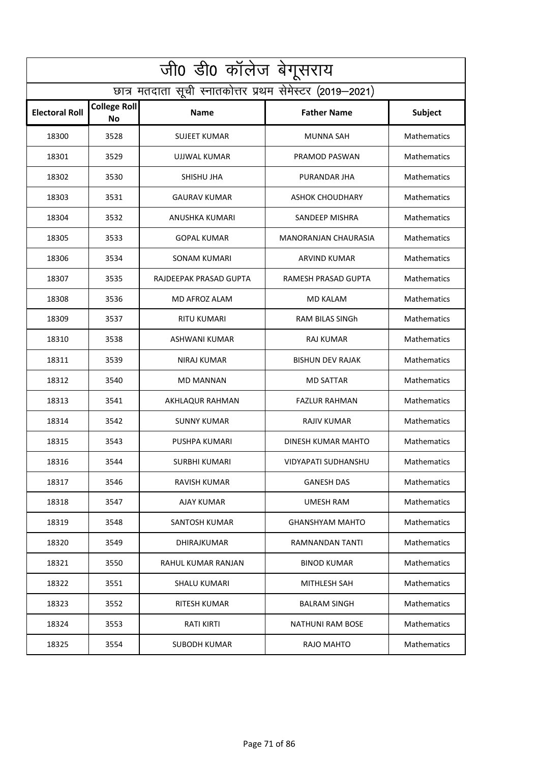| जी0 डी0 कॉलेज बेगूसराय |                                                          |                        |                             |                    |  |
|------------------------|----------------------------------------------------------|------------------------|-----------------------------|--------------------|--|
|                        | छात्र मतदाता सूची स्नातकोत्तर प्रथम सेमेस्टर (2019–2021) |                        |                             |                    |  |
| <b>Electoral Roll</b>  | <b>College Roll</b><br><b>No</b>                         | <b>Name</b>            | <b>Father Name</b>          | Subject            |  |
| 18300                  | 3528                                                     | SUJEET KUMAR           | <b>MUNNA SAH</b>            | Mathematics        |  |
| 18301                  | 3529                                                     | UJJWAL KUMAR           | PRAMOD PASWAN               | Mathematics        |  |
| 18302                  | 3530                                                     | SHISHU JHA             | PURANDAR JHA                | Mathematics        |  |
| 18303                  | 3531                                                     | <b>GAURAV KUMAR</b>    | <b>ASHOK CHOUDHARY</b>      | Mathematics        |  |
| 18304                  | 3532                                                     | ANUSHKA KUMARI         | SANDEEP MISHRA              | Mathematics        |  |
| 18305                  | 3533                                                     | <b>GOPAL KUMAR</b>     | <b>MANORANJAN CHAURASIA</b> | Mathematics        |  |
| 18306                  | 3534                                                     | SONAM KUMARI           | ARVIND KUMAR                | Mathematics        |  |
| 18307                  | 3535                                                     | RAJDEEPAK PRASAD GUPTA | RAMESH PRASAD GUPTA         | Mathematics        |  |
| 18308                  | 3536                                                     | MD AFROZ ALAM          | <b>MD KALAM</b>             | <b>Mathematics</b> |  |
| 18309                  | 3537                                                     | RITU KUMARI            | <b>RAM BILAS SINGh</b>      | Mathematics        |  |
| 18310                  | 3538                                                     | ASHWANI KUMAR          | RAJ KUMAR                   | Mathematics        |  |
| 18311                  | 3539                                                     | <b>NIRAJ KUMAR</b>     | <b>BISHUN DEV RAJAK</b>     | Mathematics        |  |
| 18312                  | 3540                                                     | <b>MD MANNAN</b>       | <b>MD SATTAR</b>            | Mathematics        |  |
| 18313                  | 3541                                                     | AKHLAQUR RAHMAN        | <b>FAZLUR RAHMAN</b>        | Mathematics        |  |
| 18314                  | 3542                                                     | <b>SUNNY KUMAR</b>     | <b>RAJIV KUMAR</b>          | Mathematics        |  |
| 18315                  | 3543                                                     | PUSHPA KUMARI          | DINESH KUMAR MAHTO          | Mathematics        |  |
| 18316                  | 3544                                                     | <b>SURBHI KUMARI</b>   | VIDYAPATI SUDHANSHU         | Mathematics        |  |
| 18317                  | 3546                                                     | RAVISH KUMAR           | <b>GANESH DAS</b>           | Mathematics        |  |
| 18318                  | 3547                                                     | AJAY KUMAR             | <b>UMESH RAM</b>            | Mathematics        |  |
| 18319                  | 3548                                                     | SANTOSH KUMAR          | <b>GHANSHYAM MAHTO</b>      | <b>Mathematics</b> |  |
| 18320                  | 3549                                                     | DHIRAJKUMAR            | RAMNANDAN TANTI             | Mathematics        |  |
| 18321                  | 3550                                                     | RAHUL KUMAR RANJAN     | <b>BINOD KUMAR</b>          | <b>Mathematics</b> |  |
| 18322                  | 3551                                                     | <b>SHALU KUMARI</b>    | MITHLESH SAH                | Mathematics        |  |
| 18323                  | 3552                                                     | RITESH KUMAR           | <b>BALRAM SINGH</b>         | Mathematics        |  |
| 18324                  | 3553                                                     | RATI KIRTI             | NATHUNI RAM BOSE            | Mathematics        |  |
| 18325                  | 3554                                                     | SUBODH KUMAR           | RAJO MAHTO                  | Mathematics        |  |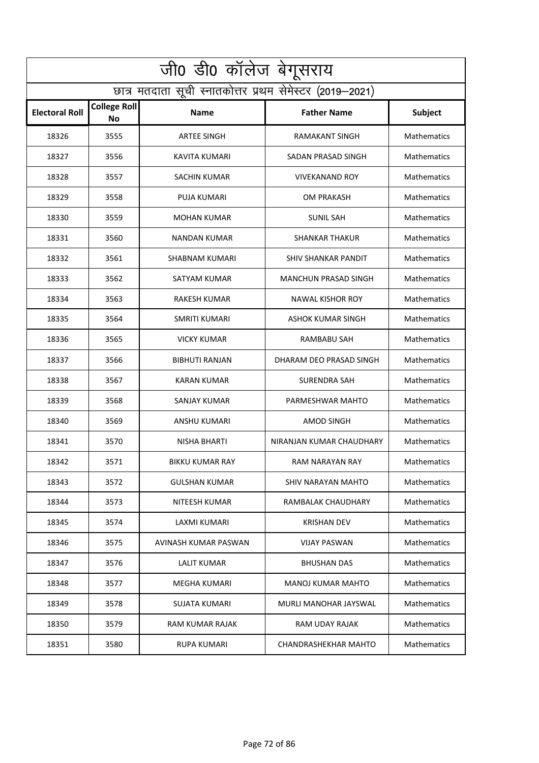|                       | जी0 डी0 कॉलेज बेगूसराय                                   |                        |                             |                    |  |
|-----------------------|----------------------------------------------------------|------------------------|-----------------------------|--------------------|--|
|                       | छात्र मतदाता सूची स्नातकोत्तर प्रथम सेमेस्टर (2019–2021) |                        |                             |                    |  |
| <b>Electoral Roll</b> | <b>College Roll</b><br>No                                | <b>Name</b>            | <b>Father Name</b>          | Subject            |  |
| 18326                 | 3555                                                     | <b>ARTEE SINGH</b>     | RAMAKANT SINGH              | Mathematics        |  |
| 18327                 | 3556                                                     | <b>KAVITA KUMARI</b>   | SADAN PRASAD SINGH          | <b>Mathematics</b> |  |
| 18328                 | 3557                                                     | SACHIN KUMAR           | <b>VIVEKANAND ROY</b>       | Mathematics        |  |
| 18329                 | 3558                                                     | <b>PUJA KUMARI</b>     | <b>OM PRAKASH</b>           | Mathematics        |  |
| 18330                 | 3559                                                     | <b>MOHAN KUMAR</b>     | SUNIL SAH                   | Mathematics        |  |
| 18331                 | 3560                                                     | NANDAN KUMAR           | <b>SHANKAR THAKUR</b>       | <b>Mathematics</b> |  |
| 18332                 | 3561                                                     | SHABNAM KUMARI         | SHIV SHANKAR PANDIT         | Mathematics        |  |
| 18333                 | 3562                                                     | SATYAM KUMAR           | MANCHUN PRASAD SINGH        | Mathematics        |  |
| 18334                 | 3563                                                     | RAKESH KUMAR           | <b>NAWAL KISHOR ROY</b>     | <b>Mathematics</b> |  |
| 18335                 | 3564                                                     | SMRITI KUMARI          | ASHOK KUMAR SINGH           | <b>Mathematics</b> |  |
| 18336                 | 3565                                                     | <b>VICKY KUMAR</b>     | RAMBABU SAH                 | <b>Mathematics</b> |  |
| 18337                 | 3566                                                     | <b>BIBHUTI RANJAN</b>  | DHARAM DEO PRASAD SINGH     | Mathematics        |  |
| 18338                 | 3567                                                     | <b>KARAN KUMAR</b>     | <b>SURENDRA SAH</b>         | <b>Mathematics</b> |  |
| 18339                 | 3568                                                     | SANJAY KUMAR           | PARMESHWAR MAHTO            | Mathematics        |  |
| 18340                 | 3569                                                     | <b>ANSHU KUMARI</b>    | AMOD SINGH                  | Mathematics        |  |
| 18341                 | 3570                                                     | NISHA BHARTI           | NIRANJAN KUMAR CHAUDHARY    | Mathematics        |  |
| 18342                 | 3571                                                     | <b>BIKKU KUMAR RAY</b> | RAM NARAYAN RAY             | Mathematics        |  |
| 18343                 | 3572                                                     | <b>GULSHAN KUMAR</b>   | SHIV NARAYAN MAHTO          | Mathematics        |  |
| 18344                 | 3573                                                     | NITEESH KUMAR          | RAMBALAK CHAUDHARY          | Mathematics        |  |
| 18345                 | 3574                                                     | LAXMI KUMARI           | <b>KRISHAN DEV</b>          | Mathematics        |  |
| 18346                 | 3575                                                     | AVINASH KUMAR PASWAN   | <b>VIJAY PASWAN</b>         | Mathematics        |  |
| 18347                 | 3576                                                     | <b>LALIT KUMAR</b>     | <b>BHUSHAN DAS</b>          | <b>Mathematics</b> |  |
| 18348                 | 3577                                                     | <b>MEGHA KUMARI</b>    | <b>MANOJ KUMAR MAHTO</b>    | Mathematics        |  |
| 18349                 | 3578                                                     | SUJATA KUMARI          | MURLI MANOHAR JAYSWAL       | Mathematics        |  |
| 18350                 | 3579                                                     | RAM KUMAR RAJAK        | RAM UDAY RAJAK              | Mathematics        |  |
| 18351                 | 3580                                                     | <b>RUPA KUMARI</b>     | <b>CHANDRASHEKHAR MAHTO</b> | Mathematics        |  |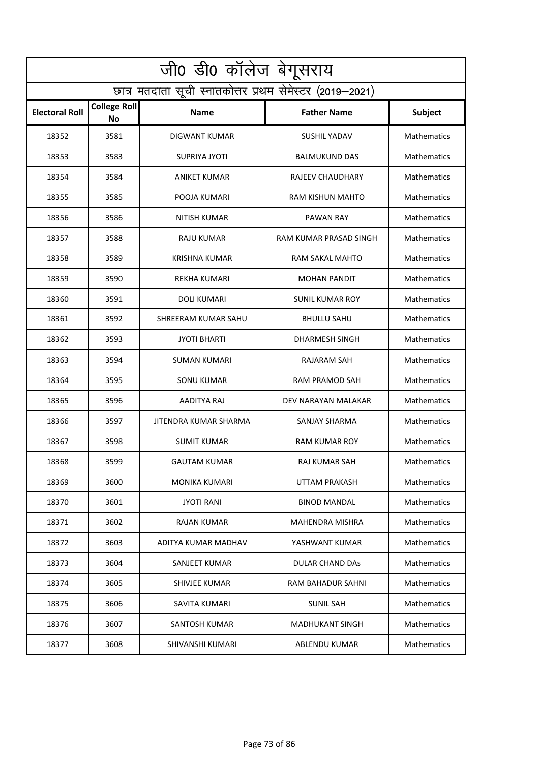|                       | <u>ज</u> ी0 डी0 कॉलेज बेगूसराय                           |                       |                          |                    |  |
|-----------------------|----------------------------------------------------------|-----------------------|--------------------------|--------------------|--|
|                       | छात्र मतदाता सूची स्नातकोत्तर प्रथम सेमेस्टर (2019–2021) |                       |                          |                    |  |
| <b>Electoral Roll</b> | <b>College Roll</b><br><b>No</b>                         | <b>Name</b>           | <b>Father Name</b>       | Subject            |  |
| 18352                 | 3581                                                     | DIGWANT KUMAR         | <b>SUSHIL YADAV</b>      | Mathematics        |  |
| 18353                 | 3583                                                     | SUPRIYA JYOTI         | <b>BALMUKUND DAS</b>     | <b>Mathematics</b> |  |
| 18354                 | 3584                                                     | <b>ANIKET KUMAR</b>   | RAJEEV CHAUDHARY         | Mathematics        |  |
| 18355                 | 3585                                                     | POOJA KUMARI          | <b>RAM KISHUN MAHTO</b>  | Mathematics        |  |
| 18356                 | 3586                                                     | NITISH KUMAR          | PAWAN RAY                | Mathematics        |  |
| 18357                 | 3588                                                     | <b>RAJU KUMAR</b>     | RAM KUMAR PRASAD SINGH   | Mathematics        |  |
| 18358                 | 3589                                                     | KRISHNA KUMAR         | RAM SAKAL MAHTO          | Mathematics        |  |
| 18359                 | 3590                                                     | REKHA KUMARI          | <b>MOHAN PANDIT</b>      | Mathematics        |  |
| 18360                 | 3591                                                     | <b>DOLI KUMARI</b>    | SUNIL KUMAR ROY          | <b>Mathematics</b> |  |
| 18361                 | 3592                                                     | SHREERAM KUMAR SAHU   | <b>BHULLU SAHU</b>       | <b>Mathematics</b> |  |
| 18362                 | 3593                                                     | <b>JYOTI BHARTI</b>   | DHARMESH SINGH           | <b>Mathematics</b> |  |
| 18363                 | 3594                                                     | SUMAN KUMARI          | RAJARAM SAH              | Mathematics        |  |
| 18364                 | 3595                                                     | SONU KUMAR            | RAM PRAMOD SAH           | Mathematics        |  |
| 18365                 | 3596                                                     | AADITYA RAJ           | DEV NARAYAN MALAKAR      | Mathematics        |  |
| 18366                 | 3597                                                     | JITENDRA KUMAR SHARMA | SANJAY SHARMA            | Mathematics        |  |
| 18367                 | 3598                                                     | <b>SUMIT KUMAR</b>    | <b>RAM KUMAR ROY</b>     | Mathematics        |  |
| 18368                 | 3599                                                     | <b>GAUTAM KUMAR</b>   | RAJ KUMAR SAH            | Mathematics        |  |
| 18369                 | 3600                                                     | <b>MONIKA KUMARI</b>  | UTTAM PRAKASH            | Mathematics        |  |
| 18370                 | 3601                                                     | <b>JYOTI RANI</b>     | <b>BINOD MANDAL</b>      | Mathematics        |  |
| 18371                 | 3602                                                     | RAJAN KUMAR           | <b>MAHENDRA MISHRA</b>   | Mathematics        |  |
| 18372                 | 3603                                                     | ADITYA KUMAR MADHAV   | YASHWANT KUMAR           | Mathematics        |  |
| 18373                 | 3604                                                     | SANJEET KUMAR         | DULAR CHAND DAS          | <b>Mathematics</b> |  |
| 18374                 | 3605                                                     | SHIVJEE KUMAR         | <b>RAM BAHADUR SAHNI</b> | Mathematics        |  |
| 18375                 | 3606                                                     | SAVITA KUMARI         | SUNIL SAH                | Mathematics        |  |
| 18376                 | 3607                                                     | SANTOSH KUMAR         | <b>MADHUKANT SINGH</b>   | Mathematics        |  |
| 18377                 | 3608                                                     | SHIVANSHI KUMARI      | ABLENDU KUMAR            | Mathematics        |  |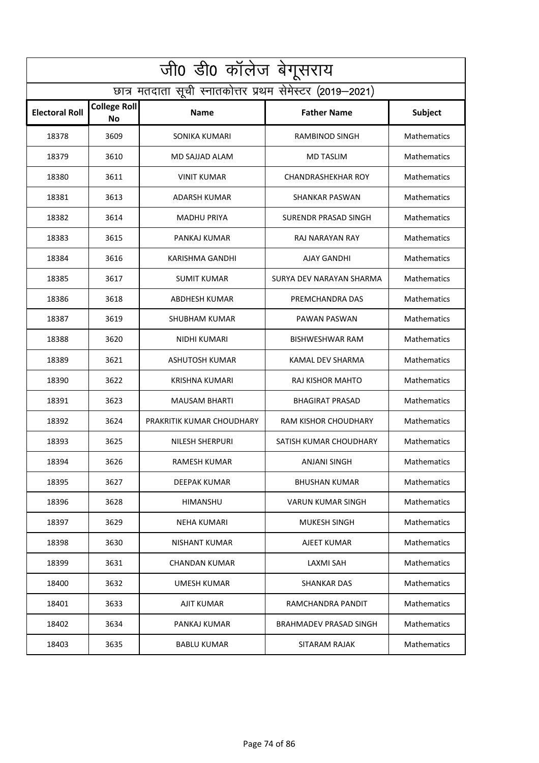| <u>ज</u> ी0 डी0 कॉलेज बेगूसराय |                                                          |                           |                               |                    |  |
|--------------------------------|----------------------------------------------------------|---------------------------|-------------------------------|--------------------|--|
|                                | छात्र मतदाता सूची स्नातकोत्तर प्रथम सेमेस्टर (2019–2021) |                           |                               |                    |  |
| <b>Electoral Roll</b>          | <b>College Roll</b><br>No                                | <b>Name</b>               | <b>Father Name</b>            | Subject            |  |
| 18378                          | 3609                                                     | SONIKA KUMARI             | <b>RAMBINOD SINGH</b>         | Mathematics        |  |
| 18379                          | 3610                                                     | MD SAJJAD ALAM            | <b>MD TASLIM</b>              | <b>Mathematics</b> |  |
| 18380                          | 3611                                                     | <b>VINIT KUMAR</b>        | <b>CHANDRASHEKHAR ROY</b>     | Mathematics        |  |
| 18381                          | 3613                                                     | ADARSH KUMAR              | <b>SHANKAR PASWAN</b>         | Mathematics        |  |
| 18382                          | 3614                                                     | <b>MADHU PRIYA</b>        | SURENDR PRASAD SINGH          | Mathematics        |  |
| 18383                          | 3615                                                     | PANKAJ KUMAR              | RAJ NARAYAN RAY               | Mathematics        |  |
| 18384                          | 3616                                                     | KARISHMA GANDHI           | AJAY GANDHI                   | Mathematics        |  |
| 18385                          | 3617                                                     | <b>SUMIT KUMAR</b>        | SURYA DEV NARAYAN SHARMA      | Mathematics        |  |
| 18386                          | 3618                                                     | ABDHESH KUMAR             | PREMCHANDRA DAS               | <b>Mathematics</b> |  |
| 18387                          | 3619                                                     | <b>SHUBHAM KUMAR</b>      | PAWAN PASWAN                  | <b>Mathematics</b> |  |
| 18388                          | 3620                                                     | NIDHI KUMARI              | <b>BISHWESHWAR RAM</b>        | <b>Mathematics</b> |  |
| 18389                          | 3621                                                     | <b>ASHUTOSH KUMAR</b>     | KAMAL DEV SHARMA              | Mathematics        |  |
| 18390                          | 3622                                                     | KRISHNA KUMARI            | RAJ KISHOR MAHTO              | <b>Mathematics</b> |  |
| 18391                          | 3623                                                     | <b>MAUSAM BHARTI</b>      | <b>BHAGIRAT PRASAD</b>        | Mathematics        |  |
| 18392                          | 3624                                                     | PRAKRITIK KUMAR CHOUDHARY | RAM KISHOR CHOUDHARY          | Mathematics        |  |
| 18393                          | 3625                                                     | <b>NILESH SHERPURI</b>    | SATISH KUMAR CHOUDHARY        | Mathematics        |  |
| 18394                          | 3626                                                     | RAMESH KUMAR              | <b>ANJANI SINGH</b>           | Mathematics        |  |
| 18395                          | 3627                                                     | DEEPAK KUMAR              | <b>BHUSHAN KUMAR</b>          | Mathematics        |  |
| 18396                          | 3628                                                     | <b>HIMANSHU</b>           | <b>VARUN KUMAR SINGH</b>      | Mathematics        |  |
| 18397                          | 3629                                                     | NEHA KUMARI               | MUKESH SINGH                  | Mathematics        |  |
| 18398                          | 3630                                                     | <b>NISHANT KUMAR</b>      | AJEET KUMAR                   | Mathematics        |  |
| 18399                          | 3631                                                     | <b>CHANDAN KUMAR</b>      | <b>LAXMI SAH</b>              | <b>Mathematics</b> |  |
| 18400                          | 3632                                                     | <b>UMESH KUMAR</b>        | <b>SHANKAR DAS</b>            | Mathematics        |  |
| 18401                          | 3633                                                     | <b>AJIT KUMAR</b>         | RAMCHANDRA PANDIT             | Mathematics        |  |
| 18402                          | 3634                                                     | PANKAJ KUMAR              | <b>BRAHMADEV PRASAD SINGH</b> | Mathematics        |  |
| 18403                          | 3635                                                     | <b>BABLU KUMAR</b>        | SITARAM RAJAK                 | Mathematics        |  |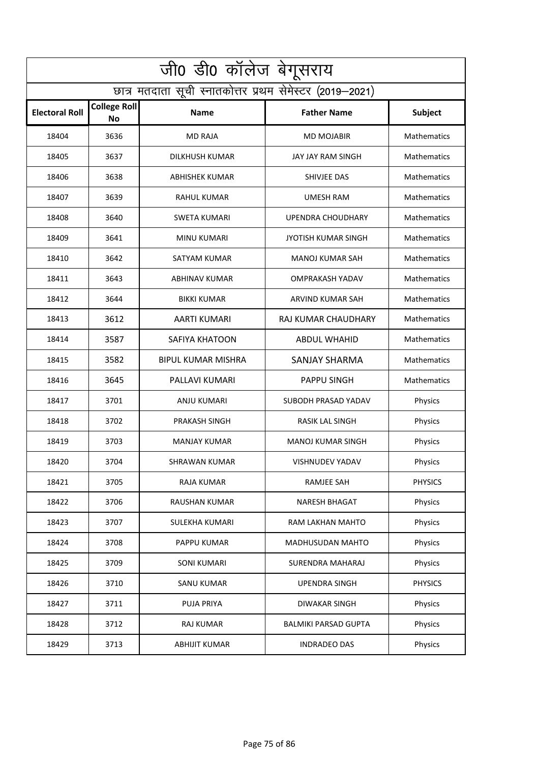| <u>जी0</u> डी0 कॉलेज बेगूसराय |                                                          |                           |                             |                    |  |
|-------------------------------|----------------------------------------------------------|---------------------------|-----------------------------|--------------------|--|
|                               | छात्र मतदाता सूची स्नातकोत्तर प्रथम सेमेस्टर (2019–2021) |                           |                             |                    |  |
| <b>Electoral Roll</b>         | <b>College Roll</b><br><b>No</b>                         | <b>Name</b>               | <b>Father Name</b>          | Subject            |  |
| 18404                         | 3636                                                     | <b>MD RAJA</b>            | <b>MD MOJABIR</b>           | Mathematics        |  |
| 18405                         | 3637                                                     | DILKHUSH KUMAR            | JAY JAY RAM SINGH           | <b>Mathematics</b> |  |
| 18406                         | 3638                                                     | <b>ABHISHEK KUMAR</b>     | SHIVJEE DAS                 | Mathematics        |  |
| 18407                         | 3639                                                     | <b>RAHUL KUMAR</b>        | <b>UMESH RAM</b>            | Mathematics        |  |
| 18408                         | 3640                                                     | SWETA KUMARI              | UPENDRA CHOUDHARY           | Mathematics        |  |
| 18409                         | 3641                                                     | <b>MINU KUMARI</b>        | <b>JYOTISH KUMAR SINGH</b>  | Mathematics        |  |
| 18410                         | 3642                                                     | SATYAM KUMAR              | <b>MANOJ KUMAR SAH</b>      | Mathematics        |  |
| 18411                         | 3643                                                     | ABHINAV KUMAR             | OMPRAKASH YADAV             | Mathematics        |  |
| 18412                         | 3644                                                     | <b>BIKKI KUMAR</b>        | ARVIND KUMAR SAH            | <b>Mathematics</b> |  |
| 18413                         | 3612                                                     | AARTI KUMARI              | RAJ KUMAR CHAUDHARY         | <b>Mathematics</b> |  |
| 18414                         | 3587                                                     | <b>SAFIYA KHATOON</b>     | <b>ABDUL WHAHID</b>         | <b>Mathematics</b> |  |
| 18415                         | 3582                                                     | <b>BIPUL KUMAR MISHRA</b> | <b>SANJAY SHARMA</b>        | Mathematics        |  |
| 18416                         | 3645                                                     | PALLAVI KUMARI            | <b>PAPPU SINGH</b>          | Mathematics        |  |
| 18417                         | 3701                                                     | ANJU KUMARI               | SUBODH PRASAD YADAV         | Physics            |  |
| 18418                         | 3702                                                     | PRAKASH SINGH             | RASIK LAL SINGH             | Physics            |  |
| 18419                         | 3703                                                     | MANJAY KUMAR              | <b>MANOJ KUMAR SINGH</b>    | Physics            |  |
| 18420                         | 3704                                                     | SHRAWAN KUMAR             | VISHNUDEV YADAV             | Physics            |  |
| 18421                         | 3705                                                     | RAJA KUMAR                | RAMJEE SAH                  | <b>PHYSICS</b>     |  |
| 18422                         | 3706                                                     | RAUSHAN KUMAR             | <b>NARESH BHAGAT</b>        | Physics            |  |
| 18423                         | 3707                                                     | SULEKHA KUMARI            | RAM LAKHAN MAHTO            | Physics            |  |
| 18424                         | 3708                                                     | PAPPU KUMAR               | MADHUSUDAN MAHTO            | Physics            |  |
| 18425                         | 3709                                                     | <b>SONI KUMARI</b>        | SURENDRA MAHARAJ            | Physics            |  |
| 18426                         | 3710                                                     | <b>SANU KUMAR</b>         | <b>UPENDRA SINGH</b>        | <b>PHYSICS</b>     |  |
| 18427                         | 3711                                                     | PUJA PRIYA                | <b>DIWAKAR SINGH</b>        | Physics            |  |
| 18428                         | 3712                                                     | RAJ KUMAR                 | <b>BALMIKI PARSAD GUPTA</b> | Physics            |  |
| 18429                         | 3713                                                     | <b>ABHIJIT KUMAR</b>      | <b>INDRADEO DAS</b>         | Physics            |  |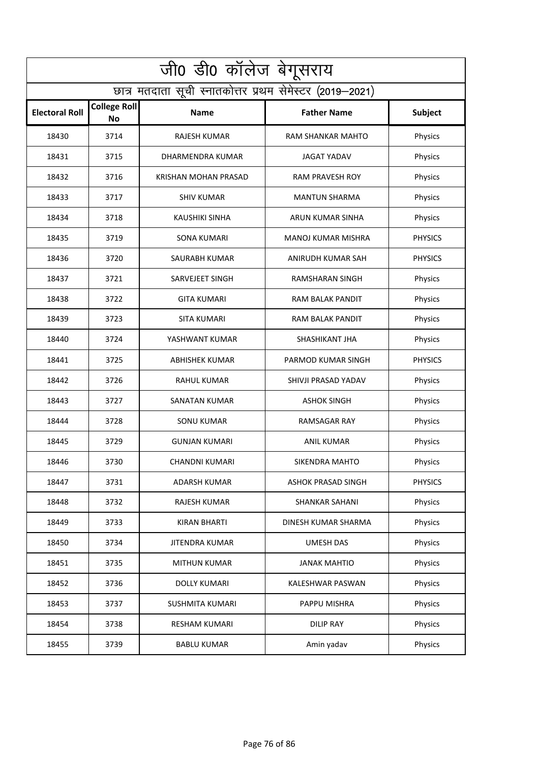| $\overline{\mathrm{u}}$ 0 डी0 कॉलेज बेगूसराय             |                                  |                             |                           |                |
|----------------------------------------------------------|----------------------------------|-----------------------------|---------------------------|----------------|
| छात्र मतदाता सूची स्नातकोत्तर प्रथम सेमेस्टर (2019–2021) |                                  |                             |                           |                |
| <b>Electoral Roll</b>                                    | <b>College Roll</b><br><b>No</b> | <b>Name</b>                 | <b>Father Name</b>        | <b>Subject</b> |
| 18430                                                    | 3714                             | RAJESH KUMAR                | RAM SHANKAR MAHTO         | Physics        |
| 18431                                                    | 3715                             | <b>DHARMENDRA KUMAR</b>     | <b>JAGAT YADAV</b>        | Physics        |
| 18432                                                    | 3716                             | <b>KRISHAN MOHAN PRASAD</b> | <b>RAM PRAVESH ROY</b>    | Physics        |
| 18433                                                    | 3717                             | <b>SHIV KUMAR</b>           | <b>MANTUN SHARMA</b>      | Physics        |
| 18434                                                    | 3718                             | KAUSHIKI SINHA              | ARUN KUMAR SINHA          | Physics        |
| 18435                                                    | 3719                             | SONA KUMARI                 | MANOJ KUMAR MISHRA        | <b>PHYSICS</b> |
| 18436                                                    | 3720                             | <b>SAURABH KUMAR</b>        | ANIRUDH KUMAR SAH         | <b>PHYSICS</b> |
| 18437                                                    | 3721                             | SARVEJEET SINGH             | RAMSHARAN SINGH           | Physics        |
| 18438                                                    | 3722                             | <b>GITA KUMARI</b>          | RAM BALAK PANDIT          | Physics        |
| 18439                                                    | 3723                             | SITA KUMARI                 | RAM BALAK PANDIT          | Physics        |
| 18440                                                    | 3724                             | YASHWANT KUMAR              | SHASHIKANT JHA            | Physics        |
| 18441                                                    | 3725                             | <b>ABHISHEK KUMAR</b>       | PARMOD KUMAR SINGH        | <b>PHYSICS</b> |
| 18442                                                    | 3726                             | RAHUL KUMAR                 | SHIVJI PRASAD YADAV       | Physics        |
| 18443                                                    | 3727                             | <b>SANATAN KUMAR</b>        | <b>ASHOK SINGH</b>        | Physics        |
| 18444                                                    | 3728                             | <b>SONU KUMAR</b>           | RAMSAGAR RAY              | Physics        |
| 18445                                                    | 3729                             | <b>GUNJAN KUMARI</b>        | <b>ANIL KUMAR</b>         | Physics        |
| 18446                                                    | 3730                             | CHANDNI KUMARI              | SIKENDRA MAHTO            | Physics        |
| 18447                                                    | 3731                             | ADARSH KUMAR                | <b>ASHOK PRASAD SINGH</b> | <b>PHYSICS</b> |
| 18448                                                    | 3732                             | <b>RAJESH KUMAR</b>         | <b>SHANKAR SAHANI</b>     | Physics        |
| 18449                                                    | 3733                             | <b>KIRAN BHARTI</b>         | DINESH KUMAR SHARMA       | Physics        |
| 18450                                                    | 3734                             | <b>JITENDRA KUMAR</b>       | <b>UMESH DAS</b>          | Physics        |
| 18451                                                    | 3735                             | <b>MITHUN KUMAR</b>         | <b>JANAK MAHTIO</b>       | Physics        |
| 18452                                                    | 3736                             | DOLLY KUMARI                | KALESHWAR PASWAN          | Physics        |
| 18453                                                    | 3737                             | <b>SUSHMITA KUMARI</b>      | PAPPU MISHRA              | Physics        |
| 18454                                                    | 3738                             | <b>RESHAM KUMARI</b>        | <b>DILIP RAY</b>          | Physics        |
| 18455                                                    | 3739                             | <b>BABLU KUMAR</b>          | Amin yadav                | Physics        |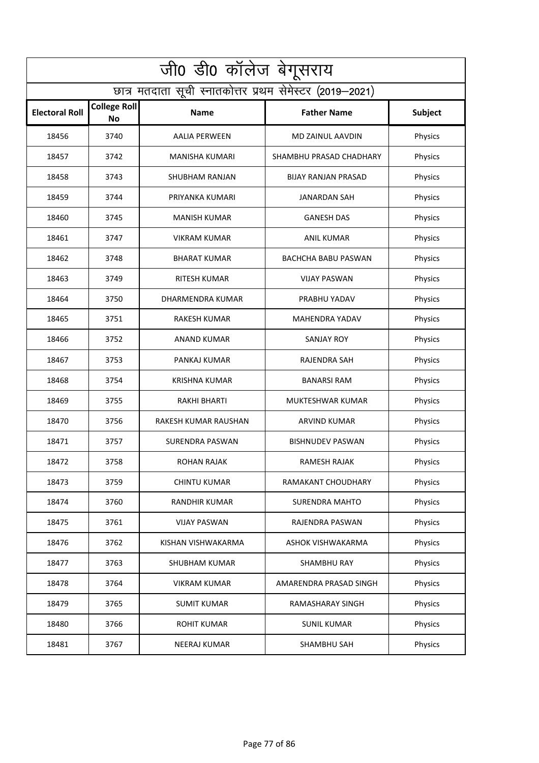| जी0 डी0 कॉलेज बेगूसराय |                                                          |                       |                            |                |  |
|------------------------|----------------------------------------------------------|-----------------------|----------------------------|----------------|--|
|                        | छात्र मतदाता सूची स्नातकोत्तर प्रथम सेमेस्टर (2019–2021) |                       |                            |                |  |
| <b>Electoral Roll</b>  | <b>College Roll</b><br>No                                | <b>Name</b>           | <b>Father Name</b>         | <b>Subject</b> |  |
| 18456                  | 3740                                                     | <b>AALIA PERWEEN</b>  | MD ZAINUL AAVDIN           | Physics        |  |
| 18457                  | 3742                                                     | <b>MANISHA KUMARI</b> | SHAMBHU PRASAD CHADHARY    | Physics        |  |
| 18458                  | 3743                                                     | SHUBHAM RANJAN        | <b>BIJAY RANJAN PRASAD</b> | Physics        |  |
| 18459                  | 3744                                                     | PRIYANKA KUMARI       | <b>JANARDAN SAH</b>        | Physics        |  |
| 18460                  | 3745                                                     | <b>MANISH KUMAR</b>   | <b>GANESH DAS</b>          | Physics        |  |
| 18461                  | 3747                                                     | <b>VIKRAM KUMAR</b>   | <b>ANIL KUMAR</b>          | Physics        |  |
| 18462                  | 3748                                                     | <b>BHARAT KUMAR</b>   | <b>BACHCHA BABU PASWAN</b> | Physics        |  |
| 18463                  | 3749                                                     | RITESH KUMAR          | <b>VIJAY PASWAN</b>        | Physics        |  |
| 18464                  | 3750                                                     | DHARMENDRA KUMAR      | PRABHU YADAV               | Physics        |  |
| 18465                  | 3751                                                     | RAKESH KUMAR          | MAHENDRA YADAV             | Physics        |  |
| 18466                  | 3752                                                     | ANAND KUMAR           | SANJAY ROY                 | Physics        |  |
| 18467                  | 3753                                                     | PANKAJ KUMAR          | RAJENDRA SAH               | Physics        |  |
| 18468                  | 3754                                                     | KRISHNA KUMAR         | <b>BANARSI RAM</b>         | Physics        |  |
| 18469                  | 3755                                                     | <b>RAKHI BHARTI</b>   | MUKTESHWAR KUMAR           | Physics        |  |
| 18470                  | 3756                                                     | RAKESH KUMAR RAUSHAN  | <b>ARVIND KUMAR</b>        | Physics        |  |
| 18471                  | 3757                                                     | SURENDRA PASWAN       | <b>BISHNUDEV PASWAN</b>    | Physics        |  |
| 18472                  | 3758                                                     | <b>ROHAN RAJAK</b>    | RAMESH RAJAK               | Physics        |  |
| 18473                  | 3759                                                     | <b>CHINTU KUMAR</b>   | RAMAKANT CHOUDHARY         | Physics        |  |
| 18474                  | 3760                                                     | RANDHIR KUMAR         | <b>SURENDRA MAHTO</b>      | Physics        |  |
| 18475                  | 3761                                                     | <b>VIJAY PASWAN</b>   | RAJENDRA PASWAN            | Physics        |  |
| 18476                  | 3762                                                     | KISHAN VISHWAKARMA    | ASHOK VISHWAKARMA          | Physics        |  |
| 18477                  | 3763                                                     | SHUBHAM KUMAR         | SHAMBHU RAY                | Physics        |  |
| 18478                  | 3764                                                     | <b>VIKRAM KUMAR</b>   | AMARENDRA PRASAD SINGH     | Physics        |  |
| 18479                  | 3765                                                     | <b>SUMIT KUMAR</b>    | RAMASHARAY SINGH           | Physics        |  |
| 18480                  | 3766                                                     | <b>ROHIT KUMAR</b>    | <b>SUNIL KUMAR</b>         | Physics        |  |
| 18481                  | 3767                                                     | <b>NEERAJ KUMAR</b>   | SHAMBHU SAH                | Physics        |  |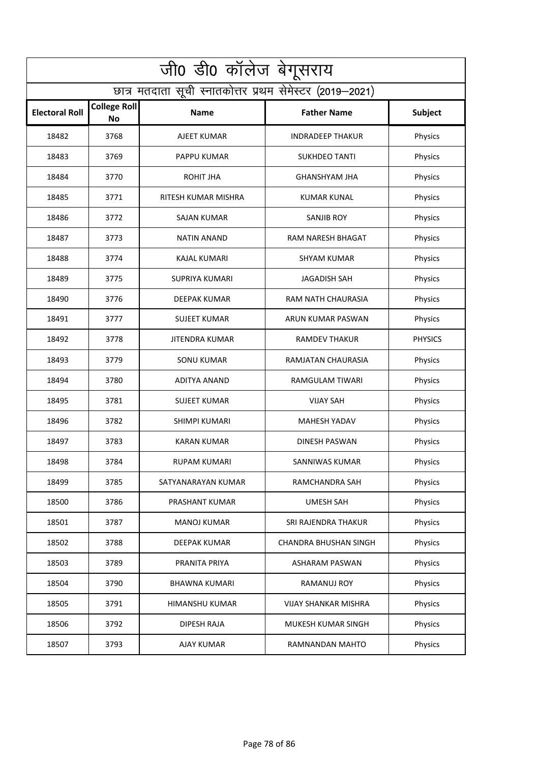| जी0 डी0 कॉलेज बेगूसराय |                                                          |                      |                             |                |  |
|------------------------|----------------------------------------------------------|----------------------|-----------------------------|----------------|--|
|                        | छात्र मतदाता सूची स्नातकोत्तर प्रथम सेमेस्टर (2019–2021) |                      |                             |                |  |
| <b>Electoral Roll</b>  | <b>College Roll</b><br><b>No</b>                         | <b>Name</b>          | <b>Father Name</b>          | Subject        |  |
| 18482                  | 3768                                                     | AJEET KUMAR          | <b>INDRADEEP THAKUR</b>     | Physics        |  |
| 18483                  | 3769                                                     | PAPPU KUMAR          | <b>SUKHDEO TANTI</b>        | Physics        |  |
| 18484                  | 3770                                                     | <b>ROHIT JHA</b>     | <b>GHANSHYAM JHA</b>        | Physics        |  |
| 18485                  | 3771                                                     | RITESH KUMAR MISHRA  | <b>KUMAR KUNAL</b>          | Physics        |  |
| 18486                  | 3772                                                     | <b>SAJAN KUMAR</b>   | <b>SANJIB ROY</b>           | Physics        |  |
| 18487                  | 3773                                                     | <b>NATIN ANAND</b>   | <b>RAM NARESH BHAGAT</b>    | Physics        |  |
| 18488                  | 3774                                                     | <b>KAJAL KUMARI</b>  | <b>SHYAM KUMAR</b>          | Physics        |  |
| 18489                  | 3775                                                     | SUPRIYA KUMARI       | <b>JAGADISH SAH</b>         | Physics        |  |
| 18490                  | 3776                                                     | DEEPAK KUMAR         | RAM NATH CHAURASIA          | Physics        |  |
| 18491                  | 3777                                                     | <b>SUJEET KUMAR</b>  | ARUN KUMAR PASWAN           | Physics        |  |
| 18492                  | 3778                                                     | JITENDRA KUMAR       | RAMDEV THAKUR               | <b>PHYSICS</b> |  |
| 18493                  | 3779                                                     | <b>SONU KUMAR</b>    | RAMJATAN CHAURASIA          | Physics        |  |
| 18494                  | 3780                                                     | ADITYA ANAND         | RAMGULAM TIWARI             | Physics        |  |
| 18495                  | 3781                                                     | <b>SUJEET KUMAR</b>  | <b>VIJAY SAH</b>            | Physics        |  |
| 18496                  | 3782                                                     | <b>SHIMPI KUMARI</b> | <b>MAHESH YADAV</b>         | Physics        |  |
| 18497                  | 3783                                                     | <b>KARAN KUMAR</b>   | DINESH PASWAN               | Physics        |  |
| 18498                  | 3784                                                     | <b>RUPAM KUMARI</b>  | SANNIWAS KUMAR              | Physics        |  |
| 18499                  | 3785                                                     | SATYANARAYAN KUMAR   | RAMCHANDRA SAH              | Physics        |  |
| 18500                  | 3786                                                     | PRASHANT KUMAR       | <b>UMESH SAH</b>            | Physics        |  |
| 18501                  | 3787                                                     | <b>MANOJ KUMAR</b>   | SRI RAJENDRA THAKUR         | Physics        |  |
| 18502                  | 3788                                                     | DEEPAK KUMAR         | CHANDRA BHUSHAN SINGH       | Physics        |  |
| 18503                  | 3789                                                     | PRANITA PRIYA        | <b>ASHARAM PASWAN</b>       | Physics        |  |
| 18504                  | 3790                                                     | <b>BHAWNA KUMARI</b> | RAMANUJ ROY                 | Physics        |  |
| 18505                  | 3791                                                     | HIMANSHU KUMAR       | <b>VIJAY SHANKAR MISHRA</b> | Physics        |  |
| 18506                  | 3792                                                     | DIPESH RAJA          | MUKESH KUMAR SINGH          | Physics        |  |
| 18507                  | 3793                                                     | <b>AJAY KUMAR</b>    | RAMNANDAN MAHTO             | Physics        |  |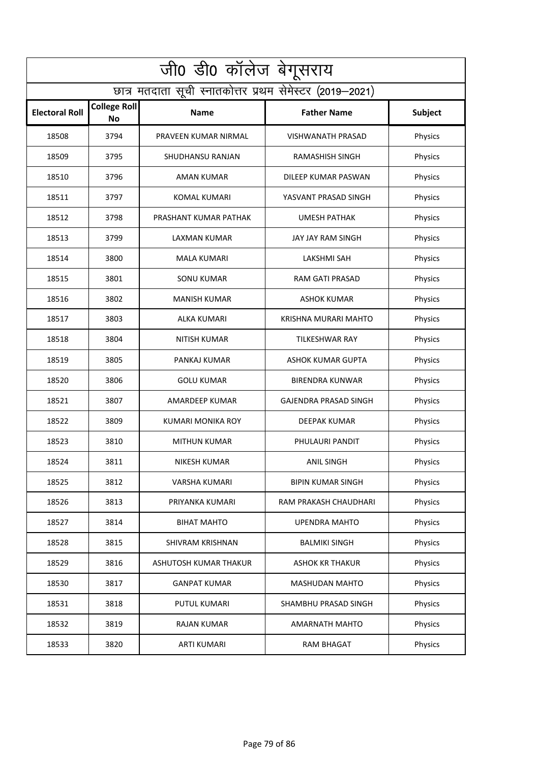| जी0 डी0 कॉलेज बेगूसराय |                                                          |                              |                              |         |  |
|------------------------|----------------------------------------------------------|------------------------------|------------------------------|---------|--|
|                        | छात्र मतदाता सूची स्नातकोत्तर प्रथम सेमेस्टर (2019–2021) |                              |                              |         |  |
| <b>Electoral Roll</b>  | <b>College Roll</b><br>No                                | <b>Name</b>                  | <b>Father Name</b>           | Subject |  |
| 18508                  | 3794                                                     | PRAVEEN KUMAR NIRMAL         | VISHWANATH PRASAD            | Physics |  |
| 18509                  | 3795                                                     | SHUDHANSU RANJAN             | <b>RAMASHISH SINGH</b>       | Physics |  |
| 18510                  | 3796                                                     | <b>AMAN KUMAR</b>            | DILEEP KUMAR PASWAN          | Physics |  |
| 18511                  | 3797                                                     | <b>KOMAL KUMARI</b>          | YASVANT PRASAD SINGH         | Physics |  |
| 18512                  | 3798                                                     | PRASHANT KUMAR PATHAK        | <b>UMESH PATHAK</b>          | Physics |  |
| 18513                  | 3799                                                     | LAXMAN KUMAR                 | <b>JAY JAY RAM SINGH</b>     | Physics |  |
| 18514                  | 3800                                                     | <b>MALA KUMARI</b>           | LAKSHMI SAH                  | Physics |  |
| 18515                  | 3801                                                     | SONU KUMAR                   | RAM GATI PRASAD              | Physics |  |
| 18516                  | 3802                                                     | <b>MANISH KUMAR</b>          | <b>ASHOK KUMAR</b>           | Physics |  |
| 18517                  | 3803                                                     | ALKA KUMARI                  | KRISHNA MURARI MAHTO         | Physics |  |
| 18518                  | 3804                                                     | NITISH KUMAR                 | TILKESHWAR RAY               | Physics |  |
| 18519                  | 3805                                                     | PANKAJ KUMAR                 | <b>ASHOK KUMAR GUPTA</b>     | Physics |  |
| 18520                  | 3806                                                     | <b>GOLU KUMAR</b>            | <b>BIRENDRA KUNWAR</b>       | Physics |  |
| 18521                  | 3807                                                     | AMARDEEP KUMAR               | <b>GAJENDRA PRASAD SINGH</b> | Physics |  |
| 18522                  | 3809                                                     | <b>KUMARI MONIKA ROY</b>     | <b>DEEPAK KUMAR</b>          | Physics |  |
| 18523                  | 3810                                                     | MITHUN KUMAR                 | PHULAURI PANDIT              | Physics |  |
| 18524                  | 3811                                                     | NIKESH KUMAR                 | <b>ANIL SINGH</b>            | Physics |  |
| 18525                  | 3812                                                     | <b>VARSHA KUMARI</b>         | <b>BIPIN KUMAR SINGH</b>     | Physics |  |
| 18526                  | 3813                                                     | PRIYANKA KUMARI              | <b>RAM PRAKASH CHAUDHARI</b> | Physics |  |
| 18527                  | 3814                                                     | <b>BIHAT MAHTO</b>           | <b>UPENDRA MAHTO</b>         | Physics |  |
| 18528                  | 3815                                                     | SHIVRAM KRISHNAN             | <b>BALMIKI SINGH</b>         | Physics |  |
| 18529                  | 3816                                                     | <b>ASHUTOSH KUMAR THAKUR</b> | <b>ASHOK KR THAKUR</b>       | Physics |  |
| 18530                  | 3817                                                     | <b>GANPAT KUMAR</b>          | <b>MASHUDAN MAHTO</b>        | Physics |  |
| 18531                  | 3818                                                     | PUTUL KUMARI                 | SHAMBHU PRASAD SINGH         | Physics |  |
| 18532                  | 3819                                                     | <b>RAJAN KUMAR</b>           | <b>AMARNATH MAHTO</b>        | Physics |  |
| 18533                  | 3820                                                     | <b>ARTI KUMARI</b>           | RAM BHAGAT                   | Physics |  |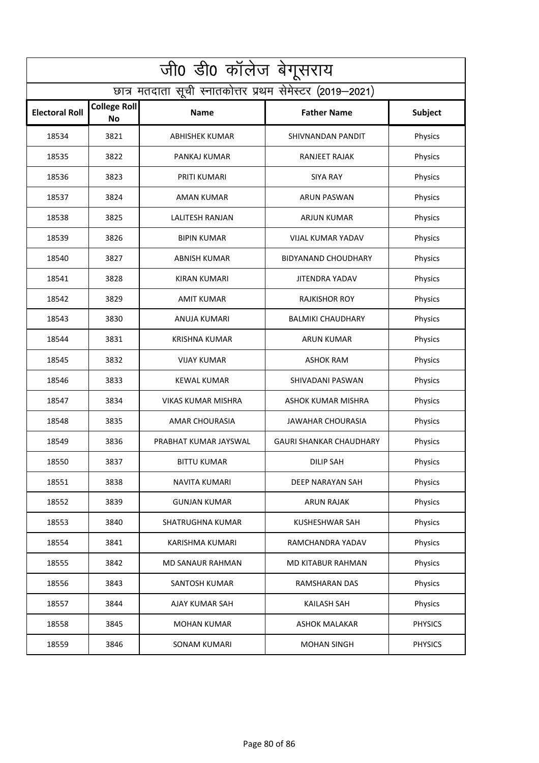| जी0 डी0 कॉलेज बेगूसराय |                                                          |                        |                                |                |  |
|------------------------|----------------------------------------------------------|------------------------|--------------------------------|----------------|--|
|                        | छात्र मतदाता सूची स्नातकोत्तर प्रथम सेमेस्टर (2019–2021) |                        |                                |                |  |
| <b>Electoral Roll</b>  | <b>College Roll</b><br>No                                | <b>Name</b>            | <b>Father Name</b>             | Subject        |  |
| 18534                  | 3821                                                     | ABHISHEK KUMAR         | SHIVNANDAN PANDIT              | Physics        |  |
| 18535                  | 3822                                                     | PANKAJ KUMAR           | RANJEET RAJAK                  | Physics        |  |
| 18536                  | 3823                                                     | PRITI KUMARI           | <b>SIYA RAY</b>                | Physics        |  |
| 18537                  | 3824                                                     | <b>AMAN KUMAR</b>      | <b>ARUN PASWAN</b>             | Physics        |  |
| 18538                  | 3825                                                     | <b>LALITESH RANJAN</b> | <b>ARJUN KUMAR</b>             | Physics        |  |
| 18539                  | 3826                                                     | <b>BIPIN KUMAR</b>     | <b>VIJAL KUMAR YADAV</b>       | Physics        |  |
| 18540                  | 3827                                                     | ABNISH KUMAR           | <b>BIDYANAND CHOUDHARY</b>     | Physics        |  |
| 18541                  | 3828                                                     | KIRAN KUMARI           | JITENDRA YADAV                 | Physics        |  |
| 18542                  | 3829                                                     | AMIT KUMAR             | <b>RAJKISHOR ROY</b>           | Physics        |  |
| 18543                  | 3830                                                     | ANUJA KUMARI           | <b>BALMIKI CHAUDHARY</b>       | Physics        |  |
| 18544                  | 3831                                                     | KRISHNA KUMAR          | ARUN KUMAR                     | Physics        |  |
| 18545                  | 3832                                                     | <b>VIJAY KUMAR</b>     | <b>ASHOK RAM</b>               | Physics        |  |
| 18546                  | 3833                                                     | KEWAL KUMAR            | SHIVADANI PASWAN               | Physics        |  |
| 18547                  | 3834                                                     | VIKAS KUMAR MISHRA     | <b>ASHOK KUMAR MISHRA</b>      | Physics        |  |
| 18548                  | 3835                                                     | AMAR CHOURASIA         | <b>JAWAHAR CHOURASIA</b>       | Physics        |  |
| 18549                  | 3836                                                     | PRABHAT KUMAR JAYSWAL  | <b>GAURI SHANKAR CHAUDHARY</b> | Physics        |  |
| 18550                  | 3837                                                     | <b>BITTU KUMAR</b>     | <b>DILIP SAH</b>               | Physics        |  |
| 18551                  | 3838                                                     | NAVITA KUMARI          | DEEP NARAYAN SAH               | Physics        |  |
| 18552                  | 3839                                                     | <b>GUNJAN KUMAR</b>    | <b>ARUN RAJAK</b>              | Physics        |  |
| 18553                  | 3840                                                     | SHATRUGHNA KUMAR       | KUSHESHWAR SAH                 | Physics        |  |
| 18554                  | 3841                                                     | KARISHMA KUMARI        | RAMCHANDRA YADAV               | Physics        |  |
| 18555                  | 3842                                                     | MD SANAUR RAHMAN       | MD KITABUR RAHMAN              | Physics        |  |
| 18556                  | 3843                                                     | SANTOSH KUMAR          | <b>RAMSHARAN DAS</b>           | Physics        |  |
| 18557                  | 3844                                                     | AJAY KUMAR SAH         | <b>KAILASH SAH</b>             | Physics        |  |
| 18558                  | 3845                                                     | <b>MOHAN KUMAR</b>     | <b>ASHOK MALAKAR</b>           | <b>PHYSICS</b> |  |
| 18559                  | 3846                                                     | SONAM KUMARI           | <b>MOHAN SINGH</b>             | <b>PHYSICS</b> |  |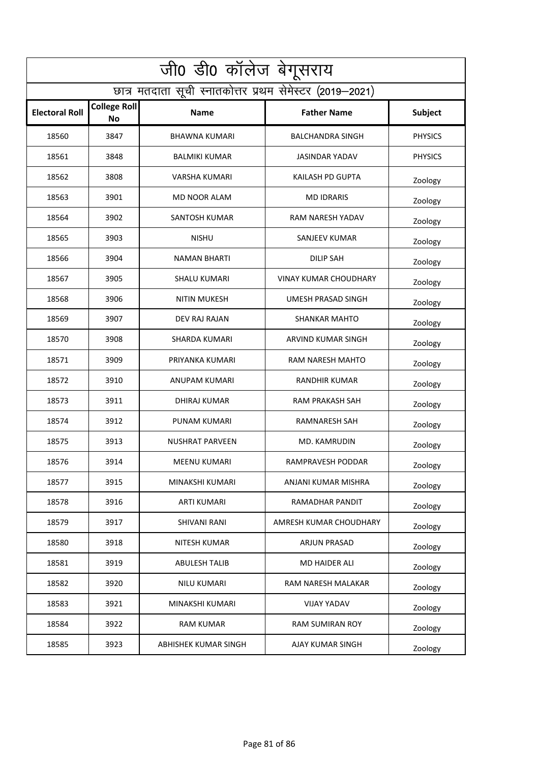| जी0 डी0 कॉलेज बेगूसराय                                   |                           |                        |                              |                |
|----------------------------------------------------------|---------------------------|------------------------|------------------------------|----------------|
| छात्र मतदाता सूची स्नातकोत्तर प्रथम सेमेस्टर (2019–2021) |                           |                        |                              |                |
| <b>Electoral Roll</b>                                    | <b>College Roll</b><br>No | <b>Name</b>            | <b>Father Name</b>           | Subject        |
| 18560                                                    | 3847                      | <b>BHAWNA KUMARI</b>   | <b>BALCHANDRA SINGH</b>      | <b>PHYSICS</b> |
| 18561                                                    | 3848                      | <b>BALMIKI KUMAR</b>   | <b>JASINDAR YADAV</b>        | <b>PHYSICS</b> |
| 18562                                                    | 3808                      | VARSHA KUMARI          | KAILASH PD GUPTA             | Zoology        |
| 18563                                                    | 3901                      | <b>MD NOOR ALAM</b>    | <b>MD IDRARIS</b>            | Zoology        |
| 18564                                                    | 3902                      | SANTOSH KUMAR          | RAM NARESH YADAV             | Zoology        |
| 18565                                                    | 3903                      | <b>NISHU</b>           | <b>SANJEEV KUMAR</b>         | Zoology        |
| 18566                                                    | 3904                      | NAMAN BHARTI           | <b>DILIP SAH</b>             | Zoology        |
| 18567                                                    | 3905                      | <b>SHALU KUMARI</b>    | <b>VINAY KUMAR CHOUDHARY</b> | Zoology        |
| 18568                                                    | 3906                      | <b>NITIN MUKESH</b>    | UMESH PRASAD SINGH           | Zoology        |
| 18569                                                    | 3907                      | DEV RAJ RAJAN          | <b>SHANKAR MAHTO</b>         | Zoology        |
| 18570                                                    | 3908                      | SHARDA KUMARI          | ARVIND KUMAR SINGH           | Zoology        |
| 18571                                                    | 3909                      | PRIYANKA KUMARI        | <b>RAM NARESH MAHTO</b>      | Zoology        |
| 18572                                                    | 3910                      | ANUPAM KUMARI          | <b>RANDHIR KUMAR</b>         | Zoology        |
| 18573                                                    | 3911                      | DHIRAJ KUMAR           | <b>RAM PRAKASH SAH</b>       | Zoology        |
| 18574                                                    | 3912                      | PUNAM KUMARI           | <b>RAMNARESH SAH</b>         | Zoology        |
| 18575                                                    | 3913                      | <b>NUSHRAT PARVEEN</b> | MD. KAMRUDIN                 | Zoology        |
| 18576                                                    | 3914                      | MEENU KUMARI           | RAMPRAVESH PODDAR            | Zoology        |
| 18577                                                    | 3915                      | MINAKSHI KUMARI        | ANJANI KUMAR MISHRA          | Zoology        |
| 18578                                                    | 3916                      | <b>ARTI KUMARI</b>     | RAMADHAR PANDIT              | Zoology        |
| 18579                                                    | 3917                      | <b>SHIVANI RANI</b>    | AMRESH KUMAR CHOUDHARY       | Zoology        |
| 18580                                                    | 3918                      | NITESH KUMAR           | ARJUN PRASAD                 | Zoology        |
| 18581                                                    | 3919                      | <b>ABULESH TALIB</b>   | <b>MD HAIDER ALI</b>         | Zoology        |
| 18582                                                    | 3920                      | <b>NILU KUMARI</b>     | RAM NARESH MALAKAR           | Zoology        |
| 18583                                                    | 3921                      | MINAKSHI KUMARI        | <b>VIJAY YADAV</b>           | Zoology        |
| 18584                                                    | 3922                      | <b>RAM KUMAR</b>       | <b>RAM SUMIRAN ROY</b>       | Zoology        |
| 18585                                                    | 3923                      | ABHISHEK KUMAR SINGH   | <b>AJAY KUMAR SINGH</b>      | Zoology        |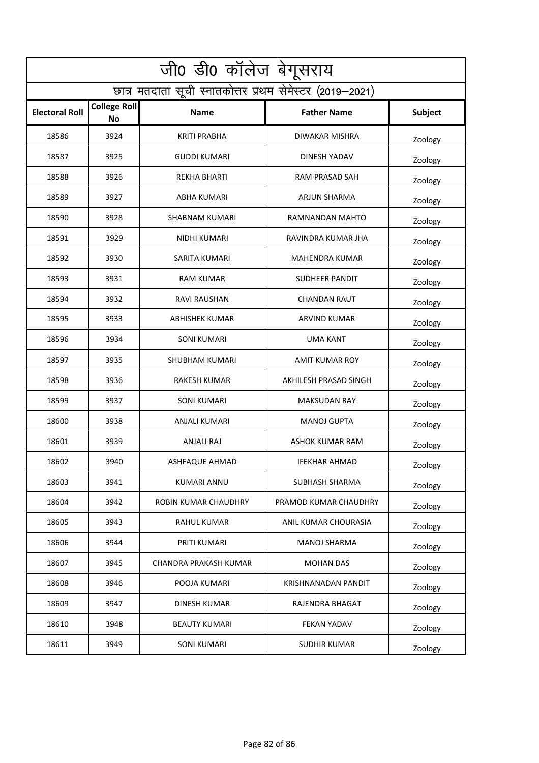|                       | जी0 डी0 कॉलेज बेगूसराय    |                                                          |                       |         |
|-----------------------|---------------------------|----------------------------------------------------------|-----------------------|---------|
|                       |                           | छात्र मतदाता सूची स्नातकोत्तर प्रथम सेमेस्टर (2019–2021) |                       |         |
| <b>Electoral Roll</b> | <b>College Roll</b><br>No | <b>Name</b>                                              | <b>Father Name</b>    | Subject |
| 18586                 | 3924                      | <b>KRITI PRABHA</b>                                      | DIWAKAR MISHRA        | Zoology |
| 18587                 | 3925                      | <b>GUDDI KUMARI</b>                                      | DINESH YADAV          | Zoology |
| 18588                 | 3926                      | <b>REKHA BHARTI</b>                                      | <b>RAM PRASAD SAH</b> | Zoology |
| 18589                 | 3927                      | <b>ABHA KUMARI</b>                                       | <b>ARJUN SHARMA</b>   | Zoology |
| 18590                 | 3928                      | SHABNAM KUMARI                                           | RAMNANDAN MAHTO       | Zoology |
| 18591                 | 3929                      | NIDHI KUMARI                                             | RAVINDRA KUMAR JHA    | Zoology |
| 18592                 | 3930                      | SARITA KUMARI                                            | MAHENDRA KUMAR        | Zoology |
| 18593                 | 3931                      | <b>RAM KUMAR</b>                                         | <b>SUDHEER PANDIT</b> | Zoology |
| 18594                 | 3932                      | <b>RAVI RAUSHAN</b>                                      | <b>CHANDAN RAUT</b>   | Zoology |
| 18595                 | 3933                      | <b>ABHISHEK KUMAR</b>                                    | ARVIND KUMAR          | Zoology |
| 18596                 | 3934                      | SONI KUMARI                                              | UMA KANT              | Zoology |
| 18597                 | 3935                      | <b>SHUBHAM KUMARI</b>                                    | <b>AMIT KUMAR ROY</b> | Zoology |
| 18598                 | 3936                      | RAKESH KUMAR                                             | AKHILESH PRASAD SINGH | Zoology |
| 18599                 | 3937                      | SONI KUMARI                                              | <b>MAKSUDAN RAY</b>   | Zoology |
| 18600                 | 3938                      | ANJALI KUMARI                                            | <b>MANOJ GUPTA</b>    | Zoology |
| 18601                 | 3939                      | ANJALI RAJ                                               | ASHOK KUMAR RAM       | Zoology |
| 18602                 | 3940                      | ASHFAQUE AHMAD                                           | <b>IFEKHAR AHMAD</b>  | Zoology |
| 18603                 | 3941                      | <b>KUMARI ANNU</b>                                       | SUBHASH SHARMA        | Zoology |
| 18604                 | 3942                      | ROBIN KUMAR CHAUDHRY                                     | PRAMOD KUMAR CHAUDHRY | Zoology |
| 18605                 | 3943                      | RAHUL KUMAR                                              | ANIL KUMAR CHOURASIA  | Zoology |
| 18606                 | 3944                      | PRITI KUMARI                                             | <b>MANOJ SHARMA</b>   | Zoology |
| 18607                 | 3945                      | CHANDRA PRAKASH KUMAR                                    | <b>MOHAN DAS</b>      | Zoology |
| 18608                 | 3946                      | POOJA KUMARI                                             | KRISHNANADAN PANDIT   | Zoology |
| 18609                 | 3947                      | <b>DINESH KUMAR</b>                                      | RAJENDRA BHAGAT       | Zoology |
| 18610                 | 3948                      | <b>BEAUTY KUMARI</b>                                     | <b>FEKAN YADAV</b>    | Zoology |
| 18611                 | 3949                      | <b>SONI KUMARI</b>                                       | <b>SUDHIR KUMAR</b>   | Zoology |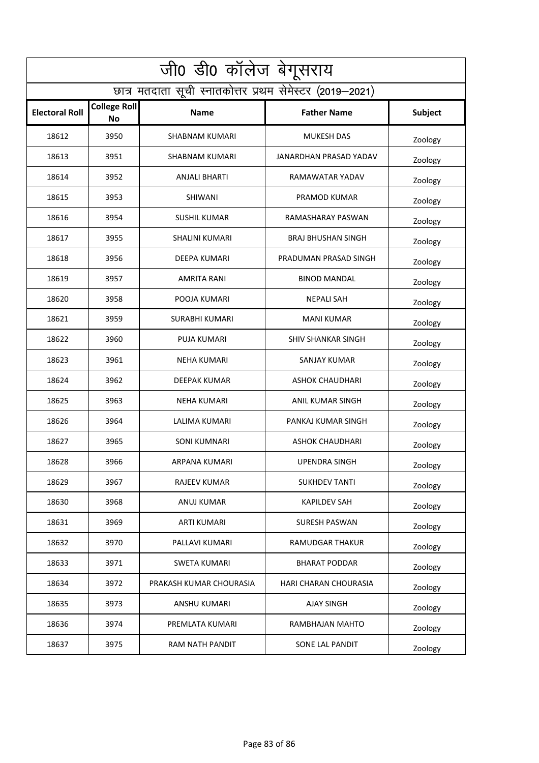| जी0 डी0 कॉलेज बेगूसराय                                   |                           |                         |                           |                |
|----------------------------------------------------------|---------------------------|-------------------------|---------------------------|----------------|
| छात्र मतदाता सूची स्नातकोत्तर प्रथम सेमेस्टर (2019–2021) |                           |                         |                           |                |
| <b>Electoral Roll</b>                                    | <b>College Roll</b><br>No | <b>Name</b>             | <b>Father Name</b>        | <b>Subject</b> |
| 18612                                                    | 3950                      | SHABNAM KUMARI          | <b>MUKESH DAS</b>         | Zoology        |
| 18613                                                    | 3951                      | SHABNAM KUMARI          | JANARDHAN PRASAD YADAV    | Zoology        |
| 18614                                                    | 3952                      | ANJALI BHARTI           | RAMAWATAR YADAV           | Zoology        |
| 18615                                                    | 3953                      | SHIWANI                 | PRAMOD KUMAR              | Zoology        |
| 18616                                                    | 3954                      | <b>SUSHIL KUMAR</b>     | RAMASHARAY PASWAN         | Zoology        |
| 18617                                                    | 3955                      | <b>SHALINI KUMARI</b>   | <b>BRAJ BHUSHAN SINGH</b> | Zoology        |
| 18618                                                    | 3956                      | DEEPA KUMARI            | PRADUMAN PRASAD SINGH     | Zoology        |
| 18619                                                    | 3957                      | <b>AMRITA RANI</b>      | <b>BINOD MANDAL</b>       | Zoology        |
| 18620                                                    | 3958                      | POOJA KUMARI            | <b>NEPALI SAH</b>         | Zoology        |
| 18621                                                    | 3959                      | SURABHI KUMARI          | <b>MANI KUMAR</b>         | Zoology        |
| 18622                                                    | 3960                      | PUJA KUMARI             | <b>SHIV SHANKAR SINGH</b> | Zoology        |
| 18623                                                    | 3961                      | <b>NEHA KUMARI</b>      | <b>SANJAY KUMAR</b>       | Zoology        |
| 18624                                                    | 3962                      | DEEPAK KUMAR            | ASHOK CHAUDHARI           | Zoology        |
| 18625                                                    | 3963                      | <b>NEHA KUMARI</b>      | ANIL KUMAR SINGH          | Zoology        |
| 18626                                                    | 3964                      | <b>LALIMA KUMARI</b>    | PANKAJ KUMAR SINGH        | Zoology        |
| 18627                                                    | 3965                      | SONI KUMNARI            | ASHOK CHAUDHARI           | Zoology        |
| 18628                                                    | 3966                      | ARPANA KUMARI           | <b>UPENDRA SINGH</b>      | Zoology        |
| 18629                                                    | 3967                      | RAJEEV KUMAR            | <b>SUKHDEV TANTI</b>      | Zoology        |
| 18630                                                    | 3968                      | ANUJ KUMAR              | <b>KAPILDEV SAH</b>       | Zoology        |
| 18631                                                    | 3969                      | <b>ARTI KUMARI</b>      | <b>SURESH PASWAN</b>      | Zoology        |
| 18632                                                    | 3970                      | PALLAVI KUMARI          | RAMUDGAR THAKUR           | Zoology        |
| 18633                                                    | 3971                      | SWETA KUMARI            | <b>BHARAT PODDAR</b>      | Zoology        |
| 18634                                                    | 3972                      | PRAKASH KUMAR CHOURASIA | HARI CHARAN CHOURASIA     | Zoology        |
| 18635                                                    | 3973                      | <b>ANSHU KUMARI</b>     | <b>AJAY SINGH</b>         | Zoology        |
| 18636                                                    | 3974                      | PREMLATA KUMARI         | RAMBHAJAN MAHTO           | Zoology        |
| 18637                                                    | 3975                      | RAM NATH PANDIT         | SONE LAL PANDIT           | Zoology        |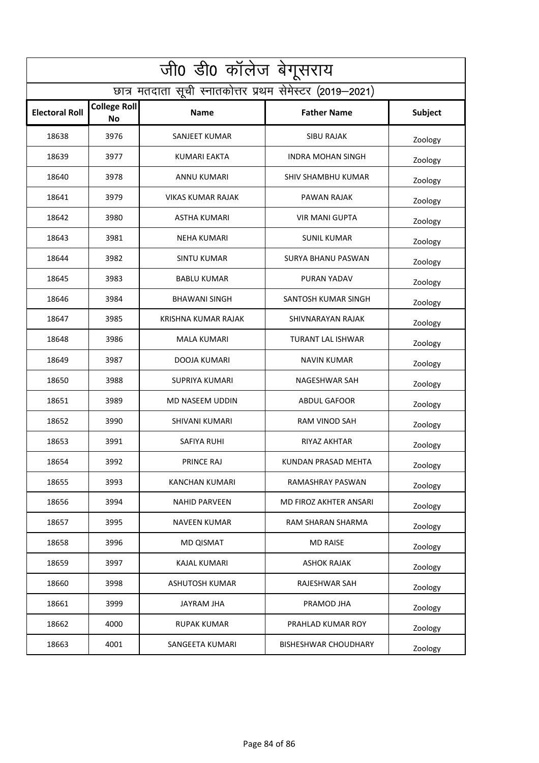| जी0 डी0 कॉलेज बेगूसराय                                   |                           |                          |                             |         |
|----------------------------------------------------------|---------------------------|--------------------------|-----------------------------|---------|
| छात्र मतदाता सूची स्नातकोत्तर प्रथम सेमेस्टर (2019–2021) |                           |                          |                             |         |
| <b>Electoral Roll</b>                                    | <b>College Roll</b><br>No | <b>Name</b>              | <b>Father Name</b>          | Subject |
| 18638                                                    | 3976                      | SANJEET KUMAR            | <b>SIBU RAJAK</b>           | Zoology |
| 18639                                                    | 3977                      | KUMARI EAKTA             | INDRA MOHAN SINGH           | Zoology |
| 18640                                                    | 3978                      | <b>ANNU KUMARI</b>       | SHIV SHAMBHU KUMAR          | Zoology |
| 18641                                                    | 3979                      | <b>VIKAS KUMAR RAJAK</b> | <b>PAWAN RAJAK</b>          | Zoology |
| 18642                                                    | 3980                      | ASTHA KUMARI             | <b>VIR MANI GUPTA</b>       | Zoology |
| 18643                                                    | 3981                      | <b>NEHA KUMARI</b>       | <b>SUNIL KUMAR</b>          | Zoology |
| 18644                                                    | 3982                      | <b>SINTU KUMAR</b>       | <b>SURYA BHANU PASWAN</b>   | Zoology |
| 18645                                                    | 3983                      | <b>BABLU KUMAR</b>       | PURAN YADAV                 | Zoology |
| 18646                                                    | 3984                      | <b>BHAWANI SINGH</b>     | SANTOSH KUMAR SINGH         | Zoology |
| 18647                                                    | 3985                      | KRISHNA KUMAR RAJAK      | SHIVNARAYAN RAJAK           | Zoology |
| 18648                                                    | 3986                      | <b>MALA KUMARI</b>       | TURANT LAL ISHWAR           | Zoology |
| 18649                                                    | 3987                      | <b>DOOJA KUMARI</b>      | <b>NAVIN KUMAR</b>          | Zoology |
| 18650                                                    | 3988                      | SUPRIYA KUMARI           | NAGESHWAR SAH               | Zoology |
| 18651                                                    | 3989                      | MD NASEEM UDDIN          | <b>ABDUL GAFOOR</b>         | Zoology |
| 18652                                                    | 3990                      | <b>SHIVANI KUMARI</b>    | RAM VINOD SAH               | Zoology |
| 18653                                                    | 3991                      | SAFIYA RUHI              | <b>RIYAZ AKHTAR</b>         | Zoology |
| 18654                                                    | 3992                      | PRINCE RAJ               | KUNDAN PRASAD MEHTA         | Zoology |
| 18655                                                    | 3993                      | KANCHAN KUMARI           | RAMASHRAY PASWAN            | Zoology |
| 18656                                                    | 3994                      | <b>NAHID PARVEEN</b>     | MD FIROZ AKHTER ANSARI      | Zoology |
| 18657                                                    | 3995                      | <b>NAVEEN KUMAR</b>      | RAM SHARAN SHARMA           | Zoology |
| 18658                                                    | 3996                      | <b>MD QISMAT</b>         | <b>MD RAISE</b>             | Zoology |
| 18659                                                    | 3997                      | KAJAL KUMARI             | <b>ASHOK RAJAK</b>          | Zoology |
| 18660                                                    | 3998                      | <b>ASHUTOSH KUMAR</b>    | RAJESHWAR SAH               | Zoology |
| 18661                                                    | 3999                      | <b>JAYRAM JHA</b>        | PRAMOD JHA                  | Zoology |
| 18662                                                    | 4000                      | <b>RUPAK KUMAR</b>       | PRAHLAD KUMAR ROY           | Zoology |
| 18663                                                    | 4001                      | SANGEETA KUMARI          | <b>BISHESHWAR CHOUDHARY</b> | Zoology |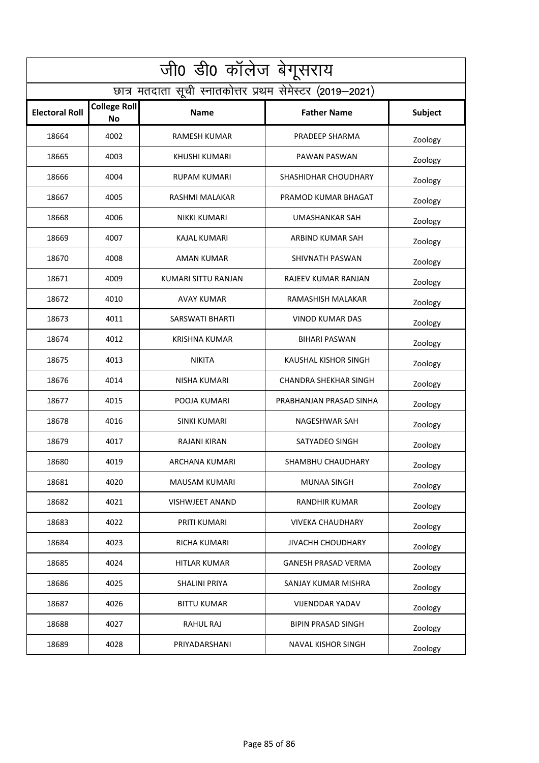| जी0 डी0 कॉलेज बेगूसराय                                   |                           |                        |                              |         |  |  |  |
|----------------------------------------------------------|---------------------------|------------------------|------------------------------|---------|--|--|--|
| छात्र मतदाता सूची स्नातकोत्तर प्रथम सेमेस्टर (2019–2021) |                           |                        |                              |         |  |  |  |
| <b>Electoral Roll</b>                                    | <b>College Roll</b><br>No | <b>Name</b>            | <b>Father Name</b>           | Subject |  |  |  |
| 18664                                                    | 4002                      | RAMESH KUMAR           | PRADEEP SHARMA               | Zoology |  |  |  |
| 18665                                                    | 4003                      | KHUSHI KUMARI          | PAWAN PASWAN                 | Zoology |  |  |  |
| 18666                                                    | 4004                      | RUPAM KUMARI           | SHASHIDHAR CHOUDHARY         | Zoology |  |  |  |
| 18667                                                    | 4005                      | RASHMI MALAKAR         | PRAMOD KUMAR BHAGAT          | Zoology |  |  |  |
| 18668                                                    | 4006                      | NIKKI KUMARI           | UMASHANKAR SAH               | Zoology |  |  |  |
| 18669                                                    | 4007                      | <b>KAJAL KUMARI</b>    | ARBIND KUMAR SAH             | Zoology |  |  |  |
| 18670                                                    | 4008                      | AMAN KUMAR             | SHIVNATH PASWAN              | Zoology |  |  |  |
| 18671                                                    | 4009                      | KUMARI SITTU RANJAN    | RAJEEV KUMAR RANJAN          | Zoology |  |  |  |
| 18672                                                    | 4010                      | AVAY KUMAR             | RAMASHISH MALAKAR            | Zoology |  |  |  |
| 18673                                                    | 4011                      | SARSWATI BHARTI        | VINOD KUMAR DAS              | Zoology |  |  |  |
| 18674                                                    | 4012                      | <b>KRISHNA KUMAR</b>   | <b>BIHARI PASWAN</b>         | Zoology |  |  |  |
| 18675                                                    | 4013                      | <b>NIKITA</b>          | KAUSHAL KISHOR SINGH         | Zoology |  |  |  |
| 18676                                                    | 4014                      | NISHA KUMARI           | <b>CHANDRA SHEKHAR SINGH</b> | Zoology |  |  |  |
| 18677                                                    | 4015                      | POOJA KUMARI           | PRABHANJAN PRASAD SINHA      | Zoology |  |  |  |
| 18678                                                    | 4016                      | <b>SINKI KUMARI</b>    | NAGESHWAR SAH                | Zoology |  |  |  |
| 18679                                                    | 4017                      | RAJANI KIRAN           | SATYADEO SINGH               | Zoology |  |  |  |
| 18680                                                    | 4019                      | ARCHANA KUMARI         | SHAMBHU CHAUDHARY            | Zoology |  |  |  |
| 18681                                                    | 4020                      | <b>MAUSAM KUMARI</b>   | MUNAA SINGH                  | Zoology |  |  |  |
| 18682                                                    | 4021                      | <b>VISHWJEET ANAND</b> | <b>RANDHIR KUMAR</b>         | Zoology |  |  |  |
| 18683                                                    | 4022                      | PRITI KUMARI           | <b>VIVEKA CHAUDHARY</b>      | Zoology |  |  |  |
| 18684                                                    | 4023                      | RICHA KUMARI           | JIVACHH CHOUDHARY            | Zoology |  |  |  |
| 18685                                                    | 4024                      | <b>HITLAR KUMAR</b>    | <b>GANESH PRASAD VERMA</b>   | Zoology |  |  |  |
| 18686                                                    | 4025                      | <b>SHALINI PRIYA</b>   | SANJAY KUMAR MISHRA          | Zoology |  |  |  |
| 18687                                                    | 4026                      | <b>BITTU KUMAR</b>     | <b>VIJENDDAR YADAV</b>       | Zoology |  |  |  |
| 18688                                                    | 4027                      | RAHUL RAJ              | <b>BIPIN PRASAD SINGH</b>    | Zoology |  |  |  |
| 18689                                                    | 4028                      | PRIYADARSHANI          | <b>NAVAL KISHOR SINGH</b>    | Zoology |  |  |  |